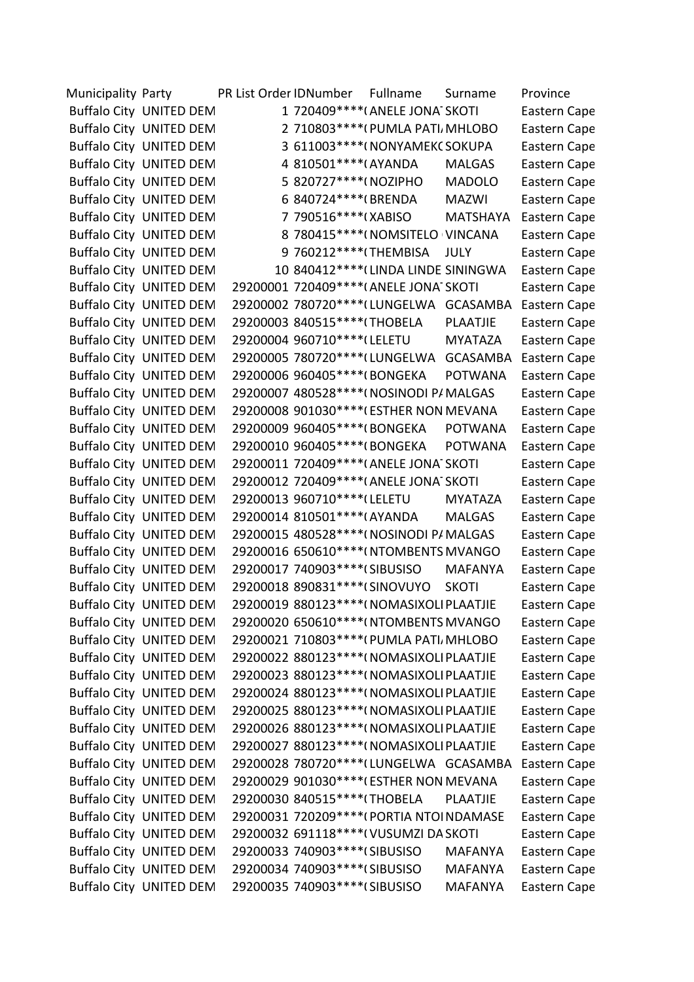Municipality Party PR List Order IDNumber Fullname Surname Province Buffalo City UNITED DEM 1 720409\*\*\*\*(ANELE JONA SKOTI Eastern Cape Buffalo City UNITED DEM 2 710803\*\*\*\*(PUMLA PATI, MHLOBO Eastern Cape Buffalo City UNITED DEM 3 611003\*\*\*\*(NONYAMEKC SOKUPA Eastern Cape Buffalo City UNITED DEM 4 810501\*\*\*\*(AYANDA MALGAS Eastern Cape Buffalo City UNITED DEM 5 820727\*\*\*\*(NOZIPHO MADOLO Eastern Cape Buffalo City UNITED DEM 6 840724\*\*\*\*(BRENDA MAZWI Eastern Cape Buffalo City UNITED DEM <br>
7 790516\*\*\*\*(XABISO MATSHAYA Eastern Cape Buffalo City UNITED DEM 8 780415\*\*\*\*(NOMSITELO VINCANA Eastern Cape Buffalo City UNITED DEM 9 760212\*\*\*\*(THEMBISA JULY Eastern Cape Buffalo City UNITED DEM 10 840412\*\*\*\*(LINDA LINDE SININGWA Eastern Cape Buffalo City UNITED DEM 29200001 720409\*\*\*\*(ANELE JONA SKOTI Eastern Cape Buffalo City UNITED DEM 29200002 780720\*\*\*\* (LUNGELWA GCASAMBA Eastern Cape Buffalo City UNITED DEM 29200003 840515\*\*\*\*(THOBELA PLAATJIE Eastern Cape Buffalo City UNITED DEM 29200004 960710\*\*\*\*(LELETU MYATAZA Eastern Cape Buffalo City UNITED DEM 29200005 780720\*\*\*\* (LUNGELWA GCASAMBA Eastern Cape Buffalo City UNITED DEM 29200006 960405\*\*\*\*(BONGEKA POTWANA Eastern Cape Buffalo City UNITED DEM 29200007 480528\*\*\*\*(NOSINODI P/MALGAS Eastern Cape Buffalo City UNITED DEM 29200008 901030\*\*\*\*(ESTHER NON MEVANA Eastern Cape Buffalo City UNITED DEM 29200009 960405\*\*\*\*(BONGEKA POTWANA Eastern Cape Buffalo City UNITED DEM 29200010 960405\*\*\*\*(BONGEKA POTWANA Eastern Cape Buffalo City UNITED DEM 29200011 720409\*\*\*\*(ANELE JONA SKOTI Eastern Cape Buffalo City UNITED DEM 29200012 720409\*\*\*\*(ANELE JONA SKOTI Eastern Cape Buffalo City UNITED DEM 29200013 960710\*\*\*\*(LELETU MYATAZA Eastern Cape Buffalo City UNITED DEM 29200014 810501\*\*\*\*(AYANDA MALGAS Eastern Cape Buffalo City UNITED DEM 29200015 480528\*\*\*\*(NOSINODI P/MALGAS Eastern Cape Buffalo City UNITED DEM 29200016 650610\*\*\*\*(NTOMBENTS MVANGO Eastern Cape Buffalo City UNITED DEM 29200017 740903\*\*\*\*(SIBUSISO MAFANYA Eastern Cape Buffalo City UNITED DEM 29200018 890831\*\*\*\*(SINOVUYO SKOTI Eastern Cape Buffalo City UNITED DEM 29200019 880123\*\*\*\*(NOMASIXOLI PLAATJIE Eastern Cape Buffalo City UNITED DEM 29200020 650610\*\*\*\*(NTOMBENTS MVANGO Eastern Cape Buffalo City UNITED DEM 29200021 710803\*\*\*\*(PUMLA PATI, MHLOBO Eastern Cape Buffalo City UNITED DEM 29200022 880123\*\*\*\*(NOMASIXOLI PLAATJIE Eastern Cape Buffalo City UNITED DEM 29200023 880123\*\*\*\*(NOMASIXOLI PLAATJIE Eastern Cape Buffalo City UNITED DEM 29200024 880123\*\*\*\*(NOMASIXOLI PLAATJIE Eastern Cape Buffalo City UNITED DEM 29200025 880123\*\*\*\*(NOMASIXOLI PLAATJIE Eastern Cape Buffalo City UNITED DEM 29200026 880123\*\*\*\*(NOMASIXOLI PLAATJIE Eastern Cape Buffalo City UNITED DEM 29200027 880123\*\*\*\*(NOMASIXOLI PLAATJIE Eastern Cape Buffalo City UNITED DEM 29200028 780720\*\*\*\* (LUNGELWA GCASAMBA Eastern Cape Buffalo City UNITED DEM 29200029 901030\*\*\*\*(ESTHER NON MEVANA Eastern Cape Buffalo City UNITED DEM 29200030 840515\*\*\*\*(THOBELA PLAATJIE Eastern Cape Buffalo City UNITED DEM 29200031 720209\*\*\*\*(PORTIA NTOI NDAMASE Eastern Cape Buffalo City UNITED DEM 29200032 691118\*\*\*\*(VUSUMZI DA SKOTI Eastern Cape Buffalo City UNITED DEM 29200033 740903\*\*\*\*(SIBUSISO MAFANYA Eastern Cape Buffalo City UNITED DEM 29200034 740903\*\*\*\*(SIBUSISO MAFANYA Eastern Cape Buffalo City UNITED DEM 29200035 740903\*\*\*\*(SIBUSISO MAFANYA Eastern Cape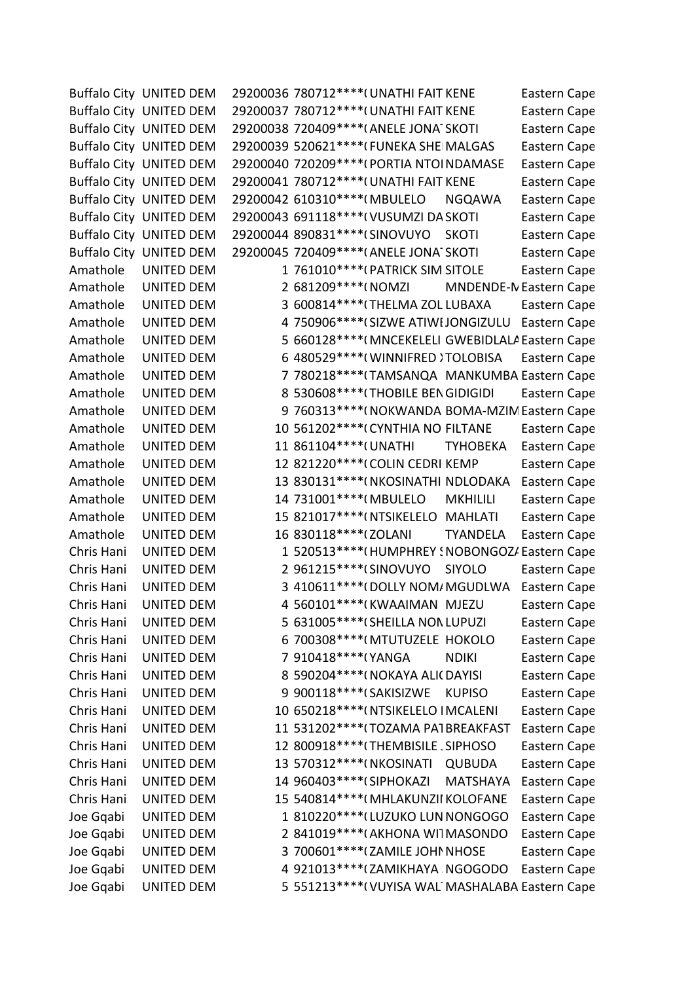|            | <b>Buffalo City UNITED DEM</b> | 29200036 780712 **** (UNATHI FAIT KENE<br>Eastern Cape         |
|------------|--------------------------------|----------------------------------------------------------------|
|            | <b>Buffalo City UNITED DEM</b> | 29200037 780712 **** (UNATHI FAIT KENE<br>Eastern Cape         |
|            | <b>Buffalo City UNITED DEM</b> | 29200038 720409 **** (ANELE JONA SKOTI<br>Eastern Cape         |
|            | <b>Buffalo City UNITED DEM</b> | 29200039 520621 **** (FUNEKA SHE MALGAS<br>Eastern Cape        |
|            | <b>Buffalo City UNITED DEM</b> | 29200040 720209 **** (PORTIA NTOI NDAMASE<br>Eastern Cape      |
|            | <b>Buffalo City UNITED DEM</b> | 29200041 780712 **** (UNATHI FAIT KENE<br>Eastern Cape         |
|            | <b>Buffalo City UNITED DEM</b> | 29200042 610310 **** (MBULELO<br><b>NGQAWA</b><br>Eastern Cape |
|            | <b>Buffalo City UNITED DEM</b> | 29200043 691118 **** ( VUSUMZI DA SKOTI<br>Eastern Cape        |
|            | <b>Buffalo City UNITED DEM</b> | 29200044 890831 **** (SINOVUYO<br><b>SKOTI</b><br>Eastern Cape |
|            | <b>Buffalo City UNITED DEM</b> | 29200045 720409 **** (ANELE JONA SKOTI<br>Eastern Cape         |
| Amathole   | <b>UNITED DEM</b>              | 1 761010***** (PATRICK SIM SITOLE<br>Eastern Cape              |
| Amathole   | <b>UNITED DEM</b>              | 2 681209 **** ( NOMZI<br>MNDENDE-N Eastern Cape                |
| Amathole   | <b>UNITED DEM</b>              | 3 600814 **** (THELMA ZOL LUBAXA<br>Eastern Cape               |
| Amathole   | <b>UNITED DEM</b>              | 4 750906 **** (SIZWE ATIWI JONGIZULU<br>Eastern Cape           |
| Amathole   | <b>UNITED DEM</b>              | 5 660128 **** (MNCEKELELI GWEBIDLALA Eastern Cape              |
| Amathole   | <b>UNITED DEM</b>              | 6 480529 **** (WINNIFRED) TOLOBISA<br>Eastern Cape             |
| Amathole   | <b>UNITED DEM</b>              | 7 780218**** (TAMSANQA MANKUMBA Eastern Cape                   |
| Amathole   | <b>UNITED DEM</b>              | 8 530608 **** (THOBILE BEN GIDIGIDI<br>Eastern Cape            |
| Amathole   | <b>UNITED DEM</b>              | 9 760313 **** (NOKWANDA BOMA-MZIN Eastern Cape                 |
| Amathole   | <b>UNITED DEM</b>              | 10 561202 **** ( CYNTHIA NO FILTANE<br>Eastern Cape            |
| Amathole   | <b>UNITED DEM</b>              | 11 861104 **** ( UNATHI<br><b>TYHOBEKA</b><br>Eastern Cape     |
| Amathole   | <b>UNITED DEM</b>              | 12 821220**** (COLIN CEDRI KEMP<br>Eastern Cape                |
| Amathole   | UNITED DEM                     | 13 830131 **** (NKOSINATHI NDLODAKA<br>Eastern Cape            |
| Amathole   | <b>UNITED DEM</b>              | 14 731001 **** (MBULELO<br><b>MKHILILI</b><br>Eastern Cape     |
| Amathole   | <b>UNITED DEM</b>              | 15 821017 **** (NTSIKELELO MAHLATI<br>Eastern Cape             |
| Amathole   | <b>UNITED DEM</b>              | 16 830118 **** (ZOLANI<br><b>TYANDELA</b><br>Eastern Cape      |
| Chris Hani | <b>UNITED DEM</b>              | 1 520513 **** (HUMPHREY ! NOBONGOZ/ Eastern Cape               |
| Chris Hani | <b>UNITED DEM</b>              | 2 961215 **** (SINOVUYO<br><b>SIYOLO</b><br>Eastern Cape       |
| Chris Hani | <b>UNITED DEM</b>              | 3 410611 **** (DOLLY NOM/ MGUDLWA<br>Eastern Cape              |
| Chris Hani | <b>UNITED DEM</b>              | 4 560101*****(KWAAIMAN MJEZU<br>Eastern Cape                   |
| Chris Hani | <b>UNITED DEM</b>              | 5 631005****(SHEILLA NON LUPUZI<br>Eastern Cape                |
| Chris Hani | <b>UNITED DEM</b>              | 6 700308 **** (MTUTUZELE HOKOLO<br>Eastern Cape                |
| Chris Hani | <b>UNITED DEM</b>              | 7 910418 **** (YANGA<br><b>NDIKI</b><br>Eastern Cape           |
| Chris Hani | <b>UNITED DEM</b>              | 8 590204 **** ( NOKAYA ALI ( DAYISI<br>Eastern Cape            |
| Chris Hani | <b>UNITED DEM</b>              | 9 900118 **** (SAKISIZWE<br><b>KUPISO</b><br>Eastern Cape      |
| Chris Hani | <b>UNITED DEM</b>              | 10 650218 **** (NTSIKELELO IMCALENI<br>Eastern Cape            |
| Chris Hani | <b>UNITED DEM</b>              | 11 531202 **** (TOZAMA PA1BREAKFAST<br>Eastern Cape            |
| Chris Hani | <b>UNITED DEM</b>              | 12 800918 **** (THEMBISILE, SIPHOSO<br>Eastern Cape            |
| Chris Hani | <b>UNITED DEM</b>              | 13 570312 **** (NKOSINATI<br><b>QUBUDA</b><br>Eastern Cape     |
| Chris Hani | <b>UNITED DEM</b>              | 14 960403 **** (SIPHOKAZI<br><b>MATSHAYA</b><br>Eastern Cape   |
| Chris Hani | <b>UNITED DEM</b>              | 15 540814 **** (MHLAKUNZII KOLOFANE<br>Eastern Cape            |
| Joe Gqabi  | <b>UNITED DEM</b>              | 1 810220 **** (LUZUKO LUN NONGOGO<br>Eastern Cape              |
| Joe Gqabi  | UNITED DEM                     | 2 841019 **** (AKHONA WITMASONDO<br>Eastern Cape               |
| Joe Gqabi  | UNITED DEM                     | 3 700601 **** (ZAMILE JOHN NHOSE<br>Eastern Cape               |
| Joe Gqabi  | <b>UNITED DEM</b>              | 4 921013 **** (ZAMIKHAYA NGOGODO<br>Eastern Cape               |
| Joe Gqabi  | <b>UNITED DEM</b>              | 5 551213 **** (VUYISA WAL MASHALABA Eastern Cape               |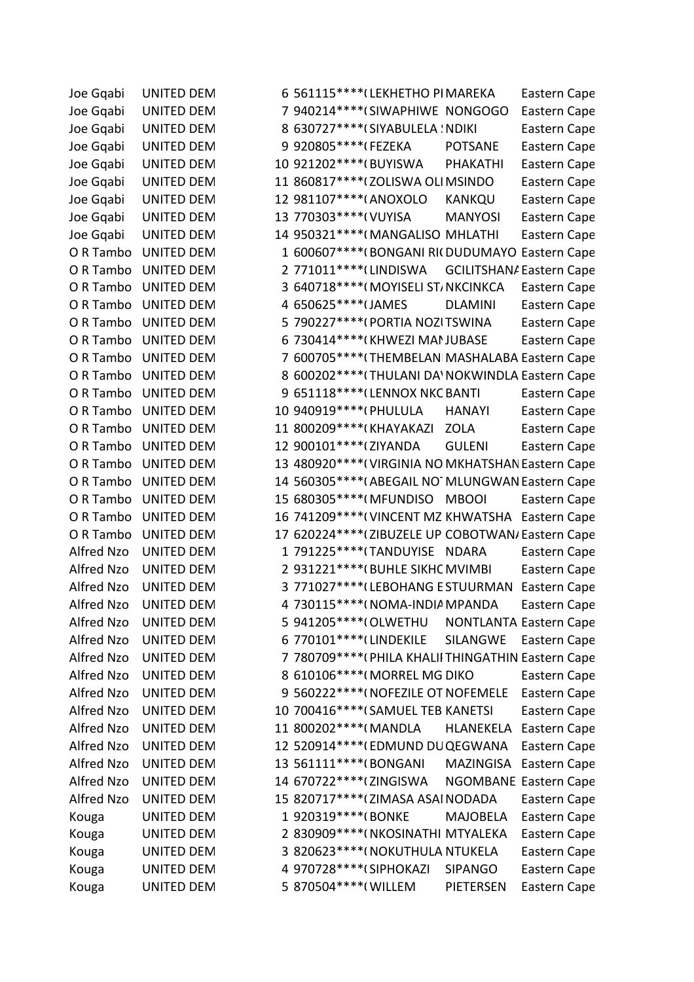Joe Gqabi UNITED DEM 6 561115\*\*\*\*(LEKHETHO PIMAREKA Eastern Cape Joe Gqabi UNITED DEM 7 940214\*\*\*\* (SIWAPHIWE NONGOGO Eastern Cape Joe Gqabi UNITED DEM 8 630727\*\*\*\*(SIYABULELA ! NDIKI Eastern Cape Joe Gqabi UNITED DEM 9 920805\*\*\*\*(FEZEKA POTSANE Eastern Cape Joe Gqabi UNITED DEM 10 921202\*\*\*\*(BUYISWA PHAKATHI Eastern Cape Joe Gqabi UNITED DEM 11 860817\*\*\*\*(ZOLISWA OLIMSINDO Eastern Cape Joe Gqabi UNITED DEM 12 981107\*\*\*\*(ANOXOLO KANKQU Eastern Cape Joe Gqabi UNITED DEM 13 770303\*\*\*\*\*(VUYISA MANYOSI Eastern Cape Joe Gqabi UNITED DEM 14 950321\*\*\*\*(MANGALISO MHLATHI Eastern Cape O R Tambo UNITED DEM 1 600607\*\*\*\*(BONGANI RIC DUDUMAYO Eastern Cape O R Tambo UNITED DEM 2 771011\*\*\*\* (LINDISWA GCILITSHAN/ Eastern Cape O R Tambo UNITED DEM 3 640718\*\*\*\*(MOYISELI ST/NKCINKCA Eastern Cape O R Tambo UNITED DEM  $4650625***$ <sup>\*\*\*\*</sup>(JAMES
DLAMINI
Eastern Cape O R Tambo UNITED DEM 5 790227\*\*\*\*(PORTIA NOZITSWINA Eastern Cape O R Tambo UNITED DEM 6 730414\*\*\*\*(KHWEZI MANJUBASE Eastern Cape O R Tambo UNITED DEM  $7\,600705***$  THEMBELANI MASHALABA Eastern Cape O R Tambo UNITED DEM 8 600202\*\*\*\* (THULANI DA' NOKWINDLA Eastern Cape O R Tambo UNITED DEM
9 651118\*\*\*\*(LENNOX NKC BANTI Eastern Cape O R Tambo UNITED DEM 10 940919\*\*\*\*(PHULULA HANAYI Eastern Cape O R Tambo UNITED DEM 11 800209\*\*\*\*(KHAYAKAZI ZOLA Eastern Cape O R Tambo UNITED DEM
12 900101\*\*\*\*\*(ZIYANDA
GULENI
Eastern Cape O R Tambo UNITED DEM 13 480920\*\*\*\*\*(VIRGINIA NO MKHATSHAN Eastern Cape O R Tambo UNITED DEM 14 560305\*\*\*\*\*(ABEGAIL NOTMLUNGWAN Eastern Cape O R Tambo UNITED DEM 15 680305 \*\*\*\* (MFUNDISO MBOOI Eastern Cape O R Tambo UNITED DEM 16 741209\*\*\*\*\*(VINCENT MZ KHWATSHA Eastern Cape O R Tambo UNITED DEM 17 620224\*\*\*\*\*(ZIBUZELE UP COBOTWAN/Eastern Cape Alfred Nzo UNITED DEM 1 791225\*\*\*\*\* TANDUYISE NDARA Eastern Cape Alfred Nzo UNITED DEM 2 931221\*\*\*\*(BUHLE SIKHC MVIMBI Eastern Cape Alfred Nzo UNITED DEM 3 771027\*\*\*\* (LEBOHANG ESTUURMAN Eastern Cape Alfred Nzo UNITED DEM 4 730115\*\*\*\*(NOMA-INDIA MPANDA Eastern Cape Alfred Nzo UNITED DEM 5 941205\*\*\*\*(OLWETHU NONTLANTA Eastern Cape Alfred Nzo UNITED DEM 6 770101\*\*\*\* (LINDEKILE SILANGWE Eastern Cape Alfred Nzo UNITED DEM 7 780709\*\*\*\*(PHILA KHALII THINGATHIN Eastern Cape Alfred Nzo UNITED DEM 8 610106\*\*\*\*(MORREL MG DIKO Eastern Cape Alfred Nzo UNITED DEM 9 560222\*\*\*\*(NOFEZILE OT NOFEMELE Eastern Cape Alfred Nzo UNITED DEM 10 700416\*\*\*\* (SAMUEL TEB KANETSI Eastern Cape Alfred Nzo UNITED DEM 11 800202\*\*\*\*(MANDLA HLANEKELA Eastern Cape Alfred Nzo UNITED DEM 12 520914\*\*\*\*(EDMUND DUQEGWANA Eastern Cape Alfred Nzo UNITED DEM 13 561111\*\*\*\*(BONGANI MAZINGISA Eastern Cape Alfred Nzo UNITED DEM 14 670722\*\*\*\* (ZINGISWA NGOMBANE Eastern Cape Alfred Nzo UNITED DEM 15 820717\*\*\*\* (ZIMASA ASAI NODADA Eastern Cape Kouga UNITED DEM 1 920319\*\*\*\*(BONKE MAJOBELA Eastern Cape Kouga UNITED DEM 2 830909\*\*\*\*(NKOSINATHI MTYALEKA Eastern Cape Kouga UNITED DEM 3 820623\*\*\*\*(NOKUTHULA NTUKELA Eastern Cape Kouga UNITED DEM 4 970728\*\*\*\*(SIPHOKAZI SIPANGO Eastern Cape Kouga UNITED DEM 5 870504\*\*\*\*(WILLEM PIETERSEN Eastern Cape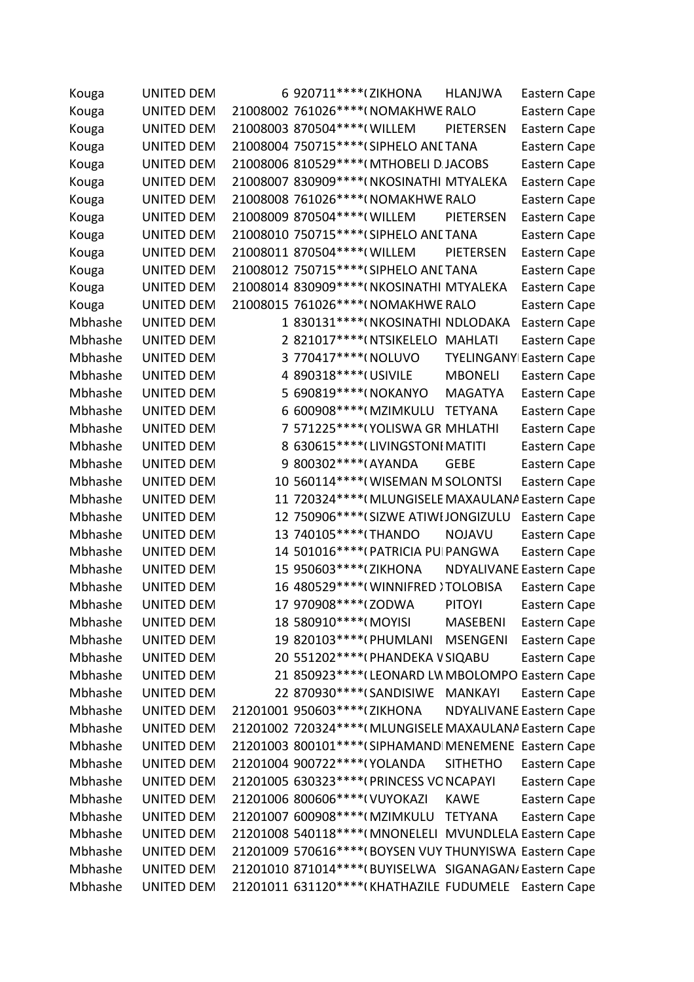| Kouga   | UNITED DEM        |   | 6 920711 **** (ZIKHONA        |                                           | <b>HLANJWA</b>                                          | Eastern Cape |  |
|---------|-------------------|---|-------------------------------|-------------------------------------------|---------------------------------------------------------|--------------|--|
| Kouga   | <b>UNITED DEM</b> |   |                               | 21008002 761026 **** ( NOMAKHWE RALO      |                                                         | Eastern Cape |  |
| Kouga   | <b>UNITED DEM</b> |   | 21008003 870504 **** ( WILLEM |                                           | PIETERSEN                                               | Eastern Cape |  |
| Kouga   | <b>UNITED DEM</b> |   |                               | 21008004 750715 **** (SIPHELO ANE TANA    |                                                         | Eastern Cape |  |
| Kouga   | <b>UNITED DEM</b> |   |                               | 21008006 810529 **** (MTHOBELI D. JACOBS  |                                                         | Eastern Cape |  |
| Kouga   | <b>UNITED DEM</b> |   |                               | 21008007 830909 **** (NKOSINATHI MTYALEKA |                                                         | Eastern Cape |  |
| Kouga   | <b>UNITED DEM</b> |   |                               | 21008008 761026 **** ( NOMAKHWE RALO      |                                                         | Eastern Cape |  |
| Kouga   | <b>UNITED DEM</b> |   | 21008009 870504 **** (WILLEM  |                                           | PIETERSEN                                               | Eastern Cape |  |
| Kouga   | <b>UNITED DEM</b> |   |                               | 21008010 750715 **** (SIPHELO ANE TANA    |                                                         | Eastern Cape |  |
| Kouga   | <b>UNITED DEM</b> |   | 21008011 870504 **** (WILLEM  |                                           | PIETERSEN                                               | Eastern Cape |  |
| Kouga   | UNITED DEM        |   |                               | 21008012 750715****(SIPHELO ANETANA       |                                                         | Eastern Cape |  |
| Kouga   | UNITED DEM        |   |                               | 21008014 830909 **** (NKOSINATHI MTYALEKA |                                                         | Eastern Cape |  |
| Kouga   | UNITED DEM        |   |                               | 21008015 761026 **** ( NOMAKHWE RALO      |                                                         | Eastern Cape |  |
| Mbhashe | <b>UNITED DEM</b> |   |                               | 1 830131 **** (NKOSINATHI NDLODAKA        |                                                         | Eastern Cape |  |
| Mbhashe | <b>UNITED DEM</b> |   |                               | 2 821017****(NTSIKELELO MAHLATI           |                                                         | Eastern Cape |  |
| Mbhashe | <b>UNITED DEM</b> | 3 | 770417****(NOLUVO             |                                           | <b>TYELINGANY Eastern Cape</b>                          |              |  |
| Mbhashe | <b>UNITED DEM</b> |   | 4 890318 **** (USIVILE        |                                           | <b>MBONELI</b>                                          | Eastern Cape |  |
| Mbhashe | <b>UNITED DEM</b> |   | 5 690819****( NOKANYO         |                                           | <b>MAGATYA</b>                                          | Eastern Cape |  |
| Mbhashe | <b>UNITED DEM</b> |   | 6 600908 **** (MZIMKULU       |                                           | <b>TETYANA</b>                                          | Eastern Cape |  |
| Mbhashe | <b>UNITED DEM</b> |   |                               | 7 571225 **** (YOLISWA GR MHLATHI         |                                                         | Eastern Cape |  |
| Mbhashe | <b>UNITED DEM</b> |   |                               | 8 630615 **** (LIVINGSTONI MATITI         |                                                         | Eastern Cape |  |
| Mbhashe | <b>UNITED DEM</b> |   | 9 800302 **** (AYANDA         |                                           | <b>GEBE</b>                                             | Eastern Cape |  |
| Mbhashe | <b>UNITED DEM</b> |   |                               | 10 560114 **** (WISEMAN M SOLONTSI        |                                                         | Eastern Cape |  |
| Mbhashe | <b>UNITED DEM</b> |   |                               |                                           | 11 720324 **** (MLUNGISELE MAXAULANA Eastern Cape       |              |  |
| Mbhashe | <b>UNITED DEM</b> |   |                               | 12 750906****(SIZWE ATIWI JONGIZULU       |                                                         | Eastern Cape |  |
| Mbhashe | <b>UNITED DEM</b> |   | 13 740105 **** (THANDO        |                                           | <b>NOJAVU</b>                                           | Eastern Cape |  |
| Mbhashe | <b>UNITED DEM</b> |   |                               | 14 501016 **** (PATRICIA PU PANGWA        |                                                         | Eastern Cape |  |
| Mbhashe | <b>UNITED DEM</b> |   | 15 950603 **** (ZIKHONA       |                                           | <b>NDYALIVANE Eastern Cape</b>                          |              |  |
| Mbhashe | <b>UNITED DEM</b> |   |                               | 16 480529 **** (WINNIFRED) TOLOBISA       |                                                         | Eastern Cape |  |
| Mbhashe | <b>UNITED DEM</b> |   | 17 970908 **** (ZODWA         |                                           | <b>PITOYI</b>                                           | Eastern Cape |  |
| Mbhashe | UNITED DEM        |   | 18 580910****(MOYISI          |                                           | <b>MASEBENI</b>                                         | Eastern Cape |  |
| Mbhashe | <b>UNITED DEM</b> |   |                               | 19 820103 **** (PHUMLANI                  | <b>MSENGENI</b>                                         | Eastern Cape |  |
| Mbhashe | <b>UNITED DEM</b> |   |                               | 20 551202 **** (PHANDEKA V SIQABU         |                                                         | Eastern Cape |  |
| Mbhashe | <b>UNITED DEM</b> |   |                               |                                           | 21 850923 **** (LEONARD LW MBOLOMPO Eastern Cape        |              |  |
| Mbhashe | <b>UNITED DEM</b> |   |                               | 22 870930****(SANDISIWE MANKAYI           |                                                         | Eastern Cape |  |
| Mbhashe | <b>UNITED DEM</b> |   | 21201001 950603 **** (ZIKHONA |                                           | <b>NDYALIVANE Eastern Cape</b>                          |              |  |
| Mbhashe | <b>UNITED DEM</b> |   |                               |                                           | 21201002 720324 **** (MLUNGISELE MAXAULANA Eastern Cape |              |  |
| Mbhashe | <b>UNITED DEM</b> |   |                               |                                           | 21201003 800101 **** (SIPHAMAND MENEMENE Eastern Cape   |              |  |
| Mbhashe | <b>UNITED DEM</b> |   |                               | 21201004 900722 **** (YOLANDA SITHETHO    |                                                         | Eastern Cape |  |
| Mbhashe | <b>UNITED DEM</b> |   |                               | 21201005 630323 **** (PRINCESS VONCAPAYI  |                                                         | Eastern Cape |  |
| Mbhashe | <b>UNITED DEM</b> |   |                               | 21201006 800606****(VUYOKAZI              | <b>KAWE</b>                                             | Eastern Cape |  |
| Mbhashe | <b>UNITED DEM</b> |   |                               | 21201007 600908 **** (MZIMKULU TETYANA    |                                                         | Eastern Cape |  |
| Mbhashe | <b>UNITED DEM</b> |   |                               |                                           | 21201008 540118 **** (MNONELELI MVUNDLELA Eastern Cape  |              |  |
| Mbhashe | <b>UNITED DEM</b> |   |                               |                                           | 21201009 570616**** (BOYSEN VUY THUNYISWA Eastern Cape  |              |  |
| Mbhashe | <b>UNITED DEM</b> |   |                               |                                           | 21201010 871014**** (BUYISELWA SIGANAGAN/ Eastern Cape  |              |  |
| Mbhashe | <b>UNITED DEM</b> |   |                               |                                           | 21201011 631120****(KHATHAZILE FUDUMELE Eastern Cape    |              |  |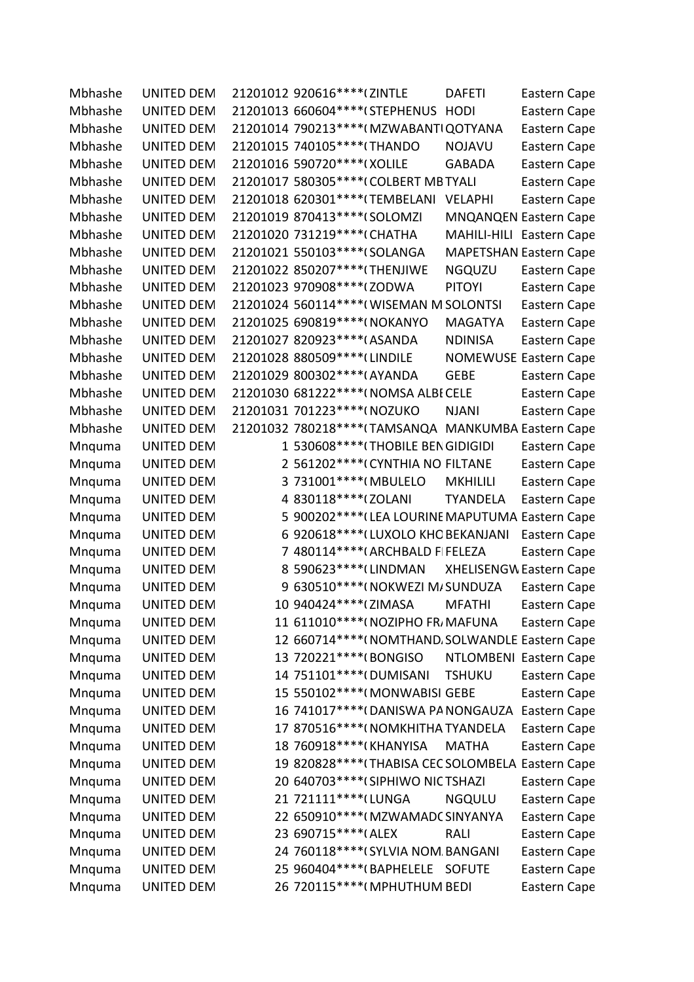| Mbhashe | <b>UNITED DEM</b> |   | 21201012 920616****(ZINTLE                           | <b>DAFETI</b>   | Eastern Cape                   |
|---------|-------------------|---|------------------------------------------------------|-----------------|--------------------------------|
| Mbhashe | <b>UNITED DEM</b> |   | 21201013 660604 **** (STEPHENUS                      | <b>HODI</b>     | Eastern Cape                   |
| Mbhashe | <b>UNITED DEM</b> |   | 21201014 790213 **** (MZWABANTI QOTYANA              |                 | Eastern Cape                   |
| Mbhashe | <b>UNITED DEM</b> |   | 21201015 740105 **** (THANDO                         | <b>NOJAVU</b>   | Eastern Cape                   |
| Mbhashe | <b>UNITED DEM</b> |   | 21201016 590720 **** (XOLILE                         | <b>GABADA</b>   | Eastern Cape                   |
| Mbhashe | <b>UNITED DEM</b> |   | 21201017 580305 **** (COLBERT MB TYALI               |                 | Eastern Cape                   |
| Mbhashe | <b>UNITED DEM</b> |   | 21201018 620301 **** (TEMBELANI                      | <b>VELAPHI</b>  | Eastern Cape                   |
| Mbhashe | <b>UNITED DEM</b> |   | 21201019 870413 **** (SOLOMZI                        |                 | <b>MNQANQEN Eastern Cape</b>   |
| Mbhashe | <b>UNITED DEM</b> |   | 21201020 731219 **** (CHATHA                         |                 | MAHILI-HILI Eastern Cape       |
| Mbhashe | <b>UNITED DEM</b> |   | 21201021 550103 **** (SOLANGA                        |                 | <b>MAPETSHAN Eastern Cape</b>  |
| Mbhashe | <b>UNITED DEM</b> |   | 21201022 850207**** (THENJIWE                        | <b>NGQUZU</b>   | Eastern Cape                   |
| Mbhashe | <b>UNITED DEM</b> |   | 21201023 970908 **** (ZODWA                          | <b>PITOYI</b>   | Eastern Cape                   |
| Mbhashe | <b>UNITED DEM</b> |   | 21201024 560114 **** (WISEMAN M SOLONTSI             |                 | Eastern Cape                   |
| Mbhashe | <b>UNITED DEM</b> |   | 21201025 690819 **** ( NOKANYO                       | <b>MAGATYA</b>  | Eastern Cape                   |
| Mbhashe | <b>UNITED DEM</b> |   | 21201027 820923 **** (ASANDA                         | <b>NDINISA</b>  | Eastern Cape                   |
| Mbhashe | <b>UNITED DEM</b> |   | 21201028 880509 **** (LINDILE                        |                 | <b>NOMEWUSE Eastern Cape</b>   |
| Mbhashe | <b>UNITED DEM</b> |   | 21201029 800302 **** (AYANDA                         | <b>GEBE</b>     | Eastern Cape                   |
| Mbhashe | <b>UNITED DEM</b> |   | 21201030 681222 **** (NOMSA ALBI CELE                |                 | Eastern Cape                   |
| Mbhashe | <b>UNITED DEM</b> |   | 21201031 701223 **** (NOZUKO                         | <b>NJANI</b>    | Eastern Cape                   |
| Mbhashe | <b>UNITED DEM</b> |   | 21201032 780218 **** (TAMSANQA MANKUMBA Eastern Cape |                 |                                |
| Mnquma  | UNITED DEM        |   | 1 530608****(THOBILE BEN GIDIGIDI                    |                 | Eastern Cape                   |
| Mnquma  | UNITED DEM        |   | 2 561202 **** (CYNTHIA NO FILTANE                    |                 | Eastern Cape                   |
| Mnquma  | UNITED DEM        | 3 | 731001 **** (MBULELO                                 | <b>MKHILILI</b> | Eastern Cape                   |
| Mnquma  | <b>UNITED DEM</b> |   | 4 830118 **** (ZOLANI                                | <b>TYANDELA</b> | Eastern Cape                   |
| Mnquma  | UNITED DEM        |   | 5 900202 **** (LEA LOURINE MAPUTUMA Eastern Cape     |                 |                                |
| Mnquma  | <b>UNITED DEM</b> |   | 6 920618 **** (LUXOLO KHO BEKANJANI                  |                 | Eastern Cape                   |
| Mnquma  | <b>UNITED DEM</b> |   | 7 480114**** (ARCHBALD FIFELEZA                      |                 | Eastern Cape                   |
| Mnquma  | <b>UNITED DEM</b> |   | 8 590623 **** (LINDMAN                               |                 | <b>XHELISENGW Eastern Cape</b> |
| Mnquma  | <b>UNITED DEM</b> |   | 9 630510 **** (NOKWEZI M/SUNDUZA                     |                 | Eastern Cape                   |
| Mnguma  | <b>UNITED DEM</b> |   | 10 940424 **** (ZIMASA                               | <b>MFATHI</b>   | Eastern Cape                   |
| Mnquma  | <b>UNITED DEM</b> |   | 11 611010****(NOZIPHO FR, MAFUNA                     |                 | Eastern Cape                   |
| Mnquma  | UNITED DEM        |   | 12 660714**** (NOMTHAND. SOLWANDLE Eastern Cape      |                 |                                |
| Mnquma  | <b>UNITED DEM</b> |   | 13 720221 **** (BONGISO                              |                 | NTLOMBENI Eastern Cape         |
| Mnquma  | <b>UNITED DEM</b> |   | 14 751101 **** (DUMISANI                             | <b>TSHUKU</b>   | Eastern Cape                   |
| Mnquma  | <b>UNITED DEM</b> |   | 15 550102 **** (MONWABISI GEBE                       |                 | Eastern Cape                   |
| Mnquma  | <b>UNITED DEM</b> |   | 16 741017****(DANISWA PA NONGAUZA                    |                 | Eastern Cape                   |
| Mnquma  | <b>UNITED DEM</b> |   | 17 870516**** (NOMKHITHA TYANDELA                    |                 | Eastern Cape                   |
| Mnquma  | <b>UNITED DEM</b> |   | 18 760918 **** (KHANYISA                             | <b>MATHA</b>    | Eastern Cape                   |
| Mnquma  | <b>UNITED DEM</b> |   | 19 820828**** (THABISA CEC SOLOMBELA Eastern Cape    |                 |                                |
| Mnquma  | <b>UNITED DEM</b> |   | 20 640703 **** (SIPHIWO NIC TSHAZI                   |                 | Eastern Cape                   |
| Mnquma  | UNITED DEM        |   | 21 721111 **** (LUNGA                                | <b>NGQULU</b>   | Eastern Cape                   |
| Mnquma  | UNITED DEM        |   | 22 650910****(MZWAMADCSINYANYA                       |                 | Eastern Cape                   |
| Mnquma  | UNITED DEM        |   | 23 690715 **** (ALEX                                 | <b>RALI</b>     | Eastern Cape                   |
| Mnquma  | UNITED DEM        |   | 24 760118 **** (SYLVIA NOM. BANGANI                  |                 | Eastern Cape                   |
| Mnquma  | <b>UNITED DEM</b> |   | 25 960404****(BAPHELELE SOFUTE                       |                 | Eastern Cape                   |
| Mnquma  | UNITED DEM        |   | 26 720115**** (MPHUTHUM BEDI                         |                 | Eastern Cape                   |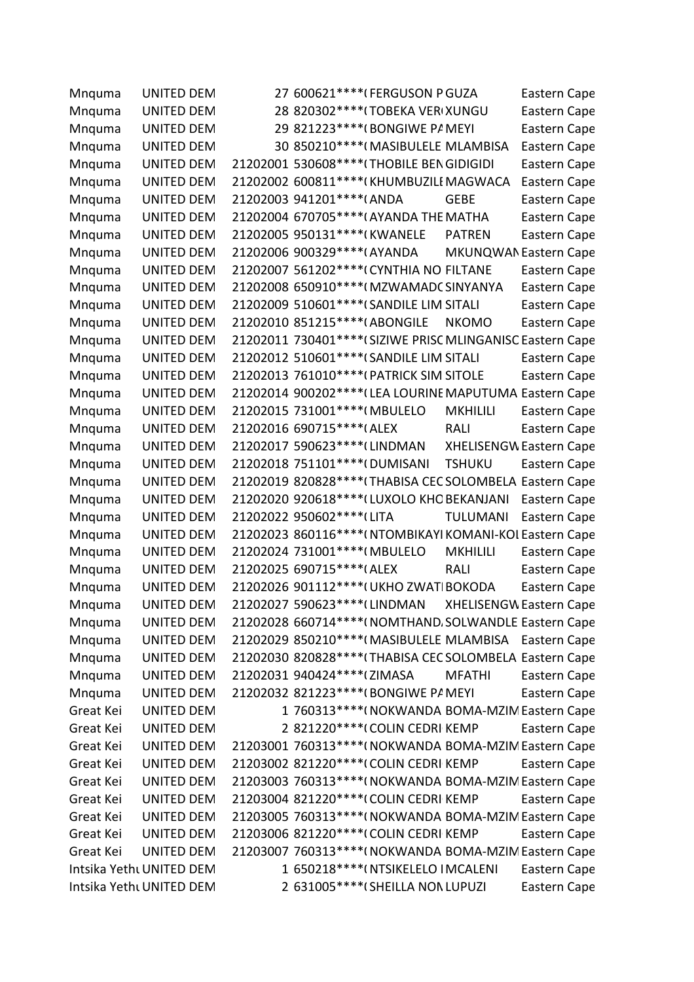| Mnquma                   | <b>UNITED DEM</b> |  |                                | 27 600621 **** (FERGUSON P GUZA                           |                                | Eastern Cape |  |
|--------------------------|-------------------|--|--------------------------------|-----------------------------------------------------------|--------------------------------|--------------|--|
| Mnquma                   | <b>UNITED DEM</b> |  |                                | 28 820302 **** (TOBEKA VERIXUNGU                          |                                | Eastern Cape |  |
| Mnquma                   | <b>UNITED DEM</b> |  |                                | 29 821223 **** (BONGIWE PA MEYI                           |                                | Eastern Cape |  |
| Mnquma                   | UNITED DEM        |  |                                | 30 850210 **** (MASIBULELE MLAMBISA                       |                                | Eastern Cape |  |
| Mnquma                   | <b>UNITED DEM</b> |  |                                | 21202001 530608 **** (THOBILE BEN GIDIGIDI                |                                | Eastern Cape |  |
| Mnquma                   | UNITED DEM        |  |                                | 21202002 600811 **** (KHUMBUZILI MAGWACA                  |                                | Eastern Cape |  |
| Mnquma                   | <b>UNITED DEM</b> |  | 21202003 941201****(ANDA       |                                                           | <b>GEBE</b>                    | Eastern Cape |  |
| Mnquma                   | UNITED DEM        |  |                                | 21202004 670705***** (AYANDA THE MATHA                    |                                | Eastern Cape |  |
| Mnquma                   | <b>UNITED DEM</b> |  | 21202005 950131 **** (KWANELE  |                                                           | <b>PATREN</b>                  | Eastern Cape |  |
| Mnquma                   | UNITED DEM        |  | 21202006 900329 **** (AYANDA   |                                                           | MKUNQWAN Eastern Cape          |              |  |
| Mnquma                   | UNITED DEM        |  |                                | 21202007 561202**** (CYNTHIA NO FILTANE                   |                                | Eastern Cape |  |
| Mnquma                   | UNITED DEM        |  |                                | 21202008 650910 **** (MZWAMADC SINYANYA                   |                                | Eastern Cape |  |
| Mnquma                   | <b>UNITED DEM</b> |  |                                | 21202009 510601 **** (SANDILE LIM SITALI                  |                                | Eastern Cape |  |
| Mnquma                   | <b>UNITED DEM</b> |  | 21202010 851215 **** (ABONGILE |                                                           | <b>NKOMO</b>                   | Eastern Cape |  |
| Mnquma                   | UNITED DEM        |  |                                | 21202011 730401**** (SIZIWE PRISC MLINGANISC Eastern Cape |                                |              |  |
| Mnquma                   | <b>UNITED DEM</b> |  |                                | 21202012 510601 **** (SANDILE LIM SITALI                  |                                | Eastern Cape |  |
| Mnquma                   | UNITED DEM        |  |                                | 21202013 761010 **** (PATRICK SIM SITOLE                  |                                | Eastern Cape |  |
| Mnquma                   | UNITED DEM        |  |                                | 21202014 900202**** (LEA LOURINE MAPUTUMA Eastern Cape    |                                |              |  |
| Mnquma                   | <b>UNITED DEM</b> |  | 21202015 731001 **** (MBULELO  |                                                           | <b>MKHILILI</b>                | Eastern Cape |  |
| Mnquma                   | UNITED DEM        |  | 21202016 690715 **** (ALEX     |                                                           | <b>RALI</b>                    | Eastern Cape |  |
| Mnquma                   | UNITED DEM        |  | 21202017 590623 **** (LINDMAN  |                                                           | <b>XHELISENGW Eastern Cape</b> |              |  |
| Mnquma                   | <b>UNITED DEM</b> |  | 21202018 751101 **** (DUMISANI |                                                           | <b>TSHUKU</b>                  | Eastern Cape |  |
| Mnquma                   | UNITED DEM        |  |                                | 21202019 820828 **** (THABISA CEC SOLOMBELA Eastern Cape  |                                |              |  |
| Mnquma                   | <b>UNITED DEM</b> |  |                                | 21202020 920618 **** (LUXOLO KHC BEKANJANI                |                                | Eastern Cape |  |
| Mnquma                   | <b>UNITED DEM</b> |  | 21202022 950602 **** (LITA     |                                                           | <b>TULUMANI</b>                | Eastern Cape |  |
| Mnquma                   | UNITED DEM        |  |                                | 21202023 860116**** (NTOMBIKAYI KOMANI-KOI Eastern Cape   |                                |              |  |
| Mnquma                   | <b>UNITED DEM</b> |  | 21202024 731001 **** (MBULELO  |                                                           | <b>MKHILILI</b>                | Eastern Cape |  |
| Mnquma                   | UNITED DEM        |  | 21202025 690715 **** (ALEX     |                                                           | <b>RALI</b>                    | Eastern Cape |  |
| Mnquma                   | UNITED DEM        |  |                                | 21202026 901112 **** ( UKHO ZWAT BOKODA                   |                                | Eastern Cape |  |
| Mnquma                   | <b>UNITED DEM</b> |  | 21202027 590623****(LINDMAN    |                                                           | <b>XHELISENGW Eastern Cape</b> |              |  |
| Mnquma                   | UNITED DEM        |  |                                | 21202028 660714 **** ( NOMTHAND, SOLWANDLE Eastern Cape   |                                |              |  |
| Mnquma                   | UNITED DEM        |  |                                | 21202029 850210 **** (MASIBULELE MLAMBISA Eastern Cape    |                                |              |  |
| Mnquma                   | <b>UNITED DEM</b> |  |                                | 21202030 820828 **** (THABISA CEC SOLOMBELA Eastern Cape  |                                |              |  |
| Mnquma                   | <b>UNITED DEM</b> |  |                                | 21202031 940424 **** (ZIMASA                              | <b>MFATHI</b>                  | Eastern Cape |  |
| Mnquma                   | <b>UNITED DEM</b> |  |                                | 21202032 821223 **** (BONGIWE PA MEYI                     |                                | Eastern Cape |  |
| Great Kei                | <b>UNITED DEM</b> |  |                                | 1 760313 **** (NOKWANDA BOMA-MZIN Eastern Cape            |                                |              |  |
| Great Kei                | <b>UNITED DEM</b> |  |                                | 2 821220****(COLIN CEDRI KEMP                             |                                | Eastern Cape |  |
| Great Kei                | <b>UNITED DEM</b> |  |                                | 21203001 760313 **** (NOKWANDA BOMA-MZIN Eastern Cape     |                                |              |  |
| Great Kei                | <b>UNITED DEM</b> |  |                                | 21203002 821220 **** ( COLIN CEDRI KEMP                   |                                | Eastern Cape |  |
| Great Kei                | <b>UNITED DEM</b> |  |                                | 21203003 760313 **** ( NOKWANDA BOMA-MZIN Eastern Cape    |                                |              |  |
| Great Kei                | <b>UNITED DEM</b> |  |                                | 21203004 821220 **** ( COLIN CEDRI KEMP                   |                                | Eastern Cape |  |
| Great Kei                | <b>UNITED DEM</b> |  |                                | 21203005 760313 **** (NOKWANDA BOMA-MZIN Eastern Cape     |                                |              |  |
| Great Kei                | <b>UNITED DEM</b> |  |                                | 21203006 821220 **** (COLIN CEDRI KEMP                    |                                | Eastern Cape |  |
| Great Kei                | UNITED DEM        |  |                                | 21203007 760313 **** ( NOKWANDA BOMA-MZIN Eastern Cape    |                                |              |  |
| Intsika Yetht UNITED DEM |                   |  |                                | 1 650218 **** (NTSIKELELO IMCALENI                        |                                | Eastern Cape |  |
| Intsika Yethi UNITED DEM |                   |  |                                | 2 631005 **** (SHEILLA NON LUPUZI                         |                                | Eastern Cape |  |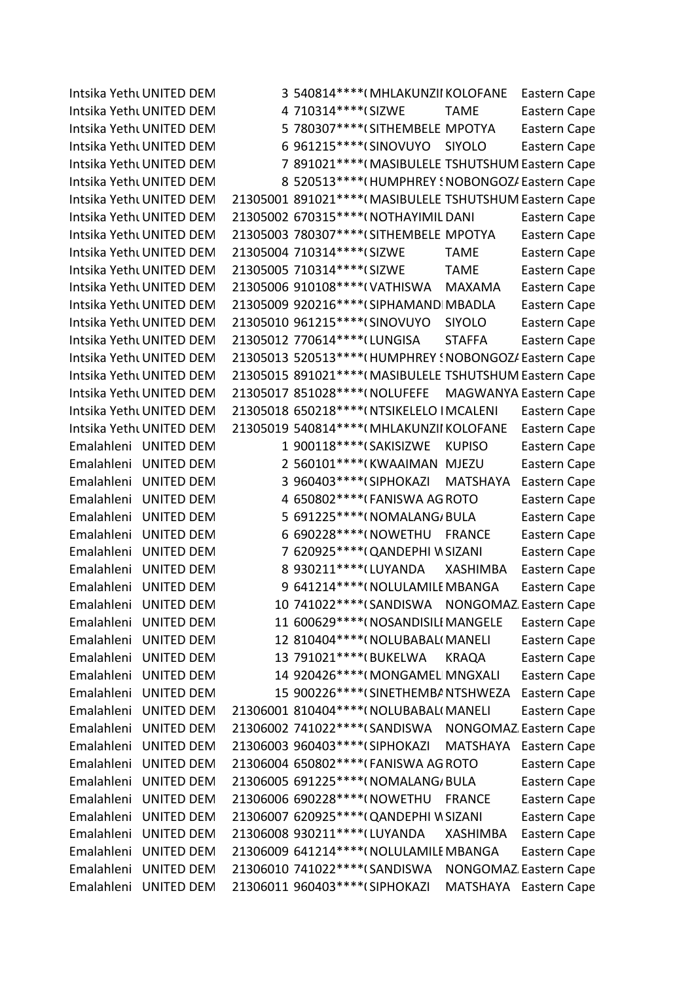Intsika YethuUNITED DEM 3 540814\*\*\*\*(MHLAKUNZII KOLOFANE Eastern Cape Intsika YethuUNITED DEM 4 710314\*\*\*\*(SIZWE TAME Eastern Cape Intsika YethuUNITED DEM 5 780307\*\*\*\*(SITHEMBELE MPOTYA Eastern Cape Intsika YethuUNITED DEM 6 961215\*\*\*\* (SINOVUYO SIYOLO Eastern Cape Intsika YethuUNITED DEM 7 891021\*\*\*\*(MASIBULELE TSHUTSHUM Eastern Cape Intsika YethuUNITED DEM 8 520513\*\*\*\*\*(HUMPHREY ! NOBONGOZ/ Eastern Cape Intsika YethuUNITED DEM 21305001 891021\*\*\*\*(MASIBULELE TSHUTSHUM Eastern Cape Intsika YethuUNITED DEM 21305002 670315\*\*\*\*(NOTHAYIMIL DANI Eastern Cape Intsika YethuUNITED DEM 21305003 780307\*\*\*\*(SITHEMBELE MPOTYA Eastern Cape Intsika YethuUNITED DEM 21305004 710314\*\*\*\*(SIZWE TAME Eastern Cape Intsika YethuUNITED DEM 21305005 710314\*\*\*\*(SIZWE TAME Eastern Cape Intsika YethuUNITED DEM 21305006 910108\*\*\*\*(VATHISWA MAXAMA Eastern Cape Intsika YethuUNITED DEM 21305009 920216\*\*\*\* (SIPHAMANDIMBADLA Eastern Cape Intsika YethuUNITED DEM 21305010 961215\*\*\*\*(SINOVUYO SIYOLO Eastern Cape Intsika YethuUNITED DEM 21305012 770614\*\*\*\* (LUNGISA STAFFA Eastern Cape Intsika YethuUNITED DEM 21305013 520513 \*\*\*\* (HUMPHREY ! NOBONGOZ/ Eastern Cape Intsika YethuUNITED DEM 21305015 891021\*\*\*\*(MASIBULELE TSHUTSHUM Eastern Cape Intsika YethuUNITED DEM 21305017 851028\*\*\*\*(NOLUFEFE MAGWANYA Eastern Cape Intsika YethuUNITED DEM 21305018 650218\*\*\*\*(NTSIKELELO IMCALENI Eastern Cape Intsika YethuUNITED DEM 21305019 540814\*\*\*\*(MHLAKUNZII KOLOFANE Eastern Cape Emalahleni UNITED DEM 1 900118\*\*\*\* (SAKISIZWE KUPISO Eastern Cape Emalahleni UNITED DEM 2 560101\*\*\*\*(KWAAIMAN MJEZU Eastern Cape Emalahleni UNITED DEM 3 960403\*\*\*\*(SIPHOKAZI MATSHAYA Eastern Cape Emalahleni UNITED DEM 4 650802\*\*\*\*(FANISWA AGROTO Eastern Cape Emalahleni UNITED DEM 5 691225\*\*\*\*(NOMALANG/BULA Eastern Cape Emalahleni UNITED DEM 6 690228\*\*\*\*(NOWETHU FRANCE Eastern Cape Emalahleni UNITED DEM 7 620925\*\*\*\*(QANDEPHI W SIZANI Eastern Cape Emalahleni UNITED DEM 8 930211\*\*\*\*(LUYANDA XASHIMBA Eastern Cape Emalahleni UNITED DEM 9 641214\*\*\*\*(NOLULAMILE MBANGA Eastern Cape Emalahleni UNITED DEM 10 741022\*\*\*\* (SANDISWA NONGOMAZ Eastern Cape Emalahleni UNITED DEM 11 600629\*\*\*\*(NOSANDISILI MANGELE Eastern Cape Emalahleni UNITED DEM 12 810404\*\*\*\*(NOLUBABAL(MANELI Eastern Cape Emalahleni UNITED DEM 13 791021\*\*\*\*(BUKELWA KRAQA Eastern Cape Emalahleni UNITED DEM 14 920426\*\*\*\*(MONGAMELI MNGXALI Eastern Cape Emalahleni UNITED DEM 15 900226\*\*\*\*(SINETHEMBA NTSHWEZA Eastern Cape Emalahleni UNITED DEM 21306001 810404\*\*\*\*(NOLUBABAL(MANELI Eastern Cape Emalahleni UNITED DEM 21306002 741022\*\*\*\* (SANDISWA NONGOMAZ Eastern Cape Emalahleni UNITED DEM 21306003 960403\*\*\*\*(SIPHOKAZI MATSHAYA Eastern Cape Emalahleni UNITED DEM 21306004 650802\*\*\*\*(FANISWA AGROTO Eastern Cape Emalahleni UNITED DEM 21306005 691225\*\*\*\*(NOMALANG/BULA Eastern Cape Emalahleni UNITED DEM 21306006 690228\*\*\*\*(NOWETHU FRANCE Eastern Cape Emalahleni UNITED DEM 21306007 620925\*\*\*\*(QANDEPHI WSIZANI Eastern Cape Emalahleni UNITED DEM 21306008 930211\*\*\*\*(LUYANDA XASHIMBA Eastern Cape Emalahleni UNITED DEM 21306009 641214\*\*\*\*(NOLULAMILE MBANGA Eastern Cape Emalahleni UNITED DEM 21306010 741022\*\*\*\* (SANDISWA NONGOMAZ Eastern Cape Emalahleni UNITED DEM 21306011 960403\*\*\*\*(SIPHOKAZI MATSHAYA Eastern Cape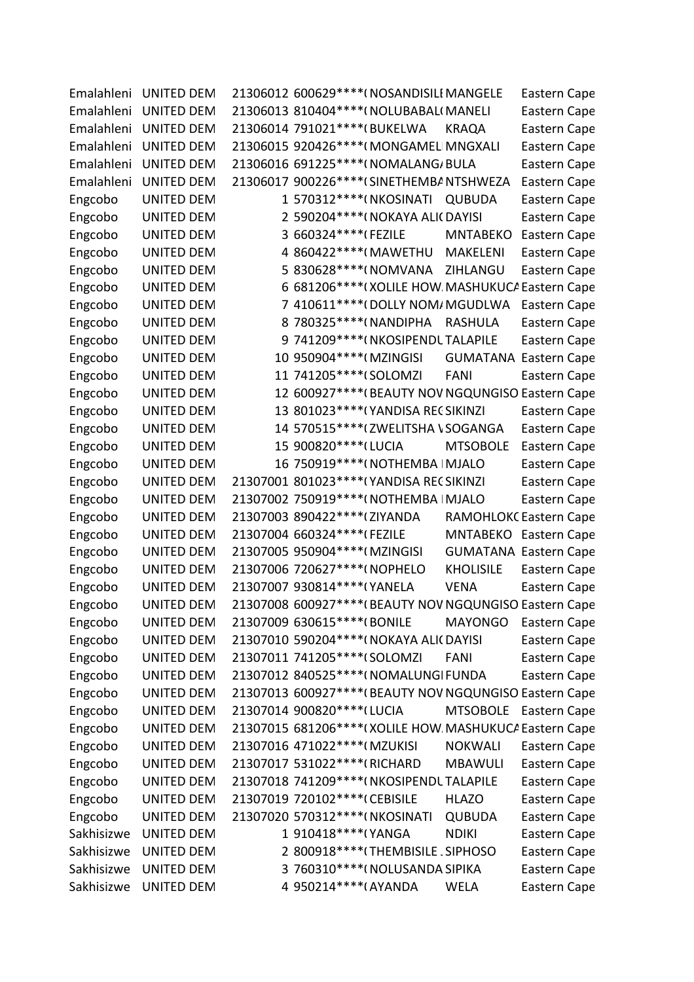| Emalahleni | <b>UNITED DEM</b> | 21306012 600629 **** (NOSANDISILI MANGELE              |                  | Eastern Cape                 |
|------------|-------------------|--------------------------------------------------------|------------------|------------------------------|
| Emalahleni | <b>UNITED DEM</b> | 21306013 810404 **** ( NOLUBABAL ( MANELI              |                  | Eastern Cape                 |
| Emalahleni | <b>UNITED DEM</b> | 21306014 791021 **** (BUKELWA                          | <b>KRAQA</b>     | Eastern Cape                 |
| Emalahleni | <b>UNITED DEM</b> | 21306015 920426 **** (MONGAMEL MNGXALI                 |                  | Eastern Cape                 |
| Emalahleni | <b>UNITED DEM</b> | 21306016 691225 **** ( NOMALANG / BULA                 |                  | Eastern Cape                 |
| Emalahleni | <b>UNITED DEM</b> | 21306017 900226 **** (SINETHEMBA NTSHWEZA              |                  | Eastern Cape                 |
| Engcobo    | <b>UNITED DEM</b> | 1 570312 **** (NKOSINATI                               | <b>QUBUDA</b>    | Eastern Cape                 |
| Engcobo    | <b>UNITED DEM</b> | 2 590204****(NOKAYA ALI(DAYISI                         |                  | Eastern Cape                 |
| Engcobo    | <b>UNITED DEM</b> | 3 660324 **** (FEZILE                                  | <b>MNTABEKO</b>  | Eastern Cape                 |
| Engcobo    | <b>UNITED DEM</b> | 4 860422 **** (MAWETHU                                 | <b>MAKELENI</b>  | Eastern Cape                 |
| Engcobo    | <b>UNITED DEM</b> | 5 830628****(NOMVANA                                   | ZIHLANGU         | Eastern Cape                 |
| Engcobo    | <b>UNITED DEM</b> | 6 681206**** (XOLILE HOW. MASHUKUCA Eastern Cape       |                  |                              |
| Engcobo    | <b>UNITED DEM</b> | 7 410611 **** (DOLLY NOM/ MGUDLWA                      |                  | Eastern Cape                 |
| Engcobo    | <b>UNITED DEM</b> | 8 780325 **** (NANDIPHA                                | <b>RASHULA</b>   | Eastern Cape                 |
| Engcobo    | <b>UNITED DEM</b> | 9 741209 **** (NKOSIPENDL TALAPILE                     |                  | Eastern Cape                 |
| Engcobo    | <b>UNITED DEM</b> | 10 950904 **** (MZINGISI                               |                  | <b>GUMATANA Eastern Cape</b> |
| Engcobo    | <b>UNITED DEM</b> | 11 741205 **** (SOLOMZI                                | <b>FANI</b>      | Eastern Cape                 |
| Engcobo    | UNITED DEM        | 12 600927**** (BEAUTY NOV NGQUNGISO Eastern Cape       |                  |                              |
| Engcobo    | <b>UNITED DEM</b> | 13 801023 **** (YANDISA REC SIKINZI                    |                  | Eastern Cape                 |
| Engcobo    | <b>UNITED DEM</b> | 14 570515 **** (ZWELITSHA \ SOGANGA                    |                  | Eastern Cape                 |
| Engcobo    | UNITED DEM        | 15 900820 **** (LUCIA                                  | <b>MTSOBOLE</b>  | Eastern Cape                 |
| Engcobo    | UNITED DEM        | 16 750919 **** (NOTHEMBA   MJALO                       |                  | Eastern Cape                 |
| Engcobo    | UNITED DEM        | 21307001 801023 **** (YANDISA REC SIKINZI              |                  | Eastern Cape                 |
| Engcobo    | <b>UNITED DEM</b> | 21307002 750919 **** (NOTHEMBA   MJALO                 |                  | Eastern Cape                 |
| Engcobo    | <b>UNITED DEM</b> | 21307003 890422 **** (ZIYANDA                          |                  | RAMOHLOKC Eastern Cape       |
| Engcobo    | <b>UNITED DEM</b> | 21307004 660324 **** (FEZILE                           |                  | MNTABEKO Eastern Cape        |
| Engcobo    | <b>UNITED DEM</b> | 21307005 950904 **** (MZINGISI                         |                  | <b>GUMATANA Eastern Cape</b> |
| Engcobo    | <b>UNITED DEM</b> | 21307006 720627 **** (NOPHELO                          | <b>KHOLISILE</b> | Eastern Cape                 |
| Engcobo    | UNITED DEM        | 21307007 930814 **** (YANELA                           | <b>VENA</b>      | Eastern Cape                 |
| Engcobo    | <b>UNITED DEM</b> | 21307008 600927**** (BEAUTY NOV NGQUNGISO Eastern Cape |                  |                              |
| Engcobo    | <b>UNITED DEM</b> | 21307009 630615****(BONILE                             | MAYONGO          | Eastern Cape                 |
| Engcobo    | <b>UNITED DEM</b> | 21307010 590204 **** ( NOKAYA ALI ( DAYISI             |                  | Eastern Cape                 |
| Engcobo    | <b>UNITED DEM</b> | 21307011 741205 **** (SOLOMZI                          | <b>FANI</b>      | Eastern Cape                 |
| Engcobo    | <b>UNITED DEM</b> | 21307012 840525 **** ( NOMALUNGI FUNDA                 |                  | Eastern Cape                 |
| Engcobo    | <b>UNITED DEM</b> | 21307013 600927**** (BEAUTY NOV NGQUNGISO Eastern Cape |                  |                              |
| Engcobo    | <b>UNITED DEM</b> | 21307014 900820 **** (LUCIA                            | <b>MTSOBOLE</b>  | Eastern Cape                 |
| Engcobo    | <b>UNITED DEM</b> | 21307015 681206**** (XOLILE HOW MASHUKUC/ Eastern Cape |                  |                              |
| Engcobo    | <b>UNITED DEM</b> | 21307016 471022 **** (MZUKISI                          | <b>NOKWALI</b>   | Eastern Cape                 |
| Engcobo    | <b>UNITED DEM</b> | 21307017 531022 **** (RICHARD                          | <b>MBAWULI</b>   | Eastern Cape                 |
| Engcobo    | <b>UNITED DEM</b> | 21307018 741209 **** ( NKOSIPENDL TALAPILE             |                  | Eastern Cape                 |
| Engcobo    | <b>UNITED DEM</b> | 21307019 720102 **** (CEBISILE                         | <b>HLAZO</b>     | Eastern Cape                 |
| Engcobo    | <b>UNITED DEM</b> | 21307020 570312 **** (NKOSINATI                        | <b>QUBUDA</b>    | Eastern Cape                 |
| Sakhisizwe | <b>UNITED DEM</b> | 1 910418 **** (YANGA                                   | <b>NDIKI</b>     | Eastern Cape                 |
| Sakhisizwe | <b>UNITED DEM</b> | 2 800918 **** (THEMBISILE . SIPHOSO                    |                  | Eastern Cape                 |
| Sakhisizwe | <b>UNITED DEM</b> | 3 760310***** (NOLUSANDA SIPIKA                        |                  | Eastern Cape                 |
| Sakhisizwe | <b>UNITED DEM</b> | 4 950214 **** (AYANDA                                  | <b>WELA</b>      | Eastern Cape                 |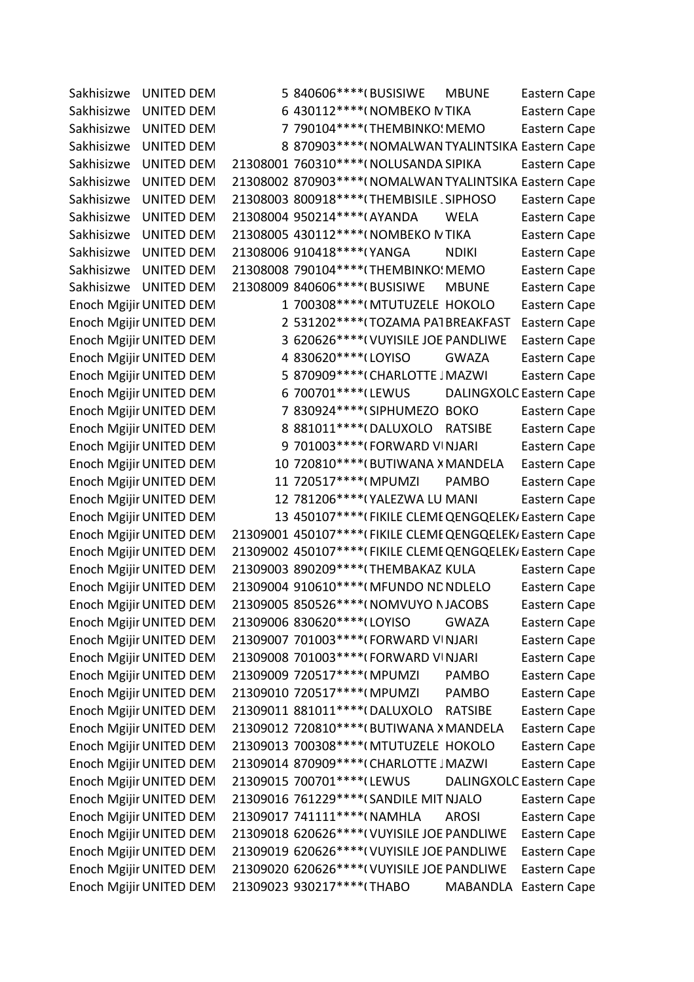Sakhisizwe UNITED DEM 5 840606\*\*\*\*(BUSISIWE MBUNE Eastern Cape Sakhisizwe UNITED DEM 6 430112\*\*\*\*(NOMBEKO N TIKA Eastern Cape Sakhisizwe UNITED DEM 7 790104\*\*\*\*(THEMBINKO: MEMO Eastern Cape Sakhisizwe UNITED DEM 8 870903\*\*\*\*(NOMALWAN TYALINTSIKA Eastern Cape Sakhisizwe UNITED DEM 21308001 760310\*\*\*\*(NOLUSANDA SIPIKA Eastern Cape Sakhisizwe UNITED DEM 21308002 870903\*\*\*\*(NOMALWAN TYALINTSIKA Eastern Cape Sakhisizwe UNITED DEM 21308003 800918\*\*\*\*(THEMBISILE SIPHOSO Eastern Cape Sakhisizwe UNITED DEM 21308004 950214\*\*\*\*(AYANDA WELA Eastern Cape Sakhisizwe UNITED DEM 21308005 430112\*\*\*\*(NOMBEKO N TIKA Eastern Cape Sakhisizwe UNITED DEM 21308006 910418\*\*\*\*(YANGA NDIKI Eastern Cape Sakhisizwe UNITED DEM 21308008 790104\*\*\*\*(THEMBINKO! MEMO Eastern Cape Sakhisizwe UNITED DEM 21308009 840606\*\*\*\*(BUSISIWE MBUNE Eastern Cape Enoch Mgijir UNITED DEM 1 700308\*\*\*\*(MTUTUZELE HOKOLO Eastern Cape Enoch Mgijir UNITED DEM 2 531202\*\*\*\*(TOZAMA PATBREAKFAST Eastern Cape Enoch Mgijir UNITED DEM 3 620626\*\*\*\*(VUYISILE JOE PANDLIWE Eastern Cape Enoch Mgijir UNITED DEM 4 830620\*\*\*\*(LOYISO GWAZA Eastern Cape Enoch Mgijir UNITED DEM 5 870909\*\*\*\*(CHARLOTTE JMAZWI Eastern Cape Enoch Mgijir UNITED DEM 6 700701\*\*\*\*(LEWUS DALINGXOLC Eastern Cape Enoch Mgijir UNITED DEM 7 830924\*\*\*\* (SIPHUMEZO BOKO Eastern Cape Enoch Mgijir UNITED DEM 8 881011\*\*\*\*(DALUXOLO RATSIBE Eastern Cape Enoch Mgijir UNITED DEM 9 701003\*\*\*\*(FORWARD VINJARI Eastern Cape Enoch Mgijir UNITED DEM 10 720810\*\*\*\*(BUTIWANA X MANDELA Eastern Cape Enoch Mgijir UNITED DEM 11 720517\*\*\*\*(MPUMZI PAMBO Eastern Cape Enoch Mgijir UNITED DEM 12 781206\*\*\*\*(YALEZWA LU MANI Eastern Cape Enoch Mgijir UNITED DEM 13 450107\*\*\*\*(FIKILE CLEME QENGQELEK, Eastern Cape Enoch Mgijir UNITED DEM 21309001 450107\*\*\*\*(FIKILE CLEME QENGQELEK, Eastern Cape Enoch Mgijir UNITED DEM 21309002 450107\*\*\*\*(FIKILE CLEME QENGQELEK, Eastern Cape Enoch Mgijir UNITED DEM 21309003 890209\*\*\*\*(THEMBAKAZIKULA Eastern Cape Enoch Mgijir UNITED DEM 21309004 910610\*\*\*\* (MFUNDO ND NDLELO Eastern Cape Enoch Mgijir UNITED DEM 21309005 850526\*\*\*\*(NOMVUYO NJACOBS Eastern Cape Enoch Mgijir UNITED DEM 21309006 830620\*\*\*\*(LOYISO GWAZA Eastern Cape Enoch Mgijir UNITED DEM 21309007 701003\*\*\*\*(FORWARD VINJARI Eastern Cape Enoch Mgijir UNITED DEM 21309008 701003\*\*\*\*(FORWARD VINJARI Eastern Cape Enoch Mgijir UNITED DEM 21309009 720517\*\*\*\*(MPUMZI PAMBO Eastern Cape Enoch Mgijir UNITED DEM 21309010 720517\*\*\*\*(MPUMZI PAMBO Eastern Cape Enoch Mgijir UNITED DEM 21309011 881011\*\*\*\*(DALUXOLO RATSIBE Eastern Cape Enoch Mgijir UNITED DEM 21309012 720810\*\*\*\*(BUTIWANA X MANDELA Eastern Cape Enoch Mgijir UNITED DEM 21309013 700308\*\*\*\*(MTUTUZELE HOKOLO Eastern Cape Enoch Mgijir UNITED DEM 21309014 870909\*\*\*\*(CHARLOTTE JMAZWI Eastern Cape Enoch Mgijir UNITED DEM 21309015 700701\*\*\*\* (LEWUS DALINGXOLC Eastern Cape Enoch Mgijir UNITED DEM 21309016 761229\*\*\*\* (SANDILE MIT NJALO Eastern Cape Enoch Mgijir UNITED DEM 21309017 741111\*\*\*\*(NAMHLA AROSI Eastern Cape Enoch Mgijir UNITED DEM 21309018 620626\*\*\*\*(VUYISILE JOE PANDLIWE Eastern Cape Enoch Mgijir UNITED DEM 21309019 620626\*\*\*\*(VUYISILE JOE PANDLIWE Eastern Cape Enoch Mgijir UNITED DEM 21309020 620626\*\*\*\*(VUYISILE JOE PANDLIWE Eastern Cape Enoch Mgijir UNITED DEM 21309023 930217\*\*\*\*(THABO MABANDLA Eastern Cape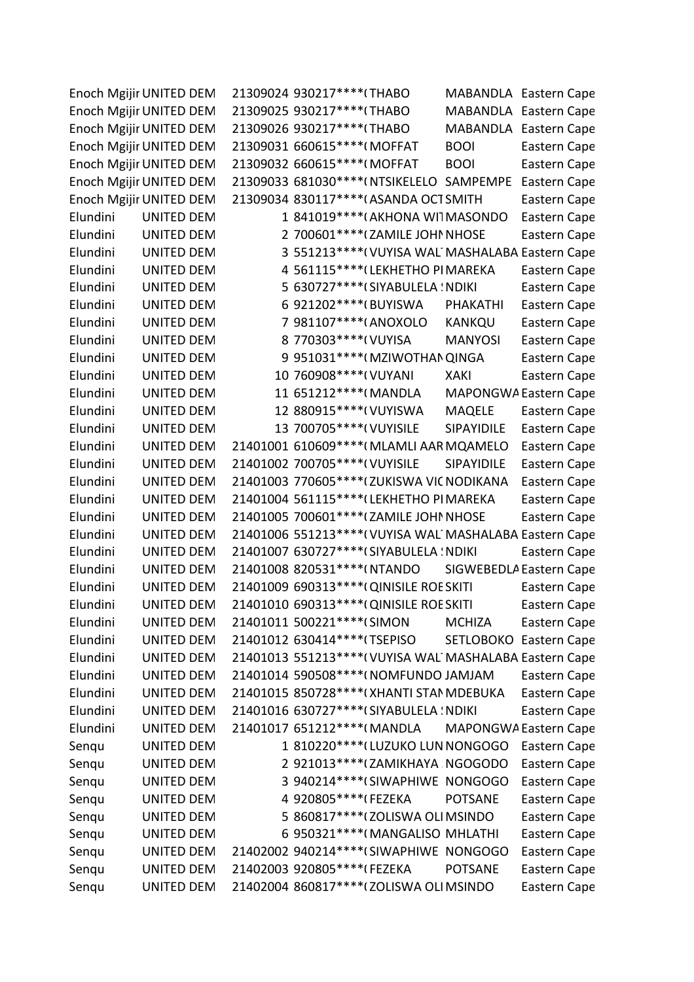|          | Enoch Mgijir UNITED DEM | 21309024 930217 **** (THABO                              |                   | MABANDLA Eastern Cape   |
|----------|-------------------------|----------------------------------------------------------|-------------------|-------------------------|
|          | Enoch Mgijir UNITED DEM | 21309025 930217 **** (THABO                              |                   | MABANDLA Eastern Cape   |
|          | Enoch Mgijir UNITED DEM | 21309026 930217 **** (THABO                              |                   | MABANDLA Eastern Cape   |
|          | Enoch Mgijir UNITED DEM | 21309031 660615 **** (MOFFAT                             | <b>BOOI</b>       | Eastern Cape            |
|          | Enoch Mgijir UNITED DEM | 21309032 660615 **** (MOFFAT                             | <b>BOOI</b>       | Eastern Cape            |
|          | Enoch Mgijir UNITED DEM | 21309033 681030 **** (NTSIKELELO SAMPEMPE                |                   | Eastern Cape            |
|          | Enoch Mgijir UNITED DEM | 21309034 830117 **** (ASANDA OCT SMITH                   |                   | Eastern Cape            |
| Elundini | <b>UNITED DEM</b>       | 1 841019 **** (AKHONA WITMASONDO                         |                   | Eastern Cape            |
| Elundini | <b>UNITED DEM</b>       | 2 700601 **** ( ZAMILE JOHN NHOSE                        |                   | Eastern Cape            |
| Elundini | <b>UNITED DEM</b>       | 3 551213 **** (VUYISA WAL MASHALABA Eastern Cape         |                   |                         |
| Elundini | <b>UNITED DEM</b>       | 4 561115**** (LEKHETHO PIMAREKA                          |                   | Eastern Cape            |
| Elundini | <b>UNITED DEM</b>       | 5 630727 **** (SIYABULELA : NDIKI                        |                   | Eastern Cape            |
| Elundini | <b>UNITED DEM</b>       | 6 921202 **** (BUYISWA                                   | PHAKATHI          | Eastern Cape            |
| Elundini | <b>UNITED DEM</b>       | 7 981107****(ANOXOLO                                     | <b>KANKQU</b>     | Eastern Cape            |
| Elundini | <b>UNITED DEM</b>       | 8 770303 **** ( VUYISA                                   | <b>MANYOSI</b>    | Eastern Cape            |
| Elundini | <b>UNITED DEM</b>       | 9 951031 **** (MZIWOTHAN QINGA                           |                   | Eastern Cape            |
| Elundini | <b>UNITED DEM</b>       | 10 760908 **** ( VUYANI                                  | <b>XAKI</b>       | Eastern Cape            |
| Elundini | <b>UNITED DEM</b>       | 11 651212 **** (MANDLA                                   |                   | MAPONGWA Eastern Cape   |
| Elundini | <b>UNITED DEM</b>       | 12 880915 **** ( VUYISWA                                 | <b>MAQELE</b>     | Eastern Cape            |
| Elundini | <b>UNITED DEM</b>       | 13 700705 **** ( VUYISILE                                | <b>SIPAYIDILE</b> | Eastern Cape            |
| Elundini | <b>UNITED DEM</b>       | 21401001 610609 **** (MLAMLI AAR MQAMELO                 |                   | Eastern Cape            |
| Elundini | <b>UNITED DEM</b>       | 21401002 700705 **** ( VUYISILE                          | SIPAYIDILE        | Eastern Cape            |
| Elundini | <b>UNITED DEM</b>       | 21401003 770605 **** ( ZUKISWA VIC NODIKANA              |                   | Eastern Cape            |
| Elundini | <b>UNITED DEM</b>       | 21401004 561115 **** (LEKHETHO PIMAREKA                  |                   | Eastern Cape            |
| Elundini | <b>UNITED DEM</b>       | 21401005 700601 **** (ZAMILE JOHN NHOSE                  |                   | Eastern Cape            |
| Elundini | <b>UNITED DEM</b>       | 21401006 551213 **** ( VUYISA WAL MASHALABA Eastern Cape |                   |                         |
| Elundini | <b>UNITED DEM</b>       | 21401007 630727 **** (SIYABULELA : NDIKI                 |                   | Eastern Cape            |
| Elundini | <b>UNITED DEM</b>       | 21401008 820531 **** (NTANDO                             |                   | SIGWEBEDLA Eastern Cape |
| Elundini | <b>UNITED DEM</b>       | 21401009 690313 **** ( QINISILE ROE SKITI                |                   | Eastern Cape            |
| Elundini | <b>UNITED DEM</b>       | 21401010 690313 **** (QINISILE ROE SKITI                 |                   | Eastern Cape            |
| Elundini | <b>UNITED DEM</b>       | 21401011 500221 **** (SIMON                              | MCHIZA            | Eastern Cape            |
| Elundini | <b>UNITED DEM</b>       | 21401012 630414 **** (TSEPISO                            |                   | SETLOBOKO Eastern Cape  |
| Elundini | <b>UNITED DEM</b>       | 21401013 551213 **** (VUYISA WAL MASHALABA Eastern Cape  |                   |                         |
| Elundini | <b>UNITED DEM</b>       | 21401014 590508 **** (NOMFUNDO JAMJAM                    |                   | Eastern Cape            |
| Elundini | UNITED DEM              | 21401015 850728 **** ( XHANTI STAN MDEBUKA               |                   | Eastern Cape            |
| Elundini | <b>UNITED DEM</b>       | 21401016 630727 **** (SIYABULELA ! NDIKI                 |                   | Eastern Cape            |
| Elundini | <b>UNITED DEM</b>       | 21401017 651212**** (MANDLA MAPONGWA Eastern Cape        |                   |                         |
| Senqu    | UNITED DEM              | 1 810220 **** (LUZUKO LUN NONGOGO                        |                   | Eastern Cape            |
| Senqu    | UNITED DEM              | 2 921013 **** (ZAMIKHAYA NGOGODO                         |                   | Eastern Cape            |
| Senqu    | <b>UNITED DEM</b>       | 3 940214 **** (SIWAPHIWE NONGOGO                         |                   | Eastern Cape            |
| Senqu    | UNITED DEM              | 4 920805 **** (FEZEKA                                    | <b>POTSANE</b>    | Eastern Cape            |
| Senqu    | <b>UNITED DEM</b>       | 5 860817 **** ( ZOLISWA OLI MSINDO                       |                   | Eastern Cape            |
| Senqu    | <b>UNITED DEM</b>       | 6 950321 **** (MANGALISO MHLATHI                         |                   | Eastern Cape            |
| Senqu    | <b>UNITED DEM</b>       | 21402002 940214 **** (SIWAPHIWE NONGOGO                  |                   | Eastern Cape            |
| Senqu    | UNITED DEM              | 21402003 920805 **** (FEZEKA                             | <b>POTSANE</b>    | Eastern Cape            |
| Senqu    | <b>UNITED DEM</b>       | 21402004 860817 **** ( ZOLISWA OLI MSINDO                |                   | Eastern Cape            |
|          |                         |                                                          |                   |                         |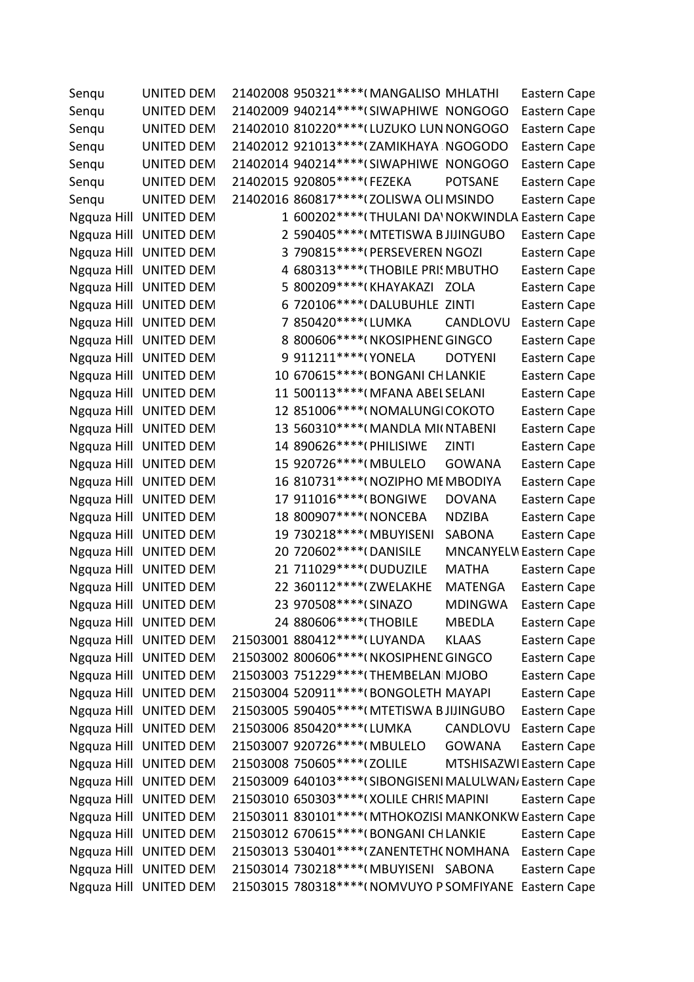| Senqu | UNITED DEM             | 21402008 950321 **** (MANGALISO MHLATHI                 |                | Eastern Cape            |
|-------|------------------------|---------------------------------------------------------|----------------|-------------------------|
| Senqu | UNITED DEM             | 21402009 940214 **** (SIWAPHIWE NONGOGO                 |                | Eastern Cape            |
| Senqu | <b>UNITED DEM</b>      | 21402010 810220 **** (LUZUKO LUN NONGOGO                |                | Eastern Cape            |
| Senqu | UNITED DEM             | 21402012 921013 **** (ZAMIKHAYA NGOGODO                 |                | Eastern Cape            |
| Senqu | UNITED DEM             | 21402014 940214 **** (SIWAPHIWE NONGOGO                 |                | Eastern Cape            |
| Senqu | <b>UNITED DEM</b>      | 21402015 920805 **** (FEZEKA                            | <b>POTSANE</b> | Eastern Cape            |
| Senqu | <b>UNITED DEM</b>      | 21402016 860817 **** (ZOLISWA OLI MSINDO                |                | Eastern Cape            |
|       | Ngquza Hill UNITED DEM | 1 600202 **** (THULANI DA' NOKWINDLA Eastern Cape       |                |                         |
|       | Ngquza Hill UNITED DEM | 2 590405 **** (MTETISWA BJIJINGUBO                      |                | Eastern Cape            |
|       | Ngquza Hill UNITED DEM | 3 790815 **** (PERSEVEREN NGOZI                         |                | Eastern Cape            |
|       | Ngquza Hill UNITED DEM | 4 680313 **** (THOBILE PRI MBUTHO                       |                | Eastern Cape            |
|       | Ngquza Hill UNITED DEM | 5 800209 **** (KHAYAKAZI ZOLA                           |                | Eastern Cape            |
|       | Ngquza Hill UNITED DEM | 6 720106 **** (DALUBUHLE ZINTI                          |                | Eastern Cape            |
|       | Ngquza Hill UNITED DEM | 7 850420 **** (LUMKA                                    | CANDLOVU       | Eastern Cape            |
|       | Ngquza Hill UNITED DEM | 8 800606***** (NKOSIPHENE GINGCO                        |                | Eastern Cape            |
|       | Ngquza Hill UNITED DEM | 9 911211 **** (YONELA                                   | <b>DOTYENI</b> | Eastern Cape            |
|       | Ngquza Hill UNITED DEM | 10 670615 **** (BONGANI CHLANKIE                        |                | Eastern Cape            |
|       | Ngquza Hill UNITED DEM | 11 500113 **** (MFANA ABEL SELANI                       |                | Eastern Cape            |
|       | Ngquza Hill UNITED DEM | 12 851006****(NOMALUNGICOKOTO                           |                | Eastern Cape            |
|       | Ngquza Hill UNITED DEM | 13 560310 **** (MANDLA MI( NTABENI                      |                | Eastern Cape            |
|       | Ngquza Hill UNITED DEM | 14 890626 **** (PHILISIWE                               | ZINTI          | Eastern Cape            |
|       | Ngquza Hill UNITED DEM | 15 920726 **** (MBULELO                                 | <b>GOWANA</b>  | Eastern Cape            |
|       | Ngquza Hill UNITED DEM | 16 810731 **** ( NOZIPHO ME MBODIYA                     |                | Eastern Cape            |
|       | Ngquza Hill UNITED DEM | 17 911016 **** (BONGIWE                                 | <b>DOVANA</b>  | Eastern Cape            |
|       | Ngquza Hill UNITED DEM | 18 800907 **** ( NONCEBA                                | <b>NDZIBA</b>  | Eastern Cape            |
|       | Ngquza Hill UNITED DEM | 19 730218 **** (MBUYISENI                               | SABONA         | Eastern Cape            |
|       | Ngquza Hill UNITED DEM | 20 720602 **** (DANISILE                                |                | MNCANYELV Eastern Cape  |
|       | Ngquza Hill UNITED DEM | 21 711029 **** (DUDUZILE                                | <b>MATHA</b>   | Eastern Cape            |
|       | Ngquza Hill UNITED DEM | 22 360112 **** ( ZWELAKHE                               | MATENGA        | Eastern Cape            |
|       | Ngquza Hill UNITED DEM | 23 970508 **** (SINAZO                                  | <b>MDINGWA</b> | Eastern Cape            |
|       | Ngquza Hill UNITED DEM | 24 880606*****(THOBILE                                  | <b>MBEDLA</b>  | Eastern Cape            |
|       | Ngquza Hill UNITED DEM | 21503001 880412 **** (LUYANDA                           | <b>KLAAS</b>   | Eastern Cape            |
|       | Ngquza Hill UNITED DEM | 21503002 800606 **** (NKOSIPHENE GINGCO                 |                | Eastern Cape            |
|       | Ngquza Hill UNITED DEM | 21503003 751229 **** (THEMBELAN MJOBO                   |                | Eastern Cape            |
|       | Ngquza Hill UNITED DEM | 21503004 520911 **** (BONGOLETH MAYAPI                  |                | Eastern Cape            |
|       | Ngquza Hill UNITED DEM | 21503005 590405 **** (MTETISWA BJIJINGUBO               |                | Eastern Cape            |
|       | Ngquza Hill UNITED DEM | 21503006 850420 **** (LUMKA                             | CANDLOVU       | Eastern Cape            |
|       | Ngquza Hill UNITED DEM | 21503007 920726 **** (MBULELO                           | GOWANA         | Eastern Cape            |
|       | Ngquza Hill UNITED DEM | 21503008 750605 **** ( ZOLILE                           |                | MTSHISAZWI Eastern Cape |
|       | Ngquza Hill UNITED DEM | 21503009 640103**** (SIBONGISENI MALULWAN, Eastern Cape |                |                         |
|       | Ngquza Hill UNITED DEM | 21503010 650303 **** ( XOLILE CHRIS MAPINI              |                | Eastern Cape            |
|       | Ngquza Hill UNITED DEM | 21503011 830101**** (MTHOKOZISI MANKONKW Eastern Cape   |                |                         |
|       | Ngquza Hill UNITED DEM | 21503012 670615 **** (BONGANI CHLANKIE                  |                | Eastern Cape            |
|       | Ngquza Hill UNITED DEM | 21503013 530401 **** (ZANENTETH (NOMHANA                |                | Eastern Cape            |
|       | Ngquza Hill UNITED DEM | 21503014 730218 **** (MBUYISENI SABONA                  |                | Eastern Cape            |
|       | Ngquza Hill UNITED DEM | 21503015 780318 **** (NOMVUYO P SOMFIYANE Eastern Cape  |                |                         |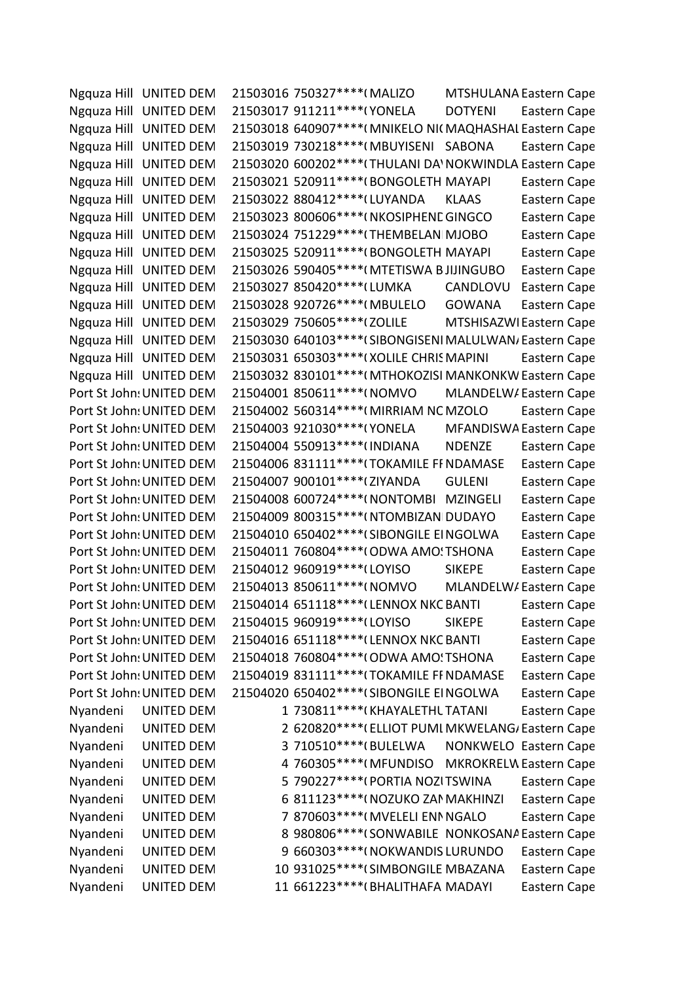Ngquza Hill UNITED DEM 21503016 750327\*\*\*\*(MALIZO MTSHULANA Eastern Cape Ngquza Hill UNITED DEM 21503017 911211\*\*\*\*(YONELA DOTYENI Eastern Cape Ngquza Hill UNITED DEM 21503018 640907\*\*\*\*(MNIKELO NICMAQHASHAL Eastern Cape Ngquza Hill UNITED DEM 21503019 730218\*\*\*\*(MBUYISENI SABONA Eastern Cape Ngquza Hill UNITED DEM 21503020 600202\*\*\*\*(THULANI DA'NOKWINDLA Eastern Cape Ngquza Hill UNITED DEM 21503021 520911\*\*\*\*(BONGOLETH MAYAPI Eastern Cape Ngquza Hill UNITED DEM 21503022 880412\*\*\*\*(LUYANDA KLAAS Eastern Cape Ngquza Hill UNITED DEM 21503023 800606\*\*\*\*(NKOSIPHENE GINGCO Eastern Cape Ngquza Hill UNITED DEM 21503024 751229\*\*\*\* (THEMBELANIMJOBO Eastern Cape Ngquza Hill UNITED DEM 21503025 520911\*\*\*\*(BONGOLETH MAYAPI Eastern Cape Ngquza Hill UNITED DEM 21503026 590405\*\*\*\*(MTETISWA BJIJINGUBO Eastern Cape Ngquza Hill UNITED DEM 21503027 850420\*\*\*\* (LUMKA CANDLOVU Eastern Cape Ngquza Hill UNITED DEM 21503028 920726\*\*\*\*(MBULELO GOWANA Eastern Cape Ngquza Hill UNITED DEM 21503029 750605\*\*\*\*(ZOLILE MTSHISAZWI Eastern Cape Ngquza Hill UNITED DEM 21503030 640103\*\*\*\* (SIBONGISENI MALULWAN, Eastern Cape Ngquza Hill UNITED DEM 21503031 650303\*\*\*\*(XOLILE CHRIS MAPINI Eastern Cape Ngquza Hill UNITED DEM 21503032 830101\*\*\*\*(MTHOKOZISI MANKONKW Eastern Cape Port St John: UNITED DEM 21504001 850611\*\*\*\*(NOMVO MLANDELW/Eastern Cape Port St John: UNITED DEM 21504002 560314\*\*\*\*(MIRRIAM NC MZOLO Eastern Cape Port St John: UNITED DEM 21504003 921030\*\*\*\*(YONELA MFANDISWA Eastern Cape Port St John: UNITED DEM 21504004 550913\*\*\*\* INDIANA NDENZE Eastern Cape Port St John: UNITED DEM 21504006 831111\*\*\*\*(TOKAMILE FF NDAMASE Eastern Cape Port St John: UNITED DEM 21504007 900101\*\*\*\*(ZIYANDA GULENI Eastern Cape Port St John: UNITED DEM 21504008 600724\*\*\*\*(NONTOMBI MZINGELI Eastern Cape Port St John: UNITED DEM 21504009 800315\*\*\*\*(NTOMBIZAN DUDAYO Eastern Cape Port St John: UNITED DEM 21504010 650402\*\*\*\* (SIBONGILE EINGOLWA Eastern Cape Port St John: UNITED DEM 21504011 760804\*\*\*\*(ODWA AMO: TSHONA Eastern Cape Port St John: UNITED DEM 21504012 960919\*\*\*\* (LOYISO SIKEPE Eastern Cape Port St John: UNITED DEM 21504013 850611\*\*\*\*(NOMVO MLANDELW/Eastern Cape Port St John: UNITED DEM 21504014 651118\*\*\*\* (LENNOX NKC BANTI Eastern Cape Port St John: UNITED DEM 21504015 960919\*\*\*\* (LOYISO SIKEPE Eastern Cape Port St John: UNITED DEM 21504016 651118\*\*\*\* (LENNOX NKC BANTI Eastern Cape Port St John: UNITED DEM 21504018 760804\*\*\*\*(ODWA AMO: TSHONA Eastern Cape Port St John: UNITED DEM 21504019 831111\*\*\*\*(TOKAMILE FI NDAMASE Eastern Cape Port St John: UNITED DEM 21504020 650402\*\*\*\*(SIBONGILE EINGOLWA Eastern Cape Nyandeni UNITED DEM 1 730811\*\*\*\*(KHAYALETHL TATANI Eastern Cape Nyandeni UNITED DEM 2 620820\*\*\*\*(ELLIOT PUMI MKWELANG/Eastern Cape Nyandeni UNITED DEM 3 710510\*\*\*\*(BULELWA NONKWELO Eastern Cape Nyandeni UNITED DEM 4 760305\*\*\*\*(MFUNDISO MKROKRELW Eastern Cape Nyandeni UNITED DEM 5 790227\*\*\*\*(PORTIA NOZITSWINA Eastern Cape Nyandeni UNITED DEM 6 811123\*\*\*\*(NOZUKO ZAN MAKHINZI Eastern Cape Nyandeni UNITED DEM 7 870603\*\*\*\*(MVELELI ENN NGALO Eastern Cape Nyandeni UNITED DEM 8 980806\*\*\*\*(SONWABILE NONKOSANA Eastern Cape Nyandeni UNITED DEM 9 660303\*\*\*\*(NOKWANDIS LURUNDO Eastern Cape Nyandeni UNITED DEM 10 931025\*\*\*\*(SIMBONGILE MBAZANA Eastern Cape Nyandeni UNITED DEM 11 661223\*\*\*\*(BHALITHAFA MADAYI Eastern Cape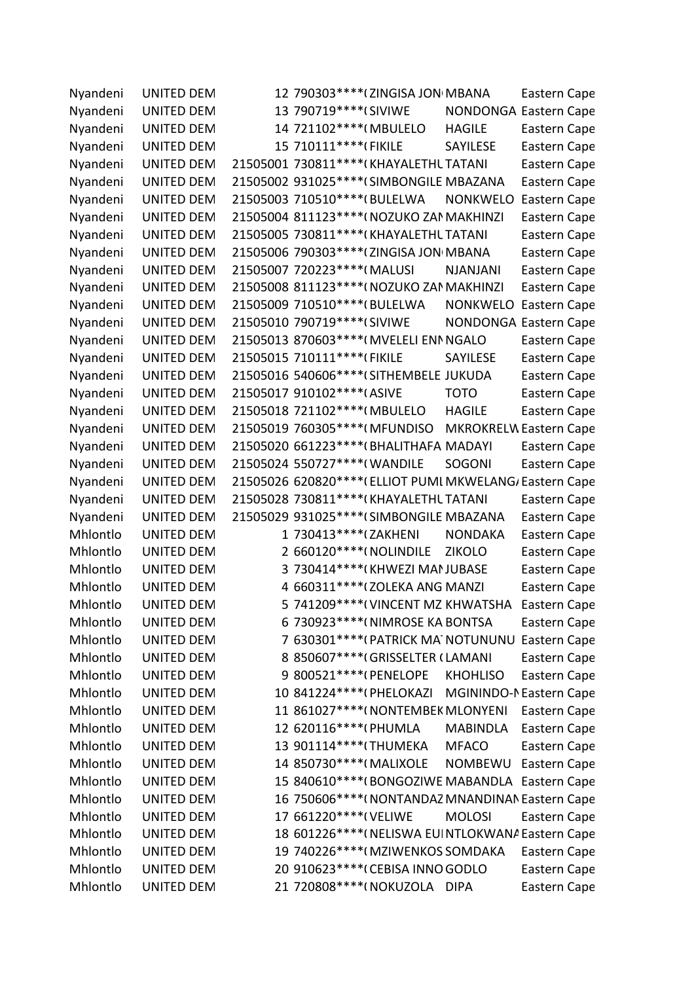| Nyandeni | <b>UNITED DEM</b> | 12 790303 **** (ZINGISA JON MBANA                       |                 | Eastern Cape                  |
|----------|-------------------|---------------------------------------------------------|-----------------|-------------------------------|
| Nyandeni | <b>UNITED DEM</b> | 13 790719 **** (SIVIWE                                  |                 | <b>NONDONGA Eastern Cape</b>  |
| Nyandeni | <b>UNITED DEM</b> | 14 721102 **** (MBULELO                                 | <b>HAGILE</b>   | Eastern Cape                  |
| Nyandeni | <b>UNITED DEM</b> | 15 710111 **** (FIKILE                                  | SAYILESE        | Eastern Cape                  |
| Nyandeni | <b>UNITED DEM</b> | 21505001 730811 **** (KHAYALETHL TATANI                 |                 | Eastern Cape                  |
| Nyandeni | <b>UNITED DEM</b> | 21505002 931025 **** (SIMBONGILE MBAZANA                |                 | Eastern Cape                  |
| Nyandeni | <b>UNITED DEM</b> | 21505003 710510 **** (BULELWA                           | <b>NONKWELO</b> | Eastern Cape                  |
| Nyandeni | <b>UNITED DEM</b> | 21505004 811123 **** (NOZUKO ZAN MAKHINZI               |                 | Eastern Cape                  |
| Nyandeni | <b>UNITED DEM</b> | 21505005 730811 **** (KHAYALETHL TATANI                 |                 | Eastern Cape                  |
| Nyandeni | <b>UNITED DEM</b> | 21505006 790303 **** (ZINGISA JON MBANA                 |                 | Eastern Cape                  |
| Nyandeni | <b>UNITED DEM</b> | 21505007 720223 **** (MALUSI                            | <b>NJANJANI</b> | Eastern Cape                  |
| Nyandeni | <b>UNITED DEM</b> | 21505008 811123 **** ( NOZUKO ZAN MAKHINZI              |                 | Eastern Cape                  |
| Nyandeni | <b>UNITED DEM</b> | 21505009 710510 **** (BULELWA                           | <b>NONKWELO</b> | Eastern Cape                  |
| Nyandeni | <b>UNITED DEM</b> | 21505010 790719 **** (SIVIWE                            |                 | <b>NONDONGA Eastern Cape</b>  |
| Nyandeni | <b>UNITED DEM</b> | 21505013 870603 **** (MVELELI ENN NGALO                 |                 | Eastern Cape                  |
| Nyandeni | <b>UNITED DEM</b> | 21505015 710111 **** (FIKILE                            | SAYILESE        | Eastern Cape                  |
| Nyandeni | <b>UNITED DEM</b> | 21505016 540606 **** (SITHEMBELE JUKUDA                 |                 | Eastern Cape                  |
| Nyandeni | <b>UNITED DEM</b> | 21505017 910102 **** (ASIVE                             | <b>TOTO</b>     | Eastern Cape                  |
| Nyandeni | <b>UNITED DEM</b> | 21505018 721102 **** (MBULELO                           | <b>HAGILE</b>   | Eastern Cape                  |
| Nyandeni | <b>UNITED DEM</b> | 21505019 760305 **** (MFUNDISO                          |                 | <b>MKROKRELW Eastern Cape</b> |
| Nyandeni | <b>UNITED DEM</b> | 21505020 661223 **** (BHALITHAFA MADAYI                 |                 | Eastern Cape                  |
| Nyandeni | <b>UNITED DEM</b> | 21505024 550727 **** (WANDILE                           | <b>SOGONI</b>   | Eastern Cape                  |
| Nyandeni | <b>UNITED DEM</b> | 21505026 620820**** (ELLIOT PUMI MKWELANG/ Eastern Cape |                 |                               |
| Nyandeni | <b>UNITED DEM</b> | 21505028 730811 **** (KHAYALETHL TATANI                 |                 | Eastern Cape                  |
| Nyandeni | <b>UNITED DEM</b> | 21505029 931025 **** (SIMBONGILE MBAZANA                |                 | Eastern Cape                  |
| Mhlontlo | <b>UNITED DEM</b> | 1 730413 **** (ZAKHENI                                  | <b>NONDAKA</b>  | Eastern Cape                  |
| Mhlontlo | <b>UNITED DEM</b> | 2 660120****(NOLINDILE                                  | <b>ZIKOLO</b>   | Eastern Cape                  |
| Mhlontlo | <b>UNITED DEM</b> | 3 730414 **** (KHWEZI MAI JUBASE                        |                 | Eastern Cape                  |
| Mhlontlo | <b>UNITED DEM</b> | 4 660311 **** ( ZOLEKA ANG MANZI                        |                 | Eastern Cape                  |
| Mhlontlo | <b>UNITED DEM</b> | 5 741209 **** (VINCENT MZ KHWATSHA                      |                 | Eastern Cape                  |
| Mhlontlo | <b>UNITED DEM</b> | 6 730923 **** (NIMROSE KA BONTSA                        |                 | Eastern Cape                  |
| Mhlontlo | <b>UNITED DEM</b> | 7 630301 **** (PATRICK MA NOTUNUNU Eastern Cape         |                 |                               |
| Mhlontlo | <b>UNITED DEM</b> | 8 850607 **** (GRISSELTER (LAMANI                       |                 | Eastern Cape                  |
| Mhlontlo | <b>UNITED DEM</b> | 9 800521 **** (PENELOPE                                 | <b>KHOHLISO</b> | Eastern Cape                  |
| Mhlontlo | <b>UNITED DEM</b> | 10 841224 **** (PHELOKAZI MGININDO-NEastern Cape        |                 |                               |
| Mhlontlo | <b>UNITED DEM</b> | 11 861027 **** (NONTEMBEK MLONYENI                      |                 | Eastern Cape                  |
| Mhlontlo | <b>UNITED DEM</b> | 12 620116****(PHUMLA                                    | <b>MABINDLA</b> | Eastern Cape                  |
| Mhlontlo | <b>UNITED DEM</b> | 13 901114****(THUMEKA                                   | <b>MFACO</b>    | Eastern Cape                  |
| Mhlontlo | <b>UNITED DEM</b> | 14 850730 **** (MALIXOLE                                | NOMBEWU         | Eastern Cape                  |
| Mhlontlo | <b>UNITED DEM</b> | 15 840610 **** (BONGOZIWE MABANDLA Eastern Cape         |                 |                               |
| Mhlontlo | <b>UNITED DEM</b> | 16 750606**** (NONTANDAZ MNANDINAN Eastern Cape         |                 |                               |
| Mhlontlo | <b>UNITED DEM</b> | 17 661220*****(VELIWE                                   | <b>MOLOSI</b>   | Eastern Cape                  |
| Mhlontlo | <b>UNITED DEM</b> | 18 601226 **** ( NELISWA EUI NTLOKWANA Eastern Cape     |                 |                               |
| Mhlontlo | <b>UNITED DEM</b> | 19 740226 **** (MZIWENKOS SOMDAKA                       |                 | Eastern Cape                  |
| Mhlontlo | <b>UNITED DEM</b> | 20 910623 **** (CEBISA INNO GODLO                       |                 | Eastern Cape                  |
| Mhlontlo | <b>UNITED DEM</b> | 21 720808****(NOKUZOLA DIPA                             |                 | Eastern Cape                  |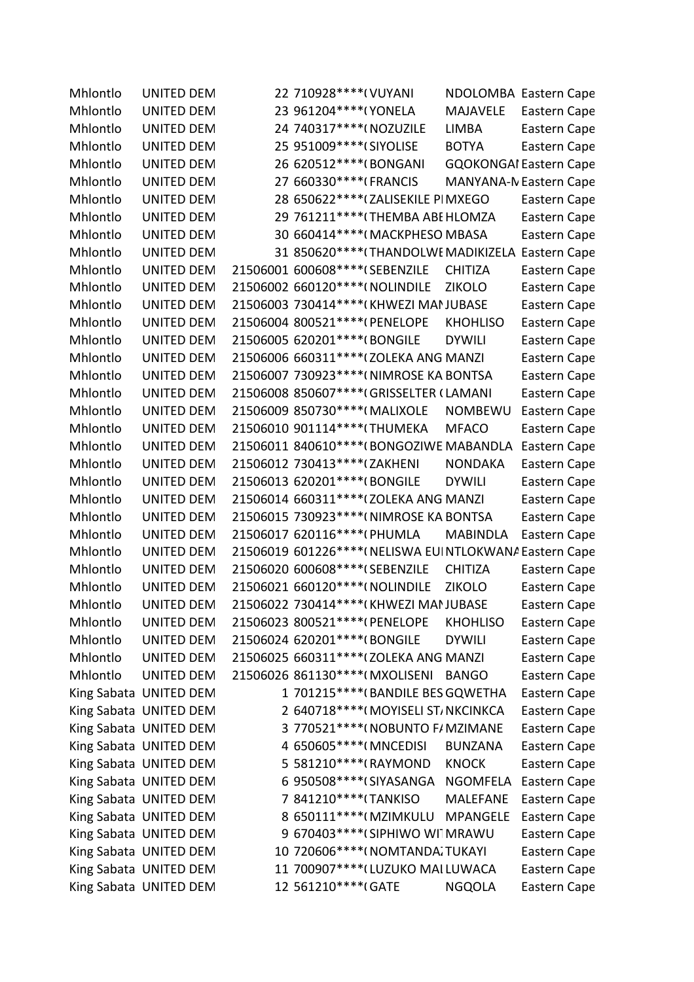| Mhlontlo | <b>UNITED DEM</b>      | 22 710928 **** ( VUYANI                                |                 | NDOLOMBA Eastern Cape         |
|----------|------------------------|--------------------------------------------------------|-----------------|-------------------------------|
| Mhlontlo | <b>UNITED DEM</b>      | 23 961204 **** (YONELA                                 | <b>MAJAVELE</b> | Eastern Cape                  |
| Mhlontlo | <b>UNITED DEM</b>      | 24 740317 **** ( NOZUZILE                              | LIMBA           | Eastern Cape                  |
| Mhlontlo | <b>UNITED DEM</b>      | 25 951009 **** (SIYOLISE                               | <b>BOTYA</b>    | Eastern Cape                  |
| Mhlontlo | <b>UNITED DEM</b>      | 26 620512 **** (BONGANI                                |                 | <b>GQOKONGAI Eastern Cape</b> |
| Mhlontlo | <b>UNITED DEM</b>      | 27 660330 **** (FRANCIS                                |                 | <b>MANYANA-N Eastern Cape</b> |
| Mhlontlo | <b>UNITED DEM</b>      | 28 650622 **** ( ZALISEKILE PI MXEGO                   |                 | Eastern Cape                  |
| Mhlontlo | <b>UNITED DEM</b>      | 29 761211 **** (THEMBA ABE HLOMZA                      |                 | Eastern Cape                  |
| Mhlontlo | <b>UNITED DEM</b>      | 30 660414 **** (MACKPHESO MBASA                        |                 | Eastern Cape                  |
| Mhlontlo | <b>UNITED DEM</b>      | 31 850620 **** (THANDOLWE MADIKIZELA                   |                 | Eastern Cape                  |
| Mhlontlo | <b>UNITED DEM</b>      | 21506001 600608 **** (SEBENZILE                        | <b>CHITIZA</b>  | Eastern Cape                  |
| Mhlontlo | <b>UNITED DEM</b>      | 21506002 660120**** (NOLINDILE                         | <b>ZIKOLO</b>   | Eastern Cape                  |
| Mhlontlo | <b>UNITED DEM</b>      | 21506003 730414 **** (KHWEZI MAN JUBASE                |                 | Eastern Cape                  |
| Mhlontlo | <b>UNITED DEM</b>      | 21506004 800521 **** (PENELOPE                         | <b>KHOHLISO</b> | Eastern Cape                  |
| Mhlontlo | UNITED DEM             | 21506005 620201 **** (BONGILE                          | <b>DYWILI</b>   | Eastern Cape                  |
| Mhlontlo | <b>UNITED DEM</b>      | 21506006 660311 **** ( ZOLEKA ANG MANZI                |                 | Eastern Cape                  |
| Mhlontlo | <b>UNITED DEM</b>      | 21506007 730923 **** (NIMROSE KA BONTSA                |                 | Eastern Cape                  |
| Mhlontlo | <b>UNITED DEM</b>      | 21506008 850607 **** (GRISSELTER (LAMANI               |                 | Eastern Cape                  |
| Mhlontlo | <b>UNITED DEM</b>      | 21506009 850730 **** (MALIXOLE                         | <b>NOMBEWU</b>  | Eastern Cape                  |
| Mhlontlo | <b>UNITED DEM</b>      | 21506010 901114 **** (THUMEKA                          | <b>MFACO</b>    | Eastern Cape                  |
| Mhlontlo | <b>UNITED DEM</b>      | 21506011 840610 **** (BONGOZIWE MABANDLA               |                 | Eastern Cape                  |
| Mhlontlo | <b>UNITED DEM</b>      | 21506012 730413 **** (ZAKHENI                          | <b>NONDAKA</b>  | Eastern Cape                  |
| Mhlontlo | <b>UNITED DEM</b>      | 21506013 620201*****(BONGILE                           | <b>DYWILI</b>   | Eastern Cape                  |
| Mhlontlo | <b>UNITED DEM</b>      | 21506014 660311 **** (ZOLEKA ANG MANZI                 |                 | Eastern Cape                  |
| Mhlontlo | <b>UNITED DEM</b>      | 21506015 730923 **** (NIMROSE KA BONTSA                |                 | Eastern Cape                  |
| Mhlontlo | <b>UNITED DEM</b>      | 21506017 620116 **** (PHUMLA                           | <b>MABINDLA</b> | Eastern Cape                  |
| Mhlontlo | <b>UNITED DEM</b>      | 21506019 601226**** (NELISWA EUINTLOKWANA Eastern Cape |                 |                               |
| Mhlontlo | <b>UNITED DEM</b>      | 21506020 600608 **** (SEBENZILE                        | <b>CHITIZA</b>  | Eastern Cape                  |
| Mhlontlo | <b>UNITED DEM</b>      | 21506021 660120 **** ( NOLINDILE                       | <b>ZIKOLO</b>   | Eastern Cape                  |
| Mhlontlo | <b>UNITED DEM</b>      | 21506022 730414****(KHWEZI MANJUBASE                   |                 | Eastern Cape                  |
| Mhlontlo | <b>UNITED DEM</b>      | 21506023 800521 **** (PENELOPE                         | <b>KHOHLISO</b> | Eastern Cape                  |
| Mhlontlo | <b>UNITED DEM</b>      | 21506024 620201*****(BONGILE                           | <b>DYWILI</b>   | Eastern Cape                  |
| Mhlontlo | <b>UNITED DEM</b>      | 21506025 660311 **** ( ZOLEKA ANG MANZI                |                 | Eastern Cape                  |
| Mhlontlo | <b>UNITED DEM</b>      | 21506026 861130 **** (MXOLISENI                        | <b>BANGO</b>    | Eastern Cape                  |
|          | King Sabata UNITED DEM | 1 701215 **** (BANDILE BES GQWETHA                     |                 | Eastern Cape                  |
|          | King Sabata UNITED DEM | 2 640718 **** (MOYISELI ST, NKCINKCA                   |                 | Eastern Cape                  |
|          | King Sabata UNITED DEM | 3 770521 **** ( NOBUNTO F/ MZIMANE                     |                 | Eastern Cape                  |
|          | King Sabata UNITED DEM | 4 650605 **** (MNCEDISI                                | <b>BUNZANA</b>  | Eastern Cape                  |
|          | King Sabata UNITED DEM | 5 581210 **** (RAYMOND                                 | <b>KNOCK</b>    | Eastern Cape                  |
|          | King Sabata UNITED DEM | 6 950508 **** (SIYASANGA                               | NGOMFELA        | Eastern Cape                  |
|          | King Sabata UNITED DEM | 7 841210****(TANKISO                                   | <b>MALEFANE</b> | Eastern Cape                  |
|          | King Sabata UNITED DEM | 8 650111 **** (MZIMKULU MPANGELE                       |                 | Eastern Cape                  |
|          | King Sabata UNITED DEM | 9 670403 **** (SIPHIWO WITMRAWU                        |                 | Eastern Cape                  |
|          | King Sabata UNITED DEM | 10 720606 **** (NOMTANDA; TUKAYI                       |                 | Eastern Cape                  |
|          | King Sabata UNITED DEM | 11 700907 **** (LUZUKO MAI LUWACA                      |                 | Eastern Cape                  |
|          | King Sabata UNITED DEM | 12 561210*****(GATE                                    | <b>NGQOLA</b>   | Eastern Cape                  |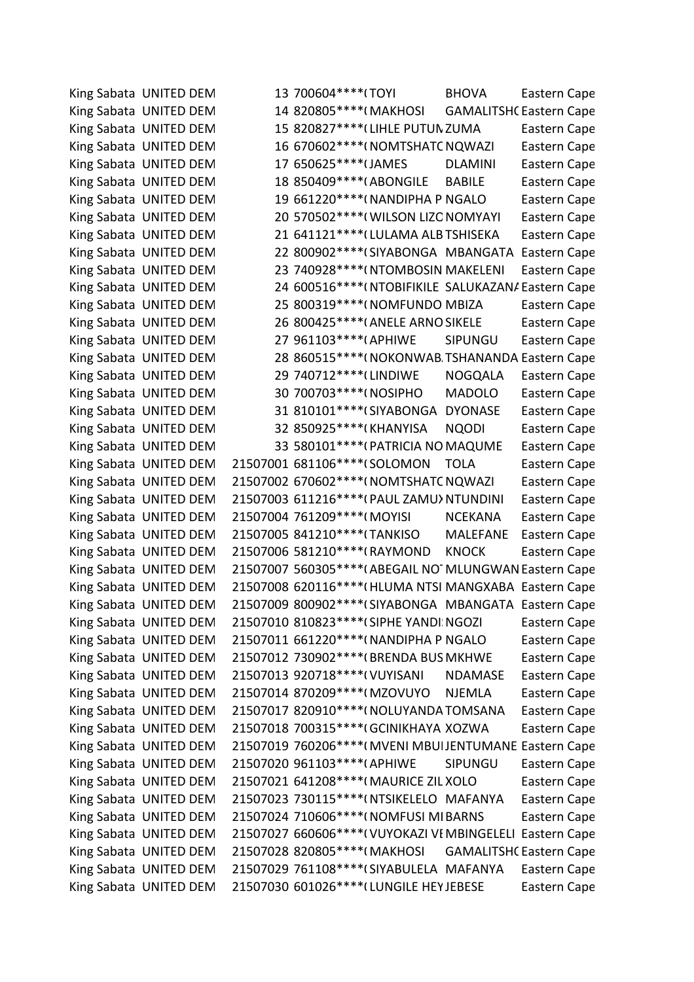King Sabata Dalindyebo UNITED DEMOCRATIC MOVEMENT 13 700604\*\*\*\*08\* TOYI BHOVA Eastern Cape King Sabata UNITED DEM 14 820805\*\*\*\*(MAKHOSI GAMALITSHC Eastern Cape King Sabata UNITED DEM 15 820827\*\*\*\* (LIHLE PUTUN ZUMA Eastern Cape King Sabata UNITED DEM 16 670602\*\*\*\*(NOMTSHATC NQWAZI Eastern Cape King Sabata UNITED DEM 17 650625\*\*\*\*(JAMES DLAMINI Eastern Cape King Sabata UNITED DEM 18 850409\*\*\*\*(ABONGILE BABILE Eastern Cape King Sabata UNITED DEM 19 661220\*\*\*\*(NANDIPHA P NGALO Eastern Cape King Sabata UNITED DEM 20 570502\*\*\*\*(WILSON LIZONOMYAYI Eastern Cape King Sabata UNITED DEM 21 641121\*\*\*\*(LULAMA ALB TSHISEKA Eastern Cape King Sabata UNITED DEM 22 800902\*\*\*\* (SIYABONGA MBANGATA Eastern Cape King Sabata UNITED DEM 23 740928\*\*\*\*(NTOMBOSIN MAKELENI Eastern Cape King Sabata UNITED DEM 24 600516\*\*\*\*(NTOBIFIKILE SALUKAZAN/ Eastern Cape King Sabata UNITED DEM 25 800319\*\*\*\*(NOMFUNDO MBIZA Eastern Cape King Sabata UNITED DEM 26 800425\*\*\*\*(ANELE ARNO SIKELE Eastern Cape King Sabata UNITED DEM 27 961103\*\*\*\*(APHIWE SIPUNGU Eastern Cape King Sabata UNITED DEM 28 860515\*\*\*\*(NOKONWAB TSHANANDA Eastern Cape King Sabata UNITED DEM 29 740712\*\*\*\* (LINDIWE NOGQALA Eastern Cape King Sabata UNITED DEM 30 700703\*\*\*\*(NOSIPHO MADOLO Eastern Cape King Sabata UNITED DEM 31 810101\*\*\*\*(SIYABONGA DYONASE Eastern Cape King Sabata UNITED DEM 32 850925\*\*\*\*(KHANYISA NQODI Eastern Cape King Sabata UNITED DEM 33 580101\*\*\*\*(PATRICIA NO MAQUME Eastern Cape King Sabata UNITED DEM 21507001 681106\*\*\*\*(SOLOMON TOLA Eastern Cape King Sabata UNITED DEM 21507002 670602\*\*\*\*(NOMTSHATC NQWAZI Eastern Cape King Sabata UNITED DEM 21507003 611216\*\*\*\*(PAUL ZAMU) NTUNDINI Eastern Cape King Sabata UNITED DEM 21507004 761209\*\*\*\*(MOYISI NCEKANA Eastern Cape King Sabata UNITED DEM 21507005 841210\*\*\*\* (TANKISO MALEFANE Eastern Cape King Sabata UNITED DEM 21507006 581210\*\*\*\*(RAYMOND KNOCK Eastern Cape King Sabata UNITED DEM 21507007 560305\*\*\*\*(ABEGAIL NOTMLUNGWAN Eastern Cape King Sabata UNITED DEM 21507008 620116\*\*\*\*(HLUMA NTSI MANGXABA Eastern Cape King Sabata UNITED DEM 21507009 800902\*\*\*\*(SIYABONGA MBANGATA Eastern Cape King Sabata UNITED DEM 21507010 810823\*\*\*\*(SIPHE YANDI: NGOZI Eastern Cape King Sabata UNITED DEM 21507011 661220\*\*\*\* (NANDIPHA P NGALO Eastern Cape King Sabata UNITED DEM 21507012 730902\*\*\*\* (BRENDA BUS MKHWE Eastern Cape King Sabata UNITED DEM 21507013 920718\*\*\*\*(VUYISANI NDAMASE Eastern Cape King Sabata UNITED DEM 21507014 870209\*\*\*\*(MZOVUYO NJEMLA Eastern Cape King Sabata UNITED DEM 21507017 820910\*\*\*\*(NOLUYANDA TOMSANA Eastern Cape King Sabata UNITED DEM 21507018 700315\*\*\*\*(GCINIKHAYA XOZWA Eastern Cape King Sabata UNITED DEM 21507019 760206\*\*\*\*(MVENI MBUIJENTUMANE Eastern Cape King Sabata UNITED DEM 21507020 961103\*\*\*\*(APHIWE SIPUNGU Eastern Cape King Sabata UNITED DEM 21507021 641208\*\*\*\*(MAURICE ZIL XOLO Eastern Cape King Sabata UNITED DEM 21507023 730115\*\*\*\*(NTSIKELELO MAFANYA Eastern Cape King Sabata UNITED DEM 21507024 710606\*\*\*\*(NOMFUSI MIBARNS Eastern Cape King Sabata UNITED DEM 21507027 660606\*\*\*\*(VUYOKAZI VI MBINGELELI Eastern Cape King Sabata UNITED DEM 21507028 820805\*\*\*\*(MAKHOSI GAMALITSHC Eastern Cape King Sabata UNITED DEM 21507029 761108\*\*\*\*(SIYABULELA MAFANYA Eastern Cape King Sabata UNITED DEM 21507030 601026\*\*\*\*(LUNGILE HEYJEBESE Eastern Cape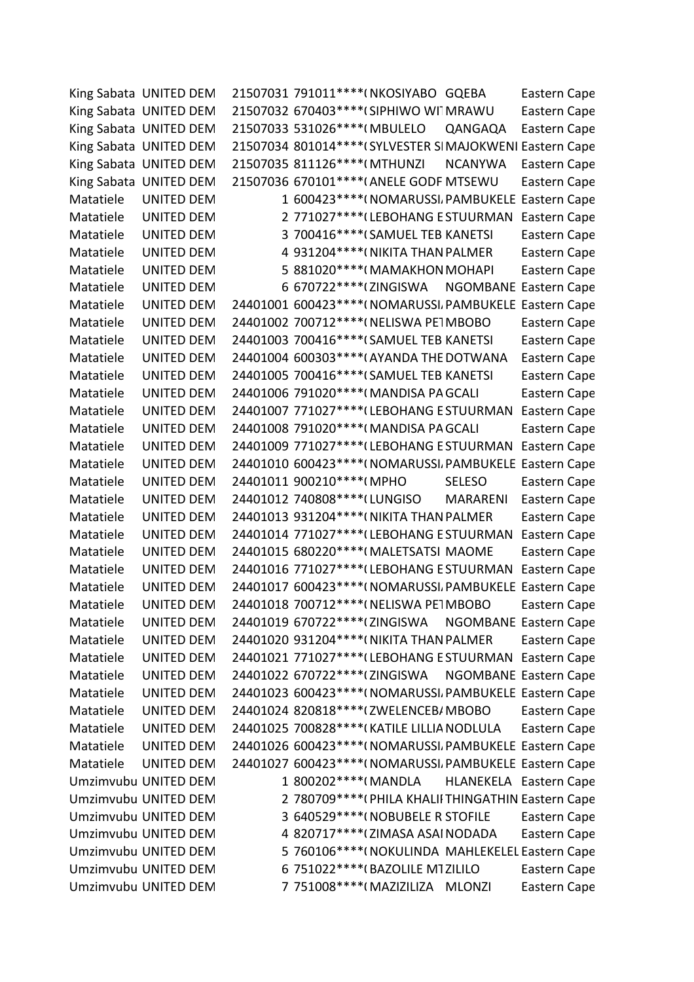|           | King Sabata UNITED DEM | 21507031 791011 **** (NKOSIYABO GQEBA                    |                 | Eastern Cape                  |
|-----------|------------------------|----------------------------------------------------------|-----------------|-------------------------------|
|           | King Sabata UNITED DEM | 21507032 670403 **** (SIPHIWO WI MRAWU                   |                 | Eastern Cape                  |
|           | King Sabata UNITED DEM | 21507033 531026 **** (MBULELO                            | QANGAQA         | Eastern Cape                  |
|           | King Sabata UNITED DEM | 21507034 801014**** (SYLVESTER SIMAJOKWENI Eastern Cape  |                 |                               |
|           | King Sabata UNITED DEM | 21507035 811126 **** (MTHUNZI                            | <b>NCANYWA</b>  | Eastern Cape                  |
|           | King Sabata UNITED DEM | 21507036 670101 **** (ANELE GODF MTSEWU                  |                 | Eastern Cape                  |
| Matatiele | UNITED DEM             | 1 600423 **** (NOMARUSSI, PAMBUKELE Eastern Cape         |                 |                               |
| Matatiele | <b>UNITED DEM</b>      | 2 771027****(LEBOHANG E STUURMAN                         |                 | Eastern Cape                  |
| Matatiele | <b>UNITED DEM</b>      | 3 700416****(SAMUEL TEB KANETSI                          |                 | Eastern Cape                  |
| Matatiele | <b>UNITED DEM</b>      | 4 931204 **** (NIKITA THAN PALMER                        |                 | Eastern Cape                  |
| Matatiele | <b>UNITED DEM</b>      | 5 881020**** (MAMAKHON MOHAPI                            |                 | Eastern Cape                  |
| Matatiele | <b>UNITED DEM</b>      | 6 670722 **** (ZINGISWA                                  |                 | NGOMBANE Eastern Cape         |
| Matatiele | <b>UNITED DEM</b>      | 24401001 600423 **** ( NOMARUSSI, PAMBUKELE Eastern Cape |                 |                               |
| Matatiele | <b>UNITED DEM</b>      | 24401002 700712 **** (NELISWA PE1MBOBO                   |                 | Eastern Cape                  |
| Matatiele | <b>UNITED DEM</b>      | 24401003 700416 **** (SAMUEL TEB KANETSI                 |                 | Eastern Cape                  |
| Matatiele | <b>UNITED DEM</b>      | 24401004 600303***** (AYANDA THE DOTWANA                 |                 | Eastern Cape                  |
| Matatiele | <b>UNITED DEM</b>      | 24401005 700416 **** (SAMUEL TEB KANETSI                 |                 | Eastern Cape                  |
| Matatiele | <b>UNITED DEM</b>      | 24401006 791020 **** (MANDISA PA GCALI                   |                 | Eastern Cape                  |
| Matatiele | <b>UNITED DEM</b>      | 24401007 771027 **** (LEBOHANG E STUURMAN                |                 | Eastern Cape                  |
| Matatiele | <b>UNITED DEM</b>      | 24401008 791020 **** (MANDISA PA GCALI                   |                 | Eastern Cape                  |
| Matatiele | <b>UNITED DEM</b>      | 24401009 771027**** (LEBOHANG E STUURMAN                 |                 | Eastern Cape                  |
| Matatiele | <b>UNITED DEM</b>      | 24401010 600423 **** (NOMARUSSI, PAMBUKELE Eastern Cape  |                 |                               |
| Matatiele | <b>UNITED DEM</b>      | 24401011 900210 **** (MPHO                               | <b>SELESO</b>   | Eastern Cape                  |
| Matatiele | <b>UNITED DEM</b>      | 24401012 740808 **** (LUNGISO                            | <b>MARARENI</b> | Eastern Cape                  |
| Matatiele | UNITED DEM             | 24401013 931204 **** ( NIKITA THAN PALMER                |                 | Eastern Cape                  |
| Matatiele | <b>UNITED DEM</b>      | 24401014 771027**** (LEBOHANG E STUURMAN                 |                 | Eastern Cape                  |
| Matatiele | UNITED DEM             | 24401015 680220 **** (MALETSATSI MAOME                   |                 | Eastern Cape                  |
| Matatiele | <b>UNITED DEM</b>      | 24401016 771027**** (LEBOHANG E STUURMAN                 |                 | Eastern Cape                  |
| Matatiele | <b>UNITED DEM</b>      | 24401017 600423 **** ( NOMARUSSI, PAMBUKELE              |                 | Eastern Cape                  |
| Matatiele | <b>UNITED DEM</b>      | 24401018 700712****(NELISWA PE1MBOBO                     |                 | Eastern Cape                  |
| Matatiele | <b>UNITED DEM</b>      | 24401019 670722 **** (ZINGISWA NGOMBANE Eastern Cape     |                 |                               |
| Matatiele | <b>UNITED DEM</b>      | 24401020 931204 **** ( NIKITA THAN PALMER                |                 | Eastern Cape                  |
| Matatiele | <b>UNITED DEM</b>      | 24401021 771027****(LEBOHANG ESTUURMAN Eastern Cape      |                 |                               |
| Matatiele | <b>UNITED DEM</b>      | 24401022 670722****(ZINGISWA NGOMBANE Eastern Cape       |                 |                               |
| Matatiele | <b>UNITED DEM</b>      | 24401023 600423 **** (NOMARUSSI, PAMBUKELE Eastern Cape  |                 |                               |
| Matatiele | <b>UNITED DEM</b>      | 24401024 820818 **** ( ZWELENCEB/ MBOBO                  |                 | Eastern Cape                  |
| Matatiele | <b>UNITED DEM</b>      | 24401025 700828 **** (KATILE LILLIA NODLULA              |                 | Eastern Cape                  |
| Matatiele | <b>UNITED DEM</b>      | 24401026 600423 **** (NOMARUSSI, PAMBUKELE Eastern Cape  |                 |                               |
| Matatiele | <b>UNITED DEM</b>      | 24401027 600423 **** (NOMARUSSI, PAMBUKELE Eastern Cape  |                 |                               |
|           | Umzimvubu UNITED DEM   | 1 800202****(MANDLA                                      |                 | <b>HLANEKELA</b> Eastern Cape |
|           | Umzimvubu UNITED DEM   | 2 780709**** (PHILA KHALII THINGATHIN Eastern Cape       |                 |                               |
|           | Umzimvubu UNITED DEM   | 3 640529**** (NOBUBELE R STOFILE                         |                 | Eastern Cape                  |
|           | Umzimvubu UNITED DEM   | 4 820717 **** (ZIMASA ASAI NODADA                        |                 | Eastern Cape                  |
|           | Umzimvubu UNITED DEM   | 5 760106**** (NOKULINDA MAHLEKELEL Eastern Cape          |                 |                               |
|           | Umzimvubu UNITED DEM   | 6 751022 **** (BAZOLILE MTZILILO                         |                 | Eastern Cape                  |
|           | Umzimvubu UNITED DEM   | 7 751008****(MAZIZILIZA MLONZI                           |                 | Eastern Cape                  |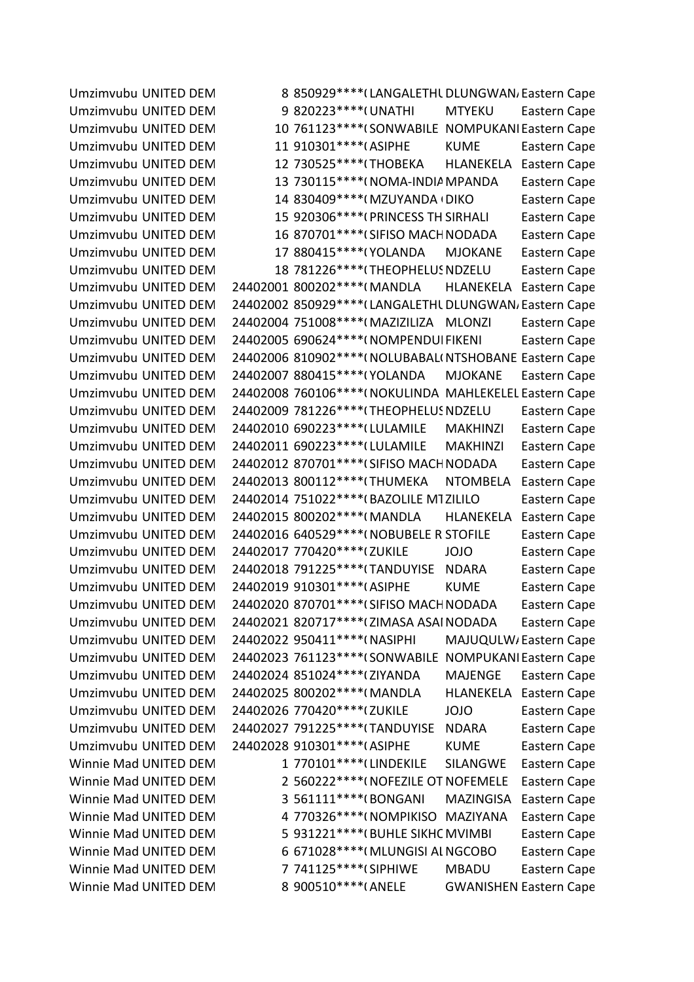Umzimvubu UNITED DEM 8 850929\*\*\*\* (LANGALETHL DLUNGWAN, Eastern Cape Umzimvubu UNITED DEM <br>
9 820223\*\*\*\*(UNATHI MTYEKU Eastern Cape Umzimvubu UNITED DEM 10 761123\*\*\*\* (SONWABILE NOMPUKANI Eastern Cape Umzimvubu UNITED DEMOCRATIC MOVEMENT 11 910301\*\*\*\*08\*ASIPHE KUME Eastern Cape Umzimvubu UNITED DEM 12 730525\*\*\*\*(THOBEKA HLANEKELA Eastern Cape Umzimvubu UNITED DEM 13 730115\*\*\*\*(NOMA-INDIA MPANDA Eastern Cape Umzimvubu UNITED DEM 14 830409\*\*\*\*(MZUYANDA DIKO Eastern Cape Umzimvubu UNITED DEM 15 920306\*\*\*\*(PRINCESS TH SIRHALI Eastern Cape Umzimvubu UNITED DEM 16 870701\*\*\*\*(SIFISO MACH NODADA Eastern Cape Umzimvubu UNITED DEM 17 880415\*\*\*\*(YOLANDA MJOKANE Eastern Cape Umzimvubu UNITED DEM 18 781226\*\*\*\*(THEOPHELUS NDZELU Eastern Cape Umzimvubu UNITED DEM 24402001 800202\*\*\*\*(MANDLA HLANEKELA Eastern Cape Umzimvubu UNITED DEM 24402002 850929\*\*\*\* (LANGALETHL DLUNGWAN, Eastern Cape Umzimvubu UNITED DEM 24402004 751008\*\*\*\*(MAZIZILIZA MLONZI Eastern Cape Umzimvubu UNITED DEM 24402005 690624\*\*\*\*(NOMPENDUI FIKENI Eastern Cape Umzimvubu UNITED DEM 24402006 810902\*\*\*\*(NOLUBABAL(NTSHOBANE Eastern Cape Umzimvubu UNITED DEM 24402007 880415\*\*\*\*(YOLANDA MJOKANE Eastern Cape Umzimvubu UNITED DEM 24402008 760106\*\*\*\*(NOKULINDA MAHLEKELEL Eastern Cape Umzimvubu UNITED DEM 24402009 781226\*\*\*\* (THEOPHELUS NDZELU Eastern Cape Umzimvubu UNITED DEM 24402010 690223\*\*\*\*(LULAMILE MAKHINZI Eastern Cape Umzimvubu UNITED DEM 24402011 690223\*\*\*\*(LULAMILE MAKHINZI Eastern Cape Umzimvubu UNITED DEM 24402012 870701\*\*\*\*(SIFISO MACH NODADA Eastern Cape Umzimvubu UNITED DEM 24402013 800112\*\*\*\*(THUMEKA NTOMBELA Eastern Cape Umzimvubu UNITED DEM 24402014 751022\*\*\*\*(BAZOLILE MTZILILO Eastern Cape Umzimvubu UNITED DEM 24402015 800202\*\*\*\*(MANDLA HLANEKELA Eastern Cape Umzimvubu UNITED DEM 24402016 640529\*\*\*\*(NOBUBELE R STOFILE Eastern Cape Umzimvubu UNITED DEM 24402017 770420\*\*\*\*(ZUKILE JOJO Eastern Cape Umzimvubu UNITED DEM 24402018 791225\*\*\*\* (TANDUYISE NDARA Eastern Cape Umzimvubu UNITED DEM 24402019 910301\*\*\*\*(ASIPHE KUME Eastern Cape Umzimvubu UNITED DEM 24402020 870701\*\*\*\*(SIFISO MACH NODADA Eastern Cape Umzimvubu UNITED DEM 24402021 820717\*\*\*\* (ZIMASA ASAI NODADA Eastern Cape Umzimvubu UNITED DEM 24402022 950411\*\*\*\*(NASIPHI MAJUQULW/Eastern Cape Umzimvubu UNITED DEM 24402023 761123\*\*\*\* (SONWABILE NOMPUKANI Eastern Cape Umzimvubu UNITED DEM 24402024 851024\*\*\*\* (ZIYANDA MAJENGE Eastern Cape Umzimvubu UNITED DEM 24402025 800202\*\*\*\*(MANDLA HLANEKELA Eastern Cape Umzimvubu UNITED DEM 24402026 770420\*\*\*\* (ZUKILE JOJO Eastern Cape Umzimvubu UNITED DEM 24402027 791225\*\*\*\*(TANDUYISE NDARA Eastern Cape Umzimvubu UNITED DEM 24402028 910301\*\*\*\*(ASIPHE KUME Eastern Cape Winnie Mad UNITED DEM
<br>
1 770101\*\*\*\*
(LINDEKILE
SILANGWE
Eastern Cape Winnie Mad UNITED DEM 2 560222\*\*\*\*(NOFEZILE OT NOFEMELE Eastern Cape Winnie Mad UNITED DEM 3 561111\*\*\*\*(BONGANI MAZINGISA Eastern Cape Winnie Mad UNITED DEM 4 770326\*\*\*\*(NOMPIKISO MAZIYANA Eastern Cape Winnie Mad UNITED DEM 5 931221\*\*\*\*(BUHLE SIKHC MVIMBI Eastern Cape Winnie Mad UNITED DEM 6 671028\*\*\*\*(MLUNGISI AL NGCOBO Eastern Cape Winnie Mad UNITED DEM
The Madikita Latern Cape 7 741125\*\*\*\* (SIPHIWE MBADU Eastern Cape Winnie Mad UNITED DEM 8 900510\*\*\*\*(ANELE GWANISHEN Eastern Cape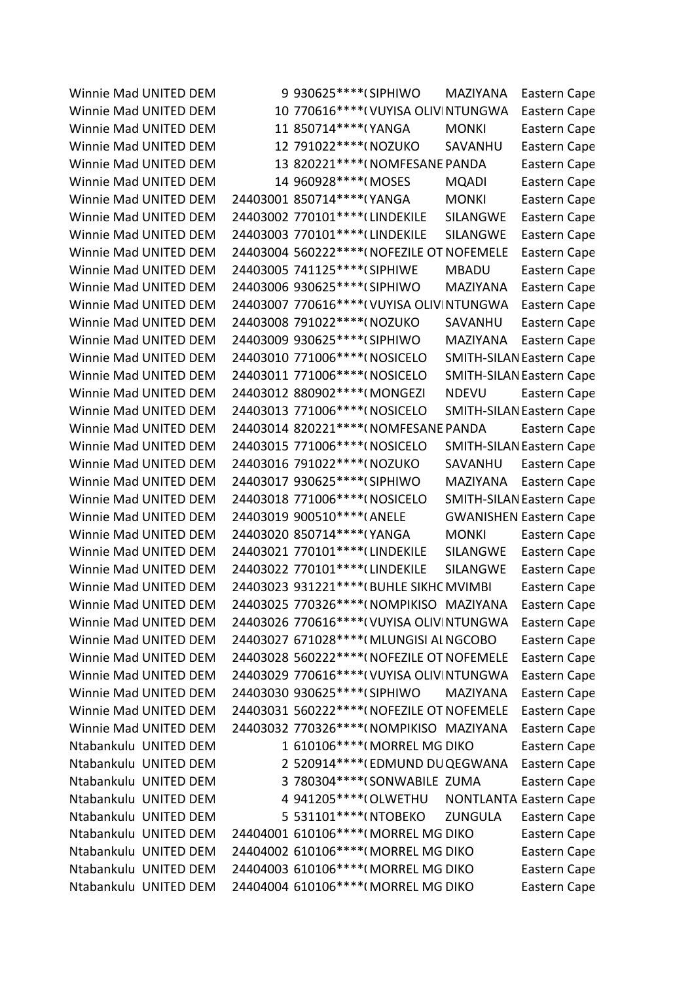Winnie Mad UNITED DEM
9 930625\*\*\*\*(SIPHIWO
MAZIYANA
Eastern Cape Winnie Mad UNITED DEM 10 770616\*\*\*\*(VUYISA OLIVINTUNGWA Eastern Cape Winnie Mad UNITED DEM
<br>
11 850714\*\*\*\*(YANGA
MONKI
Eastern Cape Winnie Mad UNITED DEM 12 791022\*\*\*\*(NOZUKO SAVANHU Eastern Cape Winnie Mad UNITED DEM 13 820221\*\*\*\*(NOMFESANE PANDA Eastern Cape Winnie Mad UNITED DEM 14 960928\*\*\*\*(MOSES MQADI Eastern Cape Winnie Mad UNITED DEM 24403001 850714\*\*\*\*(YANGA MONKI Eastern Cape Winnie Mad UNITED DEM 24403002 770101\*\*\*\* (LINDEKILE SILANGWE Eastern Cape Winnie Mad UNITED DEM 24403003 770101\*\*\*\* (LINDEKILE SILANGWE Eastern Cape Winnie Mad UNITED DEM 24403004 560222\*\*\*\*(NOFEZILE OT NOFEMELE Eastern Cape Winnie Mad UNITED DEM 24403005 741125\*\*\*\* (SIPHIWE MBADU Eastern Cape Winnie Mad UNITED DEM 24403006 930625\*\*\*\* (SIPHIWO MAZIYANA Eastern Cape Winnie Mad UNITED DEM 24403007 770616\*\*\*\*(VUYISA OLIVINTUNGWA Eastern Cape Winnie Mad UNITED DEM 24403008 791022\*\*\*\*(NOZUKO SAVANHU Eastern Cape Winnie Mad UNITED DEM 24403009 930625\*\*\*\*(SIPHIWO MAZIYANA Eastern Cape Winnie Mad UNITED DEM 24403010 771006\*\*\*\*(NOSICELO SMITH-SILAN Eastern Cape Winnie Mad UNITED DEM 24403011 771006\*\*\*\*(NOSICELO SMITH-SILAN Eastern Cape Winnie Mad UNITED DEM 24403012 880902\*\*\*\*(MONGEZI NDEVU Eastern Cape Winnie Mad UNITED DEM 24403013 771006\*\*\*\*(NOSICELO SMITH-SILAN Eastern Cape Winnie Mad UNITED DEM 24403014 820221\*\*\*\*(NOMFESANE PANDA Eastern Cape Winnie Mad UNITED DEM 24403015 771006\*\*\*\*(NOSICELO SMITH-SILAN Eastern Cape Winnie Mad UNITED DEM 24403016 791022\*\*\*\*(NOZUKO SAVANHU Eastern Cape Winnie Mad UNITED DEM 24403017 930625\*\*\*\*(SIPHIWO MAZIYANA Eastern Cape Winnie Mad UNITED DEM 24403018 771006\*\*\*\*(NOSICELO SMITH-SILAN Eastern Cape Winnie Mad UNITED DEM 24403019 900510\*\*\*\* (ANELE GWANISHEN Eastern Cape Winnie Mad UNITED DEM 24403020 850714\*\*\*\*(YANGA MONKI Eastern Cape Winnie Mad UNITED DEM 24403021 770101\*\*\*\* (LINDEKILE SILANGWE Eastern Cape Winnie Mad UNITED DEM 24403022 770101\*\*\*\* (LINDEKILE SILANGWE Eastern Cape Winnie Mad UNITED DEM 24403023 931221\*\*\*\* (BUHLE SIKHC MVIMBI Eastern Cape Winnie Mad UNITED DEM 24403025 770326\*\*\*\*(NOMPIKISO MAZIYANA Eastern Cape Winnie Mad UNITED DEM 24403026 770616\*\*\*\*(VUYISA OLIVINTUNGWA Eastern Cape Winnie Mad UNITED DEM 24403027 671028\*\*\*\*(MLUNGISI AL NGCOBO Eastern Cape Winnie Mad UNITED DEM 24403028 560222\*\*\*\*(NOFEZILE OT NOFEMELE Eastern Cape Winnie Mad UNITED DEM 24403029 770616\*\*\*\*(VUYISA OLIVINTUNGWA Eastern Cape Winnie Mad UNITED DEM 24403030 930625\*\*\*\*(SIPHIWO MAZIYANA Eastern Cape Winnie Mad UNITED DEM 24403031 560222\*\*\*\*(NOFEZILE OT NOFEMELE Eastern Cape Winnie Mad UNITED DEM 24403032 770326\*\*\*\*(NOMPIKISO MAZIYANA Eastern Cape Ntabankulu UNITED DEM 1 610106\*\*\*\*(MORREL MG DIKO Eastern Cape Ntabankulu UNITED DEM 2 520914\*\*\*\*(EDMUND DUQEGWANA Eastern Cape Ntabankulu UNITED DEM 3 780304\*\*\*\*(SONWABILE ZUMA Eastern Cape Ntabankulu UNITED DEM 4 941205\*\*\*\*(OLWETHU NONTLANTA Eastern Cape Ntabankulu UNITED DEM 5 531101\*\*\*\*(NTOBEKO ZUNGULA Eastern Cape Ntabankulu UNITED DEM 24404001 610106\*\*\*\*(MORREL MG DIKO Eastern Cape Ntabankulu UNITED DEM 24404002 610106\*\*\*\*(MORREL MG DIKO Eastern Cape Ntabankulu UNITED DEM 24404003 610106\*\*\*\*(MORREL MG DIKO Eastern Cape Ntabankulu UNITED DEM 24404004 610106\*\*\*\*(MORREL MG DIKO Eastern Cape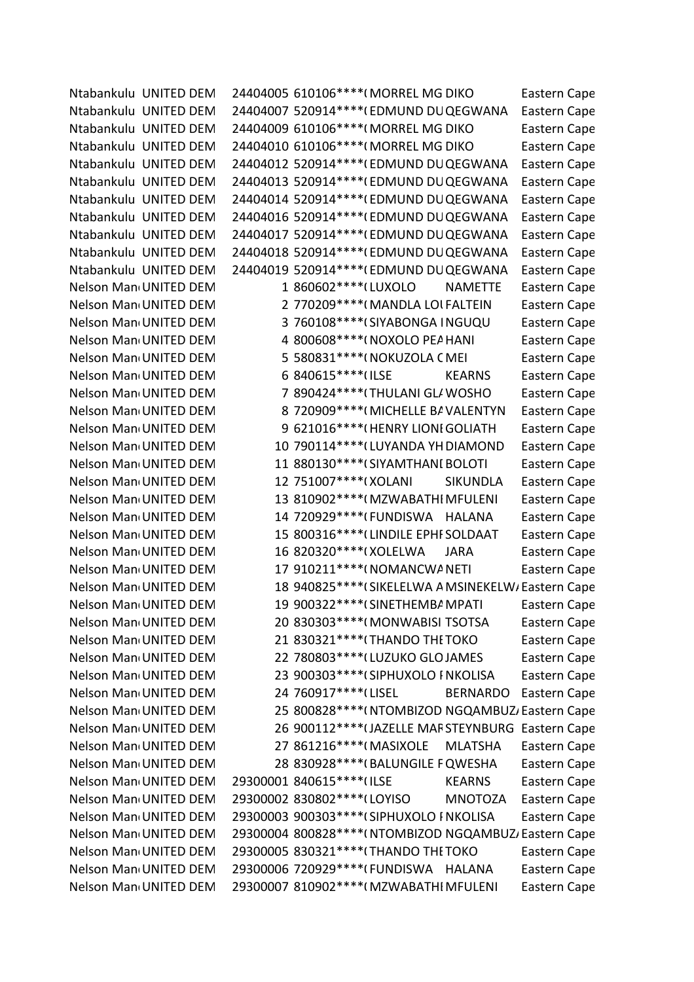Ntabankulu UNITED DEM 24404005 610106\*\*\*\*(MORREL MG DIKO Eastern Cape Ntabankulu UNITED DEM 24404007 520914\*\*\*\*(EDMUND DUQEGWANA Eastern Cape Ntabankulu UNITED DEM 24404009 610106\*\*\*\*(MORREL MG DIKO Eastern Cape Ntabankulu UNITED DEM 24404010 610106\*\*\*\*(MORREL MG DIKO Eastern Cape Ntabankulu UNITED DEM 24404012 520914\*\*\*\*(EDMUND DUQEGWANA Eastern Cape Ntabankulu UNITED DEM 24404013 520914\*\*\*\*(EDMUND DUQEGWANA Eastern Cape Ntabankulu UNITED DEM 24404014 520914\*\*\*\*(EDMUND DUQEGWANA Eastern Cape Ntabankulu UNITED DEM 24404016 520914\*\*\*\*(EDMUND DUQEGWANA Eastern Cape Ntabankulu UNITED DEM 24404017 520914\*\*\*\*(EDMUND DUQEGWANA Eastern Cape Ntabankulu UNITED DEM 24404018 520914\*\*\*\*(EDMUND DUQEGWANA Eastern Cape Ntabankulu UNITED DEM 24404019 520914\*\*\*\*(EDMUND DUQEGWANA Eastern Cape Nelson Man<sub>'</sub> UNITED DEM 1 860602\*\*\*\* (LUXOLO NAMETTE Eastern Cape Nelson Man<sub>1</sub> UNITED DEM 2 770209\*\*\*\*(MANDLA LOI FALTEIN Eastern Cape Nelson Man<sub>1</sub> UNITED DEM 3 760108\*\*\*\*(SIYABONGA INGUQU Eastern Cape Nelson Man<sub>1</sub> UNITED DEM 4 800608\*\*\*\*(NOXOLO PEA HANI Eastern Cape Nelson Man<sub>'</sub> UNITED DEM 5 580831\*\*\*\*(NOKUZOLA CMEI Eastern Cape Nelson Man<sub>'</sub> UNITED DEM 6 840615\*\*\*\*(ILSE KEARNS Eastern Cape Nelson Man<sub>1</sub> UNITED DEM **7 890424\*\*\*\*** (THULANI GLAMOSHO Eastern Cape Nelson Man<sub>1</sub> UNITED DEM 8 720909\*\*\*\*(MICHELLE BA VALENTYN Eastern Cape Nelson Man<sub>d</sub>UNITED DEM 9 621016\*\*\*\*(HENRY LIONI GOLIATH Eastern Cape Nelson Man<sub>1</sub> UNITED DEM 10 790114\*\*\*\*(LUYANDA YH DIAMOND Eastern Cape Nelson Man<sub>'</sub> UNITED DEM 11 880130\*\*\*\*(SIYAMTHANI BOLOTI Eastern Cape Nelson Man<sub>'</sub> UNITED DEM 12 751007\*\*\*\*(XOLANI SIKUNDLA Eastern Cape Nelson Man<sub>'</sub> UNITED DEM 13 810902\*\*\*\*(MZWABATHI MFULENI Eastern Cape Nelson Man<sub>'</sub> UNITED DEM 14 720929\*\*\*\*(FUNDISWA HALANA Eastern Cape Nelson Man<sub>'</sub> UNITED DEM 15 800316\*\*\*\*(LINDILE EPHF SOLDAAT Eastern Cape Nelson Man<sub>1</sub> UNITED DEM 16 820320\*\*\*\*(XOLELWA JARA Eastern Cape Nelson Man<sub>'</sub> UNITED DEM 17 910211\*\*\*\*(NOMANCWA NETI Eastern Cape Nelson Man<sub>'</sub> UNITED DEM 18 940825\*\*\*\* (SIKELELWA A MSINEKELW/ Eastern Cape Nelson Man<sub>1</sub> UNITED DEM 19 900322\*\*\*\* (SINETHEMBAMPATI Eastern Cape Nelson Man<sub>1</sub> UNITED DEM 20 830303\*\*\*\*(MONWABISI TSOTSA Eastern Cape Nelson Man<sub>'</sub> UNITED DEM 21 830321\*\*\*\* (THANDO THE TOKO Eastern Cape Nelson Man<sub>'</sub> UNITED DEM 22 780803\*\*\*\* (LUZUKO GLOJAMES Eastern Cape Nelson Man<sub>'</sub> UNITED DEM 23 900303\*\*\*\*(SIPHUXOLO I NKOLISA Eastern Cape Nelson Man<sub>'</sub> UNITED DEM 24 760917\*\*\*\* (LISEL BERNARDO Eastern Cape Nelson Man<sub>'</sub> UNITED DEM 25 800828\*\*\*\*( NTOMBIZOD NGQAMBUZ / Eastern Cape Nelson Man<sub>1</sub> UNITED DEM 26 900112\*\*\*\* (JAZELLE MARSTEYNBURG Eastern Cape Nelson Man<sub>'</sub> UNITED DEM 27 861216\*\*\*\*(MASIXOLE MLATSHA Eastern Cape Nelson Man<sub>1</sub> UNITED DEM 28 830928\*\*\*\*(BALUNGILE FQWESHA Eastern Cape Nelson Man<sub>'</sub> UNITED DEM 29300001 840615\*\*\*\*(ILSE KEARNS Eastern Cape Nelson Man<sub>'</sub> UNITED DEM 29300002 830802\*\*\*\*(LOYISO MNOTOZA Eastern Cape Nelson Man<sub>1</sub> UNITED DEM 29300003 900303\*\*\*\* (SIPHUXOLO I NKOLISA Eastern Cape Nelson Man<sub>1</sub> UNITED DEM 29300004 800828\*\*\*\*(NTOMBIZOD NGQAMBUZ, Eastern Cape Nelson Man<sub>'</sub> UNITED DEM 29300005 830321\*\*\*\* (THANDO THE TOKO Eastern Cape Nelson Man<sub>1</sub> UNITED DEM 29300006 720929\*\*\*\*(FUNDISWA HALANA Eastern Cape Nelson Man<sub>'</sub> UNITED DEM 29300007 810902\*\*\*\*(MZWABATHI MFULENI Eastern Cape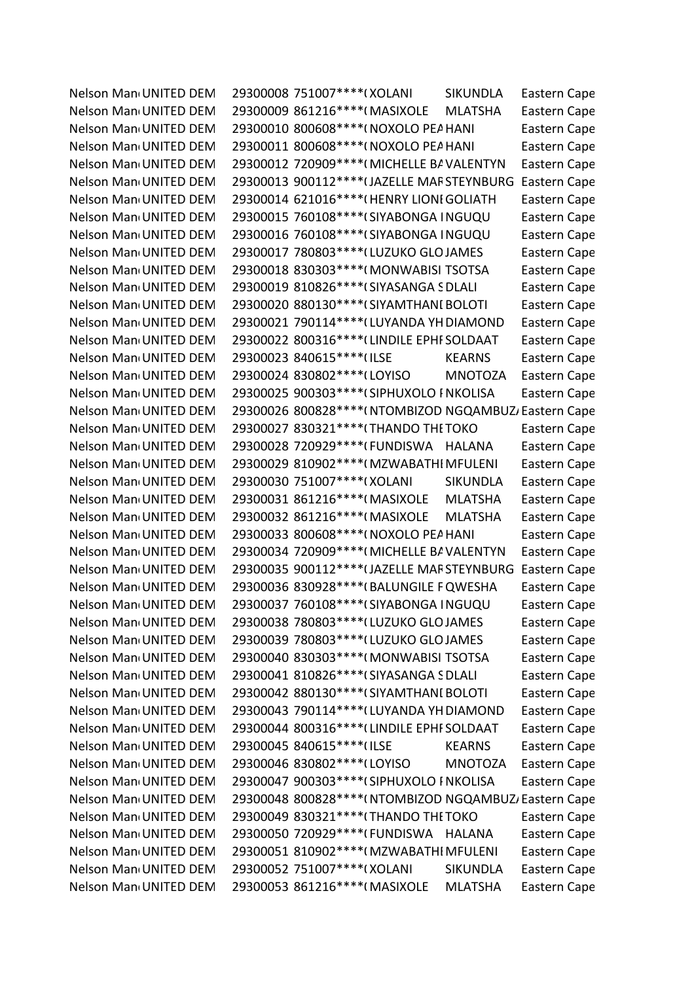Nelson Man<sub>1</sub> UNITED DEM 29300008 751007\*\*\*\*(XOLANI SIKUNDLA Eastern Cape Nelson Man<sub>'</sub> UNITED DEM 29300009 861216\*\*\*\*(MASIXOLE MLATSHA Eastern Cape Nelson Man<sub>'</sub> UNITED DEM 29300010 800608\*\*\*\*(NOXOLO PEA HANI Eastern Cape Nelson Man<sub>1</sub> UNITED DEM 29300011 800608\*\*\*\*(NOXOLO PEA HANI Eastern Cape Nelson Man<sub>'</sub> UNITED DEM 29300012 720909\*\*\*\*(MICHELLE BA VALENTYN Eastern Cape Nelson Man<sub>1</sub> UNITED DEM 29300013 900112\*\*\*\* (JAZELLE MARSTEYNBURG Eastern Cape Nelson Man<sub>1</sub> UNITED DEM 29300014 621016\*\*\*\*(HENRY LIONI GOLIATH Eastern Cape Nelson Man<sub>1</sub> UNITED DEM 29300015 760108\*\*\*\* (SIYABONGA INGUQU Eastern Cape Nelson Man<sub>1</sub> UNITED DEM 29300016 760108\*\*\*\* (SIYABONGA INGUQU Eastern Cape Nelson Man<sub>'</sub> UNITED DEM 29300017 780803\*\*\*\* (LUZUKO GLOJAMES Eastern Cape Nelson Man<sub>'</sub> UNITED DEM 29300018 830303\*\*\*\*(MONWABISI TSOTSA Eastern Cape Nelson Man<sub>1</sub> UNITED DEM 29300019 810826\*\*\*\* (SIYASANGA SDLALI Eastern Cape Nelson Man<sub>1</sub> UNITED DEM 29300020 880130\*\*\*\* (SIYAMTHANI BOLOTI Eastern Cape Nelson Man<sub>1</sub> UNITED DEM 29300021 790114\*\*\*\* (LUYANDA YH DIAMOND Eastern Cape Nelson Man<sub>1</sub> UNITED DEM 29300022 800316\*\*\*\* (LINDILE EPHI SOLDAAT Eastern Cape Nelson Man<sub>'</sub> UNITED DEM 29300023 840615\*\*\*\* (ILSE KEARNS Eastern Cape Nelson Man<sub>'</sub> UNITED DEM 29300024 830802\*\*\*\* (LOYISO MNOTOZA Eastern Cape Nelson Man<sub>1</sub> UNITED DEM 29300025 900303\*\*\*\* (SIPHUXOLO I NKOLISA Eastern Cape Nelson Man<sub>1</sub> UNITED DEM 29300026 800828\*\*\*\*(NTOMBIZOD NGQAMBUZ, Eastern Cape Nelson Man<sub>'</sub> UNITED DEM 29300027 830321\*\*\*\* (THANDO THE TOKO Eastern Cape Nelson Man<sub>1</sub> UNITED DEM 29300028 720929\*\*\*\*(FUNDISWA HALANA Eastern Cape Nelson Man<sub>1</sub> UNITED DEM 29300029 810902\*\*\*\*(MZWABATHI MFULENI Eastern Cape Nelson Man<sub>'</sub> UNITED DEM 29300030 751007\*\*\*\*(XOLANI SIKUNDLA Eastern Cape Nelson Man<sub>'</sub> UNITED DEM 29300031 861216\*\*\*\*(MASIXOLE MLATSHA Eastern Cape Nelson Man<sub>'</sub> UNITED DEM 29300032 861216\*\*\*\*(MASIXOLE MLATSHA Eastern Cape Nelson Man<sub>'</sub> UNITED DEM 29300033 800608\*\*\*\*(NOXOLO PEA HANI Eastern Cape Nelson Man<sub>1</sub> UNITED DEM 29300034 720909\*\*\*\*(MICHELLE BAVALENTYN Eastern Cape Nelson Man<sub>1</sub> UNITED DEM 29300035 900112\*\*\*\* (JAZELLE MARSTEYNBURG Eastern Cape Nelson Man<sub>1</sub> UNITED DEM 29300036 830928\*\*\*\* (BALUNGILE FQWESHA Eastern Cape Nelson Man<sub>1</sub> UNITED DEM 29300037 760108\*\*\*\* (SIYABONGA INGUQU Eastern Cape Nelson Man<sub>1</sub> UNITED DEM 29300038 780803\*\*\*\* (LUZUKO GLOJAMES Eastern Cape Nelson Man<sub>1</sub> UNITED DEM 29300039 780803\*\*\*\* (LUZUKO GLOJAMES Eastern Cape Nelson Man<sub>1</sub> UNITED DEM 29300040 830303\*\*\*\*(MONWABISI TSOTSA Eastern Cape Nelson Man<sub>'</sub> UNITED DEM 29300041 810826\*\*\*\* (SIYASANGA SDLALI Eastern Cape Nelson Man<sub>1</sub> UNITED DEM 29300042 880130\*\*\*\* (SIYAMTHANI BOLOTI Eastern Cape Nelson Man<sub>1</sub> UNITED DEM 29300043 790114\*\*\*\* (LUYANDA YH DIAMOND Eastern Cape Nelson Man<sub>1</sub> UNITED DEM 29300044 800316\*\*\*\* (LINDILE EPHI SOLDAAT Eastern Cape Nelson Man<sub>'</sub> UNITED DEM 29300045 840615\*\*\*\* (ILSE KEARNS Eastern Cape Nelson Man<sub>1</sub> UNITED DEM 29300046 830802\*\*\*\*(LOYISO MNOTOZA Eastern Cape Nelson Man<sub>'</sub> UNITED DEM 29300047 900303\*\*\*\* (SIPHUXOLO I NKOLISA Eastern Cape Nelson Man<sub>1</sub> UNITED DEM 29300048 800828\*\*\*\*(NTOMBIZOD NGQAMBUZ, Eastern Cape Nelson Man<sub>'</sub> UNITED DEM 29300049 830321\*\*\*\* (THANDO THE TOKO Eastern Cape Nelson Man<sub>'</sub> UNITED DEM 29300050 720929\*\*\*\*(FUNDISWA HALANA Eastern Cape Nelson Man<sub>1</sub> UNITED DEM 29300051 810902\*\*\*\*(MZWABATHI MFULENI Eastern Cape Nelson Man<sub>'</sub> UNITED DEM 29300052 751007\*\*\*\*(XOLANI SIKUNDLA Eastern Cape Nelson Man<sub>'</sub> UNITED DEM 29300053 861216\*\*\*\*(MASIXOLE MLATSHA Eastern Cape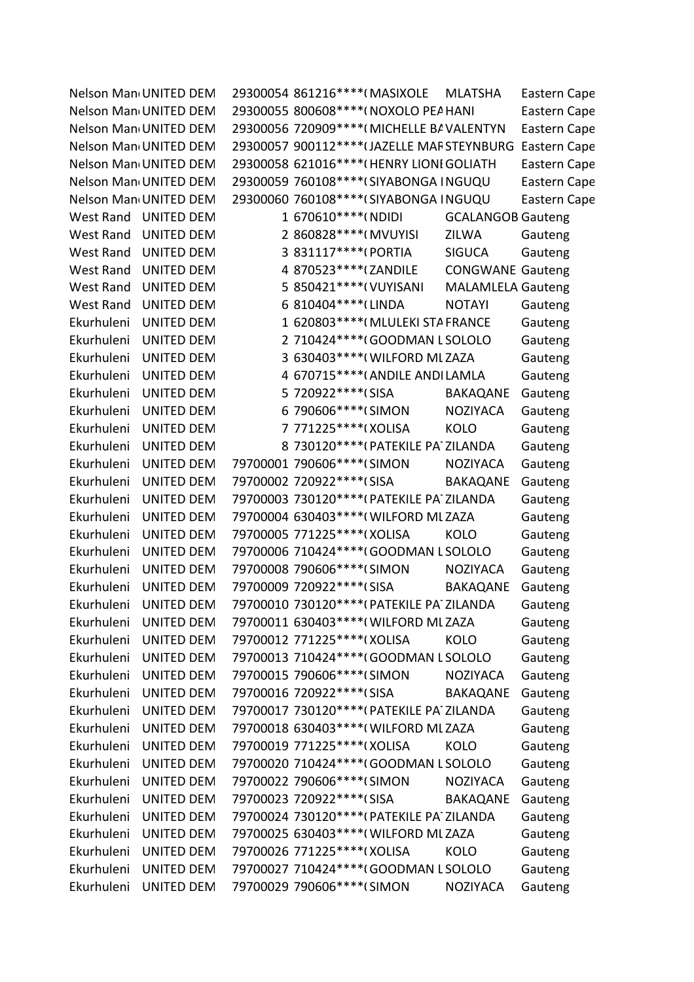|                  | Nelson Man UNITED DEM |   | 29300054 861216 **** (MASIXOLE              | <b>MLATSHA</b>           | Eastern Cape        |
|------------------|-----------------------|---|---------------------------------------------|--------------------------|---------------------|
|                  | Nelson Man UNITED DEM |   | 29300055 800608 **** (NOXOLO PEA HANI       |                          | Eastern Cape        |
|                  | Nelson Man UNITED DEM |   | 29300056 720909 **** (MICHELLE BAVALENTYN   |                          | Eastern Cape        |
|                  | Nelson Man UNITED DEM |   | 29300057 900112 **** (JAZELLE MAF STEYNBURG |                          | <b>Eastern Cape</b> |
|                  | Nelson Man UNITED DEM |   | 29300058 621016 **** (HENRY LIONI GOLIATH   |                          | <b>Eastern Cape</b> |
|                  | Nelson Man UNITED DEM |   | 29300059 760108 **** (SIYABONGA INGUQU      |                          | Eastern Cape        |
|                  | Nelson Man UNITED DEM |   | 29300060 760108 **** (SIYABONGA INGUQU      |                          | Eastern Cape        |
| West Rand        | <b>UNITED DEM</b>     |   | 1 670610***** (NDIDI                        | <b>GCALANGOB Gauteng</b> |                     |
| <b>West Rand</b> | <b>UNITED DEM</b>     |   | 2 860828 **** (MVUYISI                      | ZILWA                    | Gauteng             |
| West Rand        | <b>UNITED DEM</b>     | 3 | 831117****(PORTIA                           | <b>SIGUCA</b>            | Gauteng             |
| <b>West Rand</b> | <b>UNITED DEM</b>     |   | 4 870523 **** (ZANDILE                      | <b>CONGWANE Gauteng</b>  |                     |
| <b>West Rand</b> | <b>UNITED DEM</b>     |   | 5 850421 **** ( VUYISANI                    | <b>MALAMLELA Gauteng</b> |                     |
| <b>West Rand</b> | <b>UNITED DEM</b>     |   | 6 810404 **** (LINDA                        | <b>NOTAYI</b>            | Gauteng             |
| Ekurhuleni       | <b>UNITED DEM</b>     |   | 1 620803 **** (MLULEKI STA FRANCE           |                          | Gauteng             |
| Ekurhuleni       | <b>UNITED DEM</b>     |   | 2 710424 **** (GOODMAN L SOLOLO             |                          | Gauteng             |
| Ekurhuleni       | <b>UNITED DEM</b>     |   | 3 630403 **** (WILFORD ML ZAZA              |                          | Gauteng             |
| Ekurhuleni       | <b>UNITED DEM</b>     |   | 4 670715 **** (ANDILE ANDI LAMLA            |                          | Gauteng             |
| Ekurhuleni       | <b>UNITED DEM</b>     |   | 5 720922*****(SISA                          | <b>BAKAQANE</b>          | Gauteng             |
| Ekurhuleni       | <b>UNITED DEM</b>     |   | 6 790606*****(SIMON                         | <b>NOZIYACA</b>          | Gauteng             |
| Ekurhuleni       | <b>UNITED DEM</b>     |   | 7 771225 **** (XOLISA                       | <b>KOLO</b>              | Gauteng             |
| Ekurhuleni       | <b>UNITED DEM</b>     |   | 8 730120***** (PATEKILE PA ZILANDA          |                          | Gauteng             |
| Ekurhuleni       | <b>UNITED DEM</b>     |   | 79700001 790606****(SIMON                   | <b>NOZIYACA</b>          | Gauteng             |
| Ekurhuleni       | <b>UNITED DEM</b>     |   | 79700002 720922 **** (SISA                  | <b>BAKAQANE</b>          | Gauteng             |
| Ekurhuleni       | <b>UNITED DEM</b>     |   | 79700003 730120 **** (PATEKILE PA ZILANDA   |                          | Gauteng             |
| Ekurhuleni       | <b>UNITED DEM</b>     |   | 79700004 630403 **** (WILFORD ML ZAZA       |                          | Gauteng             |
| Ekurhuleni       | <b>UNITED DEM</b>     |   | 79700005 771225 **** (XOLISA                | <b>KOLO</b>              | Gauteng             |
| Ekurhuleni       | <b>UNITED DEM</b>     |   | 79700006 710424 **** (GOODMAN L SOLOLO      |                          | Gauteng             |
| Ekurhuleni       | <b>UNITED DEM</b>     |   | 79700008 790606****(SIMON                   | <b>NOZIYACA</b>          | Gauteng             |
| Ekurhuleni       | <b>UNITED DEM</b>     |   | 79700009 720922 **** (SISA                  | <b>BAKAQANE</b>          | Gauteng             |
| Ekurhuleni       | <b>UNITED DEM</b>     |   | 79700010 730120****(PATEKILE PA ZILANDA     |                          | Gauteng             |
| Ekurhuleni       | UNITED DEM            |   | 79700011 630403 **** (WILFORD ML ZAZA       |                          | Gauteng             |
| Ekurhuleni       | <b>UNITED DEM</b>     |   | 79700012 771225 **** (XOLISA                | <b>KOLO</b>              | Gauteng             |
| Ekurhuleni       | <b>UNITED DEM</b>     |   | 79700013 710424 **** (GOODMAN L SOLOLO      |                          | Gauteng             |
| Ekurhuleni       | <b>UNITED DEM</b>     |   | 79700015 790606*****(SIMON                  | <b>NOZIYACA</b>          | Gauteng             |
| Ekurhuleni       | <b>UNITED DEM</b>     |   | 79700016 720922 **** (SISA                  | <b>BAKAQANE</b>          | Gauteng             |
| Ekurhuleni       | <b>UNITED DEM</b>     |   | 79700017 730120 **** (PATEKILE PA ZILANDA   |                          | Gauteng             |
| Ekurhuleni       | <b>UNITED DEM</b>     |   | 79700018 630403 **** (WILFORD ML ZAZA       |                          | Gauteng             |
| Ekurhuleni       | <b>UNITED DEM</b>     |   | 79700019 771225 **** (XOLISA                | <b>KOLO</b>              | Gauteng             |
| Ekurhuleni       | <b>UNITED DEM</b>     |   | 79700020 710424 **** (GOODMAN L SOLOLO      |                          | Gauteng             |
| Ekurhuleni       | <b>UNITED DEM</b>     |   | 79700022 790606****(SIMON                   | <b>NOZIYACA</b>          | Gauteng             |
| Ekurhuleni       | <b>UNITED DEM</b>     |   | 79700023 720922 **** (SISA                  | <b>BAKAQANE</b>          | Gauteng             |
| Ekurhuleni       | <b>UNITED DEM</b>     |   | 79700024 730120****(PATEKILE PA ZILANDA     |                          | Gauteng             |
| Ekurhuleni       | <b>UNITED DEM</b>     |   | 79700025 630403 **** (WILFORD ML ZAZA       |                          | Gauteng             |
| Ekurhuleni       | <b>UNITED DEM</b>     |   | 79700026 771225 **** (XOLISA                | <b>KOLO</b>              | Gauteng             |
| Ekurhuleni       | <b>UNITED DEM</b>     |   | 79700027 710424 **** (GOODMAN L SOLOLO      |                          | Gauteng             |
| Ekurhuleni       | <b>UNITED DEM</b>     |   | 79700029 790606****(SIMON                   | <b>NOZIYACA</b>          | Gauteng             |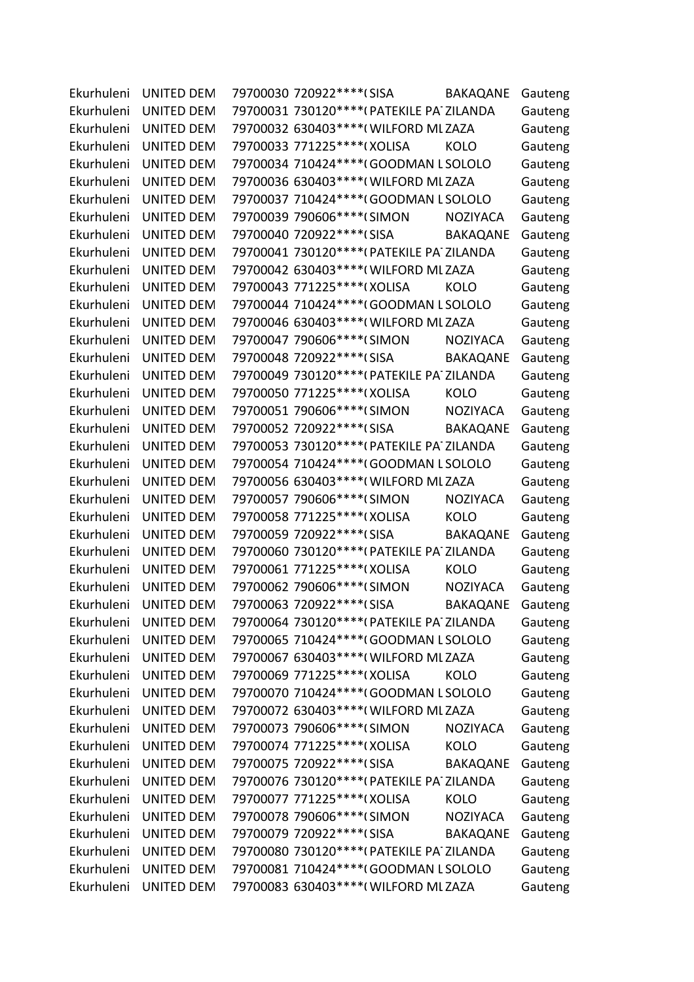| Ekurhuleni | <b>UNITED DEM</b>     | 79700030 720922 **** (SISA<br><b>BAKAQANE</b> | Gauteng |
|------------|-----------------------|-----------------------------------------------|---------|
| Ekurhuleni | <b>UNITED DEM</b>     | 79700031 730120 **** (PATEKILE PA' ZILANDA    | Gauteng |
| Ekurhuleni | <b>UNITED DEM</b>     | 79700032 630403 **** (WILFORD ML ZAZA         | Gauteng |
| Ekurhuleni | <b>UNITED DEM</b>     | 79700033 771225 **** (XOLISA<br><b>KOLO</b>   | Gauteng |
| Ekurhuleni | <b>UNITED DEM</b>     | 79700034 710424 **** (GOODMAN L SOLOLO        | Gauteng |
| Ekurhuleni | <b>UNITED DEM</b>     | 79700036 630403 **** (WILFORD ML ZAZA         | Gauteng |
| Ekurhuleni | <b>UNITED DEM</b>     | 79700037 710424 **** (GOODMAN L SOLOLO        | Gauteng |
| Ekurhuleni | <b>UNITED DEM</b>     | 79700039 790606****(SIMON<br><b>NOZIYACA</b>  | Gauteng |
| Ekurhuleni | <b>UNITED DEM</b>     | 79700040 720922 **** (SISA<br><b>BAKAQANE</b> | Gauteng |
| Ekurhuleni | <b>UNITED DEM</b>     | 79700041 730120****(PATEKILE PA' ZILANDA      | Gauteng |
| Ekurhuleni | UNITED DEM            | 79700042 630403 **** (WILFORD ML ZAZA         | Gauteng |
| Ekurhuleni | <b>UNITED DEM</b>     | 79700043 771225 **** (XOLISA<br><b>KOLO</b>   | Gauteng |
| Ekurhuleni | <b>UNITED DEM</b>     | 79700044 710424 **** (GOODMAN L SOLOLO        | Gauteng |
| Ekurhuleni | <b>UNITED DEM</b>     | 79700046 630403 **** (WILFORD ML ZAZA         | Gauteng |
| Ekurhuleni | UNITED DEM            | 79700047 790606****(SIMON<br><b>NOZIYACA</b>  | Gauteng |
| Ekurhuleni | <b>UNITED DEM</b>     | 79700048 720922 **** (SISA<br><b>BAKAQANE</b> | Gauteng |
| Ekurhuleni | <b>UNITED DEM</b>     | 79700049 730120****(PATEKILE PA ZILANDA       | Gauteng |
| Ekurhuleni | <b>UNITED DEM</b>     | 79700050 771225 **** (XOLISA<br><b>KOLO</b>   | Gauteng |
| Ekurhuleni | <b>UNITED DEM</b>     | 79700051 790606*****(SIMON<br><b>NOZIYACA</b> | Gauteng |
| Ekurhuleni | <b>UNITED DEM</b>     | 79700052 720922 **** (SISA<br><b>BAKAQANE</b> | Gauteng |
| Ekurhuleni | <b>UNITED DEM</b>     | 79700053 730120**** (PATEKILE PA' ZILANDA     | Gauteng |
| Ekurhuleni | <b>UNITED DEM</b>     | 79700054 710424 **** (GOODMAN L SOLOLO        | Gauteng |
| Ekurhuleni | UNITED DEM            | 79700056 630403 **** (WILFORD ML ZAZA         | Gauteng |
| Ekurhuleni | <b>UNITED DEM</b>     | 79700057 790606****(SIMON<br><b>NOZIYACA</b>  | Gauteng |
| Ekurhuleni | <b>UNITED DEM</b>     | 79700058 771225 **** (XOLISA<br><b>KOLO</b>   | Gauteng |
| Ekurhuleni | <b>UNITED DEM</b>     | 79700059 720922****(SISA<br><b>BAKAQANE</b>   | Gauteng |
| Ekurhuleni | <b>UNITED DEM</b>     | 79700060 730120 **** (PATEKILE PA ZILANDA     | Gauteng |
| Ekurhuleni | <b>UNITED DEM</b>     | 79700061 771225 **** (XOLISA<br><b>KOLO</b>   | Gauteng |
| Ekurhuleni | <b>UNITED DEM</b>     | 79700062 790606****(SIMON<br><b>NOZIYACA</b>  | Gauteng |
|            | Ekurhuleni UNITED DEM | 79700063 720922****(SISA<br><b>BAKAQANE</b>   | Gauteng |
|            | Ekurhuleni UNITED DEM | 79700064 730120 **** (PATEKILE PA ZILANDA     | Gauteng |
| Ekurhuleni | UNITED DEM            | 79700065 710424 **** (GOODMAN L SOLOLO        | Gauteng |
| Ekurhuleni | <b>UNITED DEM</b>     | 79700067 630403 **** (WILFORD ML ZAZA         | Gauteng |
| Ekurhuleni | <b>UNITED DEM</b>     | 79700069 771225 **** (XOLISA<br><b>KOLO</b>   | Gauteng |
| Ekurhuleni | UNITED DEM            | 79700070 710424 **** (GOODMAN L SOLOLO        | Gauteng |
| Ekurhuleni | <b>UNITED DEM</b>     | 79700072 630403 **** (WILFORD MLZAZA          | Gauteng |
| Ekurhuleni | <b>UNITED DEM</b>     | 79700073 790606****(SIMON<br><b>NOZIYACA</b>  | Gauteng |
| Ekurhuleni | UNITED DEM            | 79700074 771225 **** (XOLISA<br>KOLO          | Gauteng |
| Ekurhuleni | <b>UNITED DEM</b>     | 79700075 720922****(SISA<br>BAKAQANE          | Gauteng |
| Ekurhuleni | <b>UNITED DEM</b>     | 79700076 730120**** (PATEKILE PA' ZILANDA     | Gauteng |
| Ekurhuleni | <b>UNITED DEM</b>     | 79700077 771225 **** (XOLISA<br><b>KOLO</b>   | Gauteng |
| Ekurhuleni | UNITED DEM            | 79700078 790606****(SIMON<br>NOZIYACA         | Gauteng |
| Ekurhuleni | <b>UNITED DEM</b>     | 79700079 720922****(SISA<br>BAKAQANE          | Gauteng |
| Ekurhuleni | UNITED DEM            | 79700080 730120 **** (PATEKILE PA ZILANDA     | Gauteng |
| Ekurhuleni | UNITED DEM            | 79700081 710424 **** (GOODMAN L SOLOLO        | Gauteng |
| Ekurhuleni | UNITED DEM            | 79700083 630403 **** (WILFORD ML ZAZA         | Gauteng |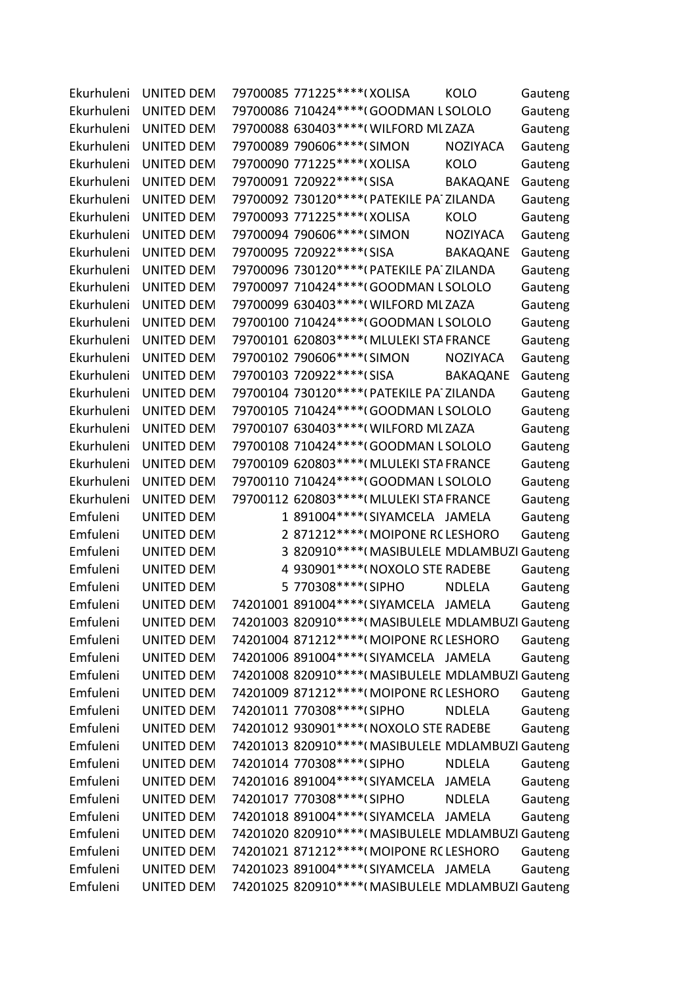| Ekurhuleni | <b>UNITED DEM</b> | 79700085 771225 **** (XOLISA               | <b>KOLO</b>                                        | Gauteng |
|------------|-------------------|--------------------------------------------|----------------------------------------------------|---------|
| Ekurhuleni | <b>UNITED DEM</b> | 79700086 710424 **** (GOODMAN L SOLOLO     |                                                    | Gauteng |
| Ekurhuleni | <b>UNITED DEM</b> | 79700088 630403 **** (WILFORD ML ZAZA      |                                                    | Gauteng |
| Ekurhuleni | <b>UNITED DEM</b> | 79700089 790606****(SIMON                  | <b>NOZIYACA</b>                                    | Gauteng |
| Ekurhuleni | <b>UNITED DEM</b> | 79700090 771225 **** (XOLISA               | <b>KOLO</b>                                        | Gauteng |
| Ekurhuleni | <b>UNITED DEM</b> | 79700091 720922 **** (SISA                 | <b>BAKAQANE</b>                                    | Gauteng |
| Ekurhuleni | <b>UNITED DEM</b> | 79700092 730120****(PATEKILE PA' ZILANDA   |                                                    | Gauteng |
| Ekurhuleni | <b>UNITED DEM</b> | 79700093 771225 **** (XOLISA               | <b>KOLO</b>                                        | Gauteng |
| Ekurhuleni | <b>UNITED DEM</b> | 79700094 790606***** (SIMON                | <b>NOZIYACA</b>                                    | Gauteng |
| Ekurhuleni | <b>UNITED DEM</b> | 79700095 720922 **** (SISA                 | <b>BAKAQANE</b>                                    | Gauteng |
| Ekurhuleni | <b>UNITED DEM</b> | 79700096 730120**** (PATEKILE PA' ZILANDA  |                                                    | Gauteng |
| Ekurhuleni | <b>UNITED DEM</b> | 79700097 710424 **** (GOODMAN L SOLOLO     |                                                    | Gauteng |
| Ekurhuleni | <b>UNITED DEM</b> | 79700099 630403 **** (WILFORD ML ZAZA      |                                                    | Gauteng |
| Ekurhuleni | <b>UNITED DEM</b> | 79700100 710424 **** (GOODMAN L SOLOLO     |                                                    | Gauteng |
| Ekurhuleni | <b>UNITED DEM</b> | 79700101 620803 **** (MLULEKI STA FRANCE   |                                                    | Gauteng |
| Ekurhuleni | <b>UNITED DEM</b> | 79700102 790606****(SIMON                  | <b>NOZIYACA</b>                                    | Gauteng |
| Ekurhuleni | <b>UNITED DEM</b> | 79700103 720922 **** (SISA                 | <b>BAKAQANE</b>                                    | Gauteng |
| Ekurhuleni | <b>UNITED DEM</b> | 79700104 730120 **** (PATEKILE PA' ZILANDA |                                                    | Gauteng |
| Ekurhuleni | UNITED DEM        | 79700105 710424 **** (GOODMAN L SOLOLO     |                                                    | Gauteng |
| Ekurhuleni | <b>UNITED DEM</b> | 79700107 630403 **** (WILFORD ML ZAZA      |                                                    | Gauteng |
| Ekurhuleni | <b>UNITED DEM</b> | 79700108 710424 **** (GOODMAN L SOLOLO     |                                                    | Gauteng |
| Ekurhuleni | <b>UNITED DEM</b> | 79700109 620803 **** (MLULEKI STA FRANCE   |                                                    | Gauteng |
| Ekurhuleni | UNITED DEM        | 79700110 710424 **** (GOODMAN L SOLOLO     |                                                    | Gauteng |
| Ekurhuleni | <b>UNITED DEM</b> | 79700112 620803 **** (MLULEKI STA FRANCE   |                                                    | Gauteng |
| Emfuleni   | <b>UNITED DEM</b> | 1 891004****(SIYAMCELA JAMELA              |                                                    | Gauteng |
| Emfuleni   | <b>UNITED DEM</b> | 2 871212****(MOIPONE RCLESHORO             |                                                    | Gauteng |
| Emfuleni   | <b>UNITED DEM</b> |                                            | 3 820910 **** (MASIBULELE MDLAMBUZI Gauteng        |         |
| Emfuleni   | <b>UNITED DEM</b> | 4 930901 **** ( NOXOLO STE RADEBE          |                                                    | Gauteng |
| Emfuleni   | <b>UNITED DEM</b> | 5 770308 **** (SIPHO                       | <b>NDLELA</b>                                      | Gauteng |
| Emfuleni   | <b>UNITED DEM</b> | 74201001 891004 **** (SIYAMCELA JAMELA     |                                                    | Gauteng |
| Emfuleni   | <b>UNITED DEM</b> |                                            | 74201003 820910**** (MASIBULELE MDLAMBUZI Gauteng  |         |
| Emfuleni   | <b>UNITED DEM</b> | 74201004 871212**** (MOIPONE RC LESHORO    |                                                    | Gauteng |
| Emfuleni   | <b>UNITED DEM</b> | 74201006 891004 **** (SIYAMCELA JAMELA     |                                                    | Gauteng |
| Emfuleni   | <b>UNITED DEM</b> |                                            | 74201008 820910 **** (MASIBULELE MDLAMBUZI Gauteng |         |
| Emfuleni   | <b>UNITED DEM</b> | 74201009 871212 **** (MOIPONE RCLESHORO    |                                                    | Gauteng |
| Emfuleni   | <b>UNITED DEM</b> | 74201011 770308 **** (SIPHO                | <b>NDLELA</b>                                      | Gauteng |
| Emfuleni   | <b>UNITED DEM</b> | 74201012 930901 **** (NOXOLO STE RADEBE    |                                                    | Gauteng |
| Emfuleni   | <b>UNITED DEM</b> |                                            | 74201013 820910 **** (MASIBULELE MDLAMBUZI Gauteng |         |
| Emfuleni   | <b>UNITED DEM</b> | 74201014 770308****(SIPHO                  | <b>NDLELA</b>                                      | Gauteng |
| Emfuleni   | <b>UNITED DEM</b> | 74201016 891004****(SIYAMCELA JAMELA       |                                                    | Gauteng |
| Emfuleni   | <b>UNITED DEM</b> | 74201017 770308 **** (SIPHO                | <b>NDLELA</b>                                      | Gauteng |
| Emfuleni   | <b>UNITED DEM</b> | 74201018 891004 **** (SIYAMCELA JAMELA     |                                                    | Gauteng |
| Emfuleni   | <b>UNITED DEM</b> |                                            | 74201020 820910 **** (MASIBULELE MDLAMBUZI Gauteng |         |
| Emfuleni   | UNITED DEM        | 74201021 871212 **** (MOIPONE RCLESHORO    |                                                    | Gauteng |
| Emfuleni   | <b>UNITED DEM</b> | 74201023 891004****(SIYAMCELA JAMELA       |                                                    | Gauteng |
| Emfuleni   | UNITED DEM        |                                            | 74201025 820910**** (MASIBULELE MDLAMBUZI Gauteng  |         |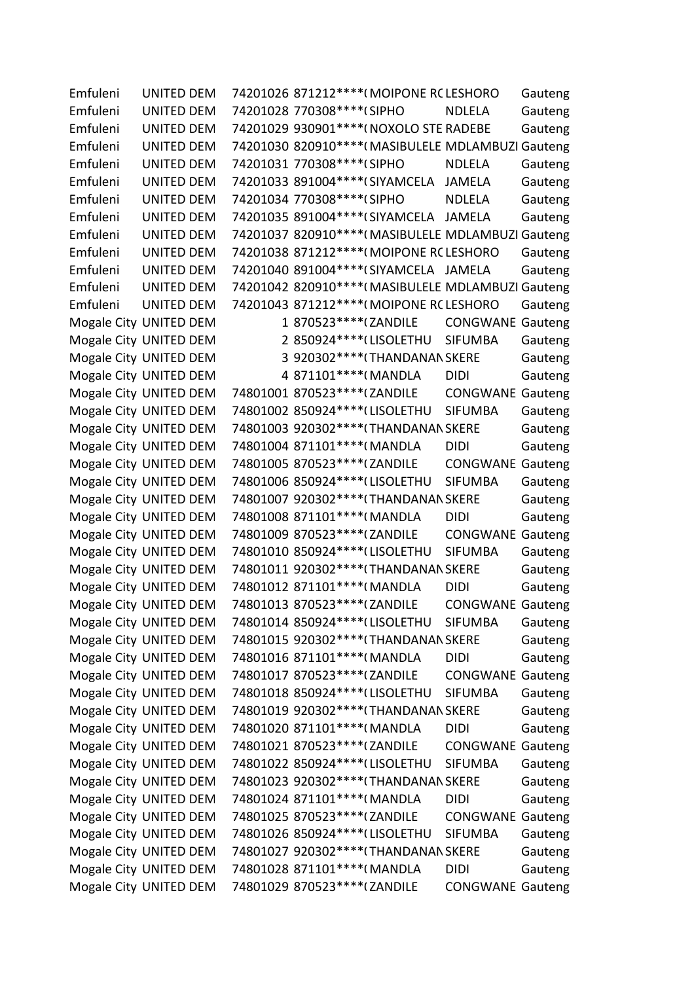Emfuleni UNITED DEM 74201026 871212\*\*\*\*(MOIPONE RCLESHORO Gauteng Emfuleni UNITED DEM 74201028 770308\*\*\*\*(SIPHO NDLELA Gauteng Emfuleni UNITED DEM 74201029 930901\*\*\*\*(NOXOLO STE RADEBE Gauteng Emfuleni UNITED DEM 74201030 820910\*\*\*\*(MASIBULELE MDLAMBUZI Gauteng Emfuleni UNITED DEM 74201031 770308\*\*\*\*(SIPHO NDLELA Gauteng Emfuleni UNITED DEM 74201033 891004\*\*\*\*(SIYAMCELA JAMELA Gauteng Emfuleni UNITED DEM 74201034 770308\*\*\*\*(SIPHO NDLELA Gauteng Emfuleni UNITED DEM 74201035 891004\*\*\*\*(SIYAMCELA JAMELA Gauteng Emfuleni UNITED DEM 74201037 820910\*\*\*\*(MASIBULELE MDLAMBUZI Gauteng Emfuleni UNITED DEM 74201038 871212\*\*\*\*(MOIPONE RCLESHORO Gauteng Emfuleni UNITED DEM 74201040 891004\*\*\*\*(SIYAMCELA JAMELA Gauteng Emfuleni UNITED DEM 74201042 820910\*\*\*\* (MASIBULELE MDLAMBUZI Gauteng Emfuleni UNITED DEM 74201043 871212\*\*\*\*(MOIPONE RCLESHORO Gauteng Mogale City UNITED DEM 1 870523\*\*\*\*\*(ZANDILE CONGWANE Gauteng Mogale City UNITED DEM 2 850924\*\*\*\*(LISOLETHU SIFUMBA Gauteng Mogale City UNITED DEM 3 920302\*\*\*\*(THANDANAN SKERE Gauteng Mogale City UNITED DEM 4 871101\*\*\*\*(MANDLA DIDI Gauteng Mogale City UNITED DEM 74801001 870523\*\*\*\* (ZANDILE CONGWANE Gauteng Mogale City UNITED DEM 74801002 850924\*\*\*\* (LISOLETHU SIFUMBA Gauteng Mogale City UNITED DEM 74801003 920302\*\*\*\* (THANDANAN SKERE Gauteng Mogale City UNITED DEM 74801004 871101\*\*\*\*(MANDLA DIDI Gauteng Mogale City UNITED DEM 74801005 870523\*\*\*\* (ZANDILE CONGWANE Gauteng Mogale City UNITED DEM 74801006 850924\*\*\*\* (LISOLETHU SIFUMBA Gauteng Mogale City UNITED DEM 74801007 920302\*\*\*\* (THANDANAN SKERE Gauteng Mogale City UNITED DEM 74801008 871101\*\*\*\*(MANDLA DIDI Gauteng Mogale City UNITED DEM 74801009 870523\*\*\*\* (ZANDILE CONGWANE Gauteng Mogale City UNITED DEM 74801010 850924\*\*\*\* (LISOLETHU SIFUMBA Gauteng Mogale City UNITED DEM 74801011 920302\*\*\*\* (THANDANAN SKERE Gauteng Mogale City UNITED DEM 74801012 871101\*\*\*\*(MANDLA DIDI Gauteng Mogale City UNITED DEM 74801013 870523\*\*\*\* (ZANDILE CONGWANE Gauteng Mogale City UNITED DEM 74801014 850924\*\*\*\* (LISOLETHU SIFUMBA Gauteng Mogale City UNITED DEM 74801015 920302\*\*\*\* (THANDANAN SKERE Gauteng Mogale City UNITED DEM 74801016 871101\*\*\*\*(MANDLA DIDI Gauteng Mogale City UNITED DEM 74801017 870523\*\*\*\* (ZANDILE CONGWANE Gauteng Mogale City UNITED DEM 74801018 850924\*\*\*\* (LISOLETHU SIFUMBA Gauteng Mogale City UNITED DEM 74801019 920302\*\*\*\* (THANDANAN SKERE Gauteng Mogale City UNITED DEM 74801020 871101\*\*\*\*(MANDLA DIDI Gauteng Mogale City UNITED DEM 74801021 870523\*\*\*\* (ZANDILE CONGWANE Gauteng Mogale City UNITED DEM 74801022 850924\*\*\*\* (LISOLETHU SIFUMBA Gauteng Mogale City UNITED DEM 74801023 920302\*\*\*\* (THANDANAN SKERE Gauteng Mogale City UNITED DEM 74801024 871101\*\*\*\*(MANDLA DIDI Gauteng Mogale City UNITED DEM 74801025 870523\*\*\*\* (ZANDILE CONGWANE Gauteng Mogale City UNITED DEM 74801026 850924\*\*\*\* (LISOLETHU SIFUMBA Gauteng Mogale City UNITED DEM 74801027 920302\*\*\*\* (THANDANAN SKERE Gauteng Mogale City UNITED DEM 74801028 871101\*\*\*\*(MANDLA DIDI Gauteng Mogale City UNITED DEM 74801029 870523\*\*\*\* (ZANDILE CONGWANE Gauteng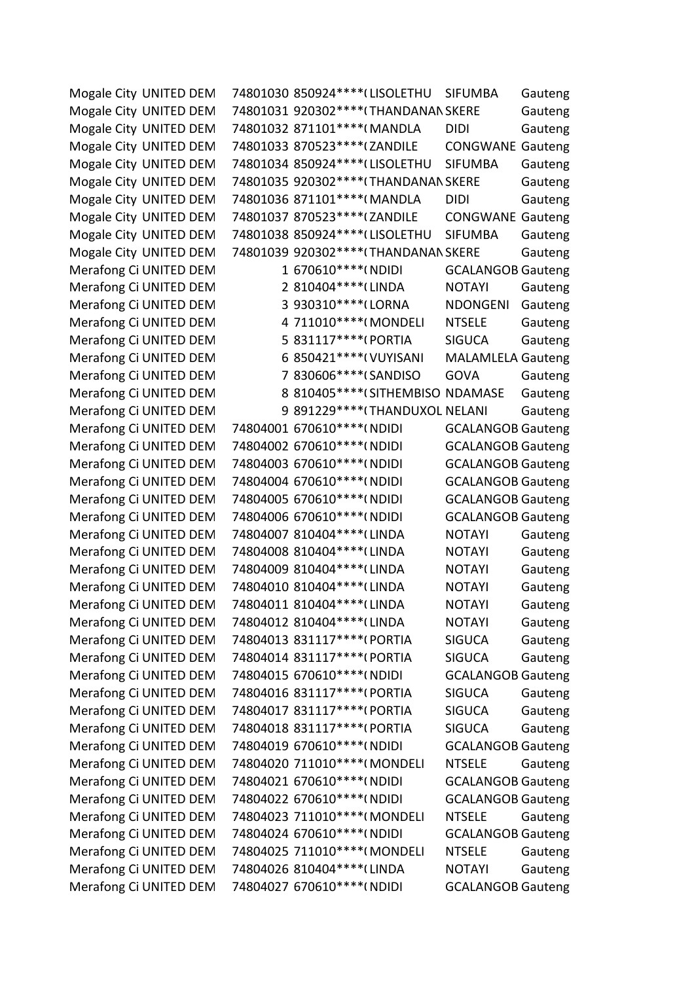Mogale City UNITED DEM 74801030 850924\*\*\*\* (LISOLETHU SIFUMBA Gauteng Mogale City UNITED DEM 74801031 920302\*\*\*\* (THANDANAN SKERE Gauteng Mogale City UNITED DEM 74801032 871101\*\*\*\*(MANDLA DIDI Gauteng Mogale City UNITED DEM 74801033 870523\*\*\*\* (ZANDILE CONGWANE Gauteng Mogale City UNITED DEM 74801034 850924\*\*\*\* (LISOLETHU SIFUMBA Gauteng Mogale City UNITED DEM 74801035 920302\*\*\*\* (THANDANAN SKERE Gauteng Mogale City UNITED DEM 74801036 871101\*\*\*\*(MANDLA DIDI Gauteng Mogale City UNITED DEM 74801037 870523\*\*\*\* (ZANDILE CONGWANE Gauteng Mogale City UNITED DEM 74801038 850924\*\*\*\* (LISOLETHU SIFUMBA Gauteng Mogale City UNITED DEM 74801039 920302\*\*\*\* (THANDANAN SKERE Gauteng Merafong Ci UNITED DEM
201610\*\*\*\*(NDIDI
GCALANGOB Gauteng
by GCALANGOB Gauteng
Merafong
Ci Merafong Ci UNITED DEM 2 810404\*\*\*\*(LINDA NOTAYI Gauteng Merafong Ci UNITED DEM
3 930310\*\*\*\*(LORNA
NDONGENI Gauteng Merafong Ci UNITED DEM 4 711010\*\*\*\*(MONDELI NTSELE Gauteng Merafong Ci UNITED DEM 5 831117\*\*\*\*(PORTIA SIGUCA Gauteng Merafong Ci UNITED DEM 6 850421\*\*\*\*(VUYISANI MALAMLELA Gauteng Merafong Ci UNITED DEM <br>
7 830606\*\*\*\*(SANDISO GOVA Gauteng Merafong Ci UNITED DEM 8 810405\*\*\*\*(SITHEMBISO NDAMASE Gauteng Merafong Ci UNITED DEM
9 891229\*\*\*\* (THANDUXOL NELANI Gauteng Merafong Ci UNITED DEM 74804001 670610\*\*\*\*(NDIDI GCALANGOB Gauteng Merafong Ci UNITED DEM 74804002 670610\*\*\*\*(NDIDI GCALANGOB Gauteng Merafong Ci UNITED DEM 74804003 670610\*\*\*\*(NDIDI GCALANGOB Gauteng Merafong Ci UNITED DEM 74804004 670610\*\*\*\*(NDIDI GCALANGOB Gauteng Merafong Ci UNITED DEM 74804005 670610\*\*\*\*(NDIDI GCALANGOB Gauteng Merafong Ci UNITED DEM 74804006 670610\*\*\*\*(NDIDI GCALANGOB Gauteng Merafong Ci UNITED DEM 74804007 810404\*\*\*\* (LINDA NOTAYI Gauteng Merafong Ci UNITED DEM 74804008 810404\*\*\*\* (LINDA NOTAYI Gauteng Merafong Ci UNITED DEM 74804009 810404\*\*\*\* (LINDA NOTAYI Gauteng Merafong Ci UNITED DEM 74804010 810404\*\*\*\* (LINDA NOTAYI Gauteng Merafong Ci UNITED DEM 74804011 810404\*\*\*\* (LINDA NOTAYI Gauteng Merafong Ci UNITED DEM 74804012 810404\*\*\*\*(LINDA NOTAYI Gauteng Merafong Ci UNITED DEM 74804013 831117\*\*\*\*(PORTIA SIGUCA Gauteng Merafong Ci UNITED DEM 74804014 831117\*\*\*\*(PORTIA SIGUCA Gauteng Merafong Ci UNITED DEM 74804015 670610\*\*\*\*(NDIDI GCALANGOB Gauteng Merafong Ci UNITED DEM 74804016 831117\*\*\*\*(PORTIA SIGUCA Gauteng Merafong Ci UNITED DEM 74804017 831117\*\*\*\*(PORTIA SIGUCA Gauteng Merafong Ci UNITED DEM 74804018 831117\*\*\*\*(PORTIA SIGUCA Gauteng Merafong Ci UNITED DEM 74804019 670610\*\*\*\*(NDIDI GCALANGOB Gauteng Merafong Ci UNITED DEM 74804020 711010\*\*\*\*(MONDELI NTSELE Gauteng Merafong Ci UNITED DEM 74804021 670610\*\*\*\*(NDIDI GCALANGOB Gauteng Merafong Ci UNITED DEM 74804022 670610\*\*\*\*(NDIDI GCALANGOB Gauteng Merafong Ci UNITED DEM 74804023 711010\*\*\*\*(MONDELI NTSELE Gauteng Merafong Ci UNITED DEM 74804024 670610\*\*\*\*(NDIDI GCALANGOB Gauteng Merafong Ci UNITED DEM 74804025 711010\*\*\*\*(MONDELI NTSELE Gauteng Merafong Ci UNITED DEM 74804026 810404\*\*\*\* LINDA NOTAYI Gauteng Merafong Ci UNITED DEM 74804027 670610\*\*\*\*(NDIDI GCALANGOB Gauteng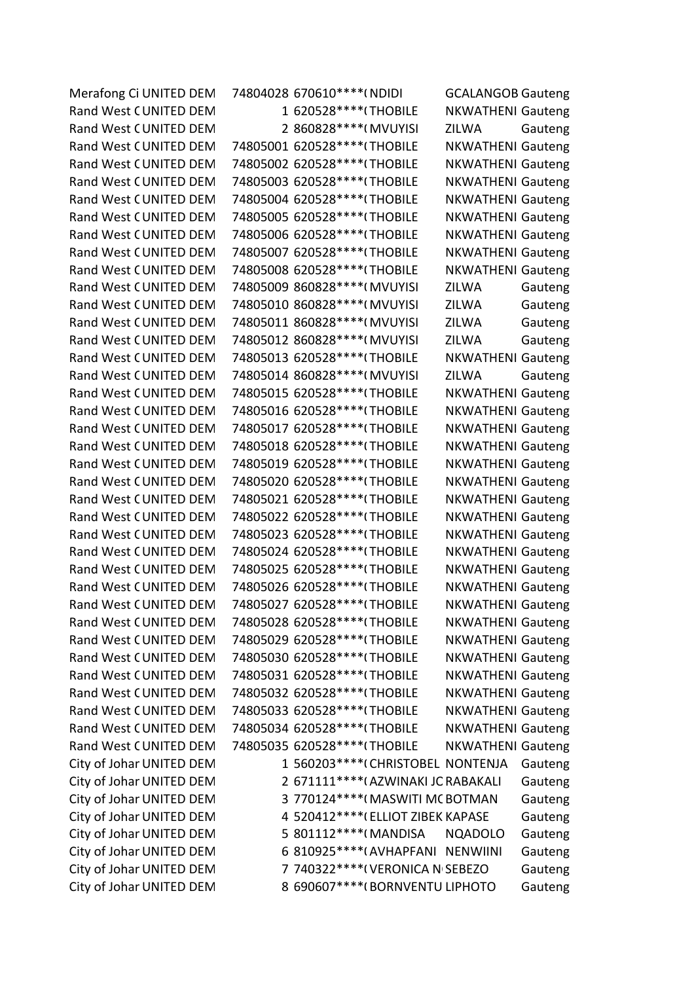| Merafong Ci UNITED DEM   | 74804028 670610 **** (NDIDI         | <b>GCALANGOB Gauteng</b> |         |
|--------------------------|-------------------------------------|--------------------------|---------|
| Rand West CUNITED DEM    | 1 620528 **** (THOBILE              | <b>NKWATHENI Gauteng</b> |         |
| Rand West CUNITED DEM    | 2 860828 **** (MVUYISI              | ZILWA                    | Gauteng |
| Rand West CUNITED DEM    | 74805001 620528 **** (THOBILE       | <b>NKWATHENI Gauteng</b> |         |
| Rand West CUNITED DEM    | 74805002 620528 **** (THOBILE       | <b>NKWATHENI Gauteng</b> |         |
| Rand West CUNITED DEM    | 74805003 620528 **** (THOBILE       | <b>NKWATHENI Gauteng</b> |         |
| Rand West CUNITED DEM    | 74805004 620528 **** (THOBILE       | <b>NKWATHENI Gauteng</b> |         |
| Rand West CUNITED DEM    | 74805005 620528 **** (THOBILE       | <b>NKWATHENI Gauteng</b> |         |
| Rand West CUNITED DEM    | 74805006 620528 **** (THOBILE       | <b>NKWATHENI Gauteng</b> |         |
| Rand West CUNITED DEM    | 74805007 620528 **** (THOBILE       | <b>NKWATHENI Gauteng</b> |         |
| Rand West CUNITED DEM    | 74805008 620528 **** (THOBILE       | <b>NKWATHENI Gauteng</b> |         |
| Rand West CUNITED DEM    | 74805009 860828 **** (MVUYISI       | <b>ZILWA</b>             | Gauteng |
| Rand West CUNITED DEM    | 74805010 860828 **** (MVUYISI       | ZILWA                    | Gauteng |
| Rand West CUNITED DEM    | 74805011 860828 **** (MVUYISI       | <b>ZILWA</b>             | Gauteng |
| Rand West CUNITED DEM    | 74805012 860828 **** (MVUYISI       | <b>ZILWA</b>             | Gauteng |
| Rand West CUNITED DEM    | 74805013 620528 **** (THOBILE       | <b>NKWATHENI Gauteng</b> |         |
| Rand West CUNITED DEM    | 74805014 860828 **** (MVUYISI       | <b>ZILWA</b>             | Gauteng |
| Rand West CUNITED DEM    | 74805015 620528 **** (THOBILE       | <b>NKWATHENI Gauteng</b> |         |
| Rand West CUNITED DEM    | 74805016 620528 **** (THOBILE       | <b>NKWATHENI Gauteng</b> |         |
| Rand West CUNITED DEM    | 74805017 620528 **** (THOBILE       | <b>NKWATHENI Gauteng</b> |         |
| Rand West CUNITED DEM    | 74805018 620528 **** (THOBILE       | <b>NKWATHENI Gauteng</b> |         |
| Rand West CUNITED DEM    | 74805019 620528 **** (THOBILE       | <b>NKWATHENI Gauteng</b> |         |
| Rand West CUNITED DEM    | 74805020 620528 **** (THOBILE       | <b>NKWATHENI Gauteng</b> |         |
| Rand West CUNITED DEM    | 74805021 620528 **** (THOBILE       | <b>NKWATHENI Gauteng</b> |         |
| Rand West CUNITED DEM    | 74805022 620528 **** (THOBILE       | <b>NKWATHENI Gauteng</b> |         |
| Rand West CUNITED DEM    | 74805023 620528 **** (THOBILE       | <b>NKWATHENI Gauteng</b> |         |
| Rand West CUNITED DEM    | 74805024 620528 **** (THOBILE       | <b>NKWATHENI Gauteng</b> |         |
| Rand West CUNITED DEM    | 74805025 620528 **** (THOBILE       | <b>NKWATHENI Gauteng</b> |         |
| Rand West CUNITED DEM    | 74805026 620528 **** (THOBILE       | <b>NKWATHENI Gauteng</b> |         |
| Rand West CUNITED DEM    | 74805027 620528 **** (THOBILE       | <b>NKWATHENI Gauteng</b> |         |
| Rand West CUNITED DEM    | 74805028 620528 **** (THOBILE       | <b>NKWATHENI Gauteng</b> |         |
| Rand West CUNITED DEM    | 74805029 620528 **** (THOBILE       | <b>NKWATHENI Gauteng</b> |         |
| Rand West CUNITED DEM    | 74805030 620528 **** (THOBILE       | <b>NKWATHENI Gauteng</b> |         |
| Rand West CUNITED DEM    | 74805031 620528 **** (THOBILE       | <b>NKWATHENI Gauteng</b> |         |
| Rand West CUNITED DEM    | 74805032 620528 **** (THOBILE       | <b>NKWATHENI Gauteng</b> |         |
| Rand West CUNITED DEM    | 74805033 620528 **** (THOBILE       | <b>NKWATHENI Gauteng</b> |         |
| Rand West CUNITED DEM    | 74805034 620528 **** (THOBILE       | <b>NKWATHENI Gauteng</b> |         |
| Rand West CUNITED DEM    | 74805035 620528 **** (THOBILE       | <b>NKWATHENI Gauteng</b> |         |
| City of Johar UNITED DEM | 1 560203 **** (CHRISTOBEL NONTENJA  |                          | Gauteng |
| City of Johar UNITED DEM | 2 671111 **** (AZWINAKI JC RABAKALI |                          | Gauteng |
| City of Johar UNITED DEM | 3 770124 **** (MASWITI MC BOTMAN    |                          | Gauteng |
| City of Johar UNITED DEM | 4 520412***** (ELLIOT ZIBEK KAPASE  |                          | Gauteng |
| City of Johar UNITED DEM | 5 801112 **** (MANDISA              | <b>NQADOLO</b>           | Gauteng |
| City of Johar UNITED DEM | 6 810925 **** (AVHAPFANI NENWIINI   |                          | Gauteng |
| City of Johar UNITED DEM | 7 740322****(VERONICA N SEBEZO      |                          | Gauteng |
| City of Johar UNITED DEM | 8 690607**** (BORNVENTU LIPHOTO     |                          | Gauteng |
|                          |                                     |                          |         |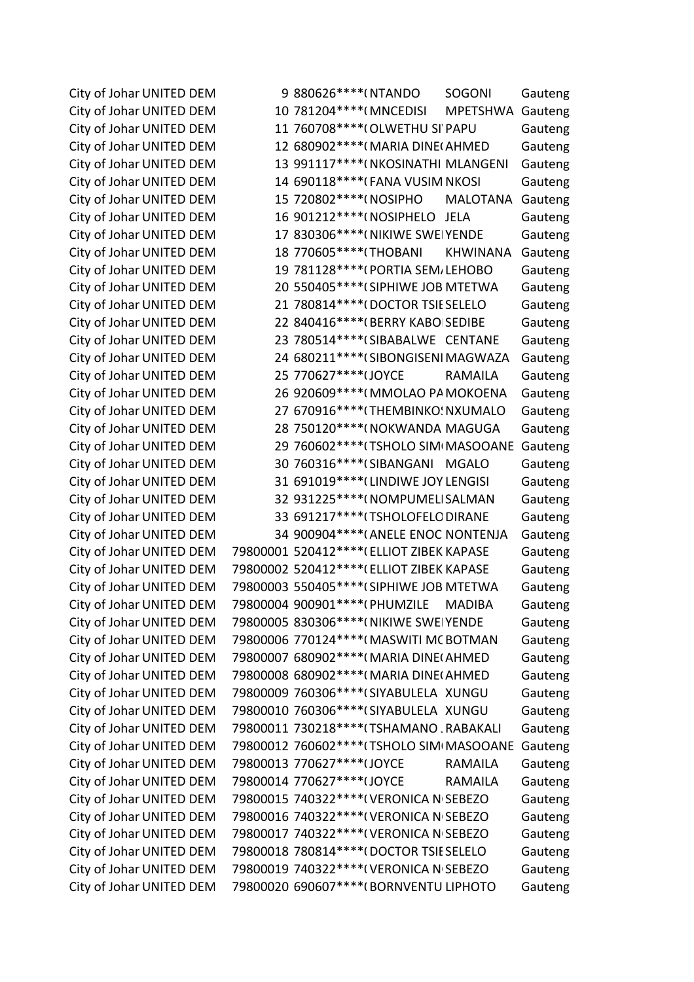City of Johar UNITED DEM 79800020 690607\*\*\*\*(BORNVENTU LIPHOTO Gauteng

City of Johar UNITED DEM 9 880626\*\*\*\*(NTANDO SOGONI Gauteng City of Johar UNITED DEM 10 781204\*\*\*\*(MNCEDISI MPETSHWA Gauteng City of Johar UNITED DEM 11 760708\*\*\*\*(OLWETHU SI' PAPU Gauteng City of Johar UNITED DEM 12 680902\*\*\*\*(MARIA DINE(AHMED Gauteng City of Johar UNITED DEM 13 991117\*\*\*\*(NKOSINATHI MLANGENI Gauteng City of Johar UNITED DEM 14 690118\*\*\*\*(FANA VUSIM NKOSI Gauteng City of Johar UNITED DEM 15 720802\*\*\*\*(NOSIPHO MALOTANA Gauteng City of Johar UNITED DEM 16 901212\*\*\*\*(NOSIPHELO JELA Gauteng City of Johar UNITED DEM 27 830306\*\*\*\*(NIKIWE SWEIYENDE Gauteng City of Johar UNITED DEM 18 770605\*\*\*\*(THOBANI KHWINANA Gauteng City of Johar UNITED DEM 19 781128\*\*\*\*(PORTIA SEM, LEHOBO Gauteng City of Johar UNITED DEM 20 550405\*\*\*\*(SIPHIWE JOB MTETWA Gauteng City of Johar UNITED DEM 21 780814\*\*\*\*(DOCTOR TSIE SELELO Gauteng City of Johar UNITED DEM 22 840416\*\*\*\*(BERRY KABO SEDIBE Gauteng City of Johar UNITED DEM 23 780514\*\*\*\* (SIBABALWE CENTANE Gauteng City of Johar UNITED DEM 24 680211\*\*\*\* (SIBONGISENI MAGWAZA Gauteng City of Johar UNITED DEM 25 770627\*\*\*\* (JOYCE RAMAILA Gauteng City of Johar UNITED DEM 26 920609\*\*\*\*(MMOLAO PA MOKOENA Gauteng City of Johar UNITED DEM 27 670916\*\*\*\*(THEMBINKO: NXUMALO Gauteng City of Johar UNITED DEM 28 750120\*\*\*\*(NOKWANDA MAGUGA Gauteng City of Johar UNITED DEM 29 760602\*\*\*\* (TSHOLO SIM MASOOANE Gauteng City of Johar UNITED DEM 30 760316\*\*\*\*(SIBANGANI MGALO Gauteng City of Johar UNITED DEM 31 691019\*\*\*\* (LINDIWE JOY LENGISI Gauteng City of Johar UNITED DEM 32 931225\*\*\*\*(NOMPUMELISALMAN Gauteng City of Johar UNITED DEM 33 691217\*\*\*\*(TSHOLOFELO DIRANE Gauteng City of Johar UNITED DEM 34 900904\*\*\*\*(ANELE ENOC NONTENJA Gauteng City of Johar UNITED DEM 79800001 520412\*\*\*\* (ELLIOT ZIBEK KAPASE Gauteng City of Johar UNITED DEM 79800002 520412\*\*\*\*(ELLIOT ZIBEK KAPASE Gauteng City of Johar UNITED DEM 79800003 550405\*\*\*\* (SIPHIWE JOB MTETWA Gauteng City of Johar UNITED DEM 79800004 900901\*\*\*\*(PHUMZILE MADIBA Gauteng City of Johar UNITED DEM 79800005 830306\*\*\*\*(NIKIWE SWEIYENDE Gauteng City of Johar UNITED DEM 79800006 770124\*\*\*\*(MASWITI MC BOTMAN Gauteng City of Johar UNITED DEM 79800007 680902\*\*\*\* (MARIA DINE (AHMED Gauteng City of Johar UNITED DEM 79800008 680902\*\*\*\*(MARIA DINE(AHMED Gauteng City of Johar UNITED DEM 79800009 760306\*\*\*\* (SIYABULELA XUNGU Gauteng City of Johar UNITED DEM 79800010 760306\*\*\*\* (SIYABULELA XUNGU Gauteng City of Johar UNITED DEM 79800011 730218\*\*\*\*(TSHAMANO , RABAKALI Gauteng City of Johar UNITED DEM 79800012 760602\*\*\*\* (TSHOLO SIM MASOOANE Gauteng City of Johar UNITED DEM 79800013 770627\*\*\*\* IJOYCE RAMAILA Gauteng City of Johar UNITED DEM 79800014 770627\*\*\*\* IOYCE RAMAILA Gauteng City of Johar UNITED DEM 79800015 740322\*\*\*\*(VERONICA N SEBEZO Gauteng City of Johar UNITED DEM 79800016 740322\*\*\*\*(VERONICA N SEBEZO Gauteng City of Johar UNITED DEM 79800017 740322\*\*\*\*(VERONICA N SEBEZO Gauteng City of Johar UNITED DEM 79800018 780814\*\*\*\*(DOCTOR TSIE SELELO Gauteng City of Johar UNITED DEM 79800019 740322\*\*\*\*(VERONICA N SEBEZO Gauteng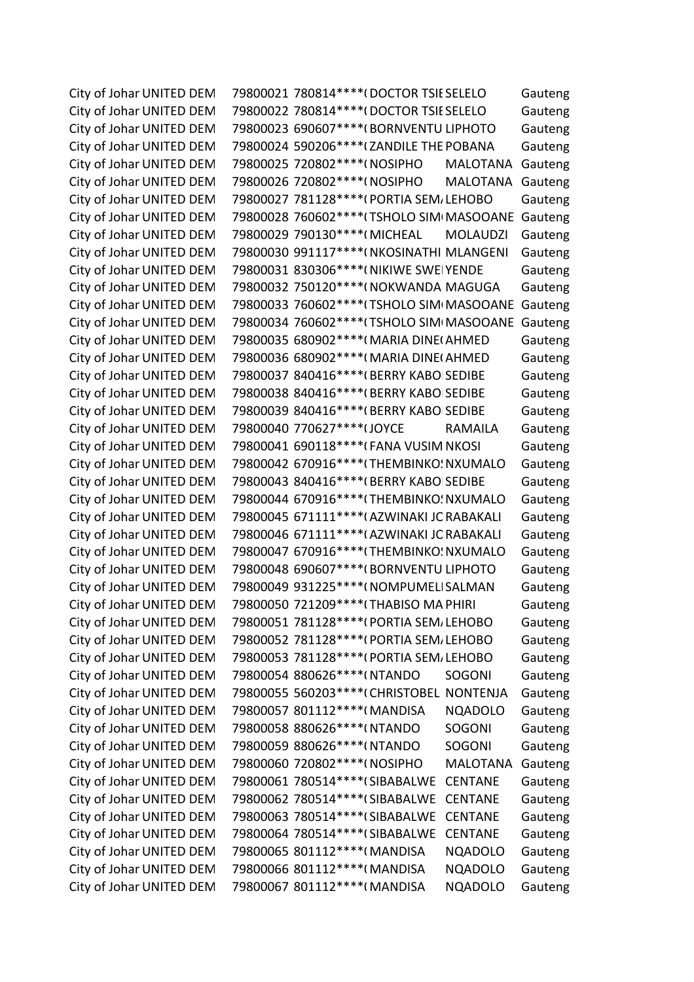City of Johar UNITED DEM 79800021 780814\*\*\*\*(DOCTOR TSIE SELELO Gauteng City of Johar UNITED DEM 79800022 780814\*\*\*\*(DOCTOR TSIE SELELO Gauteng City of Johar UNITED DEM 79800023 690607\*\*\*\*(BORNVENTU LIPHOTO Gauteng City of Johar UNITED DEM 79800024 590206\*\*\*\*(ZANDILE THE POBANA Gauteng City of Johar UNITED DEM 79800025 720802\*\*\*\* (NOSIPHO MALOTANA Gauteng City of Johar UNITED DEM 79800026 720802\*\*\*\* (NOSIPHO MALOTANA Gauteng City of Johar UNITED DEM 79800027 781128\*\*\*\*(PORTIA SEM/LEHOBO Gauteng City of Johar UNITED DEM 79800028 760602\*\*\*\* (TSHOLO SIM MASOOANE Gauteng City of Johar UNITED DEM 79800029 790130\*\*\*\* (MICHEAL MOLAUDZI Gauteng City of Johar UNITED DEM 79800030 991117\*\*\*\*(NKOSINATHI MLANGENI Gauteng City of Johar UNITED DEM 79800031 830306\*\*\*\*(NIKIWE SWEIYENDE Gauteng City of Johar UNITED DEM 79800032 750120\*\*\*\*(NOKWANDA MAGUGA Gauteng City of Johar UNITED DEM 79800033 760602\*\*\*\* (TSHOLO SIM MASOOANE Gauteng City of Johar UNITED DEM 79800034 760602\*\*\*\* (TSHOLO SIM MASOOANE Gauteng City of Johar UNITED DEM 79800035 680902\*\*\*\* (MARIA DINE (AHMED Gauteng City of Johar UNITED DEM 79800036 680902\*\*\*\* (MARIA DINE (AHMED Gauteng City of Johar UNITED DEM 79800037 840416\*\*\*\* (BERRY KABO SEDIBE Gauteng City of Johar UNITED DEM 79800038 840416\*\*\*\* (BERRY KABO SEDIBE Gauteng City of Johar UNITED DEM 79800039 840416\*\*\*\* (BERRY KABO SEDIBE Gauteng City of Johar UNITED DEM 79800040 770627\*\*\*\* I JOYCE RAMAILA Gauteng City of Johar UNITED DEM 79800041 690118\*\*\*\* (FANA VUSIM NKOSI Gauteng City of Johar UNITED DEM 79800042 670916\*\*\*\* (THEMBINKO: NXUMALO Gauteng City of Johar UNITED DEM 79800043 840416\*\*\*\*(BERRY KABO SEDIBE Gauteng City of Johar UNITED DEM 79800044 670916\*\*\*\* (THEMBINKO: NXUMALO Gauteng City of Johar UNITED DEM 79800045 671111\*\*\*\*(AZWINAKI JC RABAKALI Gauteng City of Johar UNITED DEM 79800046 671111\*\*\*\*(AZWINAKI JC RABAKALI Gauteng City of Johar UNITED DEM 79800047 670916\*\*\*\* (THEMBINKO: NXUMALO Gauteng City of Johar UNITED DEM 79800048 690607\*\*\*\*(BORNVENTU LIPHOTO Gauteng City of Johar UNITED DEM 79800049 931225\*\*\*\*(NOMPUMELISALMAN Gauteng City of Johar UNITED DEM 79800050 721209\*\*\*\* (THABISO MA PHIRI Gauteng City of Johar UNITED DEM 79800051 781128\*\*\*\*(PORTIA SEM/LEHOBO Gauteng City of Johar UNITED DEM 79800052 781128\*\*\*\*(PORTIA SEM/LEHOBO Gauteng City of Johar UNITED DEM 79800053 781128\*\*\*\*(PORTIA SEM/LEHOBO Gauteng City of Johar UNITED DEM 79800054 880626\*\*\*\*(NTANDO SOGONI Gauteng City of Johar UNITED DEM 79800055 560203\*\*\*\*(CHRISTOBEL NONTENJA Gauteng City of Johar UNITED DEM 79800057 801112\*\*\*\*(MANDISA NQADOLO Gauteng City of Johar UNITED DEM 79800058 880626\*\*\*\*(NTANDO SOGONI Gauteng City of Johar UNITED DEM 79800059 880626\*\*\*\*(NTANDO SOGONI Gauteng City of Johar UNITED DEM 79800060 720802\*\*\*\* (NOSIPHO MALOTANA Gauteng City of Johar UNITED DEM 79800061 780514\*\*\*\* (SIBABALWE CENTANE Gauteng City of Johar UNITED DEM 79800062 780514\*\*\*\* (SIBABALWE CENTANE Gauteng City of Johar UNITED DEM 79800063 780514\*\*\*\* (SIBABALWE CENTANE Gauteng City of Johar UNITED DEM 79800064 780514\*\*\*\* (SIBABALWE CENTANE Gauteng City of Johar UNITED DEM 79800065 801112\*\*\*\*(MANDISA NQADOLO Gauteng City of Johar UNITED DEM 79800066 801112\*\*\*\*(MANDISA NQADOLO Gauteng City of Johar UNITED DEM 79800067 801112\*\*\*\*(MANDISA NQADOLO Gauteng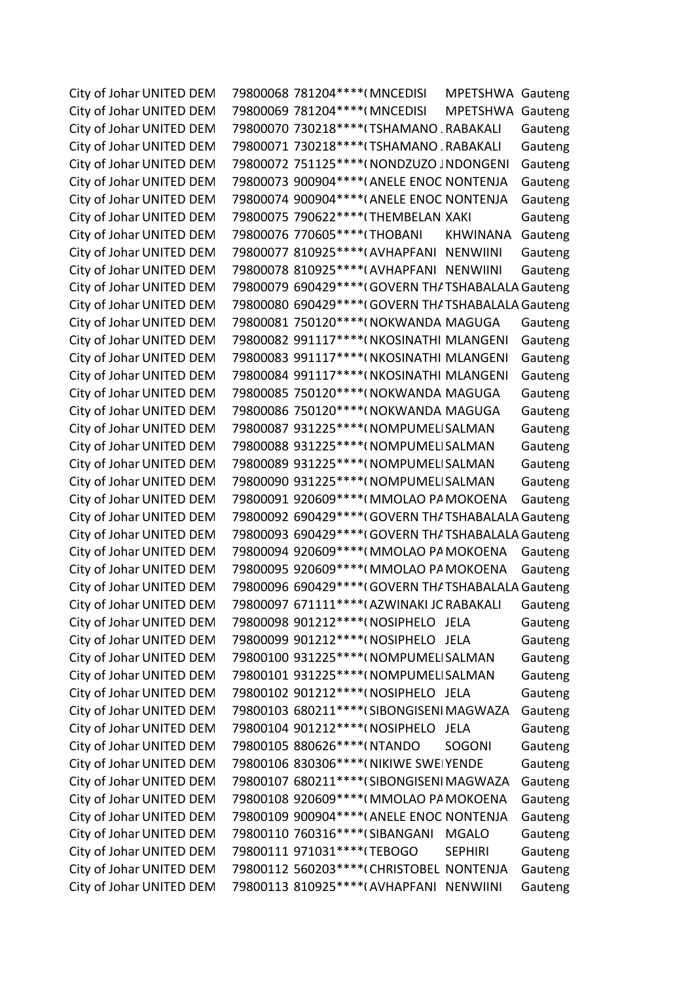City of Johar UNITED DEM 79800068 781204\*\*\*\* (MNCEDISI MPETSHWA Gauteng City of Johar UNITED DEM 79800069 781204\*\*\*\* (MNCEDISI MPETSHWA Gauteng City of Johar UNITED DEM 79800070 730218\*\*\*\* (TSHAMANO , RABAKALI Gauteng City of Johar UNITED DEM 79800071 730218\*\*\*\*(TSHAMANO . RABAKALI Gauteng City of Johar UNITED DEM 79800072 751125\*\*\*\*( NONDZUZO JNDONGENI Gauteng City of Johar UNITED DEM 79800073 900904\*\*\*\*(ANELE ENOC NONTENJA Gauteng City of Johar UNITED DEM 79800074 900904\*\*\*\*(ANELE ENOC NONTENJA Gauteng City of Johar UNITED DEM 79800075 790622\*\*\*\* (THEMBELANIXAKI Gauteng City of Johar UNITED DEM 79800076 770605\*\*\*\* (THOBANI KHWINANA Gauteng City of Johar UNITED DEM 79800077 810925\*\*\*\*(AVHAPFANI NENWIINI Gauteng City of Johar UNITED DEM 79800078 810925\*\*\*\*(AVHAPFANI NENWIINI Gauteng City of Johar UNITED DEM 79800079 690429\*\*\*\*(GOVERN THATSHABALALA Gauteng City of Johar UNITED DEM 79800080 690429\*\*\*\*(GOVERN THATSHABALALA Gauteng City of Johar UNITED DEM 79800081 750120\*\*\*\*(NOKWANDA MAGUGA Gauteng City of Johar UNITED DEM 79800082 991117\*\*\*\*(NKOSINATHI MLANGENI Gauteng City of Johar UNITED DEM 79800083 991117\*\*\*\*(NKOSINATHI MLANGENI Gauteng City of Johar UNITED DEM 79800084 991117\*\*\*\*(NKOSINATHI MLANGENI Gauteng City of Johar UNITED DEM 79800085 750120\*\*\*\*(NOKWANDA MAGUGA Gauteng City of Johar UNITED DEM 79800086 750120\*\*\*\*(NOKWANDA MAGUGA Gauteng City of Johar UNITED DEM 79800087 931225\*\*\*\*(NOMPUMELISALMAN Gauteng City of Johar UNITED DEM 79800088 931225\*\*\*\*(NOMPUMELISALMAN Gauteng City of Johar UNITED DEM 79800089 931225\*\*\*\*(NOMPUMELISALMAN Gauteng City of Johar UNITED DEM 79800090 931225\*\*\*\*(NOMPUMELISALMAN Gauteng City of Johar UNITED DEM 79800091 920609\*\*\*\*(MMOLAO PA MOKOENA Gauteng City of Johar UNITED DEM 79800092 690429\*\*\*\*(GOVERN THATSHABALALA Gauteng City of Johar UNITED DEM 79800093 690429\*\*\*\*(GOVERN THATSHABALALA Gauteng City of Johar UNITED DEM 79800094 920609\*\*\*\*(MMOLAO PA MOKOENA Gauteng City of Johar UNITED DEM 79800095 920609\*\*\*\*(MMOLAO PA MOKOENA Gauteng City of Johar UNITED DEM 79800096 690429\*\*\*\*(GOVERN THATSHABALALA Gauteng City of Johar UNITED DEM 79800097 671111\*\*\*\*(AZWINAKI JC RABAKALI Gauteng City of Johar UNITED DEM 79800098 901212\*\*\*\*(NOSIPHELO JELA Gauteng City of Johar UNITED DEM 79800099 901212\*\*\*\*(NOSIPHELO JELA Gauteng City of Johar UNITED DEM 79800100 931225\*\*\*\*(NOMPUMELISALMAN Gauteng City of Johar UNITED DEM 79800101 931225\*\*\*\*(NOMPUMELISALMAN Gauteng City of Johar UNITED DEM 79800102 901212\*\*\*\*(NOSIPHELO JELA Gauteng City of Johar UNITED DEM 79800103 680211\*\*\*\*(SIBONGISENI MAGWAZA Gauteng City of Johar UNITED DEM 79800104 901212\*\*\*\*(NOSIPHELO JELA Gauteng City of Johar UNITED DEM 79800105 880626\*\*\*\*(NTANDO SOGONI Gauteng City of Johar UNITED DEM 79800106 830306\*\*\*\*(NIKIWE SWEIYENDE Gauteng City of Johar UNITED DEM 79800107 680211\*\*\*\*(SIBONGISENI MAGWAZA Gauteng City of Johar UNITED DEM 79800108 920609\*\*\*\*(MMOLAO PA MOKOENA Gauteng City of Johar UNITED DEM 79800109 900904\*\*\*\*(ANELE ENOC NONTENJA Gauteng City of Johar UNITED DEM 79800110 760316\*\*\*\* (SIBANGANI MGALO Gauteng City of Johar UNITED DEM 79800111 971031\*\*\*\*(TEBOGO SEPHIRI Gauteng City of Johar UNITED DEM 79800112 560203\*\*\*\*(CHRISTOBEL NONTENJA Gauteng City of Johar UNITED DEM 79800113 810925\*\*\*\*(AVHAPFANI NENWIINI Gauteng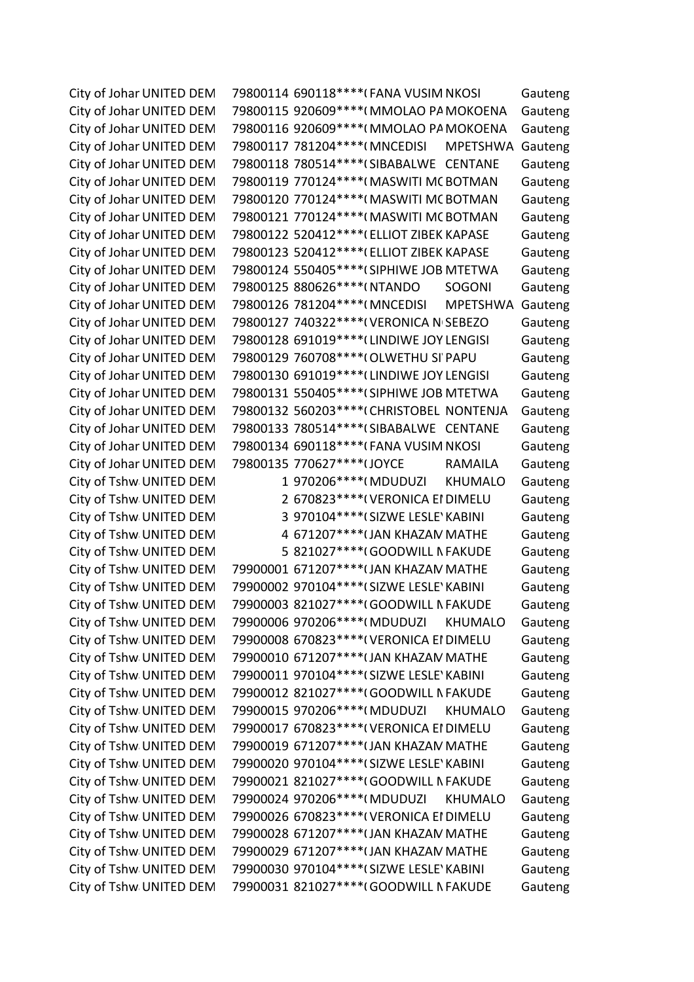City of Johar UNITED DEM 79800114 690118\*\*\*\* (FANA VUSIM NKOSI Gauteng City of Johar UNITED DEM 79800115 920609\*\*\*\*(MMOLAO PA MOKOENA Gauteng City of Johar UNITED DEM 79800116 920609\*\*\*\*(MMOLAO PA MOKOENA Gauteng City of Johar UNITED DEM 79800117 781204\*\*\*\* (MNCEDISI MPETSHWA Gauteng City of Johar UNITED DEM 79800118 780514\*\*\*\* (SIBABALWE CENTANE Gauteng City of Johar UNITED DEM 79800119 770124\*\*\*\*(MASWITI MC BOTMAN Gauteng City of Johar UNITED DEM 79800120 770124\*\*\*\*(MASWITI MC BOTMAN Gauteng City of Johar UNITED DEM 79800121 770124\*\*\*\*(MASWITI MC BOTMAN Gauteng City of Johar UNITED DEM 79800122 520412\*\*\*\*(ELLIOT ZIBEK KAPASE Gauteng City of Johar UNITED DEM 79800123 520412\*\*\*\*(ELLIOT ZIBEK KAPASE Gauteng City of Johar UNITED DEM 79800124 550405\*\*\*\*(SIPHIWE JOB MTETWA Gauteng City of Johar UNITED DEM 79800125 880626\*\*\*\*(NTANDO SOGONI Gauteng City of Johar UNITED DEM 79800126 781204\*\*\*\* (MNCEDISI MPETSHWA Gauteng City of Johar UNITED DEM 79800127 740322\*\*\*\*(VERONICA N SEBEZO Gauteng City of Johar UNITED DEM 79800128 691019\*\*\*\* (LINDIWE JOY LENGISI Gauteng City of Johar UNITED DEM 79800129 760708\*\*\*\*(OLWETHU SI' PAPU Gauteng City of Johar UNITED DEM 79800130 691019\*\*\*\* (LINDIWE JOY LENGISI Gauteng City of Johar UNITED DEM 79800131 550405\*\*\*\*(SIPHIWE JOB MTETWA Gauteng City of Johar UNITED DEM 79800132 560203\*\*\*\*(CHRISTOBEL NONTENJA Gauteng City of Johar UNITED DEM 79800133 780514\*\*\*\* (SIBABALWE CENTANE Gauteng City of Johar UNITED DEM 79800134 690118\*\*\*\*(FANA VUSIM NKOSI Gauteng City of Johar UNITED DEM 79800135 770627\*\*\*\* I JOYCE RAMAILA Gauteng City of Tshw UNITED DEM 1 970206\*\*\*\*(MDUDUZI KHUMALO Gauteng City of Tshw UNITED DEM 2 670823\*\*\*\*(VERONICA EI DIMELU Gauteng City of Tshw UNITED DEM 3 970104\*\*\*\*(SIZWE LESLE' KABINI Gauteng City of Tshw UNITED DEM 4 671207\*\*\*\* (JAN KHAZAM MATHE Gauteng City of Tshw UNITED DEM 5 821027\*\*\*\*(GOODWILL N FAKUDE Gauteng City of Tshw UNITED DEM 79900001 671207\*\*\*\* (JAN KHAZAM MATHE Gauteng City of Tshw UNITED DEM 79900002 970104\*\*\*\* (SIZWE LESLE' KABINI Gauteng City of Tshw UNITED DEM 79900003 821027\*\*\*\*(GOODWILL N FAKUDE Gauteng City of Tshw UNITED DEM 79900006 970206\*\*\*\*(MDUDUZI KHUMALO Gauteng City of Tshw UNITED DEM 79900008 670823\*\*\*\*(VERONICA EI DIMELU Gauteng City of Tshw UNITED DEM 79900010 671207\*\*\*\* (JAN KHAZAM MATHE Gauteng City of Tshw UNITED DEM 79900011 970104\*\*\*\*(SIZWE LESLE' KABINI Gauteng City of Tshw UNITED DEM 79900012 821027\*\*\*\*(GOODWILL N FAKUDE Gauteng City of Tshw UNITED DEM 79900015 970206\*\*\*\*(MDUDUZI KHUMALO Gauteng City of Tshw UNITED DEM 79900017 670823\*\*\*\*(VERONICA EI DIMELU Gauteng City of Tshw UNITED DEM 79900019 671207\*\*\*\* (JAN KHAZAM MATHE Gauteng City of Tshw UNITED DEM 79900020 970104\*\*\*\* (SIZWE LESLE' KABINI Gauteng City of Tshw UNITED DEM 79900021 821027\*\*\*\*(GOODWILL N FAKUDE Gauteng City of Tshw UNITED DEM 79900024 970206\*\*\*\*(MDUDUZI KHUMALO Gauteng City of Tshw UNITED DEM 79900026 670823\*\*\*\*(VERONICA EI DIMELU Gauteng City of Tshw UNITED DEM 79900028 671207\*\*\*\* (JAN KHAZAM MATHE Gauteng City of Tshw UNITED DEM 79900029 671207\*\*\*\* (JAN KHAZAM MATHE Gauteng City of Tshw UNITED DEM 79900030 970104\*\*\*\*(SIZWE LESLE' KABINI Gauteng City of Tshw UNITED DEM 79900031 821027\*\*\*\*(GOODWILL N FAKUDE Gauteng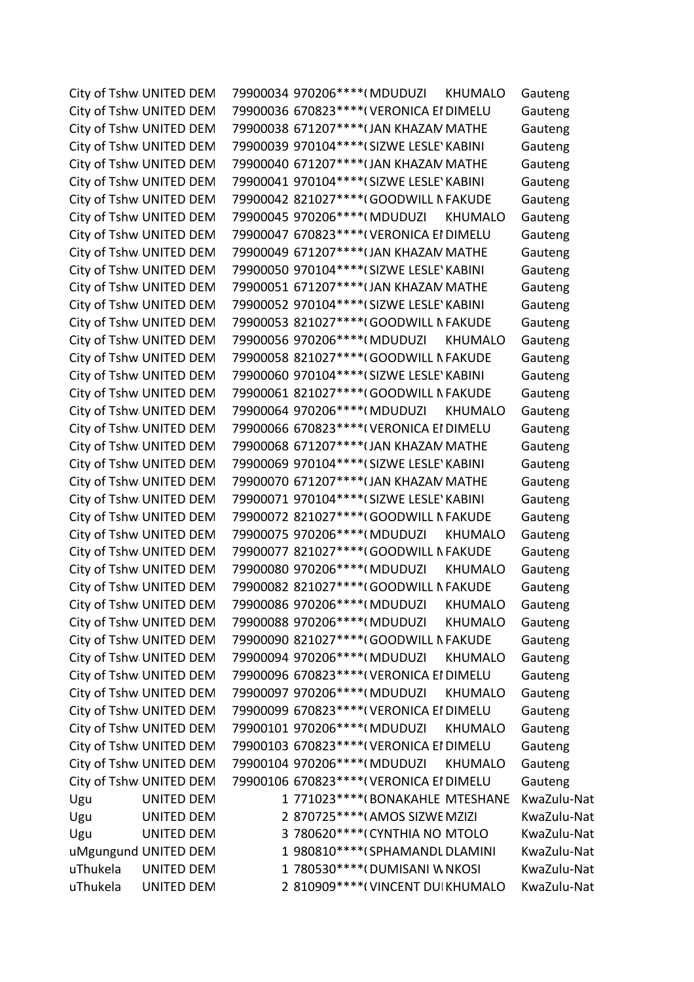City of Tshw UNITED DEM 79900034 970206\*\*\*\*(MDUDUZI KHUMALO Gauteng City of Tshw UNITED DEM 79900036 670823\*\*\*\*(VERONICA EI DIMELU Gauteng City of Tshw UNITED DEM 79900038 671207\*\*\*\* (JAN KHAZAM MATHE Gauteng City of Tshw UNITED DEM 79900039 970104\*\*\*\* (SIZWE LESLE' KABINI Gauteng City of Tshw UNITED DEM 79900040 671207\*\*\*\* (JAN KHAZAM MATHE Gauteng City of Tshw UNITED DEM 79900041 970104\*\*\*\* (SIZWE LESLE' KABINI Gauteng City of Tshw UNITED DEM 79900042 821027\*\*\*\*(GOODWILL N FAKUDE Gauteng City of Tshw UNITED DEM 79900045 970206\*\*\*\*(MDUDUZI KHUMALO Gauteng City of Tshw UNITED DEM 79900047 670823\*\*\*\*(VERONICA EI DIMELU Gauteng City of Tshw UNITED DEM 79900049 671207\*\*\*\* (JAN KHAZAM MATHE Gauteng City of Tshw UNITED DEM 79900050 970104\*\*\*\*(SIZWE LESLE' KABINI Gauteng City of Tshw UNITED DEM 79900051 671207\*\*\*\* (JAN KHAZAM MATHE Gauteng City of Tshw UNITED DEM 79900052 970104\*\*\*\* (SIZWE LESLE' KABINI Gauteng City of Tshw UNITED DEM 79900053 821027\*\*\*\*(GOODWILL N FAKUDE Gauteng City of Tshw UNITED DEM 79900056 970206\*\*\*\*(MDUDUZI KHUMALO Gauteng City of Tshw UNITED DEM 79900058 821027\*\*\*\*(GOODWILL N FAKUDE Gauteng City of Tshw UNITED DEM 79900060 970104\*\*\*\* (SIZWE LESLE' KABINI Gauteng City of Tshw UNITED DEM 79900061 821027\*\*\*\*(GOODWILL N FAKUDE Gauteng City of Tshw UNITED DEM 79900064 970206\*\*\*\*(MDUDUZI KHUMALO Gauteng City of Tshw UNITED DEM 79900066 670823\*\*\*\*(VERONICA EI DIMELU Gauteng City of Tshw UNITED DEM 79900068 671207\*\*\*\* (JAN KHAZAM MATHE Gauteng City of Tshw UNITED DEM 79900069 970104\*\*\*\*(SIZWE LESLE' KABINI Gauteng City of Tshw UNITED DEM 79900070 671207\*\*\*\* (JAN KHAZAM MATHE Gauteng City of Tshw UNITED DEM 79900071 970104\*\*\*\*(SIZWE LESLE' KABINI Gauteng City of Tshw UNITED DEM 79900072 821027\*\*\*\*(GOODWILL N FAKUDE Gauteng City of Tshw UNITED DEM 79900075 970206\*\*\*\*(MDUDUZI KHUMALO Gauteng City of Tshw UNITED DEM 79900077 821027\*\*\*\*(GOODWILL N FAKUDE Gauteng City of Tshw UNITED DEM 79900080 970206\*\*\*\*(MDUDUZI KHUMALO Gauteng City of Tshw UNITED DEM 79900082 821027\*\*\*\*(GOODWILL N FAKUDE Gauteng City of Tshw UNITED DEM 79900086 970206\*\*\*\*(MDUDUZI KHUMALO Gauteng City of Tshw UNITED DEM 79900088 970206\*\*\*\*(MDUDUZI KHUMALO Gauteng City of Tshw UNITED DEM 79900090 821027\*\*\*\*(GOODWILL N FAKUDE Gauteng City of Tshw UNITED DEM 79900094 970206\*\*\*\*(MDUDUZI KHUMALO Gauteng City of Tshw UNITED DEM 79900096 670823\*\*\*\*(VERONICA EI DIMELU Gauteng City of Tshw UNITED DEM 79900097 970206\*\*\*\*(MDUDUZI KHUMALO Gauteng City of Tshw UNITED DEM 79900099 670823\*\*\*\*(VERONICA EI DIMELU Gauteng City of Tshw UNITED DEM 79900101 970206\*\*\*\*(MDUDUZI KHUMALO Gauteng City of Tshw UNITED DEM 79900103 670823\*\*\*\*(VERONICA EI DIMELU Gauteng City of Tshw UNITED DEM 79900104 970206\*\*\*\*(MDUDUZI KHUMALO Gauteng City of Tshw UNITED DEM 79900106 670823\*\*\*\*(VERONICA EI DIMELU Gauteng Ugu UNITED DEM 1 771023\*\*\*\*(BONAKAHLE MTESHANE KwaZulu-Nat Ugu UNITED DEM 2 870725\*\*\*\*(AMOS SIZWE MZIZI KwaZulu-Nat Ugu UNITED DEM 3 780620\*\*\*\*(CYNTHIA NOMTOLO KwaZulu-Nat uMgungund UNITED DEM 1 980810\*\*\*\*(SPHAMANDL DLAMINI KwaZulu-Nat uThukela UNITED DEM 1 780530\*\*\*\*(DUMISANI W NKOSI KwaZulu-Nat uThukela UNITED DEM 2 810909\*\*\*\*(VINCENT DUIKHUMALO KwaZulu-Nat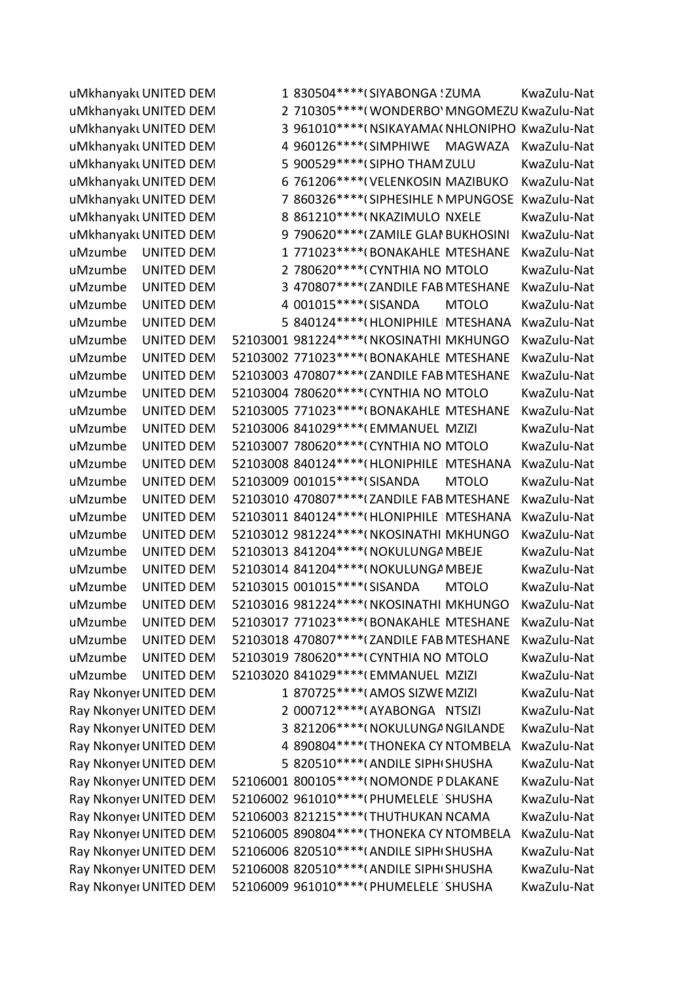uMkhanyakı UNITED DEM 1 830504\*\*\*\* (SIYABONGA 'ZUMA KwaZulu-Nat uMkhanyakı UNITED DEM 2 710305\*\*\*\*(WONDERBO' MNGOMEZU KwaZulu-Nat uMkhanyaki UNITED DEM 3 961010\*\*\*\*(NSIKAYAMAC NHLONIPHO KwaZulu-Nat uMkhanyakı UNITED DEM 4 960126\*\*\*\* (SIMPHIWE MAGWAZA KwaZulu-Nat uMkhanyakı UNITED DEM 5 900529\*\*\*\* (SIPHO THAM ZULU KwaZulu-Nat uMkhanyakı UNITED DEM 6 761206\*\*\*\*(VELENKOSIN MAZIBUKO KwaZulu-Nat uMkhanyakı UNITED DEM 7 860326\*\*\*\* (SIPHESIHLE NMPUNGOSE KwaZulu-Nat uMkhanyakı UNITED DEM 8 861210\*\*\*\*(NKAZIMULO NXELE KwaZulu-Nat uMkhanyakı UNITED DEM 9 790620\*\*\*\* (ZAMILE GLAI BUKHOSINI KwaZulu-Nat uMzumbe UNITED DEM 1 771023\*\*\*\*(BONAKAHLE MTESHANE KwaZulu-Nat uMzumbe UNITED DEM 2 780620\*\*\*\*(CYNTHIA NO MTOLO KwaZulu-Nat uMzumbe UNITED DEM 3 470807\*\*\*\*(ZANDILE FAB MTESHANE KwaZulu-Nat uMzumbe UNITED DEM 4 001015\*\*\*\*(SISANDA MTOLO KwaZulu-Nat uMzumbe UNITED DEM 5 840124\*\*\*\*(HLONIPHILE MTESHANA KwaZulu-Nat uMzumbe UNITED DEM 52103001 981224\*\*\*\*(NKOSINATHI MKHUNGO KwaZulu-Nat uMzumbe UNITED DEM 52103002 771023\*\*\*\*(BONAKAHLE MTESHANE KwaZulu-Nat uMzumbe UNITED DEM 52103003 470807\*\*\*\* (ZANDILE FAB MTESHANE KwaZulu-Nat uMzumbe UNITED DEM 52103004 780620\*\*\*\*(CYNTHIA NOMTOLO KwaZulu-Nat uMzumbe UNITED DEM 52103005 771023\*\*\*\*(BONAKAHLE MTESHANE KwaZulu-Nat uMzumbe UNITED DEM 52103006 841029\*\*\*\*(EMMANUEL MZIZI KwaZulu-Nat uMzumbe UNITED DEM 52103007 780620\*\*\*\*(CYNTHIA NO MTOLO KwaZulu-Nat uMzumbe UNITED DEM 52103008 840124\*\*\*\*(HLONIPHILE MTESHANA KwaZulu-Nat uMzumbe UNITED DEM 52103009 001015\*\*\*\*(SISANDA MTOLO KwaZulu-Nat uMzumbe UNITED DEM 52103010 470807\*\*\*\*(ZANDILE FAB MTESHANE KwaZulu-Nat uMzumbe UNITED DEM 52103011 840124\*\*\*\* (HLONIPHILE | MTESHANA KwaZulu-Nat uMzumbe UNITED DEM 52103012 981224\*\*\*\*(NKOSINATHI MKHUNGO KwaZulu-Nat uMzumbe UNITED DEM 52103013 841204\*\*\*\*(NOKULUNGA MBEJE KwaZulu-Nat uMzumbe UNITED DEM 52103014 841204\*\*\*\*(NOKULUNGA MBEJE KwaZulu-Nat uMzumbe UNITED DEM 52103015 001015\*\*\*\*(SISANDA MTOLO KwaZulu-Nat uMzumbe UNITED DEM 52103016 981224\*\*\*\*(NKOSINATHI MKHUNGO KwaZulu-Nat uMzumbe UNITED DEM 52103017 771023\*\*\*\*(BONAKAHLE MTESHANE KwaZulu-Nat uMzumbe UNITED DEM 52103018 470807\*\*\*\* (ZANDILE FAB MTESHANE KwaZulu-Nat uMzumbe UNITED DEM 52103019 780620\*\*\*\*(CYNTHIA NO MTOLO KwaZulu-Nat uMzumbe UNITED DEM 52103020 841029\*\*\*\*(EMMANUEL MZIZI KwaZulu-Nat Ray Nkonyei UNITED DEM 1 870725 \*\*\*\* (AMOS SIZWE MZIZI KwaZulu-Nat Ray Nkonyei UNITED DEM 2 000712\*\*\*\*(AYABONGA NTSIZI KwaZulu-Nat Ray Nkonyei UNITED DEM 3 821206\*\*\*\*(NOKULUNGANGILANDE KwaZulu-Nat Ray Nkonyei UNITED DEM 4 890804\*\*\*\*(THONEKA CYNTOMBELA KwaZulu-Nat Ray Nkonyei UNITED DEM 5 820510\*\*\*\*(ANDILE SIPHISHUSHA KwaZulu-Nat Ray Nkonyei UNITED DEM 52106001 800105\*\*\*\*(NOMONDE PDLAKANE KwaZulu-Nat Ray Nkonyei UNITED DEM 52106002 961010\*\*\*\*(PHUMELELE SHUSHA KwaZulu-Nat Ray Nkonyei UNITED DEM 52106003 821215\*\*\*\* (THUTHUKAN NCAMA KwaZulu-Nat Ray Nkonyei UNITED DEM 52106005 890804\*\*\*\*(THONEKA CYNTOMBELA KwaZulu-Nat Ray Nkonyei UNITED DEM 52106006 820510\*\*\*\*(ANDILE SIPH(SHUSHA KwaZulu-Nat Ray Nkonyer UNITED DEM 52106008 820510\*\*\*\* (ANDILE SIPH SHUSHA KwaZulu-Nat Ray Nkonyei UNITED DEM 52106009 961010\*\*\*\*(PHUMELELE SHUSHA KwaZulu-Nat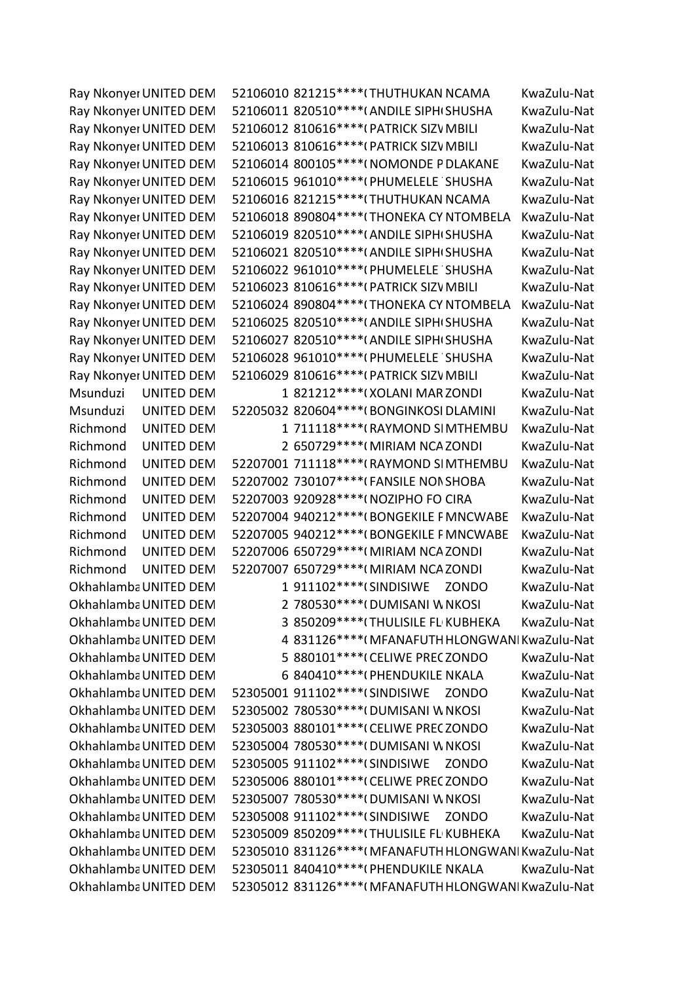Ray Nkonyei UNITED DEM 52106010 821215\*\*\*\*(THUTHUKAN NCAMA KwaZulu-Nat Ray Nkonyei UNITED DEM 52106011 820510\*\*\*\*(ANDILE SIPH(SHUSHA KwaZulu-Nat Ray Nkonyei UNITED DEM 52106012 810616\*\*\*\*(PATRICK SIZV MBILI KwaZulu-Nat Ray Nkonyei UNITED DEM 52106013 810616\*\*\*\*(PATRICK SIZV MBILI KwaZulu-Nat Ray Nkonyei UNITED DEM 52106014 800105\*\*\*\*(NOMONDE PDLAKANE KwaZulu-Nat Ray Nkonyei UNITED DEM 52106015 961010\*\*\*\*(PHUMELELE SHUSHA KwaZulu-Nat Ray Nkonyei UNITED DEM 52106016 821215\*\*\*\* (THUTHUKAN NCAMA KwaZulu-Nat Ray Nkonyei UNITED DEM 52106018 890804\*\*\*\*(THONEKA CYNTOMBELA KwaZulu-Nat Ray Nkonyei UNITED DEM 52106019 820510\*\*\*\*(ANDILE SIPH(SHUSHA KwaZulu-Nat Ray Nkonyei UNITED DEM 52106021 820510\*\*\*\*(ANDILE SIPHISHUSHA KwaZulu-Nat Ray Nkonyei UNITED DEM 52106022 961010\*\*\*\*(PHUMELELE SHUSHA KwaZulu-Nat Ray Nkonyer UNITED DEM 52106023 810616\*\*\*\*(PATRICK SIZV MBILI KwaZulu-Nat Ray Nkonyei UNITED DEM 52106024 890804\*\*\*\*(THONEKA CYNTOMBELA KwaZulu-Nat Ray Nkonyei UNITED DEM 52106025 820510\*\*\*\*(ANDILE SIPH(SHUSHA KwaZulu-Nat Ray Nkonyer UNITED DEM 52106027 820510\*\*\*\* (ANDILE SIPH SHUSHA KwaZulu-Nat Ray Nkonyei UNITED DEM 52106028 961010\*\*\*\*(PHUMELELE SHUSHA KwaZulu-Nat Ray Nkonyei UNITED DEM 52106029 810616\*\*\*\*(PATRICK SIZV MBILI KwaZulu-Nat Msunduzi UNITED DEM 1 821212\*\*\*\*(XOLANI MAR ZONDI KwaZulu-Nat Msunduzi UNITED DEM 52205032 820604\*\*\*\*(BONGINKOSI DLAMINI KwaZulu-Nat Richmond UNITED DEM 1 711118\*\*\*\*(RAYMOND SIMTHEMBU KwaZulu-Nat Richmond UNITED DEM 2 650729\*\*\*\*(MIRIAM NCA ZONDI KwaZulu-Nat Richmond UNITED DEM 52207001 711118\*\*\*\*(RAYMOND SIMTHEMBU KwaZulu-Nat Richmond UNITED DEM 52207002 730107\*\*\*\*(FANSILE NON SHOBA KwaZulu-Nat Richmond UNITED DEM 52207003 920928\*\*\*\*(NOZIPHO FO CIRA KwaZulu-Nat Richmond UNITED DEM 52207004 940212\*\*\*\*(BONGEKILE FMNCWABE KwaZulu-Nat Richmond UNITED DEM 52207005 940212\*\*\*\*(BONGEKILE F MNCWABE KwaZulu-Nat Richmond UNITED DEM 52207006 650729\*\*\*\*(MIRIAM NCA ZONDI KwaZulu-Nat Richmond UNITED DEM 52207007 650729\*\*\*\*(MIRIAM NCA ZONDI KwaZulu-Nat OkhahlambaUNITED DEM 1911102\*\*\*\*(SINDISIWE ZONDO KwaZulu-Nat OkhahlambaUNITED DEM 2 780530\*\*\*\*(DUMISANI W NKOSI KwaZulu-Nat OkhahlambaUNITED DEM 3 850209\*\*\*\*(THULISILE FL KUBHEKA KwaZulu-Nat Okhahlamba UNITED DEM 4 831126\*\*\*\*(MFANAFUTH HLONGWANI KwaZulu-Nat OkhahlambaUNITED DEM 5 880101\*\*\*\*(CELIWE PRECZONDO KwaZulu-Nat OkhahlambaUNITED DEM 6 840410\*\*\*\*(PHENDUKILE NKALA KwaZulu-Nat OkhahlambaUNITED DEM 52305001 911102\*\*\*\*(SINDISIWE ZONDO KwaZulu-Nat OkhahlambaUNITED DEM 52305002 780530\*\*\*\*(DUMISANI W NKOSI KwaZulu-Nat OkhahlambaUNITED DEM 52305003 880101\*\*\*\*(CELIWE PRECZONDO KwaZulu-Nat Okhahlamba UNITED DEM 52305004 780530\*\*\*\*(DUMISANI W NKOSI KwaZulu-Nat OkhahlambaUNITED DEM 52305005 911102\*\*\*\*(SINDISIWE ZONDO KwaZulu-Nat Okhahlamba UNITED DEM 52305006 880101\*\*\*\*(CELIWE PRECZONDO KwaZulu-Nat OkhahlambaUNITED DEM 52305007 780530\*\*\*\*(DUMISANI W NKOSI KwaZulu-Nat OkhahlambaUNITED DEM 52305008 911102\*\*\*\*(SINDISIWE ZONDO KwaZulu-Nat OkhahlambaUNITED DEM 52305009 850209\*\*\*\*(THULISILE FL KUBHEKA KwaZulu-Nat Okhahlamba UNITED DEM 52305010 831126\*\*\*\* (MFANAFUTH HLONGWANI KwaZulu-Nat OkhahlambaUNITED DEM 52305011 840410\*\*\*\*(PHENDUKILE NKALA KwaZulu-Nat Okhahlamba UNITED DEM 52305012 831126\*\*\*\*(MFANAFUTH HLONGWANI KwaZulu-Nat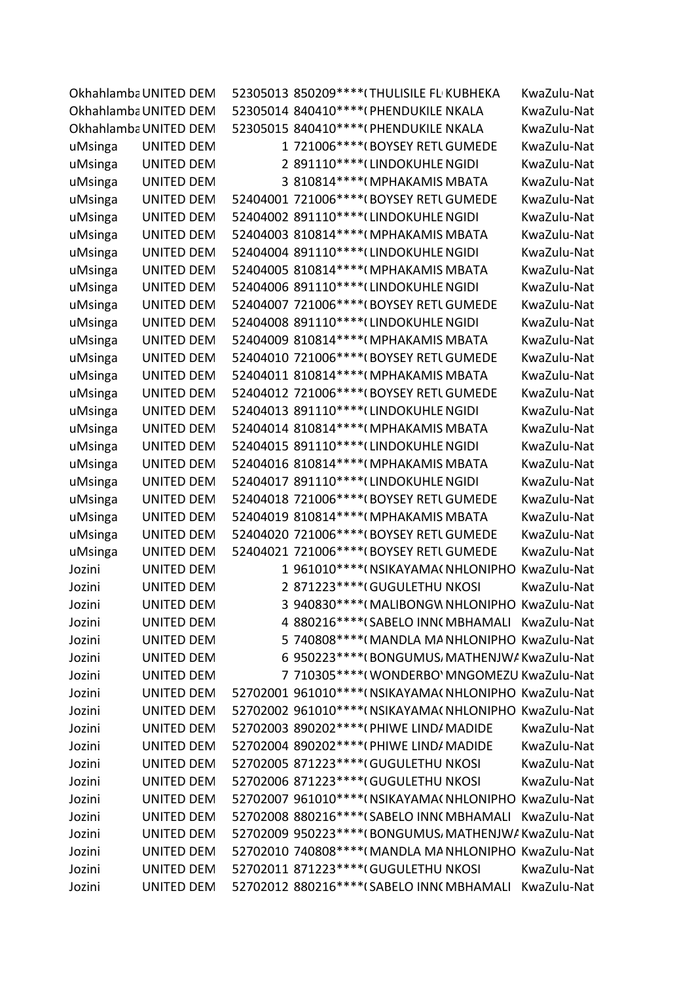|         | Okhahlamba UNITED DEM | 52305013 850209 **** (THULISILE FL KUBHEKA               | KwaZulu-Nat |
|---------|-----------------------|----------------------------------------------------------|-------------|
|         | Okhahlamba UNITED DEM | 52305014 840410 **** (PHENDUKILE NKALA                   | KwaZulu-Nat |
|         | Okhahlamba UNITED DEM | 52305015 840410 **** (PHENDUKILE NKALA                   | KwaZulu-Nat |
| uMsinga | <b>UNITED DEM</b>     | 1 721006***** (BOYSEY RETL GUMEDE                        | KwaZulu-Nat |
| uMsinga | <b>UNITED DEM</b>     | 2 891110**** (LINDOKUHLE NGIDI                           | KwaZulu-Nat |
| uMsinga | <b>UNITED DEM</b>     | 3 810814 **** (MPHAKAMIS MBATA                           | KwaZulu-Nat |
| uMsinga | <b>UNITED DEM</b>     | 52404001 721006**** (BOYSEY RETL GUMEDE                  | KwaZulu-Nat |
| uMsinga | <b>UNITED DEM</b>     | 52404002 891110****(LINDOKUHLE NGIDI                     | KwaZulu-Nat |
| uMsinga | <b>UNITED DEM</b>     | 52404003 810814 **** (MPHAKAMIS MBATA                    | KwaZulu-Nat |
| uMsinga | <b>UNITED DEM</b>     | 52404004 891110****(LINDOKUHLE NGIDI                     | KwaZulu-Nat |
| uMsinga | <b>UNITED DEM</b>     | 52404005 810814**** (MPHAKAMIS MBATA                     | KwaZulu-Nat |
| uMsinga | <b>UNITED DEM</b>     | 52404006 891110 **** (LINDOKUHLE NGIDI                   | KwaZulu-Nat |
| uMsinga | <b>UNITED DEM</b>     | 52404007 721006**** (BOYSEY RETL GUMEDE                  | KwaZulu-Nat |
| uMsinga | <b>UNITED DEM</b>     | 52404008 891110**** (LINDOKUHLE NGIDI                    | KwaZulu-Nat |
| uMsinga | <b>UNITED DEM</b>     | 52404009 810814 **** (MPHAKAMIS MBATA                    | KwaZulu-Nat |
| uMsinga | <b>UNITED DEM</b>     | 52404010 721006 **** (BOYSEY RETL GUMEDE                 | KwaZulu-Nat |
| uMsinga | <b>UNITED DEM</b>     | 52404011 810814 **** (MPHAKAMIS MBATA                    | KwaZulu-Nat |
| uMsinga | <b>UNITED DEM</b>     | 52404012 721006***** (BOYSEY RETL GUMEDE                 | KwaZulu-Nat |
| uMsinga | <b>UNITED DEM</b>     | 52404013 891110****(LINDOKUHLE NGIDI                     | KwaZulu-Nat |
| uMsinga | <b>UNITED DEM</b>     | 52404014 810814 **** (MPHAKAMIS MBATA                    | KwaZulu-Nat |
| uMsinga | <b>UNITED DEM</b>     | 52404015 891110 **** (LINDOKUHLE NGIDI                   | KwaZulu-Nat |
| uMsinga | <b>UNITED DEM</b>     | 52404016 810814 **** (MPHAKAMIS MBATA                    | KwaZulu-Nat |
| uMsinga | <b>UNITED DEM</b>     | 52404017 891110 **** (LINDOKUHLE NGIDI                   | KwaZulu-Nat |
| uMsinga | <b>UNITED DEM</b>     | 52404018 721006 **** (BOYSEY RETL GUMEDE                 | KwaZulu-Nat |
| uMsinga | <b>UNITED DEM</b>     | 52404019 810814 **** (MPHAKAMIS MBATA                    | KwaZulu-Nat |
| uMsinga | <b>UNITED DEM</b>     | 52404020 721006 **** (BOYSEY RETL GUMEDE                 | KwaZulu-Nat |
| uMsinga | <b>UNITED DEM</b>     | 52404021 721006 **** (BOYSEY RETL GUMEDE                 | KwaZulu-Nat |
| Jozini  | <b>UNITED DEM</b>     | 1 961010 **** (NSIKAYAMA (NHLONIPHO KwaZulu-Nat          |             |
| Jozini  | <b>UNITED DEM</b>     | 2 871223 **** (GUGULETHU NKOSI                           | KwaZulu-Nat |
| Jozini  | <b>UNITED DEM</b>     | 3 940830****(MALIBONGWNHLONIPHO KwaZulu-Nat              |             |
| Jozini  | <b>UNITED DEM</b>     | 4 880216 **** (SABELO INN(MBHAMALI KwaZulu-Nat           |             |
| Jozini  | <b>UNITED DEM</b>     | 5 740808**** (MANDLA MANHLONIPHO KwaZulu-Nat             |             |
| Jozini  | <b>UNITED DEM</b>     | 6 950223 **** (BONGUMUS, MATHENJW/KwaZulu-Nat            |             |
| Jozini  | <b>UNITED DEM</b>     | 7 710305 **** (WONDERBO' MNGOMEZU KwaZulu-Nat            |             |
| Jozini  | <b>UNITED DEM</b>     | 52702001 961010 **** ( NSIKAYAMA ( NHLONIPHO KwaZulu-Nat |             |
| Jozini  | <b>UNITED DEM</b>     | 52702002 961010 **** (NSIKAYAMA (NHLONIPHO KwaZulu-Nat   |             |
| Jozini  | <b>UNITED DEM</b>     | 52702003 890202 **** (PHIWE LIND/ MADIDE                 | KwaZulu-Nat |
| Jozini  | <b>UNITED DEM</b>     | 52702004 890202 **** (PHIWE LIND/ MADIDE                 | KwaZulu-Nat |
| Jozini  | <b>UNITED DEM</b>     | 52702005 871223 **** (GUGULETHU NKOSI                    | KwaZulu-Nat |
| Jozini  | <b>UNITED DEM</b>     | 52702006 871223 **** (GUGULETHU NKOSI                    | KwaZulu-Nat |
| Jozini  | <b>UNITED DEM</b>     | 52702007 961010 **** ( NSIKAYAMA ( NHLONIPHO KwaZulu-Nat |             |
| Jozini  | <b>UNITED DEM</b>     | 52702008 880216 **** (SABELO INN(MBHAMALI KwaZulu-Nat    |             |
| Jozini  | <b>UNITED DEM</b>     | 52702009 950223****(BONGUMUS, MATHENJW/KwaZulu-Nat       |             |
| Jozini  | UNITED DEM            | 52702010 740808 **** (MANDLA MA NHLONIPHO KwaZulu-Nat    |             |
| Jozini  | <b>UNITED DEM</b>     | 52702011 871223 **** (GUGULETHU NKOSI                    | KwaZulu-Nat |
| Jozini  | <b>UNITED DEM</b>     | 52702012 880216 **** (SABELO INN( MBHAMALI KwaZulu-Nat   |             |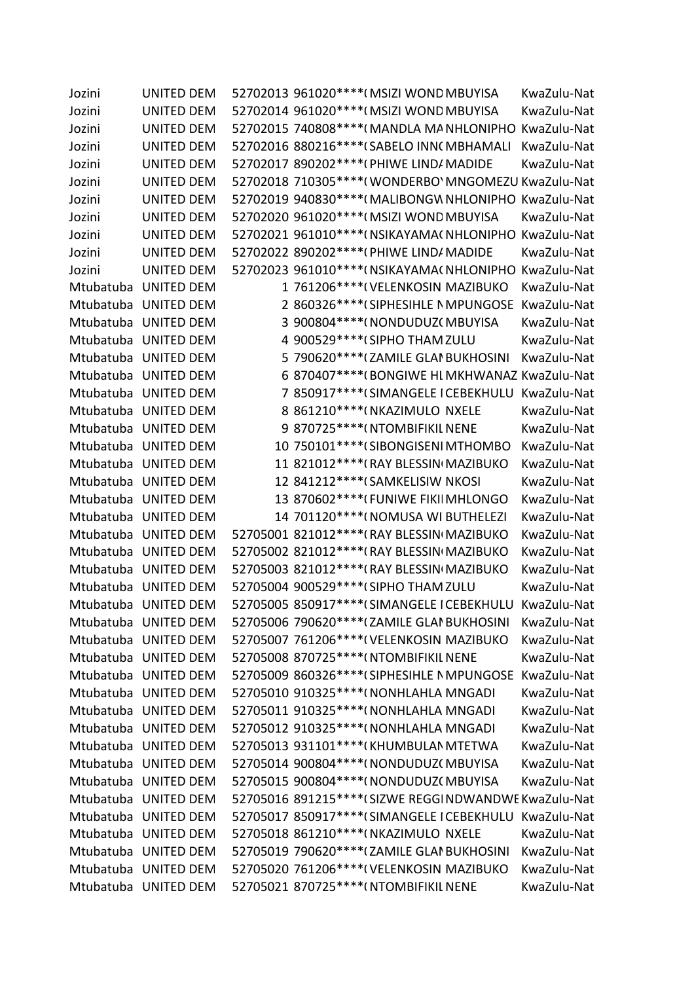| Jozini    | <b>UNITED DEM</b>    | 52702013 961020 **** (MSIZI WOND MBUYISA               | KwaZulu-Nat |
|-----------|----------------------|--------------------------------------------------------|-------------|
| Jozini    | <b>UNITED DEM</b>    | 52702014 961020 **** (MSIZI WOND MBUYISA               | KwaZulu-Nat |
| Jozini    | <b>UNITED DEM</b>    | 52702015 740808 **** (MANDLA MANHLONIPHO KwaZulu-Nat   |             |
| Jozini    | <b>UNITED DEM</b>    | 52702016 880216 **** (SABELO INN( MBHAMALI             | KwaZulu-Nat |
| Jozini    | <b>UNITED DEM</b>    | 52702017 890202 **** (PHIWE LIND/ MADIDE               | KwaZulu-Nat |
| Jozini    | <b>UNITED DEM</b>    | 52702018 710305 **** (WONDERBO' MNGOMEZU KwaZulu-Nat   |             |
| Jozini    | <b>UNITED DEM</b>    | 52702019 940830**** (MALIBONGW NHLONIPHO KwaZulu-Nat   |             |
| Jozini    | <b>UNITED DEM</b>    | 52702020 961020 **** (MSIZI WOND MBUYISA               | KwaZulu-Nat |
| Jozini    | <b>UNITED DEM</b>    | 52702021 961010 **** (NSIKAYAMA (NHLONIPHO KwaZulu-Nat |             |
| Jozini    | <b>UNITED DEM</b>    | 52702022 890202 **** (PHIWE LIND/ MADIDE               | KwaZulu-Nat |
| Jozini    | <b>UNITED DEM</b>    | 52702023 961010 **** (NSIKAYAMA (NHLONIPHO KwaZulu-Nat |             |
| Mtubatuba | <b>UNITED DEM</b>    | 1 761206****(VELENKOSIN MAZIBUKO                       | KwaZulu-Nat |
| Mtubatuba | <b>UNITED DEM</b>    | 2 860326 **** (SIPHESIHLE N MPUNGOSE                   | KwaZulu-Nat |
| Mtubatuba | <b>UNITED DEM</b>    | 3 900804 **** (NONDUDUZ(MBUYISA                        | KwaZulu-Nat |
| Mtubatuba | <b>UNITED DEM</b>    | 4 900529 **** (SIPHO THAM ZULU                         | KwaZulu-Nat |
|           | Mtubatuba UNITED DEM | 5 790620**** (ZAMILE GLAI BUKHOSINI                    | KwaZulu-Nat |
| Mtubatuba | <b>UNITED DEM</b>    | 6 870407**** (BONGIWE HI MKHWANAZ KwaZulu-Nat          |             |
| Mtubatuba | <b>UNITED DEM</b>    | 7 850917 **** (SIMANGELE I CEBEKHULU KwaZulu-Nat       |             |
| Mtubatuba | <b>UNITED DEM</b>    | 8 861210 **** (NKAZIMULO NXELE                         | KwaZulu-Nat |
| Mtubatuba | <b>UNITED DEM</b>    | 9 870725 **** (NTOMBIFIKIL NENE                        | KwaZulu-Nat |
| Mtubatuba | <b>UNITED DEM</b>    | 10 750101 **** (SIBONGISENI MTHOMBO                    | KwaZulu-Nat |
| Mtubatuba | <b>UNITED DEM</b>    | 11 821012 **** (RAY BLESSIN MAZIBUKO                   | KwaZulu-Nat |
| Mtubatuba | <b>UNITED DEM</b>    | 12 841212***** (SAMKELISIW NKOSI                       | KwaZulu-Nat |
| Mtubatuba | <b>UNITED DEM</b>    | 13 870602 **** (FUNIWE FIKII MHLONGO                   | KwaZulu-Nat |
| Mtubatuba | <b>UNITED DEM</b>    | 14 701120 **** (NOMUSA WI BUTHELEZI                    | KwaZulu-Nat |
| Mtubatuba | <b>UNITED DEM</b>    | 52705001 821012 **** (RAY BLESSIN MAZIBUKO             | KwaZulu-Nat |
|           | Mtubatuba UNITED DEM | 52705002 821012 **** (RAY BLESSIN MAZIBUKO             | KwaZulu-Nat |
| Mtubatuba | <b>UNITED DEM</b>    | 52705003 821012 **** (RAY BLESSIN MAZIBUKO             | KwaZulu-Nat |
|           | Mtubatuba UNITED DEM | 52705004 900529 **** (SIPHO THAM ZULU                  | KwaZulu-Nat |
|           | Mtubatuba UNITED DEM | 52705005 850917****(SIMANGELE I CEBEKHULU              | KwaZulu-Nat |
|           | Mtubatuba UNITED DEM | 52705006 790620 **** (ZAMILE GLAI BUKHOSINI            | KwaZulu-Nat |
| Mtubatuba | <b>UNITED DEM</b>    | 52705007 761206****(VELENKOSIN MAZIBUKO                | KwaZulu-Nat |
|           | Mtubatuba UNITED DEM | 52705008 870725 **** (NTOMBIFIKIL NENE                 | KwaZulu-Nat |
|           | Mtubatuba UNITED DEM | 52705009 860326 **** (SIPHESIHLE N MPUNGOSE            | KwaZulu-Nat |
|           | Mtubatuba UNITED DEM | 52705010 910325 **** (NONHLAHLA MNGADI                 | KwaZulu-Nat |
| Mtubatuba | <b>UNITED DEM</b>    | 52705011 910325 **** (NONHLAHLA MNGADI                 | KwaZulu-Nat |
|           | Mtubatuba UNITED DEM | 52705012 910325 **** (NONHLAHLA MNGADI                 | KwaZulu-Nat |
|           | Mtubatuba UNITED DEM | 52705013 931101 **** (KHUMBULAN MTETWA                 | KwaZulu-Nat |
|           | Mtubatuba UNITED DEM | 52705014 900804 **** ( NONDUDUZ ( MBUYISA              | KwaZulu-Nat |
| Mtubatuba | <b>UNITED DEM</b>    | 52705015 900804 **** ( NONDUDUZ ( MBUYISA              | KwaZulu-Nat |
|           | Mtubatuba UNITED DEM | 52705016 891215 **** (SIZWE REGGI NDWANDWE KwaZulu-Nat |             |
|           | Mtubatuba UNITED DEM | 52705017 850917 **** (SIMANGELE I CEBEKHULU            | KwaZulu-Nat |
|           | Mtubatuba UNITED DEM | 52705018 861210 **** (NKAZIMULO NXELE                  | KwaZulu-Nat |
| Mtubatuba | <b>UNITED DEM</b>    | 52705019 790620 **** (ZAMILE GLAI BUKHOSINI            | KwaZulu-Nat |
|           | Mtubatuba UNITED DEM | 52705020 761206****(VELENKOSIN MAZIBUKO                | KwaZulu-Nat |
|           | Mtubatuba UNITED DEM | 52705021 870725 **** (NTOMBIFIKIL NENE                 | KwaZulu-Nat |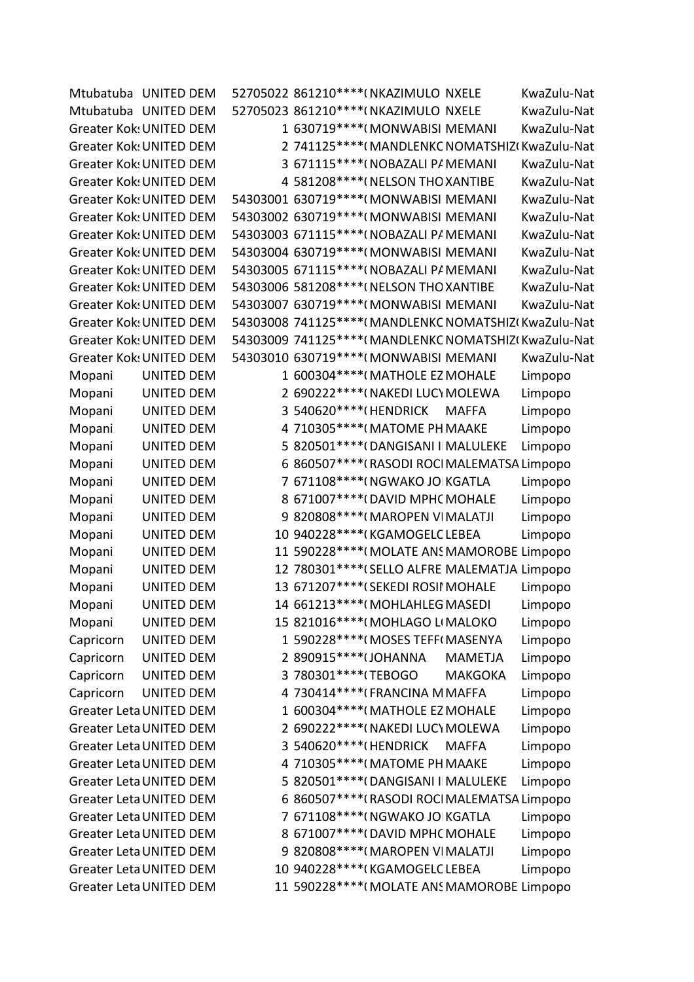|           | Mtubatuba UNITED DEM           |                         | 52705022 861210 **** (NKAZIMULO NXELE       |                | KwaZulu-Nat                                            |
|-----------|--------------------------------|-------------------------|---------------------------------------------|----------------|--------------------------------------------------------|
|           | Mtubatuba UNITED DEM           |                         | 52705023 861210 **** (NKAZIMULO NXELE       |                | KwaZulu-Nat                                            |
|           | <b>Greater Kok: UNITED DEM</b> |                         | 1 630719 **** (MONWABISI MEMANI             |                | KwaZulu-Nat                                            |
|           | <b>Greater Kok: UNITED DEM</b> |                         |                                             |                | 2 741125 **** (MANDLENKC NOMATSHIZI KwaZulu-Nat        |
|           | <b>Greater Kok: UNITED DEM</b> |                         | 3 671115 **** (NOBAZALI P/ MEMANI           |                | KwaZulu-Nat                                            |
|           | <b>Greater Kok: UNITED DEM</b> |                         | 4 581208 **** (NELSON THO XANTIBE           |                | KwaZulu-Nat                                            |
|           | <b>Greater Kok: UNITED DEM</b> |                         | 54303001 630719 **** (MONWABISI MEMANI      |                | KwaZulu-Nat                                            |
|           | <b>Greater Kok: UNITED DEM</b> |                         | 54303002 630719 **** (MONWABISI MEMANI      |                | KwaZulu-Nat                                            |
|           | <b>Greater Kok: UNITED DEM</b> |                         | 54303003 671115 **** (NOBAZALI P/ MEMANI    |                | KwaZulu-Nat                                            |
|           | <b>Greater Kok: UNITED DEM</b> |                         | 54303004 630719 **** (MONWABISI MEMANI      |                | KwaZulu-Nat                                            |
|           | <b>Greater Kok: UNITED DEM</b> |                         | 54303005 671115****(NOBAZALI P/ MEMANI      |                | KwaZulu-Nat                                            |
|           | <b>Greater Kok: UNITED DEM</b> |                         | 54303006 581208 **** (NELSON THO XANTIBE    |                | KwaZulu-Nat                                            |
|           | <b>Greater Kok: UNITED DEM</b> |                         | 54303007 630719 **** (MONWABISI MEMANI      |                | KwaZulu-Nat                                            |
|           | <b>Greater Kok: UNITED DEM</b> |                         |                                             |                | 54303008 741125 **** (MANDLENKC NOMATSHIZI KwaZulu-Nat |
|           | <b>Greater Kok: UNITED DEM</b> |                         |                                             |                | 54303009 741125**** (MANDLENKC NOMATSHIZI KwaZulu-Nat  |
|           | <b>Greater Kok: UNITED DEM</b> |                         | 54303010 630719 **** (MONWABISI MEMANI      |                | KwaZulu-Nat                                            |
| Mopani    | UNITED DEM                     |                         | 1 600304 **** (MATHOLE EZ MOHALE            |                | Limpopo                                                |
| Mopani    | <b>UNITED DEM</b>              |                         | 2 690222 **** (NAKEDI LUCY MOLEWA           |                | Limpopo                                                |
| Mopani    | <b>UNITED DEM</b>              | 3 540620*****(HENDRICK  |                                             | <b>MAFFA</b>   | Limpopo                                                |
| Mopani    | <b>UNITED DEM</b>              |                         | 4 710305 **** (MATOME PH MAAKE              |                | Limpopo                                                |
| Mopani    | <b>UNITED DEM</b>              |                         | 5 820501 **** (DANGISANI II MALULEKE        |                | Limpopo                                                |
| Mopani    | <b>UNITED DEM</b>              |                         | 6 860507**** (RASODI ROCI MALEMATSA Limpopo |                |                                                        |
| Mopani    | <b>UNITED DEM</b>              |                         | 7 671108 **** ( NGWAKO JO KGATLA            |                | Limpopo                                                |
| Mopani    | <b>UNITED DEM</b>              |                         | 8 671007 **** (DAVID MPHC MOHALE            |                | Limpopo                                                |
| Mopani    | <b>UNITED DEM</b>              |                         | 9 820808 **** (MAROPEN VIMALATJI            |                | Limpopo                                                |
| Mopani    | <b>UNITED DEM</b>              |                         | 10 940228 **** (KGAMOGELC LEBEA             |                | Limpopo                                                |
| Mopani    | <b>UNITED DEM</b>              |                         | 11 590228 **** (MOLATE ANS MAMOROBE Limpopo |                |                                                        |
| Mopani    | <b>UNITED DEM</b>              |                         | 12 780301****(SELLO ALFRE MALEMATJA Limpopo |                |                                                        |
| Mopani    | <b>UNITED DEM</b>              |                         | 13 671207**** (SEKEDI ROSII MOHALE          |                | Limpopo                                                |
| Mopani    | <b>UNITED DEM</b>              |                         | 14 661213 **** (MOHLAHLEG MASEDI            |                | Limpopo                                                |
| Mopani    | <b>UNITED DEM</b>              |                         | 15 821016 **** (MOHLAGO LI MALOKO           |                | Limpopo                                                |
| Capricorn | <b>UNITED DEM</b>              |                         | 1 590228 **** (MOSES TEFF (MASENYA          |                | Limpopo                                                |
| Capricorn | <b>UNITED DEM</b>              | 2 890915 **** (JOHANNA  |                                             | <b>MAMETJA</b> | Limpopo                                                |
| Capricorn | <b>UNITED DEM</b>              | 3 780301 **** (TEBOGO   |                                             | <b>MAKGOKA</b> | Limpopo                                                |
| Capricorn | <b>UNITED DEM</b>              |                         | 4 730414*****(FRANCINA M MAFFA              |                | Limpopo                                                |
|           | <b>Greater Leta UNITED DEM</b> |                         | 1 600304****(MATHOLE EZ MOHALE              |                | Limpopo                                                |
|           | <b>Greater Leta UNITED DEM</b> |                         | 2 690222**** (NAKEDI LUCY MOLEWA            |                | Limpopo                                                |
|           | <b>Greater Leta UNITED DEM</b> | 3 540620 **** (HENDRICK |                                             | <b>MAFFA</b>   | Limpopo                                                |
|           | <b>Greater Leta UNITED DEM</b> |                         | 4 710305 **** (MATOME PH MAAKE              |                | Limpopo                                                |
|           | <b>Greater Leta UNITED DEM</b> |                         | 5 820501 **** (DANGISANI I MALULEKE         |                | Limpopo                                                |
|           | <b>Greater Leta UNITED DEM</b> |                         | 6 860507**** (RASODI ROCI MALEMATSA Limpopo |                |                                                        |
|           | <b>Greater Leta UNITED DEM</b> |                         | 7 671108 **** ( NGWAKO JO KGATLA            |                | Limpopo                                                |
|           | <b>Greater Leta UNITED DEM</b> |                         | 8 671007**** (DAVID MPHC MOHALE             |                | Limpopo                                                |
|           | <b>Greater Leta UNITED DEM</b> |                         | 9 820808 **** (MAROPEN VIMALATJI            |                | Limpopo                                                |
|           | <b>Greater Leta UNITED DEM</b> |                         | 10 940228 **** (KGAMOGELC LEBEA             |                | Limpopo                                                |
|           | Greater Leta UNITED DEM        |                         | 11 590228 **** (MOLATE ANS MAMOROBE Limpopo |                |                                                        |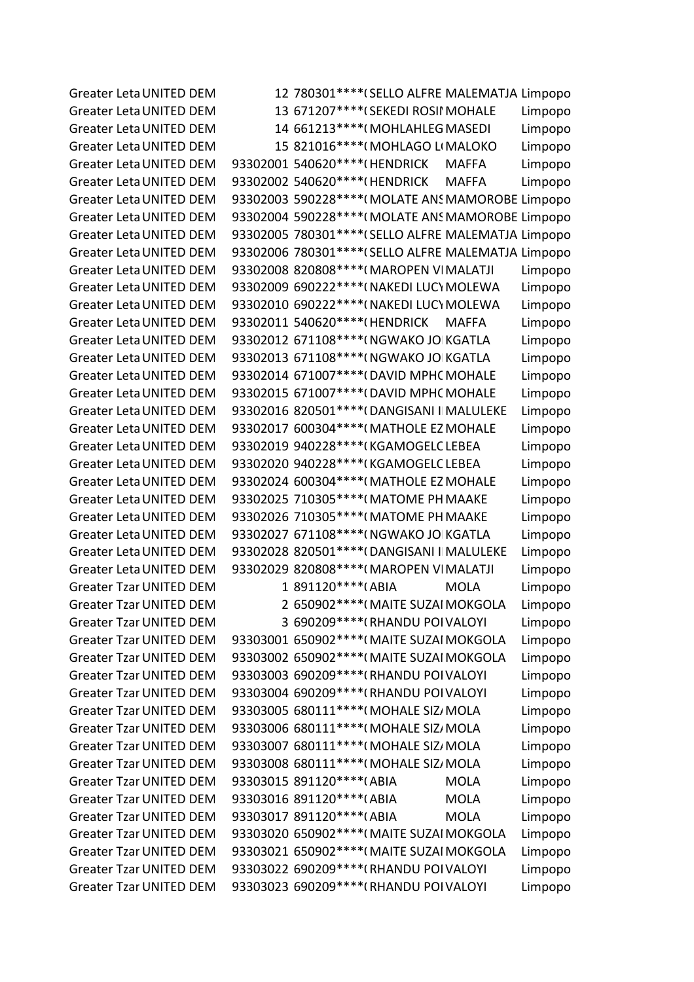Greater Leta UNITED DEM 12 780301\*\*\*\* (SELLO ALFRE MALEMATJA Limpopo Greater Leta UNITED DEM 13 671207\*\*\*\*(SEKEDI ROSII MOHALE Limpopo Greater Leta UNITED DEM 14 661213\*\*\*\*(MOHLAHLEG MASEDI Limpopo Greater Leta UNITED DEM 15 821016\*\*\*\*(MOHLAGO LIMALOKO Limpopo Greater Leta UNITED DEM 93302001 540620\*\*\*\* (HENDRICK MAFFA Limpopo Greater Leta UNITED DEM 93302002 540620\*\*\*\* (HENDRICK MAFFA Limpopo Greater Leta UNITED DEM 93302003 590228\*\*\*\*(MOLATE ANS MAMOROBE Limpopo Greater Leta UNITED DEM 93302004 590228\*\*\*\*(MOLATE ANS MAMOROBE Limpopo Greater Leta UNITED DEM 93302005 780301\*\*\*\* (SELLO ALFRE MALEMATJA Limpopo Greater Leta UNITED DEM 93302006 780301\*\*\*\* (SELLO ALFRE MALEMATJA Limpopo Greater Leta UNITED DEM 93302008 820808\*\*\*\*(MAROPEN VIMALATJI Limpopo Greater Leta UNITED DEM 93302009 690222\*\*\*\*(NAKEDI LUCYMOLEWA Limpopo Greater Leta UNITED DEM 93302010 690222\*\*\*\*(NAKEDI LUCYMOLEWA Limpopo Greater Leta UNITED DEM 93302011 540620\*\*\*\* (HENDRICK MAFFA Limpopo Greater Leta UNITED DEM 93302012 671108\*\*\*\*(NGWAKO JO KGATLA Limpopo Greater Leta UNITED DEM 93302013 671108\*\*\*\*(NGWAKO JOIKGATLA Limpopo Greater Leta UNITED DEM 93302014 671007\*\*\*\*(DAVID MPHC MOHALE Limpopo Greater Leta UNITED DEM 93302015 671007\*\*\*\* (DAVID MPHC MOHALE Limpopo Greater Leta UNITED DEM 93302016 820501\*\*\*\* (DANGISANI II MALULEKE Limpopo Greater Leta UNITED DEM 93302017 600304\*\*\*\*(MATHOLE EZ MOHALE Limpopo Greater Leta UNITED DEM 93302019 940228\*\*\*\*(KGAMOGELC LEBEA Limpopo Greater Leta UNITED DEM 93302020 940228\*\*\*\*(KGAMOGELC LEBEA Limpopo Greater Leta UNITED DEM 93302024 600304\*\*\*\*(MATHOLE EZ MOHALE Limpopo Greater Leta UNITED DEM 93302025 710305\*\*\*\*(MATOME PH MAAKE Limpopo Greater Leta UNITED DEM 93302026 710305\*\*\*\*(MATOME PH MAAKE Limpopo Greater Leta UNITED DEM 93302027 671108\*\*\*\*(NGWAKO JO KGATLA Limpopo Greater Leta UNITED DEM 93302028 820501\*\*\*\* (DANGISANI I MALULEKE Limpopo Greater Leta UNITED DEM 93302029 820808\*\*\*\*(MAROPEN VIMALATJI Limpopo Greater Tzar UNITED DEM 1 891120\*\*\*\*(ABIA MOLA Limpopo Greater Tzar UNITED DEM 2 650902\*\*\*\*(MAITE SUZAI MOKGOLA Limpopo Greater Tzar UNITED DEM 3 690209\*\*\*\*(RHANDU POI VALOYI Limpopo Greater Tzar UNITED DEM 93303001 650902\*\*\*\*(MAITE SUZAI MOKGOLA Limpopo Greater Tzar UNITED DEM 93303002 650902\*\*\*\*(MAITE SUZAI MOKGOLA Limpopo Greater Tzar UNITED DEM 93303003 690209\*\*\*\* (RHANDU POI VALOYI Limpopo Greater Tzar UNITED DEM 93303004 690209\*\*\*\*(RHANDU POI VALOYI Limpopo Greater Tzar UNITED DEM 93303005 680111\*\*\*\*(MOHALE SIZ/MOLA Limpopo Greater Tzar UNITED DEM 93303006 680111\*\*\*\*(MOHALE SIZ/MOLA Limpopo Greater Tzar UNITED DEM 93303007 680111\*\*\*\*(MOHALE SIZ/MOLA Limpopo Greater Tzar UNITED DEM 93303008 680111\*\*\*\*(MOHALE SIZ/MOLA Limpopo Greater Tzar UNITED DEM 93303015 891120\*\*\*\* (ABIA MOLA Limpopo Greater Tzar UNITED DEM 93303016 891120\*\*\*\* (ABIA MOLA Limpopo Greater Tzar UNITED DEM 93303017 891120\*\*\*\*(ABIA MOLA Limpopo Greater Tzar UNITED DEM 93303020 650902\*\*\*\* (MAITE SUZAI MOKGOLA Limpopo Greater Tzar UNITED DEM 93303021 650902\*\*\*\* (MAITE SUZAI MOKGOLA Limpopo Greater Tzar UNITED DEM 93303022 690209\*\*\*\*(RHANDU POI VALOYI Limpopo Greater Tzar UNITED DEM 93303023 690209\*\*\*\* (RHANDU POI VALOYI Limpopo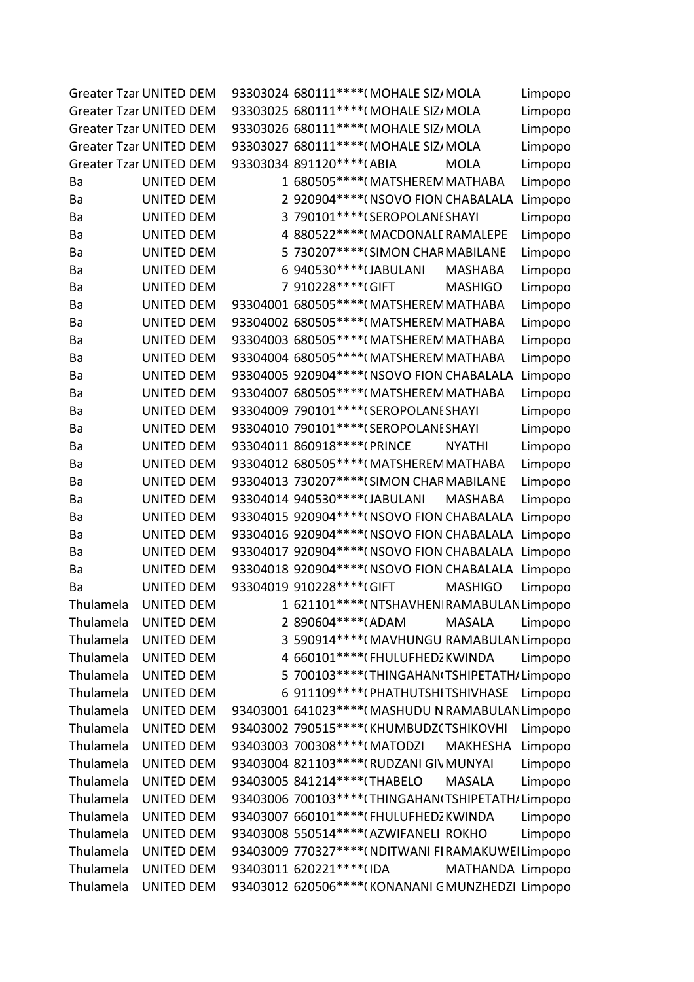|           | <b>Greater Tzar UNITED DEM</b> | 93303024 680111 **** (MOHALE SIZ/ MOLA              | Limpopo |
|-----------|--------------------------------|-----------------------------------------------------|---------|
|           | <b>Greater Tzar UNITED DEM</b> | 93303025 680111 **** (MOHALE SIZ / MOLA             | Limpopo |
|           | <b>Greater Tzar UNITED DEM</b> | 93303026 680111 **** (MOHALE SIZ MOLA               | Limpopo |
|           | <b>Greater Tzar UNITED DEM</b> | 93303027 680111 **** (MOHALE SIZ MOLA               | Limpopo |
|           | <b>Greater Tzar UNITED DEM</b> | 93303034 891120 **** (ABIA<br><b>MOLA</b>           | Limpopo |
| Ba        | <b>UNITED DEM</b>              | 1 680505***** (MATSHEREM MATHABA                    | Limpopo |
| Ba        | <b>UNITED DEM</b>              | 2 920904 **** ( NSOVO FION CHABALALA                | Limpopo |
| Ba        | <b>UNITED DEM</b>              | 3 790101 **** (SEROPOLANI SHAYI                     | Limpopo |
| Ba        | <b>UNITED DEM</b>              | 4 880522 **** (MACDONALL RAMALEPE                   | Limpopo |
| Ba        | <b>UNITED DEM</b>              | 5 730207**** (SIMON CHAR MABILANE                   | Limpopo |
| Ba        | <b>UNITED DEM</b>              | 6 940530 **** (JABULANI<br><b>MASHABA</b>           | Limpopo |
| Ba        | <b>UNITED DEM</b>              | 7 910228 **** GIFT<br><b>MASHIGO</b>                | Limpopo |
| Ba        | <b>UNITED DEM</b>              | 93304001 680505**** (MATSHEREM MATHABA              | Limpopo |
| Ba        | <b>UNITED DEM</b>              | 93304002 680505 **** (MATSHEREM MATHABA             | Limpopo |
| Ba        | <b>UNITED DEM</b>              | 93304003 680505**** (MATSHEREM MATHABA              | Limpopo |
| Ba        | <b>UNITED DEM</b>              | 93304004 680505****(MATSHEREM MATHABA               | Limpopo |
| Ba        | <b>UNITED DEM</b>              | 93304005 920904 **** ( NSOVO FION CHABALALA         | Limpopo |
| Ba        | <b>UNITED DEM</b>              | 93304007 680505**** (MATSHEREM MATHABA              | Limpopo |
| Ba        | <b>UNITED DEM</b>              | 93304009 790101 **** (SEROPOLANI SHAYI              | Limpopo |
| Ba        | <b>UNITED DEM</b>              | 93304010 790101 **** (SEROPOLANI SHAYI              | Limpopo |
| Ba        | <b>UNITED DEM</b>              | 93304011 860918 **** (PRINCE<br><b>NYATHI</b>       | Limpopo |
| Ba        | <b>UNITED DEM</b>              | 93304012 680505****(MATSHEREM MATHABA               | Limpopo |
| Ba        | <b>UNITED DEM</b>              | 93304013 730207****(SIMON CHAF MABILANE             | Limpopo |
| Ba        | <b>UNITED DEM</b>              | 93304014 940530 **** (JABULANI<br><b>MASHABA</b>    | Limpopo |
| Ba        | <b>UNITED DEM</b>              | 93304015 920904 **** ( NSOVO FION CHABALALA Limpopo |         |
| Ba        | <b>UNITED DEM</b>              | 93304016 920904 **** (NSOVO FION CHABALALA Limpopo  |         |
| Ba        | <b>UNITED DEM</b>              | 93304017 920904****(NSOVO FION CHABALALA Limpopo    |         |
| Ba        | <b>UNITED DEM</b>              | 93304018 920904 **** (NSOVO FION CHABALALA Limpopo  |         |
| Ba        | <b>UNITED DEM</b>              | 93304019 910228 **** (GIFT<br><b>MASHIGO</b>        | Limpopo |
| Thulamela | <b>UNITED DEM</b>              | 1 621101****(NTSHAVHEN RAMABULAN Limpopo            |         |
| Thulamela | <b>UNITED DEM</b>              | 2 890604*****(ADAM<br><b>MASALA</b>                 | Limpopo |
| Thulamela | <b>UNITED DEM</b>              | 3 590914****(MAVHUNGU RAMABULAN Limpopo             |         |
| Thulamela | <b>UNITED DEM</b>              | 4 660101 **** (FHULUFHED  KWINDA                    | Limpopo |
| Thulamela | <b>UNITED DEM</b>              | 5 700103 **** (THINGAHAN (TSHIPETATH / Limpopo      |         |
| Thulamela | <b>UNITED DEM</b>              | 6 911109 **** (PHATHUTSHITSHIVHASE                  | Limpopo |
| Thulamela | <b>UNITED DEM</b>              | 93403001 641023 **** (MASHUDU N RAMABULAN Limpopo   |         |
| Thulamela | <b>UNITED DEM</b>              | 93403002 790515 **** (KHUMBUDZ (TSHIKOVHI           | Limpopo |
| Thulamela | <b>UNITED DEM</b>              | 93403003 700308 **** (MATODZI<br><b>MAKHESHA</b>    | Limpopo |
| Thulamela | <b>UNITED DEM</b>              | 93403004 821103 **** (RUDZANI GIV MUNYAI            | Limpopo |
| Thulamela | <b>UNITED DEM</b>              | 93403005 841214 **** (THABELO<br><b>MASALA</b>      | Limpopo |
| Thulamela | <b>UNITED DEM</b>              | 93403006 700103 **** (THINGAHAN (TSHIPETATH/Limpopo |         |
| Thulamela | <b>UNITED DEM</b>              | 93403007 660101 **** (FHULUFHED  KWINDA             | Limpopo |
| Thulamela | <b>UNITED DEM</b>              | 93403008 550514 **** (AZWIFANELI ROKHO              | Limpopo |
| Thulamela | <b>UNITED DEM</b>              | 93403009 770327**** (NDITWANI FIRAMAKUWEI Limpopo   |         |
| Thulamela | <b>UNITED DEM</b>              | 93403011 620221 **** (IDA<br>MATHANDA Limpopo       |         |
| Thulamela | <b>UNITED DEM</b>              | 93403012 620506****(KONANANI GMUNZHEDZI Limpopo     |         |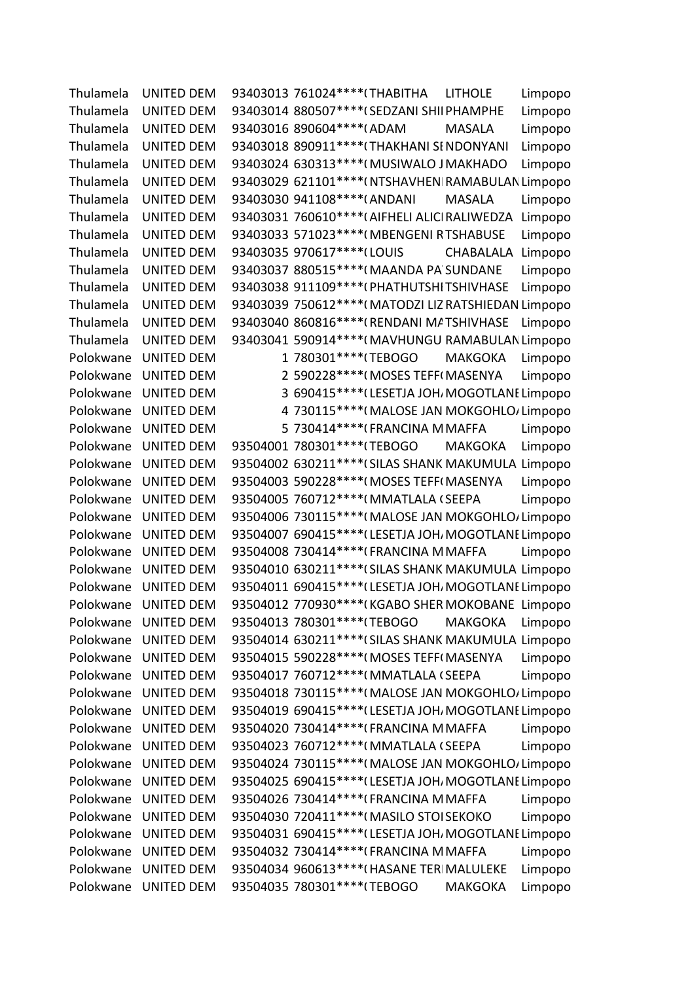Thulamela UNITED DEM 93403013 761024\*\*\*\*(THABITHA LITHOLE Limpopo Thulamela UNITED DEM 93403014 880507\*\*\*\*(SEDZANI SHII PHAMPHE Limpopo Thulamela UNITED DEM 93403016 890604\*\*\*\*(ADAM MASALA Limpopo Thulamela UNITED DEM 93403018 890911\*\*\*\*(THAKHANI SINDONYANI Limpopo Thulamela UNITED DEM 93403024 630313\*\*\*\*(MUSIWALO JMAKHADO Limpopo Thulamela UNITED DEM 93403029 621101\*\*\*\*(NTSHAVHEN|RAMABULAN Limpopo Thulamela UNITED DEM 93403030 941108\*\*\*\*(ANDANI MASALA Limpopo Thulamela UNITED DEM 93403031 760610\*\*\*\*(AIFHELI ALICI RALIWEDZA Limpopo Thulamela UNITED DEM 93403033 571023\*\*\*\*(MBENGENI RTSHABUSE Limpopo Thulamela UNITED DEM 93403035 970617\*\*\*\*(LOUIS CHABALALA Limpopo Thulamela UNITED DEM 93403037 880515\*\*\*\*(MAANDA PA SUNDANE Limpopo Thulamela UNITED DEM 93403038 911109\*\*\*\*(PHATHUTSHITSHIVHASE Limpopo Thulamela UNITED DEM 93403039 750612\*\*\*\*(MATODZI LIZ RATSHIEDAN Limpopo Thulamela UNITED DEM 93403040 860816\*\*\*\*(RENDANI MATSHIVHASE Limpopo Thulamela UNITED DEM 93403041 590914\*\*\*\*(MAVHUNGU RAMABULAN Limpopo Polokwane UNITED DEM 1 780301\*\*\*\*(TEBOGO MAKGOKA Limpopo Polokwane UNITED DEM 2 590228\*\*\*\*(MOSES TEFF(MASENYA Limpopo Polokwane UNITED DEM 3 690415\*\*\*\*(LESETJA JOH, MOGOTLANI Limpopo Polokwane UNITED DEM 4 730115\*\*\*\*(MALOSE JAN MOKGOHLO/Limpopo Polokwane UNITED DEM 5 730414\*\*\*\*\*(FRANCINA MMAFFA Limpopo Polokwane UNITED DEM 93504001 780301\*\*\*\*(TEBOGO MAKGOKA Limpopo Polokwane UNITED DEM 93504002 630211\*\*\*\*(SILAS SHANK MAKUMULA Limpopo Polokwane UNITED DEM 93504003 590228\*\*\*\*(MOSES TEFF(MASENYA Limpopo Polokwane UNITED DEM 93504005 760712\*\*\*\*(MMATLALA (SEEPA Limpopo Polokwane UNITED DEM 93504006 730115\*\*\*\*(MALOSE JAN MOKGOHLO/Limpopo Polokwane UNITED DEM 93504007 690415\*\*\*\* (LESETJA JOH, MOGOTLANI Limpopo Polokwane UNITED DEM 93504008 730414\*\*\*\*(FRANCINA MMAFFA Limpopo Polokwane UNITED DEM 93504010 630211\*\*\*\* (SILAS SHANK MAKUMULA Limpopo Polokwane UNITED DEM 93504011 690415\*\*\*\*(LESETJA JOH MOGOTLANI Limpopo Polokwane UNITED DEM 93504012 770930\*\*\*\*(KGABO SHER MOKOBANE Limpopo Polokwane UNITED DEM 93504013 780301\*\*\*\*(TEBOGO MAKGOKA Limpopo Polokwane UNITED DEM 93504014 630211\*\*\*\* (SILAS SHANK MAKUMULA Limpopo Polokwane UNITED DEM 93504015 590228\*\*\*\*(MOSES TEFF(MASENYA Limpopo Polokwane UNITED DEM 93504017 760712\*\*\*\*(MMATLALA (SEEPA Limpopo Polokwane UNITED DEM 93504018 730115\*\*\*\*(MALOSE JAN MOKGOHLO/Limpopo Polokwane UNITED DEM 93504019 690415\*\*\*\*(LESETJA JOH, MOGOTLANI Limpopo Polokwane UNITED DEM 93504020 730414\*\*\*\*(FRANCINA MMAFFA Limpopo Polokwane UNITED DEM 93504023 760712\*\*\*\*(MMATLALA (SEEPA Limpopo Polokwane UNITED DEM 93504024 730115\*\*\*\*(MALOSE JAN MOKGOHLO/Limpopo Polokwane UNITED DEM 93504025 690415\*\*\*\* (LESETJA JOH, MOGOTLANI Limpopo Polokwane UNITED DEM 93504026 730414\*\*\*\*(FRANCINA MMAFFA Limpopo Polokwane UNITED DEM 93504030 720411\*\*\*\*(MASILO STOISEKOKO Limpopo Polokwane UNITED DEM 93504031 690415\*\*\*\* (LESETJA JOH, MOGOTLANI Limpopo Polokwane UNITED DEM 93504032 730414\*\*\*\*(FRANCINA MMAFFA Limpopo Polokwane UNITED DEM 93504034 960613\*\*\*\*(HASANE TERIMALULEKE Limpopo Polokwane UNITED DEM 93504035 780301\*\*\*\*(TEBOGO MAKGOKA Limpopo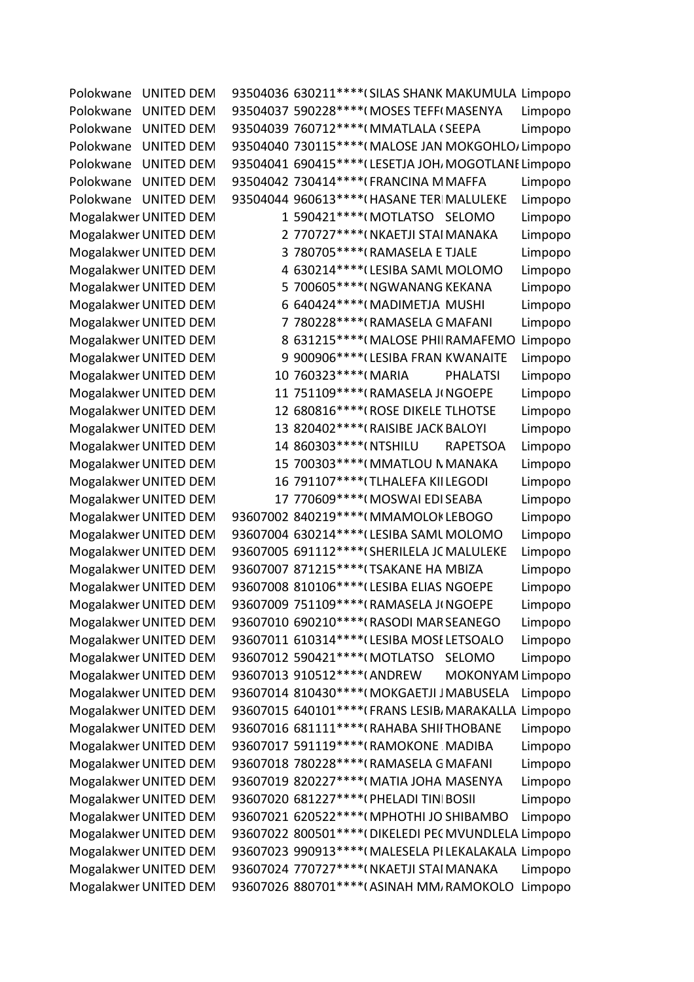| Polokwane             | <b>UNITED DEM</b> |  |                                             |  | 93504036 630211 **** (SILAS SHANK MAKUMULA Limpopo   |         |
|-----------------------|-------------------|--|---------------------------------------------|--|------------------------------------------------------|---------|
| Polokwane             | <b>UNITED DEM</b> |  | 93504037 590228 **** (MOSES TEFF (MASENYA   |  |                                                      | Limpopo |
| Polokwane             | <b>UNITED DEM</b> |  | 93504039 760712 **** (MMATLALA (SEEPA       |  |                                                      | Limpopo |
| Polokwane             | <b>UNITED DEM</b> |  |                                             |  | 93504040 730115**** (MALOSE JAN MOKGOHLO/Limpopo     |         |
| Polokwane             | <b>UNITED DEM</b> |  |                                             |  | 93504041 690415**** (LESETJA JOH, MOGOTLANI Limpopo  |         |
| Polokwane             | <b>UNITED DEM</b> |  | 93504042 730414 **** (FRANCINA M MAFFA      |  |                                                      | Limpopo |
| Polokwane UNITED DEM  |                   |  | 93504044 960613 **** (HASANE TERI MALULEKE  |  |                                                      | Limpopo |
| Mogalakwer UNITED DEM |                   |  | 1 590421 **** (MOTLATSO SELOMO              |  |                                                      | Limpopo |
| Mogalakwer UNITED DEM |                   |  | 2 770727**** (NKAETJI STAI MANAKA           |  |                                                      | Limpopo |
| Mogalakwer UNITED DEM |                   |  | 3 780705 **** (RAMASELA E TJALE             |  |                                                      | Limpopo |
| Mogalakwer UNITED DEM |                   |  | 4 630214 **** (LESIBA SAML MOLOMO           |  |                                                      | Limpopo |
| Mogalakwer UNITED DEM |                   |  | 5 700605***** (NGWANANG KEKANA              |  |                                                      | Limpopo |
| Mogalakwer UNITED DEM |                   |  | 6 640424 **** (MADIMETJA MUSHI              |  |                                                      | Limpopo |
| Mogalakwer UNITED DEM |                   |  | 7 780228 **** (RAMASELA G MAFANI            |  |                                                      | Limpopo |
| Mogalakwer UNITED DEM |                   |  |                                             |  | 8 631215 **** (MALOSE PHII RAMAFEMO                  | Limpopo |
| Mogalakwer UNITED DEM |                   |  | 9 900906 **** (LESIBA FRAN KWANAITE         |  |                                                      | Limpopo |
| Mogalakwer UNITED DEM |                   |  | 10 760323 **** (MARIA                       |  | <b>PHALATSI</b>                                      | Limpopo |
| Mogalakwer UNITED DEM |                   |  | 11 751109 **** (RAMASELA JINGOEPE           |  |                                                      | Limpopo |
| Mogalakwer UNITED DEM |                   |  | 12 680816**** (ROSE DIKELE TLHOTSE          |  |                                                      | Limpopo |
| Mogalakwer UNITED DEM |                   |  | 13 820402 **** (RAISIBE JACK BALOYI         |  |                                                      | Limpopo |
| Mogalakwer UNITED DEM |                   |  | 14 860303 **** (NTSHILU                     |  | <b>RAPETSOA</b>                                      | Limpopo |
| Mogalakwer UNITED DEM |                   |  | 15 700303 **** (MMATLOU N MANAKA            |  |                                                      | Limpopo |
| Mogalakwer UNITED DEM |                   |  | 16 791107**** (TLHALEFA KIILEGODI           |  |                                                      | Limpopo |
| Mogalakwer UNITED DEM |                   |  | 17 770609 **** (MOSWAI EDI SEABA            |  |                                                      | Limpopo |
| Mogalakwer UNITED DEM |                   |  | 93607002 840219 **** (MMAMOLOK LEBOGO       |  |                                                      | Limpopo |
| Mogalakwer UNITED DEM |                   |  | 93607004 630214 **** (LESIBA SAML MOLOMO    |  |                                                      | Limpopo |
| Mogalakwer UNITED DEM |                   |  | 93607005 691112 **** (SHERILELA JC MALULEKE |  |                                                      | Limpopo |
| Mogalakwer UNITED DEM |                   |  | 93607007 871215 **** (TSAKANE HA MBIZA      |  |                                                      | Limpopo |
| Mogalakwer UNITED DEM |                   |  | 93607008 810106**** (LESIBA ELIAS NGOEPE    |  |                                                      | Limpopo |
| Mogalakwer UNITED DEM |                   |  | 93607009 751109 **** (RAMASELA JINGOEPE     |  |                                                      | Limpopo |
| Mogalakwer UNITED DEM |                   |  | 93607010 690210 **** (RASODI MAR SEANEGO    |  |                                                      | Limpopo |
| Mogalakwer UNITED DEM |                   |  | 93607011 610314 **** (LESIBA MOSE LETSOALO  |  |                                                      | Limpopo |
| Mogalakwer UNITED DEM |                   |  | 93607012 590421 **** (MOTLATSO              |  | SELOMO                                               | Limpopo |
| Mogalakwer UNITED DEM |                   |  | 93607013 910512 **** (ANDREW                |  | MOKONYAM Limpopo                                     |         |
| Mogalakwer UNITED DEM |                   |  | 93607014 810430 **** (MOKGAETJI J MABUSELA  |  |                                                      | Limpopo |
| Mogalakwer UNITED DEM |                   |  |                                             |  | 93607015 640101****(FRANS LESIB, MARAKALLA Limpopo   |         |
| Mogalakwer UNITED DEM |                   |  | 93607016 681111 **** (RAHABA SHII THOBANE   |  |                                                      | Limpopo |
| Mogalakwer UNITED DEM |                   |  | 93607017 591119 **** (RAMOKONE MADIBA       |  |                                                      | Limpopo |
| Mogalakwer UNITED DEM |                   |  | 93607018 780228 **** (RAMASELA G MAFANI     |  |                                                      | Limpopo |
| Mogalakwer UNITED DEM |                   |  | 93607019 820227 **** (MATIA JOHA MASENYA    |  |                                                      | Limpopo |
| Mogalakwer UNITED DEM |                   |  | 93607020 681227 **** (PHELADI TIN BOSII     |  |                                                      | Limpopo |
| Mogalakwer UNITED DEM |                   |  | 93607021 620522 **** (MPHOTHI JO SHIBAMBO   |  |                                                      | Limpopo |
| Mogalakwer UNITED DEM |                   |  |                                             |  | 93607022 800501 **** (DIKELEDI PEC MVUNDLELA Limpopo |         |
| Mogalakwer UNITED DEM |                   |  |                                             |  | 93607023 990913 **** (MALESELA PI LEKALAKALA Limpopo |         |
| Mogalakwer UNITED DEM |                   |  | 93607024 770727 **** (NKAETJI STAI MANAKA   |  |                                                      | Limpopo |
| Mogalakwer UNITED DEM |                   |  |                                             |  | 93607026 880701 **** (ASINAH MM, RAMOKOLO            | Limpopo |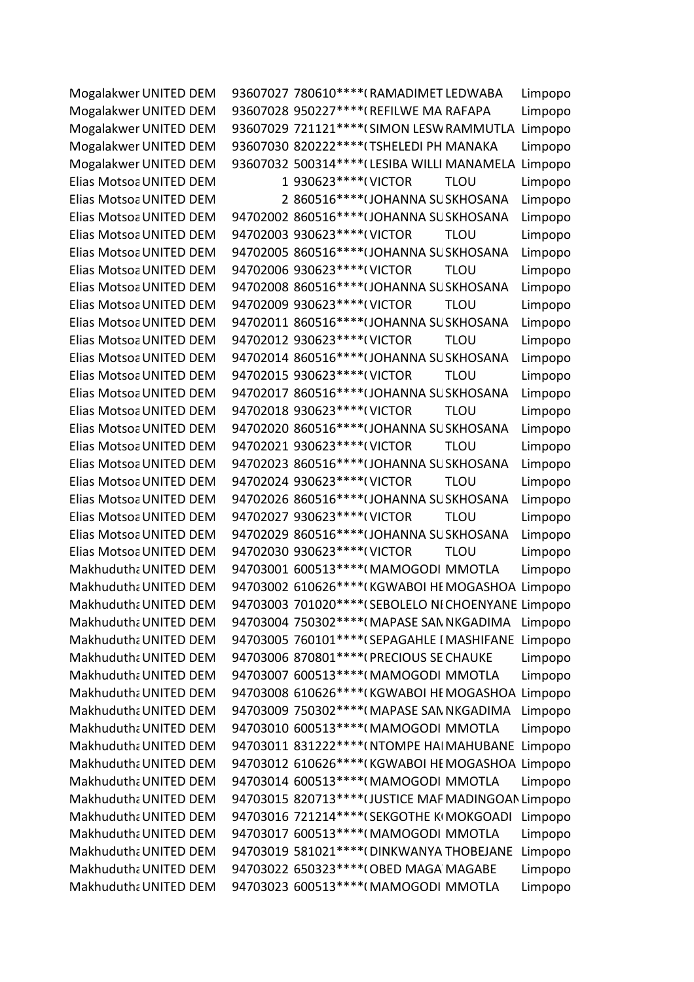Mogalakwer UNITED DEM 93607027 780610\*\*\*\*(RAMADIMET LEDWABA Limpopo Mogalakwer UNITED DEM 93607028 950227\*\*\*\*(REFILWE MA RAFAPA Limpopo Mogalakwer UNITED DEM 93607029 721121\*\*\*\* (SIMON LESW RAMMUTLA Limpopo Mogalakwer UNITED DEM 93607030 820222\*\*\*\*(TSHELEDI PH MANAKA Limpopo Mogalakwer UNITED DEM 93607032 500314\*\*\*\*(LESIBA WILLI MANAMELA Limpopo Elias Motsoa UNITED DEM
Elias Motsoa UNITED DEM
a
um
a
um
a
um
b
1
930623\*\*\*\*
(VICTOR
TLOU
Limpopo Elias Motsoa UNITED DEM 2 860516\*\*\*\* (JOHANNA SUSKHOSANA Limpopo Elias Motsoa UNITED DEM 94702002 860516\*\*\*\* (JOHANNA SUSKHOSANA Limpopo Elias Motsoa UNITED DEM 94702003 930623\*\*\*\*(VICTOR TLOU Limpopo Elias Motsoa UNITED DEM 94702005 860516\*\*\*\* (JOHANNA SUSKHOSANA Limpopo Elias Motsoa UNITED DEM 94702006 930623\*\*\*\*(VICTOR TLOU Limpopo Elias Motsoa UNITED DEM 94702008 860516\*\*\*\* (JOHANNA SUSKHOSANA Limpopo Elias Motsoa UNITED DEM 94702009 930623\*\*\*\*(VICTOR TLOU Limpopo Elias Motsoa UNITED DEM 94702011 860516\*\*\*\* (JOHANNA SUSKHOSANA Limpopo Elias Motsoa UNITED DEM 94702012 930623\*\*\*\*(VICTOR TLOU Limpopo Elias Motsoa UNITED DEM 94702014 860516\*\*\*\* (JOHANNA SUSKHOSANA Limpopo Elias Motsoa UNITED DEM 94702015 930623\*\*\*\*(VICTOR TLOU Limpopo Elias Motsoa UNITED DEM 94702017 860516\*\*\*\* (JOHANNA SUSKHOSANA Limpopo Elias Motsoa UNITED DEM 94702018 930623\*\*\*\*(VICTOR TLOU Limpopo Elias Motsoa UNITED DEM 94702020 860516\*\*\*\* (JOHANNA SUSKHOSANA Limpopo Elias Motsoa UNITED DEM 94702021 930623\*\*\*\*(VICTOR TLOU Limpopo Elias Motsoa UNITED DEM 94702023 860516\*\*\*\* (JOHANNA SUSKHOSANA Limpopo Elias Motsoa UNITED DEM 94702024 930623\*\*\*\*(VICTOR TLOU Limpopo Elias Motsoa UNITED DEM 94702026 860516\*\*\*\* (JOHANNA SUSKHOSANA Limpopo Elias Motsoa UNITED DEM 94702027 930623\*\*\*\*(VICTOR TLOU Limpopo Elias Motsoa UNITED DEM 94702029 860516\*\*\*\* (JOHANNA SUSKHOSANA Limpopo Elias Motsoa UNITED DEM 94702030 930623\*\*\*\*(VICTOR TLOU Limpopo Makhudutha UNITED DEM 94703001 600513\*\*\*\*(MAMOGODI MMOTLA Limpopo Makhudutha UNITED DEM 94703002 610626\*\*\*\*(KGWABOI HEMOGASHOA Limpopo Makhudutha UNITED DEM 94703003 701020\*\*\*\* (SEBOLELO NI CHOENYANE Limpopo Makhudutha UNITED DEM 94703004 750302\*\*\*\*(MAPASE SAN NKGADIMA Limpopo Makhudutha UNITED DEM 94703005 760101\*\*\*\* (SEPAGAHLE I MASHIFANE Limpopo Makhudutha UNITED DEM 94703006 870801\*\*\*\*(PRECIOUS SE CHAUKE Limpopo Makhudutha UNITED DEM 94703007 600513\*\*\*\*(MAMOGODI MMOTLA Limpopo Makhudutha UNITED DEM 94703008 610626\*\*\*\*(KGWABOI HEMOGASHOA Limpopo Makhudutha UNITED DEM 94703009 750302\*\*\*\* (MAPASE SAN NKGADIMA Limpopo Makhudutha UNITED DEM 94703010 600513\*\*\*\*(MAMOGODI MMOTLA Limpopo Makhudutha UNITED DEM 94703011 831222\*\*\*\* (NTOMPE HAI MAHUBANE Limpopo Makhudutha UNITED DEM 94703012 610626\*\*\*\*(KGWABOI HEMOGASHOA Limpopo Makhudutha UNITED DEM 94703014 600513\*\*\*\*(MAMOGODI MMOTLA Limpopo Makhudutha UNITED DEM 94703015 820713\*\*\*\* (JUSTICE MAF MADINGOAN Limpopo Makhudutha UNITED DEM 94703016 721214\*\*\*\* (SEKGOTHE KIMOKGOADI Limpopo Makhudutha UNITED DEM 94703017 600513\*\*\*\*(MAMOGODI MMOTLA Limpopo Makhudutha UNITED DEM 94703019 581021\*\*\*\* (DINKWANYA THOBEJANE Limpopo Makhudutha UNITED DEM 94703022 650323\*\*\*\* (OBED MAGA MAGABE Limpopo Makhudutha UNITED DEM 94703023 600513\*\*\*\*(MAMOGODI MMOTLA Limpopo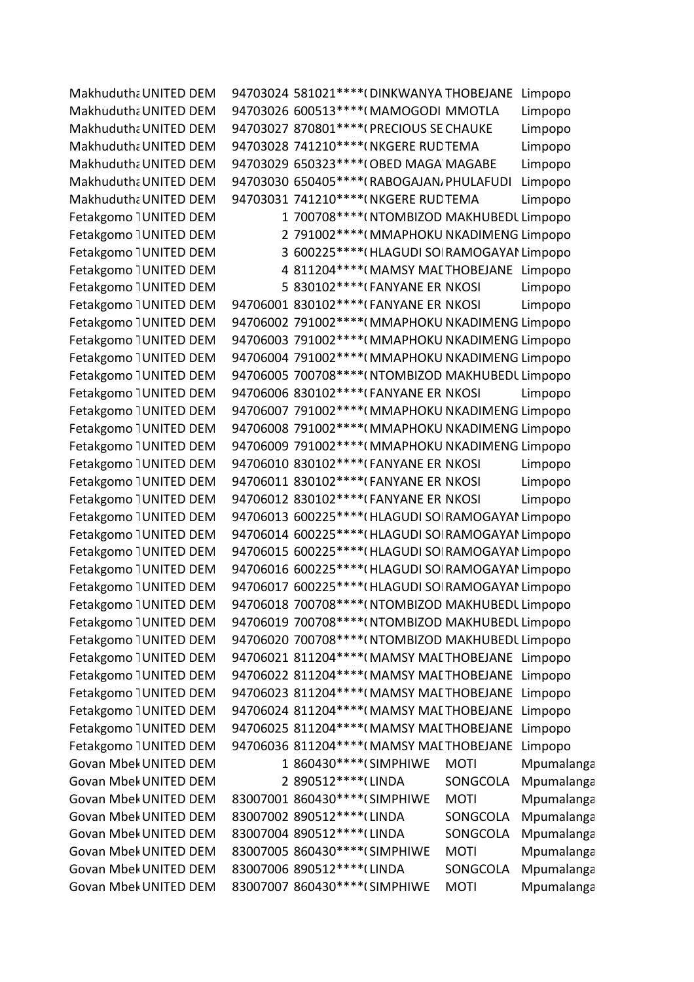Makhudutha UNITED DEM 94703024 581021\*\*\*\* (DINKWANYA THOBEJANE Limpopo Makhudutha UNITED DEM 94703026 600513\*\*\*\*(MAMOGODI MMOTLA Limpopo Makhudutha UNITED DEM 94703027 870801\*\*\*\*(PRECIOUS SE CHAUKE Limpopo Makhudutha UNITED DEM 94703028 741210\*\*\*\* (NKGERE RUD TEMA Limpopo Makhudutha UNITED DEM 94703029 650323\*\*\*\* (OBED MAGA MAGABE Limpopo Makhudutha UNITED DEM 94703030 650405\*\*\*\* (RABOGAJAN, PHULAFUDI Limpopo Makhudutha UNITED DEM 94703031 741210\*\*\*\* (NKGERE RUD TEMA Limpopo Fetakgomo IUNITED DEM 1 700708\*\*\*\*(NTOMBIZOD MAKHUBEDL Limpopo Fetakgomo IUNITED DEM 2 791002\*\*\*\*(MMAPHOKU NKADIMENG Limpopo Fetakgomo IUNITED DEM 3 600225\*\*\*\* (HLAGUDI SOI RAMOGAYAI Limpopo Fetakgomo IUNITED DEM 4811204\*\*\*\* (MAMSY MALTHOBEJANE Limpopo Fetakgomo IUNITED DEM 5 830102\*\*\*\*(FANYANE ERINKOSI Limpopo Fetakgomo IUNITED DEM 94706001 830102\*\*\*\*(FANYANE ERINKOSI Limpopo Fetakgomo 1 UNITED DEM 94706002 791002\*\*\*\* (MMAPHOKU NKADIMENG Limpopo Fetakgomo 1 UNITED DEM 94706003 791002\*\*\*\*(MMAPHOKU NKADIMENG Limpopo Fetakgomo 1UNITED DEM 94706004 791002\*\*\*\*(MMAPHOKU NKADIMENG Limpopo Fetakgomo 1UNITED DEM 94706005 700708\*\*\*\*(NTOMBIZOD MAKHUBEDL Limpopo Fetakgomo IUNITED DEM 94706006 830102\*\*\*\*(FANYANE ERINKOSI Limpopo Fetakgomo 1 UNITED DEM 94706007 791002\*\*\*\* (MMAPHOKU NKADIMENG Limpopo Fetakgomo 1 UNITED DEM 94706008 791002\*\*\*\*( MMAPHOKU NKADIMENG Limpopo Fetakgomo 1UNITED DEM 94706009 791002\*\*\*\*(MMAPHOKU NKADIMENG Limpopo Fetakgomo IUNITED DEM 94706010 830102\*\*\*\*(FANYANE ERINKOSI Limpopo Fetakgomo IUNITED DEM 94706011 830102\*\*\*\*(FANYANE ERINKOSI Limpopo Fetakgomo IUNITED DEM 94706012 830102\*\*\*\*(FANYANE ERINKOSI Limpopo Fetakgomo 1 UNITED DEM 94706013 600225 \*\*\*\* (HLAGUDI SOI RAMOGAYAI Limpopo Fetakgomo 1UNITED DEM 94706014 600225\*\*\*\* (HLAGUDI SOI RAMOGAYAI Limpopo Fetakgomo 1UNITED DEM 94706015 600225\*\*\*\* (HLAGUDI SOI RAMOGAYAI Limpopo Fetakgomo 1UNITED DEM 94706016 600225\*\*\*\* (HLAGUDI SOI RAMOGAYAI Limpopo Fetakgomo 1UNITED DEM 94706017 600225\*\*\*\* (HLAGUDI SOI RAMOGAYAI Limpopo Fetakgomo 1UNITED DEM 94706018 700708\*\*\*\*(NTOMBIZOD MAKHUBEDL Limpopo Fetakgomo 1UNITED DEM 94706019 700708\*\*\*\*(NTOMBIZOD MAKHUBEDL Limpopo Fetakgomo 1UNITED DEM 94706020 700708\*\*\*\*(NTOMBIZOD MAKHUBEDL Limpopo Fetakgomo IUNITED DEM 94706021 811204\*\*\*\*(MAMSY MALTHOBEJANE Limpopo Fetakgomo IUNITED DEM 94706022 811204\*\*\*\* (MAMSY MALTHOBEJANE Limpopo Fetakgomo 1UNITED DEM 94706023 811204\*\*\*\* (MAMSY MAL THOBEJANE Limpopo Fetakgomo IUNITED DEM 94706024 811204\*\*\*\* (MAMSY MALTHOBEJANE Limpopo Fetakgomo IUNITED DEM 94706025 811204\*\*\*\* (MAMSY MALTHOBEJANE Limpopo Fetakgomo 1UNITED DEM 94706036 811204\*\*\*\* (MAMSY MAL THOBEJANE Limpopo Govan Mbek UNITED DEM 1 860430\*\*\*\* (SIMPHIWE MOTI Mpumalanga Govan Mbek UNITED DEM 2 890512\*\*\*\*(LINDA SONGCOLA Mpumalanga Govan Mbek UNITED DEM 83007001 860430\*\*\*\* (SIMPHIWE MOTI Mpumalanga Govan Mbek UNITED DEM 83007002 890512\*\*\*\* (LINDA SONGCOLA Mpumalanga Govan Mbek UNITED DEM 83007004 890512\*\*\*\* (LINDA SONGCOLA Mpumalanga Govan Mbek UNITED DEM 83007005 860430\*\*\*\* (SIMPHIWE MOTI Mpumalanga Govan Mbek UNITED DEM 83007006 890512\*\*\*\* (LINDA SONGCOLA Mpumalanga Govan Mbek UNITED DEM 83007007 860430\*\*\*\* (SIMPHIWE MOTI Mpumalanga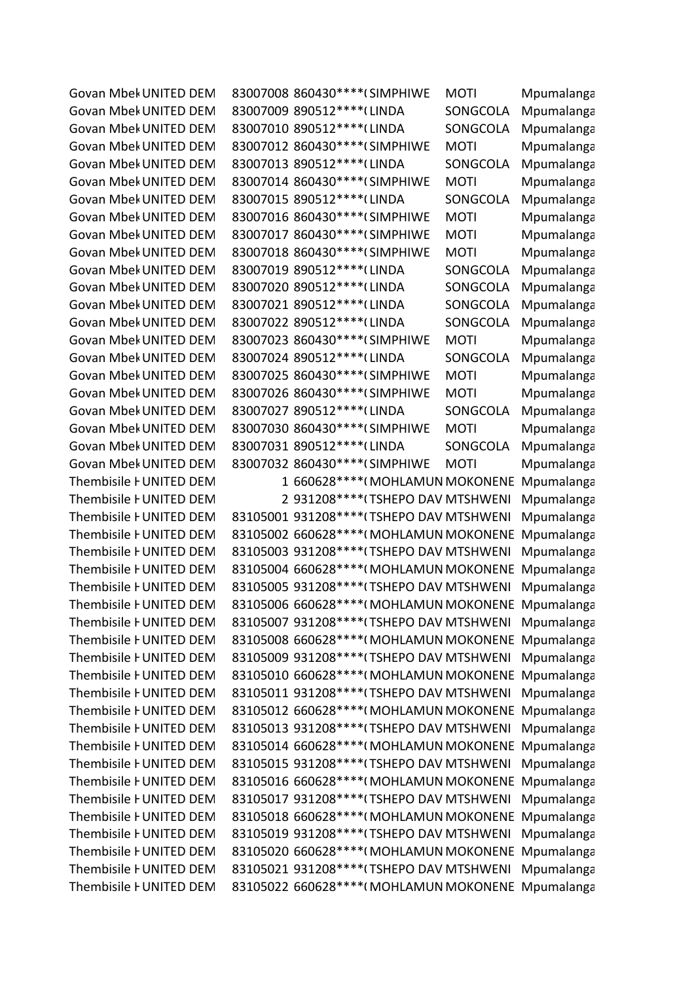Govan Mbek UNITED DEM 83007008 860430\*\*\*\* (SIMPHIWE MOTI Mpumalanga Thembisile FUNITED DEM 83105021 931208\*\*\*\*(TSHEPO DAV MTSHWENI Mpumalanga Thembisile FUNITED DEM 83105022 660628\*\*\*\*(MOHLAMUN MOKONENE Mpumalanga

Govan Mbek UNITED DEM 83007009 890512\*\*\*\* (LINDA SONGCOLA Mpumalanga Govan Mbek UNITED DEM 83007010 890512\*\*\*\* (LINDA SONGCOLA Mpumalanga Govan Mbek UNITED DEM 83007012 860430\*\*\*\* (SIMPHIWE MOTI Mpumalanga Govan Mbek UNITED DEM 83007013 890512\*\*\*\* (LINDA SONGCOLA Mpumalanga Govan Mbek UNITED DEM 83007014 860430\*\*\*\* (SIMPHIWE MOTI Mpumalanga Govan Mbek UNITED DEM 83007015 890512\*\*\*\* (LINDA SONGCOLA Mpumalanga Govan Mbek UNITED DEM 83007016 860430\*\*\*\* (SIMPHIWE MOTI Mpumalanga Govan Mbek UNITED DEM 83007017 860430\*\*\*\* (SIMPHIWE MOTI Mpumalanga Govan Mbek UNITED DEM 83007018 860430\*\*\*\* (SIMPHIWE MOTI Mpumalanga Govan Mbek UNITED DEM 83007019 890512\*\*\*\* (LINDA SONGCOLA Mpumalanga Govan Mbek UNITED DEM 83007020 890512\*\*\*\* (LINDA SONGCOLA Mpumalanga Govan Mbek UNITED DEM 83007021 890512\*\*\*\* (LINDA SONGCOLA Mpumalanga Govan Mbek UNITED DEM 83007022 890512\*\*\*\* (LINDA SONGCOLA Mpumalanga

Govan Mbek UNITED DEM 83007023 860430\*\*\*\* (SIMPHIWE MOTI Mpumalanga Govan Mbek UNITED DEM 83007024 890512\*\*\*\* (LINDA SONGCOLA Mpumalanga Govan Mbek UNITED DEM 83007025 860430\*\*\*\* (SIMPHIWE MOTI Mpumalanga Govan Mbek UNITED DEM 83007026 860430\*\*\*\* (SIMPHIWE MOTI Mpumalanga Govan Mbek UNITED DEM 83007027 890512\*\*\*\* (LINDA SONGCOLA Mpumalanga Govan Mbek UNITED DEM 83007030 860430\*\*\*\* (SIMPHIWE MOTI Mpumalanga Govan Mbek UNITED DEM 83007031 890512\*\*\*\* (LINDA SONGCOLA Mpumalanga Govan Mbek UNITED DEM 83007032 860430\*\*\*\* (SIMPHIWE MOTI Mpumalanga Thembisile FUNITED DEM 1 660628\*\*\*\*(MOHLAMUN MOKONENE Mpumalanga Thembisile FUNITED DEM 2 931208\*\*\*\*(TSHEPO DAV MTSHWENI Mpumalanga Thembisile FUNITED DEM 83105001 931208\*\*\*\* (TSHEPO DAV MTSHWENI Mpumalanga Thembisile FUNITED DEM 83105002 660628\*\*\*\*(MOHLAMUN MOKONENE Mpumalanga Thembisile FUNITED DEM 83105003 931208\*\*\*\*(TSHEPO DAV MTSHWENI Mpumalanga Thembisile FUNITED DEM 83105004 660628\*\*\*\*(MOHLAMUN MOKONENE Mpumalanga Thembisile FUNITED DEM 83105005 931208\*\*\*\*(TSHEPO DAV MTSHWENI Mpumalanga Thembisile FUNITED DEM 83105006 660628\*\*\*\*(MOHLAMUN MOKONENE Mpumalanga Thembisile FUNITED DEM 83105007 931208\*\*\*\* (TSHEPO DAV MTSHWENI Mpumalanga Thembisile FUNITED DEM 83105008 660628\*\*\*\*(MOHLAMUN MOKONENE Mpumalanga Thembisile FUNITED DEM 83105009 931208\*\*\*\*(TSHEPO DAV MTSHWENI Mpumalanga Thembisile FUNITED DEM 83105010 660628\*\*\*\*(MOHLAMUN MOKONENE Mpumalanga Thembisile FUNITED DEM 83105011 931208\*\*\*\* (TSHEPO DAV MTSHWENI Mpumalanga Thembisile FUNITED DEM 83105012 660628\*\*\*\*(MOHLAMUN MOKONENE Mpumalanga Thembisile FUNITED DEM 83105013 931208\*\*\*\* (TSHEPO DAV MTSHWENI Mpumalanga Thembisile FUNITED DEM 83105014 660628\*\*\*\*(MOHLAMUN MOKONENE Mpumalanga Thembisile FUNITED DEM 83105015 931208\*\*\*\* (TSHEPO DAV MTSHWENI Mpumalanga Thembisile FUNITED DEM 83105016 660628\*\*\*\*(MOHLAMUN MOKONENE Mpumalanga Thembisile FUNITED DEM 83105017 931208\*\*\*\*(TSHEPO DAV MTSHWENI Mpumalanga Thembisile FUNITED DEM 83105018 660628\*\*\*\*(MOHLAMUN MOKONENE Mpumalanga Thembisile FUNITED DEM 83105019 931208\*\*\*\*(TSHEPO DAV MTSHWENI Mpumalanga Thembisile FUNITED DEM 83105020 660628\*\*\*\*(MOHLAMUN MOKONENE Mpumalanga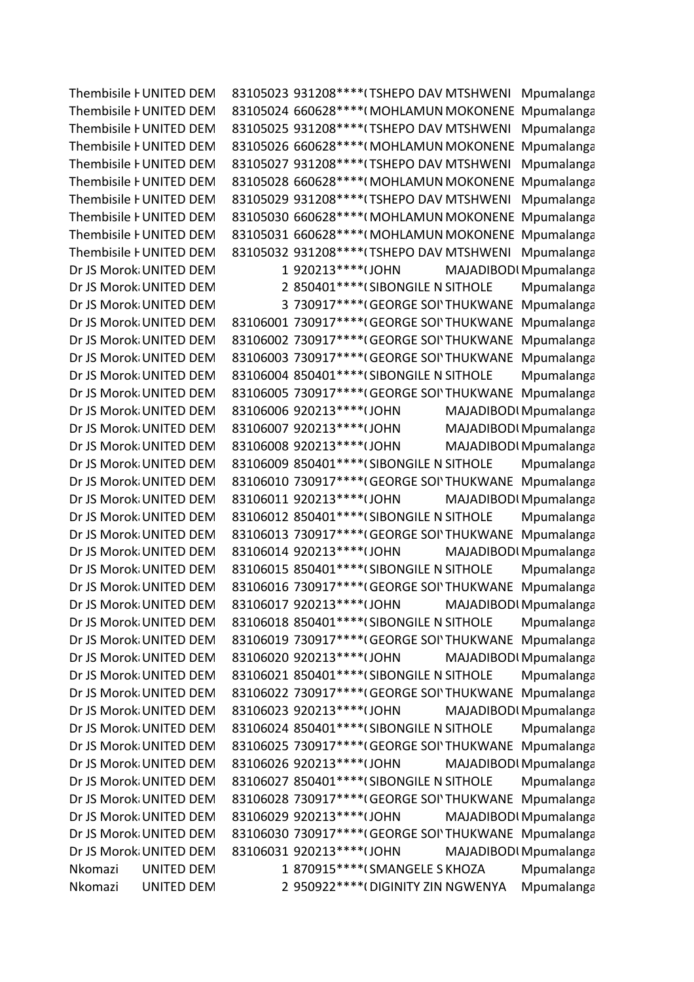Thembisile FUNITED DEM 83105023 931208\*\*\*\*(TSHEPO DAV MTSHWENI Mpumalanga Thembisile FUNITED DEM 83105024 660628\*\*\*\*(MOHLAMUN MOKONENE Mpumalanga Thembisile FUNITED DEM 83105025 931208\*\*\*\* (TSHEPO DAV MTSHWENI Mpumalanga Thembisile FUNITED DEM 83105026 660628\*\*\*\*(MOHLAMUN MOKONENE Mpumalanga Thembisile FUNITED DEM 83105027 931208\*\*\*\*(TSHEPO DAV MTSHWENI Mpumalanga Thembisile FUNITED DEM 83105028 660628\*\*\*\*(MOHLAMUN MOKONENE Mpumalanga Thembisile FUNITED DEM 83105029 931208\*\*\*\* (TSHEPO DAV MTSHWENI Mpumalanga Thembisile FUNITED DEM 83105030 660628\*\*\*\*(MOHLAMUN MOKONENE Mpumalanga Thembisile FUNITED DEM 83105031 660628\*\*\*\*(MOHLAMUN MOKONENE Mpumalanga Thembisile FUNITED DEM 83105032 931208\*\*\*\*(TSHEPO DAV MTSHWENI Mpumalanga Dr JS Morok UNITED DEM
1920213\*\*\*\* (JOHN
MAJADIBODI Mpumalanga Dr JS Morok UNITED DEM 2 850401\*\*\*\* (SIBONGILE N SITHOLE Mpumalanga Dr JS Morok UNITED DEM 3 730917\*\*\*\* (GEORGE SOI' THUKWANE Mpumalanga Dr JS Morok UNITED DEM 83106001 730917\*\*\*\* (GEORGE SOI' THUKWANE Mpumalanga Dr JS Morok UNITED DEM 83106002 730917\*\*\*\* (GEORGE SOI' THUKWANE Mpumalanga Dr JS Morok UNITED DEM 83106003 730917\*\*\*\* (GEORGE SOI' THUKWANE Mpumalanga Dr JS Morok UNITED DEM 83106004 850401\*\*\*\* (SIBONGILE N SITHOLE Mpumalanga Dr JS Morok UNITED DEM 83106005 730917\*\*\*\* (GEORGE SOI' THUKWANE Mpumalanga Dr JS Morok UNITED DEM 83106006 920213\*\*\*\* (JOHN MAJADIBODI Mpumalanga Dr JS Morok UNITED DEM 83106007 920213\*\*\*\* (JOHN MAJADIBODI Mpumalanga Dr JS Morok UNITED DEM 83106008 920213\*\*\*\* (JOHN MAJADIBODI Mpumalanga Dr JS Morok UNITED DEM 83106009 850401\*\*\*\* (SIBONGILE N SITHOLE Mpumalanga Dr JS Morok UNITED DEM 83106010 730917\*\*\*\* (GEORGE SOI' THUKWANE Mpumalanga Dr JS Morok UNITED DEM 83106011 920213\*\*\*\* (JOHN MAJADIBODI Mpumalanga Dr JS Morok UNITED DEM 83106012 850401\*\*\*\* (SIBONGILE N SITHOLE Mpumalanga Dr JS Morok UNITED DEM 83106013 730917\*\*\*\* (GEORGE SOI' THUKWANE Mpumalanga Dr JS Morok UNITED DEM 83106014 920213\*\*\*\* (JOHN MAJADIBODI Mpumalanga Dr JS Morok UNITED DEM 83106015 850401\*\*\*\* (SIBONGILE N SITHOLE Mpumalanga Dr JS Morok UNITED DEM 83106016 730917\*\*\*\* (GEORGE SOI' THUKWANE Mpumalanga Dr JS Morok UNITED DEM 83106017 920213\*\*\*\* (JOHN MAJADIBODI Mpumalanga Dr JS Morok UNITED DEM 83106018 850401\*\*\*\* (SIBONGILE N SITHOLE Mpumalanga Dr JS Morok UNITED DEM 83106019 730917\*\*\*\* (GEORGE SOI' THUKWANE Mpumalanga Dr JS Morok UNITED DEM 83106020 920213\*\*\*\* (JOHN MAJADIBODI Mpumalanga Dr JS Morok UNITED DEM 83106021 850401\*\*\*\* (SIBONGILE N SITHOLE Mpumalanga Dr JS Morok UNITED DEM 83106022 730917\*\*\*\* (GEORGE SOI' THUKWANE Mpumalanga Dr JS Morok UNITED DEM 83106023 920213\*\*\*\* (JOHN MAJADIBODI Mpumalanga Dr JS Morok UNITED DEM 83106024 850401\*\*\*\* (SIBONGILE N SITHOLE Mpumalanga Dr JS Morok UNITED DEM 83106025 730917\*\*\*\* (GEORGE SOI' THUKWANE Mpumalanga Dr JS Morok UNITED DEM 83106026 920213\*\*\*\* (JOHN MAJADIBODI Mpumalanga Dr JS Morok UNITED DEM 83106027 850401\*\*\*\* (SIBONGILE N SITHOLE Mpumalanga Dr JS Morok UNITED DEM 83106028 730917\*\*\*\* (GEORGE SOI' THUKWANE Mpumalanga Dr JS Morok UNITED DEM 83106029 920213\*\*\*\* (JOHN MAJADIBODI Mpumalanga Dr JS Morok UNITED DEM 83106030 730917\*\*\*\* (GEORGE SOI' THUKWANE Mpumalanga Dr JS Morok UNITED DEM 83106031 920213\*\*\*\* (JOHN MAJADIBODI Mpumalanga Nkomazi UNITED DEM 1 870915\*\*\*\*(SMANGELE SKHOZA Mpumalanga Nkomazi UNITED DEM 2 950922\*\*\*\*(DIGINITY ZIN NGWENYA Mpumalanga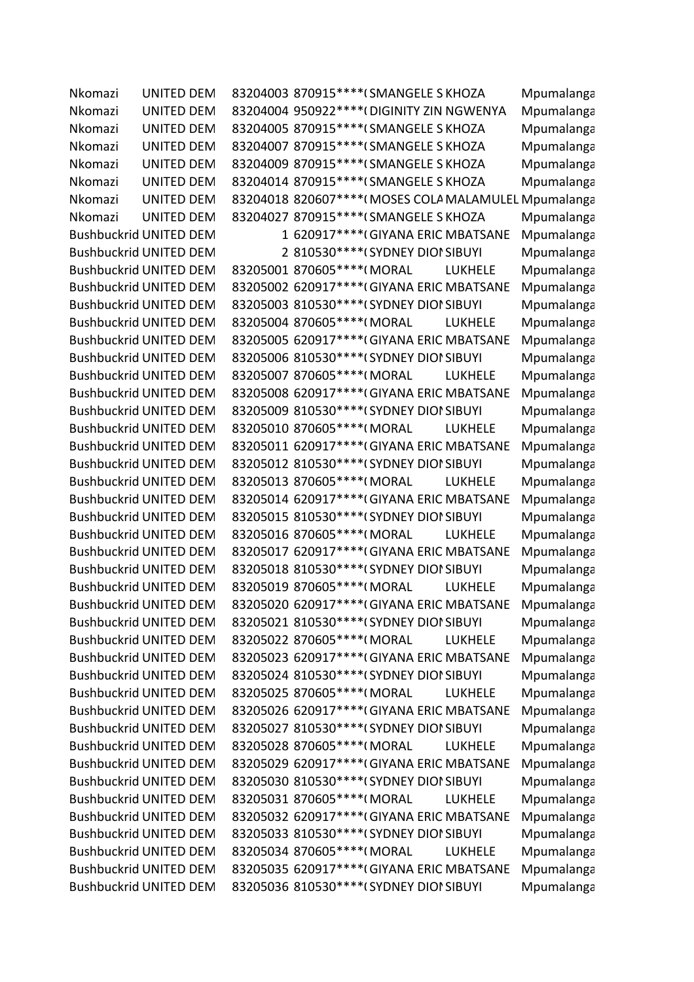Nkomazi UNITED DEM 83204003 870915\*\*\*\*(SMANGELE SKHOZA Mpumalanga Nkomazi UNITED DEM 83204004 950922\*\*\*\* (DIGINITY ZIN NGWENYA Mpumalanga Nkomazi UNITED DEM 83204005 870915\*\*\*\*(SMANGELE SKHOZA Mpumalanga Nkomazi UNITED DEM 83204007 870915\*\*\*\* (SMANGELE SKHOZA Mpumalanga Nkomazi UNITED DEM 83204009 870915\*\*\*\*(SMANGELE SKHOZA Mpumalanga Nkomazi UNITED DEM 83204014 870915\*\*\*\*(SMANGELE SKHOZA Mpumalanga Nkomazi UNITED DEM 83204018 820607\*\*\*\*(MOSES COLA MALAMULEL Mpumalanga Nkomazi UNITED DEM 83204027 870915\*\*\*\*(SMANGELE SKHOZA Mpumalanga Bushbuckrid UNITED DEM 1 620917\*\*\*\*(GIYANA ERIC MBATSANE Mpumalanga Bushbuckrid UNITED DEM 2 810530\*\*\*\*(SYDNEY DIOI SIBUYI Mpumalanga Bushbuckrid UNITED DEM 83205001 870605\*\*\*\*(MORAL LUKHELE Mpumalanga Bushbuckrid UNITED DEM 83205002 620917\*\*\*\*(GIYANA ERIC MBATSANE Mpumalanga Bushbuckrid UNITED DEM 83205003 810530\*\*\*\*(SYDNEY DIOI SIBUYI Mpumalanga Bushbuckrid UNITED DEM 83205004 870605\*\*\*\*(MORAL LUKHELE Mpumalanga Bushbuckrid UNITED DEM 83205005 620917\*\*\*\*(GIYANA ERIC MBATSANE Mpumalanga Bushbuckrid UNITED DEM 83205006 810530\*\*\*\*(SYDNEY DIOI SIBUYI Mpumalanga Bushbuckrid UNITED DEM 83205007 870605\*\*\*\*(MORAL LUKHELE Mpumalanga Bushbuckrid UNITED DEM 83205008 620917\*\*\*\*(GIYANA ERIC MBATSANE Mpumalanga Bushbuckrid UNITED DEM 83205009 810530\*\*\*\*(SYDNEY DIOI SIBUYI Mpumalanga Bushbuckrid UNITED DEM 83205010 870605\*\*\*\*(MORAL LUKHELE Mpumalanga Bushbuckrid UNITED DEM 83205011 620917\*\*\*\*(GIYANA ERIC MBATSANE Mpumalanga Bushbuckrid UNITED DEM 83205012 810530\*\*\*\*(SYDNEY DIOI SIBUYI Mpumalanga Bushbuckrid UNITED DEM 83205013 870605\*\*\*\*(MORAL LUKHELE Mpumalanga Bushbuckrid UNITED DEM 83205014 620917\*\*\*\*(GIYANA ERIC MBATSANE Mpumalanga Bushbuckrid UNITED DEM 83205015 810530\*\*\*\*(SYDNEY DIOI SIBUYI Mpumalanga Bushbuckrid UNITED DEM 83205016 870605\*\*\*\*(MORAL LUKHELE Mpumalanga Bushbuckrid UNITED DEM 83205017 620917\*\*\*\*(GIYANA ERIC MBATSANE Mpumalanga Bushbuckrid UNITED DEM 83205018 810530\*\*\*\*(SYDNEY DIOI SIBUYI Mpumalanga Bushbuckrid UNITED DEM 83205019 870605\*\*\*\*(MORAL LUKHELE Mpumalanga Bushbuckrid UNITED DEM 83205020 620917\*\*\*\*(GIYANA ERIC MBATSANE Mpumalanga Bushbuckrid UNITED DEM 83205021 810530\*\*\*\*(SYDNEY DIOI SIBUYI Mpumalanga Bushbuckrid UNITED DEM 83205022 870605\*\*\*\*(MORAL LUKHELE Mpumalanga Bushbuckrid UNITED DEM 83205023 620917\*\*\*\*(GIYANA ERIC MBATSANE Mpumalanga Bushbuckrid UNITED DEM 83205024 810530\*\*\*\*(SYDNEY DIOI SIBUYI Mpumalanga Bushbuckrid UNITED DEM 83205025 870605\*\*\*\*(MORAL LUKHELE Mpumalanga Bushbuckrid UNITED DEM 83205026 620917\*\*\*\*(GIYANA ERIC MBATSANE Mpumalanga Bushbuckrid UNITED DEM 83205027 810530\*\*\*\*(SYDNEY DIOI SIBUYI Mpumalanga Bushbuckrid UNITED DEM 83205028 870605\*\*\*\*(MORAL LUKHELE Mpumalanga Bushbuckrid UNITED DEM 83205029 620917\*\*\*\*(GIYANA ERIC MBATSANE Mpumalanga Bushbuckrid UNITED DEM 83205030 810530\*\*\*\*(SYDNEY DIOI SIBUYI Mpumalanga Bushbuckrid UNITED DEM 83205031 870605\*\*\*\*(MORAL LUKHELE Mpumalanga Bushbuckrid UNITED DEM 83205032 620917\*\*\*\*(GIYANA ERIC MBATSANE Mpumalanga Bushbuckrid UNITED DEM 83205033 810530\*\*\*\*(SYDNEY DIOI SIBUYI Mpumalanga Bushbuckrid UNITED DEM 83205034 870605\*\*\*\*(MORAL LUKHELE Mpumalanga Bushbuckrid UNITED DEM 83205035 620917\*\*\*\*(GIYANA ERIC MBATSANE Mpumalanga Bushbuckrid UNITED DEM 83205036 810530\*\*\*\*(SYDNEY DIOI SIBUYI Mpumalanga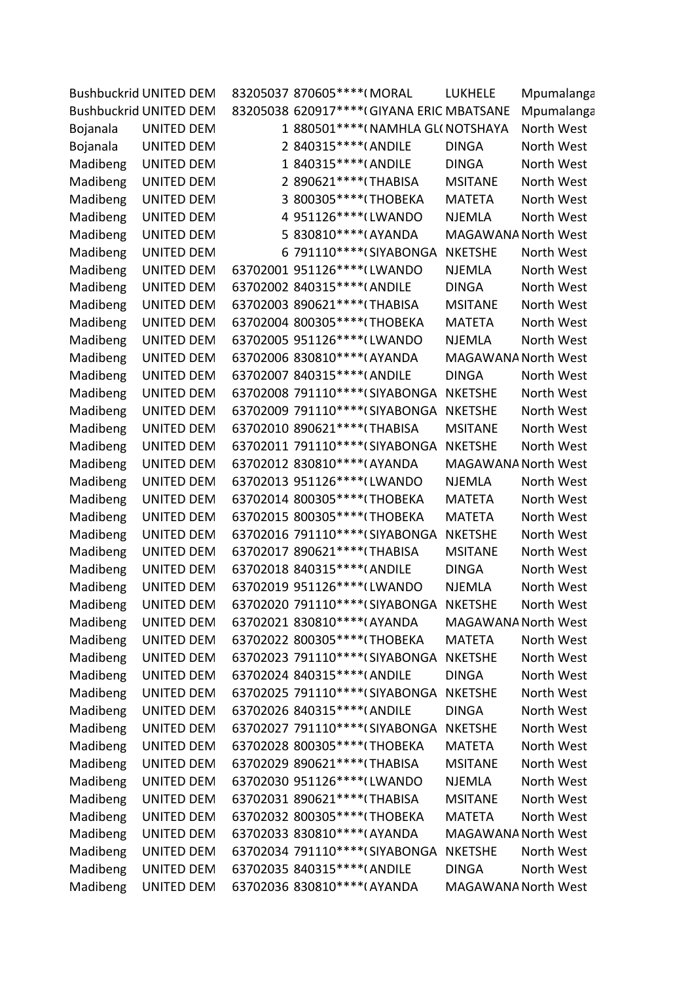|          | <b>Bushbuckrid UNITED DEM</b> |   | 83205037 870605 **** (MORAL                | <b>LUKHELE</b>             | Mpumalanga |
|----------|-------------------------------|---|--------------------------------------------|----------------------------|------------|
|          | <b>Bushbuckrid UNITED DEM</b> |   | 83205038 620917 **** (GIYANA ERIC MBATSANE |                            | Mpumalanga |
| Bojanala | <b>UNITED DEM</b>             |   | 1 880501 **** (NAMHLA GL(NOTSHAYA          |                            | North West |
| Bojanala | <b>UNITED DEM</b>             |   | 2 840315 **** (ANDILE                      | <b>DINGA</b>               | North West |
| Madibeng | <b>UNITED DEM</b>             |   | 1 840315 **** (ANDILE                      | <b>DINGA</b>               | North West |
| Madibeng | <b>UNITED DEM</b>             |   | 2 890621 **** (THABISA                     | <b>MSITANE</b>             | North West |
| Madibeng | <b>UNITED DEM</b>             | 3 | 800305 **** (THOBEKA                       | <b>MATETA</b>              | North West |
| Madibeng | <b>UNITED DEM</b>             |   | 4 951126 **** (LWANDO                      | <b>NJEMLA</b>              | North West |
| Madibeng | <b>UNITED DEM</b>             |   | 5 830810*****(AYANDA                       | MAGAWANA North West        |            |
| Madibeng | <b>UNITED DEM</b>             |   | 6 791110****(SIYABONGA                     | <b>NKETSHE</b>             | North West |
| Madibeng | <b>UNITED DEM</b>             |   | 63702001 951126****(LWANDO                 | NJEMLA                     | North West |
| Madibeng | <b>UNITED DEM</b>             |   | 63702002 840315 **** (ANDILE               | <b>DINGA</b>               | North West |
| Madibeng | <b>UNITED DEM</b>             |   | 63702003 890621 **** (THABISA              | <b>MSITANE</b>             | North West |
| Madibeng | <b>UNITED DEM</b>             |   | 63702004 800305 **** (THOBEKA              | <b>MATETA</b>              | North West |
| Madibeng | <b>UNITED DEM</b>             |   | 63702005 951126 **** (LWANDO               | <b>NJEMLA</b>              | North West |
| Madibeng | <b>UNITED DEM</b>             |   | 63702006 830810 **** (AYANDA               | MAGAWANA North West        |            |
| Madibeng | <b>UNITED DEM</b>             |   | 63702007 840315 **** (ANDILE               | <b>DINGA</b>               | North West |
| Madibeng | <b>UNITED DEM</b>             |   | 63702008 791110 **** (SIYABONGA            | <b>NKETSHE</b>             | North West |
| Madibeng | <b>UNITED DEM</b>             |   | 63702009 791110 **** (SIYABONGA            | <b>NKETSHE</b>             | North West |
| Madibeng | <b>UNITED DEM</b>             |   | 63702010 890621 **** (THABISA              | <b>MSITANE</b>             | North West |
| Madibeng | <b>UNITED DEM</b>             |   | 63702011 791110 **** (SIYABONGA            | <b>NKETSHE</b>             | North West |
| Madibeng | <b>UNITED DEM</b>             |   | 63702012 830810 **** (AYANDA               | <b>MAGAWANA North West</b> |            |
| Madibeng | <b>UNITED DEM</b>             |   | 63702013 951126 **** (LWANDO               | <b>NJEMLA</b>              | North West |
| Madibeng | <b>UNITED DEM</b>             |   | 63702014 800305 **** (THOBEKA              | <b>MATETA</b>              | North West |
| Madibeng | <b>UNITED DEM</b>             |   | 63702015 800305 **** (THOBEKA              | <b>MATETA</b>              | North West |
| Madibeng | <b>UNITED DEM</b>             |   | 63702016 791110 **** (SIYABONGA            | <b>NKETSHE</b>             | North West |
| Madibeng | <b>UNITED DEM</b>             |   | 63702017 890621 **** (THABISA              | <b>MSITANE</b>             | North West |
| Madibeng | <b>UNITED DEM</b>             |   | 63702018 840315 **** (ANDILE               | <b>DINGA</b>               | North West |
| Madibeng | <b>UNITED DEM</b>             |   | 63702019 951126 **** (LWANDO               | <b>NJEMLA</b>              | North West |
| Madibeng | <b>UNITED DEM</b>             |   | 63702020 791110 **** (SIYABONGA            | <b>NKETSHE</b>             | North West |
| Madibeng | <b>UNITED DEM</b>             |   | 63702021 830810 **** (AYANDA               | <b>MAGAWANA North West</b> |            |
| Madibeng | <b>UNITED DEM</b>             |   | 63702022 800305 **** (THOBEKA              | MATETA                     | North West |
| Madibeng | <b>UNITED DEM</b>             |   | 63702023 791110****(SIYABONGA              | <b>NKETSHE</b>             | North West |
| Madibeng | <b>UNITED DEM</b>             |   | 63702024 840315 **** (ANDILE               | <b>DINGA</b>               | North West |
| Madibeng | <b>UNITED DEM</b>             |   | 63702025 791110 **** (SIYABONGA            | <b>NKETSHE</b>             | North West |
| Madibeng | <b>UNITED DEM</b>             |   | 63702026 840315 **** (ANDILE               | <b>DINGA</b>               | North West |
| Madibeng | UNITED DEM                    |   | 63702027 791110****(SIYABONGA              | <b>NKETSHE</b>             | North West |
| Madibeng | <b>UNITED DEM</b>             |   | 63702028 800305 **** (THOBEKA              | <b>MATETA</b>              | North West |
| Madibeng | <b>UNITED DEM</b>             |   | 63702029 890621 **** (THABISA              | <b>MSITANE</b>             | North West |
| Madibeng | <b>UNITED DEM</b>             |   | 63702030 951126 **** (LWANDO               | <b>NJEMLA</b>              | North West |
| Madibeng | <b>UNITED DEM</b>             |   | 63702031 890621 **** (THABISA              | <b>MSITANE</b>             | North West |
| Madibeng | <b>UNITED DEM</b>             |   | 63702032 800305 **** (THOBEKA              | <b>MATETA</b>              | North West |
| Madibeng | <b>UNITED DEM</b>             |   | 63702033 830810 **** (AYANDA               | MAGAWANA North West        |            |
| Madibeng | <b>UNITED DEM</b>             |   | 63702034 791110 **** (SIYABONGA            | <b>NKETSHE</b>             | North West |
| Madibeng | <b>UNITED DEM</b>             |   | 63702035 840315 **** (ANDILE               | <b>DINGA</b>               | North West |
| Madibeng | UNITED DEM                    |   | 63702036 830810 **** (AYANDA               | MAGAWANA North West        |            |
|          |                               |   |                                            |                            |            |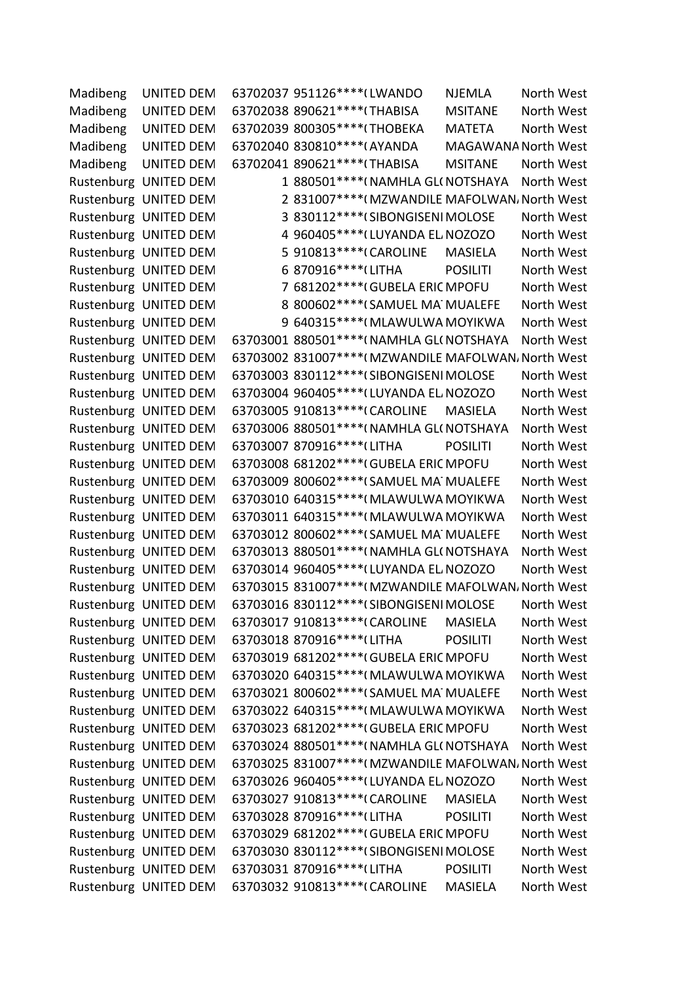| Madibeng | <b>UNITED DEM</b>     | 63702037 951126 **** (LWANDO                        | <b>NJEMLA</b>       | North West |  |
|----------|-----------------------|-----------------------------------------------------|---------------------|------------|--|
| Madibeng | UNITED DEM            | 63702038 890621 **** (THABISA                       | <b>MSITANE</b>      | North West |  |
| Madibeng | <b>UNITED DEM</b>     | 63702039 800305 **** (THOBEKA                       | <b>MATETA</b>       | North West |  |
| Madibeng | <b>UNITED DEM</b>     | 63702040 830810 **** (AYANDA                        | MAGAWANA North West |            |  |
| Madibeng | UNITED DEM            | 63702041 890621 **** (THABISA                       | <b>MSITANE</b>      | North West |  |
|          | Rustenburg UNITED DEM | 1 880501 **** (NAMHLA GL(NOTSHAYA                   |                     | North West |  |
|          | Rustenburg UNITED DEM | 2 831007**** (MZWANDILE MAFOLWAN, North West        |                     |            |  |
|          | Rustenburg UNITED DEM | 3 830112 **** (SIBONGISENI MOLOSE                   |                     | North West |  |
|          | Rustenburg UNITED DEM | 4 960405 **** (LUYANDA EL NOZOZO                    |                     | North West |  |
|          | Rustenburg UNITED DEM | 5 910813 **** (CAROLINE                             | <b>MASIELA</b>      | North West |  |
|          | Rustenburg UNITED DEM | 6 870916 **** (LITHA                                | <b>POSILITI</b>     | North West |  |
|          | Rustenburg UNITED DEM | 7 681202 **** (GUBELA ERIC MPOFU                    |                     | North West |  |
|          | Rustenburg UNITED DEM | 8 800602 **** (SAMUEL MA MUALEFE                    |                     | North West |  |
|          | Rustenburg UNITED DEM | 9 640315 **** (MLAWULWA MOYIKWA                     |                     | North West |  |
|          | Rustenburg UNITED DEM | 63703001 880501 **** (NAMHLA GL(NOTSHAYA            |                     | North West |  |
|          | Rustenburg UNITED DEM | 63703002 831007**** (MZWANDILE MAFOLWAN, North West |                     |            |  |
|          | Rustenburg UNITED DEM | 63703003 830112 **** (SIBONGISENI MOLOSE            |                     | North West |  |
|          | Rustenburg UNITED DEM | 63703004 960405 **** (LUYANDA EL NOZOZO             |                     | North West |  |
|          | Rustenburg UNITED DEM | 63703005 910813 **** (CAROLINE                      | <b>MASIELA</b>      | North West |  |
|          | Rustenburg UNITED DEM | 63703006 880501 **** (NAMHLA GL(NOTSHAYA            |                     | North West |  |
|          | Rustenburg UNITED DEM | 63703007 870916 **** (LITHA                         | <b>POSILITI</b>     | North West |  |
|          | Rustenburg UNITED DEM | 63703008 681202 **** (GUBELA ERIC MPOFU             |                     | North West |  |
|          | Rustenburg UNITED DEM | 63703009 800602 **** (SAMUEL MA MUALEFE             |                     | North West |  |
|          | Rustenburg UNITED DEM | 63703010 640315 **** (MLAWULWA MOYIKWA              |                     | North West |  |
|          | Rustenburg UNITED DEM | 63703011 640315 **** (MLAWULWA MOYIKWA              |                     | North West |  |
|          | Rustenburg UNITED DEM | 63703012 800602 **** (SAMUEL MA MUALEFE             |                     | North West |  |
|          | Rustenburg UNITED DEM | 63703013 880501 **** (NAMHLA GL(NOTSHAYA            |                     | North West |  |
|          | Rustenburg UNITED DEM | 63703014 960405 **** (LUYANDA EL NOZOZO             |                     | North West |  |
|          | Rustenburg UNITED DEM | 63703015 831007****(MZWANDILE MAFOLWAN, North West  |                     |            |  |
|          | Rustenburg UNITED DEM | 63703016 830112 **** (SIBONGISENI MOLOSE            |                     | North West |  |
|          | Rustenburg UNITED DEM | 63703017 910813 **** (CAROLINE                      | MASIELA             | North West |  |
|          | Rustenburg UNITED DEM | 63703018 870916 **** (LITHA                         | <b>POSILITI</b>     | North West |  |
|          | Rustenburg UNITED DEM | 63703019 681202 **** (GUBELA ERIC MPOFU             |                     | North West |  |
|          | Rustenburg UNITED DEM | 63703020 640315 **** (MLAWULWA MOYIKWA              |                     | North West |  |
|          | Rustenburg UNITED DEM | 63703021 800602 **** (SAMUEL MA MUALEFE             |                     | North West |  |
|          | Rustenburg UNITED DEM | 63703022 640315 **** (MLAWULWA MOYIKWA              |                     | North West |  |
|          | Rustenburg UNITED DEM | 63703023 681202 **** (GUBELA ERIC MPOFU             |                     | North West |  |
|          | Rustenburg UNITED DEM | 63703024 880501 **** (NAMHLA GL(NOTSHAYA            |                     | North West |  |
|          | Rustenburg UNITED DEM | 63703025 831007****(MZWANDILE MAFOLWAN, North West  |                     |            |  |
|          | Rustenburg UNITED DEM | 63703026 960405 **** (LUYANDA EL NOZOZO             |                     | North West |  |
|          | Rustenburg UNITED DEM | 63703027 910813 **** (CAROLINE                      | <b>MASIELA</b>      | North West |  |
|          | Rustenburg UNITED DEM | 63703028 870916 **** (LITHA                         | <b>POSILITI</b>     | North West |  |
|          | Rustenburg UNITED DEM | 63703029 681202 **** (GUBELA ERIC MPOFU             |                     | North West |  |
|          | Rustenburg UNITED DEM | 63703030 830112 **** (SIBONGISENI MOLOSE            |                     | North West |  |
|          | Rustenburg UNITED DEM | 63703031 870916 **** (LITHA                         | <b>POSILITI</b>     | North West |  |
|          | Rustenburg UNITED DEM | 63703032 910813 **** (CAROLINE                      | MASIELA             | North West |  |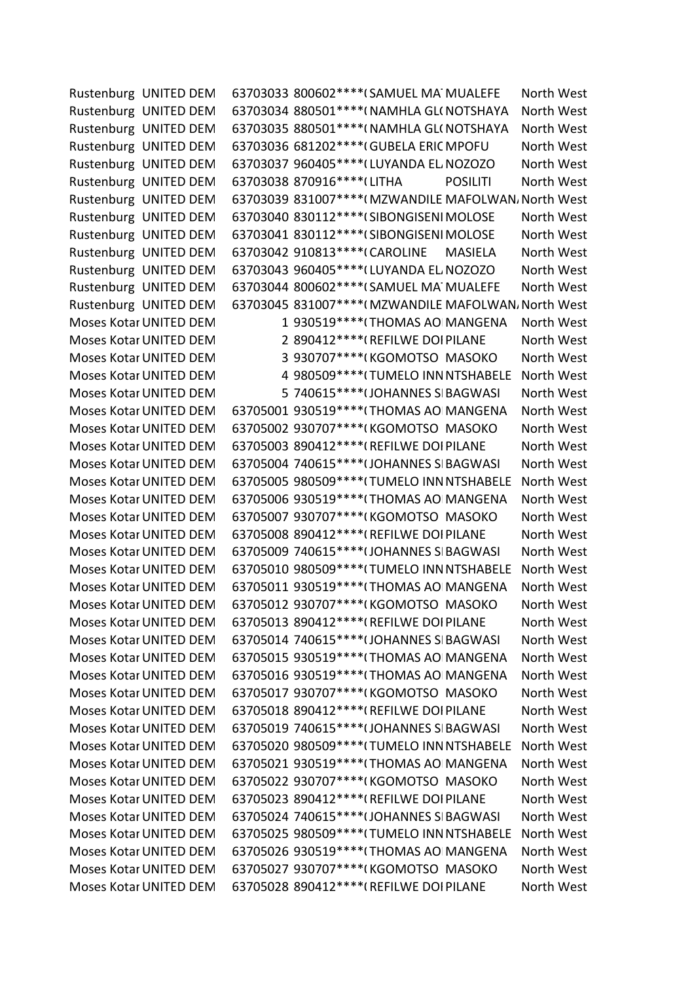Rustenburg UNITED DEM 63703033 800602\*\*\*\*(SAMUEL MAT MUALEFE North West Rustenburg UNITED DEM 63703034 880501\*\*\*\*(NAMHLA GL(NOTSHAYA North West Rustenburg UNITED DEM 63703035 880501\*\*\*\*(NAMHLA GL(NOTSHAYA North West Rustenburg UNITED DEM 63703036 681202\*\*\*\*(GUBELA ERIC MPOFU North West Rustenburg UNITED DEM 63703037 960405\*\*\*\* (LUYANDA EL NOZOZO North West Rustenburg UNITED DEM 63703038 870916\*\*\*\*(LITHA POSILITI North West Rustenburg UNITED DEM 63703039 831007\*\*\*\*(MZWANDILE MAFOLWAN، North West Rustenburg UNITED DEM 63703040 830112\*\*\*\*(SIBONGISENIMOLOSE North West Rustenburg UNITED DEM 63703041 830112\*\*\*\*(SIBONGISENIMOLOSE North West Rustenburg UNITED DEM 63703042 910813\*\*\*\*(CAROLINE MASIELA North West Rustenburg UNITED DEM 63703043 960405\*\*\*\* (LUYANDA EL NOZOZO North West Rustenburg UNITED DEM 63703044 800602\*\*\*\*(SAMUEL MATMUALEFE North West Rustenburg UNITED DEM 63703045 831007\*\*\*\*(MZWANDILE MAFOLWAN، North West Moses Kotar UNITED DEM 1 930519\*\*\*\*(THOMAS AO MANGENA North West Moses Kotar UNITED DEM
2 890412\*\*\*\* (REFILWE DOI PILANE
North West Moses Kotar UNITED DEM 3 930707\*\*\*\*(KGOMOTSO MASOKO North West Moses Kotar UNITED DEM 4 980509\*\*\*\*(TUMELO INN NTSHABELE North West Moses Kotar UNITED DEM  $5\,740615***$  (JOHANNES SIBAGWASI North West Moses Kotar UNITED DEM 63705001 930519\*\*\*\*(THOMAS AO MANGENA North West Moses Kotar UNITED DEM 63705002 930707\*\*\*\*(KGOMOTSO MASOKO North West Moses Kotar UNITED DEM 63705003 890412\*\*\*\*(REFILWE DOI PILANE North West Moses Kotar UNITED DEM 63705004 740615\*\*\*\*(JOHANNES SIBAGWASI North West Moses Kotar UNITED DEM 63705005 980509\*\*\*\*(TUMELO INN NTSHABELE North West Moses Kotar UNITED DEM 63705006 930519\*\*\*\*(THOMAS AO MANGENA North West Moses Kotar UNITED DEM 63705007 930707\*\*\*\*(KGOMOTSO MASOKO North West Moses Kotar UNITED DEM 63705008 890412\*\*\*\*(REFILWE DOI PILANE North West Moses Kotar UNITED DEM 63705009 740615\*\*\*\*(JOHANNES SIBAGWASI North West Moses Kotar UNITED DEM 63705010 980509\*\*\*\*(TUMELO INN NTSHABELE North West Moses Kotar UNITED DEM 63705011 930519\*\*\*\* (THOMAS AO MANGENA North West Moses Kotar UNITED DEM 63705012 930707\*\*\*\*(KGOMOTSO MASOKO North West Moses Kotar UNITED DEM 63705013 890412\*\*\*\*(REFILWE DOI PILANE North West Moses Kotar UNITED DEM 63705014 740615\*\*\*\* (JOHANNES SIBAGWASI North West Moses Kotar UNITED DEM 63705015 930519\*\*\*\* (THOMAS AO MANGENA North West Moses Kotar UNITED DEM 63705016 930519\*\*\*\* (THOMAS AO MANGENA North West Moses Kotar UNITED DEM 63705017 930707\*\*\*\*(KGOMOTSO MASOKO North West Moses Kotar UNITED DEM 63705018 890412\*\*\*\*(REFILWE DOI PILANE North West Moses Kotar UNITED DEM 63705019 740615\*\*\*\* (JOHANNES SIBAGWASI North West Moses Kotar UNITED DEM 63705020 980509\*\*\*\* (TUMELO INN NTSHABELE North West Moses Kotar UNITED DEM 63705021 930519\*\*\*\*(THOMAS AO MANGENA North West Moses Kotar UNITED DEM 63705022 930707\*\*\*\*(KGOMOTSO MASOKO North West Moses Kotar UNITED DEM 63705023 890412\*\*\*\*(REFILWE DOI PILANE North West Moses Kotar UNITED DEM 63705024 740615\*\*\*\* (JOHANNES SIBAGWASI North West Moses Kotar UNITED DEM 63705025 980509\*\*\*\*(TUMELO INN NTSHABELE North West Moses Kotar UNITED DEM 63705026 930519\*\*\*\*(THOMAS AO MANGENA North West Moses Kotar UNITED DEM 63705027 930707\*\*\*\*(KGOMOTSO MASOKO North West Moses Kotar UNITED DEM 63705028 890412\*\*\*\*(REFILWE DOI PILANE North West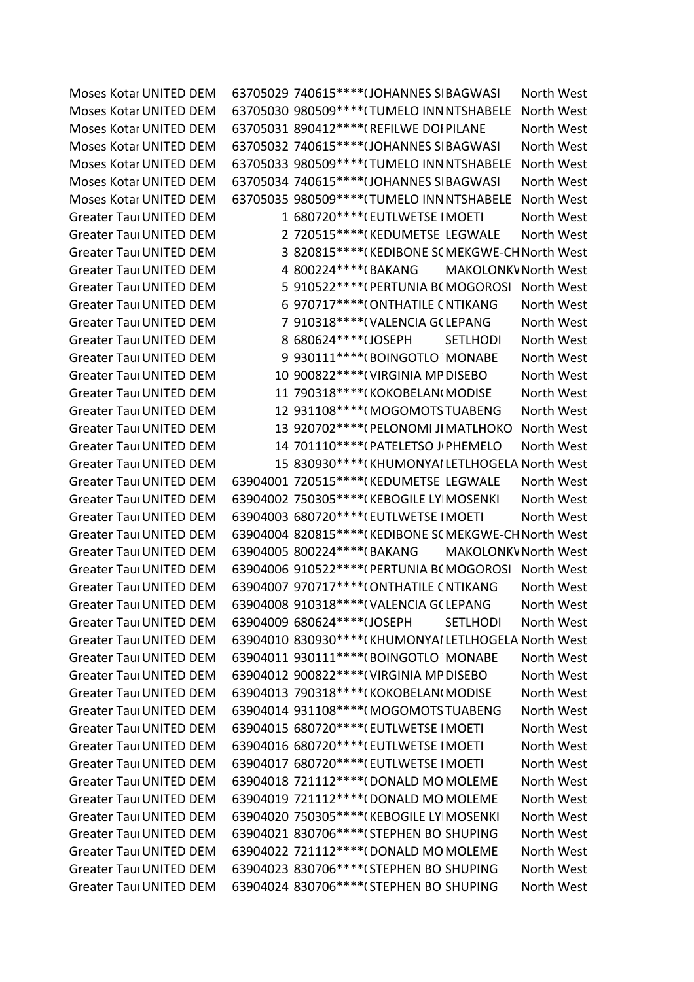Moses Kotar UNITED DEM 63705029 740615\*\*\*\*(JOHANNES SIBAGWASI North West Moses Kotar UNITED DEM 63705030 980509\*\*\*\*(TUMELO INN NTSHABELE North West Moses Kotar UNITED DEM 63705031 890412\*\*\*\*(REFILWE DOI PILANE North West Moses Kotar UNITED DEM 63705032 740615\*\*\*\* (JOHANNES SIBAGWASI North West Moses Kotar UNITED DEM 63705033 980509\*\*\*\*(TUMELO INN NTSHABELE North West Moses Kotar UNITED DEM 63705034 740615\*\*\*\*(JOHANNES SIBAGWASI North West Moses Kotar UNITED DEM 63705035 980509\*\*\*\* TUMELO INN NTSHABELE North West Greater Taul UNITED DEM  $1.680720***$ <sup>\*\*\*\*</sup>(EUTLWETSE IMOETI North West Greater Taun UNITED DEM 2 720515\*\*\*\*(KEDUMETSE LEGWALE North West Greater TaunUNITED DEM 3 820815\*\*\*\*(KEDIBONE SCMEKGWE-CH North West Greater Taul UNITED DEM 4 800224\*\*\*\*(BAKANG MAKOLONKV North West Greater Taun UNITED DEM 5 910522\*\*\*\*(PERTUNIA BC MOGOROSI North West Greater Taun UNITED DEM 6 970717\*\*\*\*\* ONTHATILE CNTIKANG North West Greater Taun UNITED DEM  $\overline{7}$  910318\*\*\*\*(VALENCIA G(LEPANG North West Greater Taun UNITED DEM 8 680624\*\*\*\*(JOSEPH SETLHODI North West Greater Taul UNITED DEM 9930111\*\*\*\*(BOINGOTLO MONABE North West Greater Taul UNITED DEM 10 900822\*\*\*\*(VIRGINIA MP DISEBO North West Greater Taul UNITED DEM 11 790318\*\*\*\*(KOKOBELAN(MODISE North West Greater Taul UNITED DEM 12 931108\*\*\*\*(MOGOMOTS TUABENG North West Greater Taul UNITED DEM 13 920702\*\*\*\*(PELONOMI JIMATLHOKO North West Greater TaungUNITED DEMOCRATIC MOVEMENT 14 701110\*\*\*\*08\*PATELETSO JOHN PHEMELO North West Greater Taun UNITED DEM 15 830930\*\*\*\*(KHUMONYAI LETLHOGELA North West Greater Taul UNITED DEM 63904001 720515\*\*\*\*(KEDUMETSE LEGWALE North West Greater Taul UNITED DEM 63904002 750305\*\*\*\*(KEBOGILE LY MOSENKI North West Greater Taul UNITED DEM 63904003 680720\*\*\*\*(EUTLWETSE IMOETI North West Greater Tau UNITED DEM 63904004 820815\*\*\*\*(KEDIBONE SC MEKGWE-CH North West Greater Taul UNITED DEM 63904005 800224\*\*\*\*(BAKANG MAKOLONKV North West Greater Taul UNITED DEM 63904006 910522\*\*\*\*(PERTUNIA BCMOGOROSI North West Greater Taul UNITED DEM 63904007 970717\*\*\*\*(ONTHATILE CNTIKANG North West Greater Taul UNITED DEM 63904008 910318\*\*\*\*(VALENCIA G(LEPANG North West Greater Taul UNITED DEM 63904009 680624\*\*\*\*(JOSEPH SETLHODI North West Greater Taul UNITED DEM 63904010 830930\*\*\*\*(KHUMONYAI LETLHOGELA North West Greater Taul UNITED DEM 63904011 930111\*\*\*\*(BOINGOTLO MONABE North West Greater Taul UNITED DEM 63904012 900822\*\*\*\*(VIRGINIA MP DISEBO North West Greater Taul UNITED DEM 63904013 790318\*\*\*\*(KOKOBELAN(MODISE North West Greater Taul UNITED DEM 63904014 931108\*\*\*\*(MOGOMOTS TUABENG North West Greater Taul UNITED DEM 63904015 680720\*\*\*\*(EUTLWETSE IMOETI North West Greater Taul UNITED DEM 63904016 680720\*\*\*\*(EUTLWETSE IMOETI North West Greater Taul UNITED DEM 63904017 680720\*\*\*\*(EUTLWETSE IMOETI North West Greater Taul UNITED DEM 63904018 721112\*\*\*\*(DONALD MO MOLEME North West Greater Taul UNITED DEM 63904019 721112\*\*\*\*(DONALD MOMOLEME North West Greater Taul UNITED DEM 63904020 750305\*\*\*\*(KEBOGILE LY MOSENKI North West Greater Tau UNITED DEM 63904021 830706\*\*\*\*(STEPHEN BO SHUPING North West Greater Taul UNITED DEM 63904022 721112\*\*\*\*( DONALD MO MOLEME North West Greater Taun UNITED DEM 63904023 830706\*\*\*\*(STEPHEN BO SHUPING North West Greater Taun UNITED DEM 63904024 830706\*\*\*\*(STEPHEN BO SHUPING North West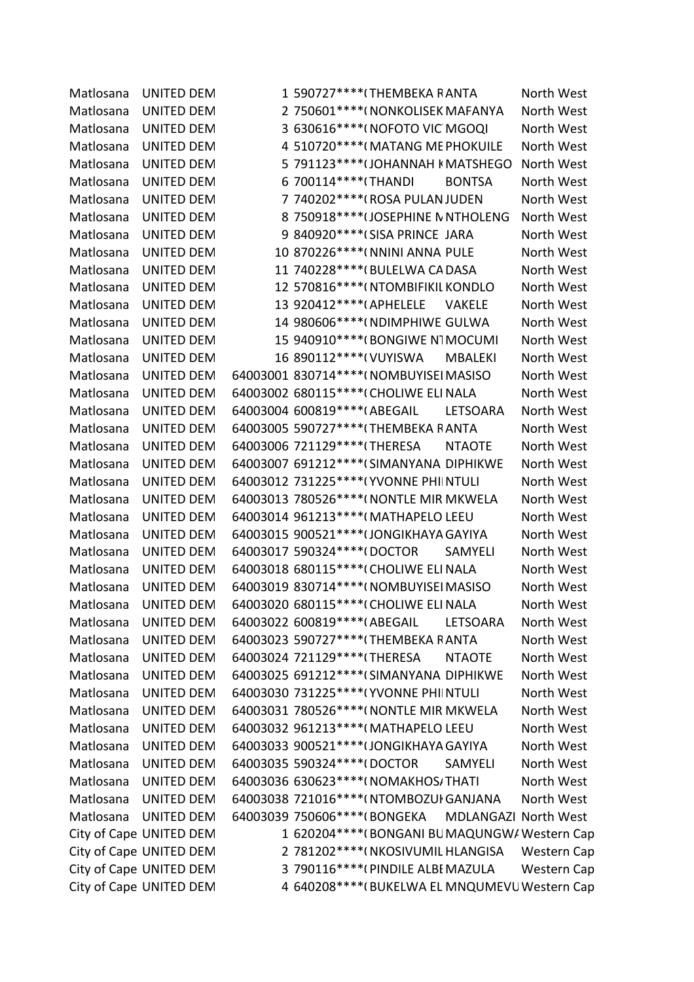Matlosana UNITED DEM 1 590727\*\*\*\*(THEMBEKA RANTA North West Matlosana UNITED DEM 2 750601\*\*\*\*(NONKOLISEK MAFANYA North West Matlosana UNITED DEM 3 630616\*\*\*\*(NOFOTO VIC MGOQI North West Matlosana UNITED DEM 4 510720\*\*\*\*(MATANG ME PHOKUILE North West Matlosana UNITED DEM 5 791123\*\*\*\*(JOHANNAH KMATSHEGO North West Matlosana UNITED DEM 6 700114\*\*\*\*(THANDI BONTSA North West Matlosana UNITED DEM 7 740202\*\*\*\*(ROSA PULAN JUDEN North West Matlosana UNITED DEM 8 750918\*\*\*\*(JOSEPHINE N NTHOLENG North West Matlosana UNITED DEM 9 840920\*\*\*\*(SISA PRINCE JARA North West Matlosana UNITED DEM 10 870226\*\*\*\*( NNINI ANNA PULE North West Matlosana UNITED DEM 11 740228\*\*\*\*(BULELWA CA DASA North West Matlosana UNITED DEM 12 570816\*\*\*\*(NTOMBIFIKIL KONDLO North West Matlosana UNITED DEM 13 920412\*\*\*\*(APHELELE VAKELE North West Matlosana UNITED DEM 14 980606\*\*\*\*(NDIMPHIWE GULWA North West Matlosana UNITED DEM 15 940910\*\*\*\*(BONGIWE NTMOCUMI North West Matlosana UNITED DEM 16 890112\*\*\*\*(VUYISWA MBALEKI North West Matlosana UNITED DEM 64003001 830714\*\*\*\*(NOMBUYISEI MASISO North West Matlosana UNITED DEM 64003002 680115\*\*\*\*(CHOLIWE ELI NALA North West Matlosana UNITED DEM 64003004 600819\*\*\*\*(ABEGAIL LETSOARA North West Matlosana UNITED DEM 64003005 590727\*\*\*\*(THEMBEKA RANTA North West Matlosana UNITED DEM 64003006 721129\*\*\*\*(THERESA NTAOTE North West Matlosana UNITED DEM 64003007 691212\*\*\*\*(SIMANYANA DIPHIKWE North West Matlosana UNITED DEM 64003012 731225\*\*\*\*(YVONNE PHIINTULI North West Matlosana UNITED DEM 64003013 780526\*\*\*\*( NONTLE MIR MKWELA North West Matlosana UNITED DEM 64003014 961213\*\*\*\*(MATHAPELO LEEU North West Matlosana UNITED DEM 64003015 900521\*\*\*\*(JONGIKHAYA GAYIYA North West Matlosana UNITED DEM 64003017 590324\*\*\*\*(DOCTOR SAMYELI North West Matlosana UNITED DEM 64003018 680115\*\*\*\*(CHOLIWE ELINALA North West Matlosana UNITED DEM 64003019 830714\*\*\*\*(NOMBUYISEI MASISO North West Matlosana UNITED DEM 64003020 680115\*\*\*\*(CHOLIWE ELI NALA North West Matlosana UNITED DEM 64003022 600819\*\*\*\*(ABEGAIL LETSOARA North West Matlosana UNITED DEM 64003023 590727\*\*\*\*(THEMBEKA RANTA North West Matlosana UNITED DEM 64003024 721129\*\*\*\*(THERESA NTAOTE North West Matlosana UNITED DEM 64003025 691212\*\*\*\*(SIMANYANA DIPHIKWE North West Matlosana UNITED DEM 64003030 731225\*\*\*\*(YVONNE PHI NTULI North West Matlosana UNITED DEM 64003031 780526\*\*\*\*( NONTLE MIR MKWELA North West Matlosana UNITED DEM 64003032 961213\*\*\*\*(MATHAPELO LEEU North West Matlosana UNITED DEM 64003033 900521\*\*\*\* (JONGIKHAYA GAYIYA North West Matlosana UNITED DEM 64003035 590324\*\*\*\*(DOCTOR SAMYELI North West Matlosana UNITED DEM 64003036 630623\*\*\*\*(NOMAKHOS/THATI North West Matlosana UNITED DEM 64003038 721016\*\*\*\*(NTOMBOZUI GANJANA North West Matlosana UNITED DEM 64003039 750606\*\*\*\*(BONGEKA MDLANGAZI North West City of Cape UNITED DEM 1 620204\*\*\*\*(BONGANI BUMAQUNGW/Western Cap City of Cape UNITED DEM 2 781202\*\*\*\*(NKOSIVUMIL HLANGISA Western Cap City of Cape UNITED DEM 3 790116\*\*\*\*(PINDILE ALBI MAZULA Western Cap City of Cape UNITED DEM 4 640208\*\*\*\*(BUKELWA EL MNQUMEVU Western Cap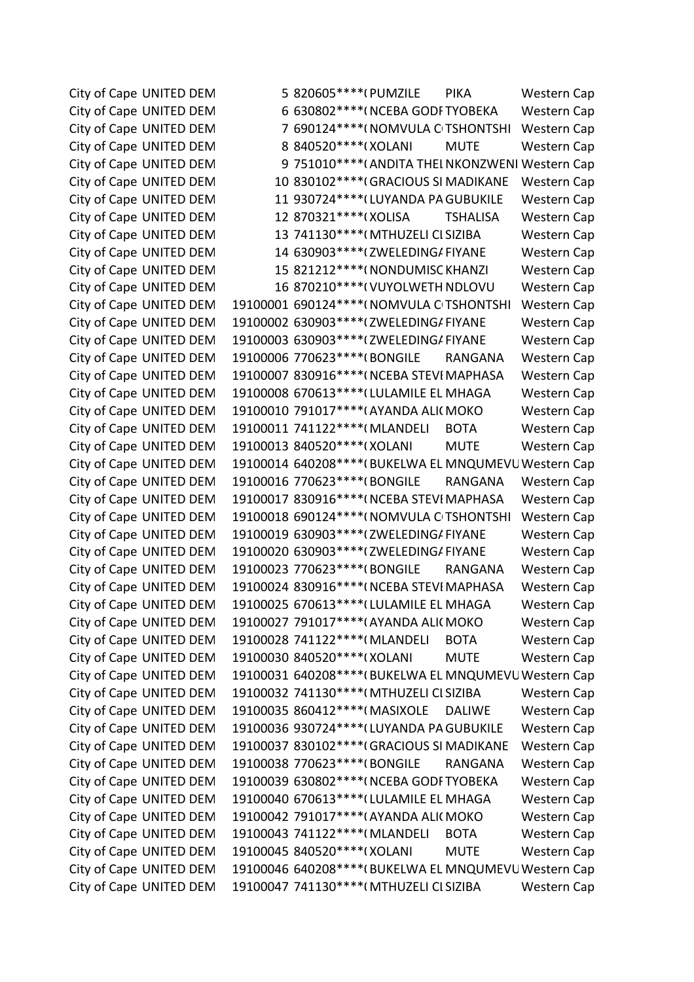City of Cape UNITED DEM 5 820605\*\*\*\*(PUMZILE PIKA Western Cap City of Cape UNITED DEM 6 630802\*\*\*\*(NCEBA GODF TYOBEKA Western Cap City of Cape UNITED DEM 7 690124\*\*\*\*(NOMVULA CITSHONTSHI Western Cap City of Cape UNITED DEM 8 840520\*\*\*\*(XOLANI MUTE Western Cap City of Cape UNITED DEM 9 751010\*\*\*\*(ANDITA THELNKONZWENI Western Cap City of Cape UNITED DEM 10 830102\*\*\*\*(GRACIOUS SI MADIKANE Western Cap City of Cape UNITED DEM 11 930724\*\*\*\* (LUYANDA PA GUBUKILE Western Cap City of Cape UNITED DEM 12 870321\*\*\*\*(XOLISA TSHALISA Western Cap City of Cape UNITED DEM 13 741130\*\*\*\*(MTHUZELI CI SIZIBA Western Cap City of Cape UNITED DEM 14 630903\*\*\*\*(ZWELEDING/FIYANE Western Cap City of Cape UNITED DEM 15 821212\*\*\*\*(NONDUMISC KHANZI Western Cap City of Cape UNITED DEM 16 870210\*\*\*\*(VUYOLWETH NDLOVU Western Cap City of Cape UNITED DEM 19100001 690124\*\*\*\*(NOMVULA CITSHONTSHI Western Cap City of Cape UNITED DEM 19100002 630903\*\*\*\*(ZWELEDING/FIYANE Western Cap City of Cape UNITED DEM 19100003 630903\*\*\*\*(ZWELEDING/FIYANE Western Cap City of Cape UNITED DEM 19100006 770623\*\*\*\*(BONGILE RANGANA Western Cap City of Cape UNITED DEM 19100007 830916\*\*\*\*(NCEBA STEVI MAPHASA Western Cap City of Cape UNITED DEM 19100008 670613\*\*\*\* (LULAMILE EL MHAGA Western Cap City of Cape UNITED DEM 19100010 791017\*\*\*\* (AYANDA ALI(MOKO Western Cap City of Cape UNITED DEM 19100011 741122\*\*\*\*(MLANDELI BOTA Western Cap City of Cape UNITED DEM 19100013 840520\*\*\*\*(XOLANI MUTE Western Cap City of Cape UNITED DEM 19100014 640208\*\*\*\* (BUKELWA EL MNQUMEVU Western Cap City of Cape UNITED DEM 19100016 770623\*\*\*\*(BONGILE RANGANA Western Cap City of Cape UNITED DEM 19100017 830916\*\*\*\*(NCEBA STEVI MAPHASA Western Cap City of Cape UNITED DEM 19100018 690124\*\*\*\*(NOMVULA CITSHONTSHI Western Cap City of Cape UNITED DEM 19100019 630903\*\*\*\* (ZWELEDING/FIYANE Western Cap City of Cape UNITED DEM 19100020 630903\*\*\*\* (ZWELEDING/FIYANE Western Cap City of Cape UNITED DEM 19100023 770623\*\*\*\*(BONGILE RANGANA Western Cap City of Cape UNITED DEM 19100024 830916\*\*\*\*(NCEBA STEVI MAPHASA Western Cap City of Cape UNITED DEM 19100025 670613\*\*\*\* (LULAMILE EL MHAGA Western Cap City of Cape UNITED DEM 19100027 791017\*\*\*\*(AYANDA ALI(MOKO Western Cap City of Cape UNITED DEM 19100028 741122\*\*\*\* (MLANDELI BOTA Western Cap City of Cape UNITED DEM 19100030 840520\*\*\*\*(XOLANI MUTE Western Cap City of Cape UNITED DEM 19100031 640208\*\*\*\* (BUKELWA EL MNQUMEVU Western Cap City of Cape UNITED DEM 19100032 741130\*\*\*\*(MTHUZELI CI SIZIBA Western Cap City of Cape UNITED DEM 19100035 860412\*\*\*\* (MASIXOLE DALIWE Western Cap City of Cape UNITED DEM 19100036 930724\*\*\*\* (LUYANDA PA GUBUKILE Western Cap City of Cape UNITED DEM 19100037 830102\*\*\*\*(GRACIOUS SI MADIKANE Western Cap City of Cape UNITED DEM 19100038 770623\*\*\*\*(BONGILE RANGANA Western Cap City of Cape UNITED DEM 19100039 630802\*\*\*\*(NCEBA GODF TYOBEKA Western Cap City of Cape UNITED DEM 19100040 670613\*\*\*\* (LULAMILE EL MHAGA Western Cap City of Cape UNITED DEM 19100042 791017\*\*\*\*(AYANDA ALI(MOKO Western Cap City of Cape UNITED DEM 19100043 741122\*\*\*\* (MLANDELI BOTA Western Cap City of Cape UNITED DEM 19100045 840520\*\*\*\*(XOLANI MUTE Western Cap City of Cape UNITED DEM 19100046 640208\*\*\*\*(BUKELWA EL MNQUMEVU Western Cap City of Cape UNITED DEM 19100047 741130\*\*\*\*(MTHUZELI CLSIZIBA Western Cap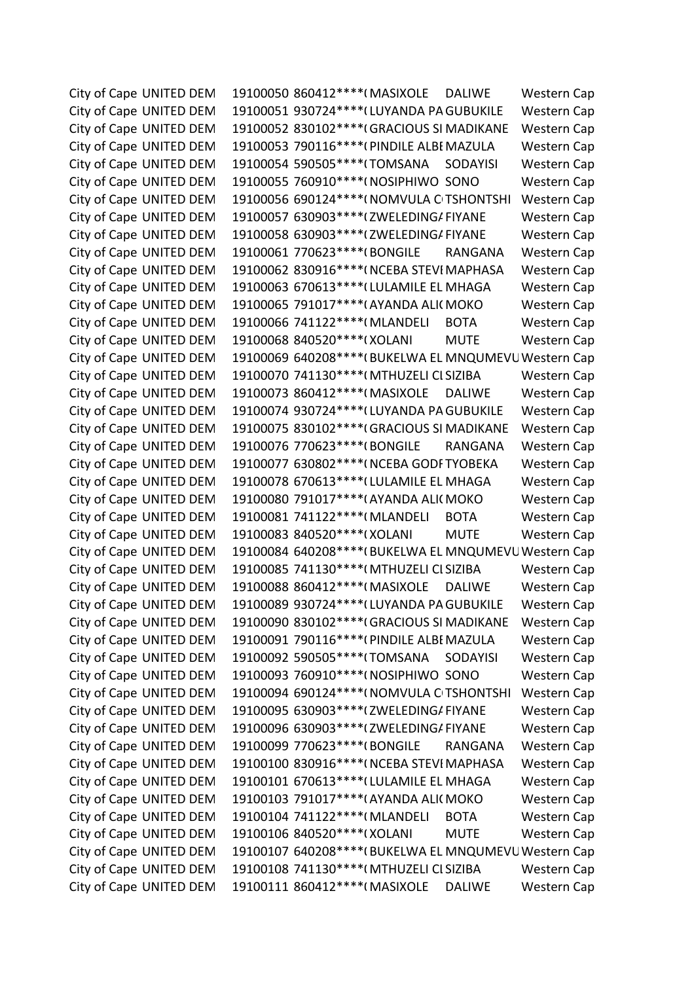City of Cape UNITED DEM 19100050 860412\*\*\*\* (MASIXOLE DALIWE Western Cap City of Cape UNITED DEM 19100051 930724\*\*\*\* (LUYANDA PA GUBUKILE Western Cap City of Cape UNITED DEM 19100052 830102\*\*\*\*(GRACIOUS SI MADIKANE Western Cap City of Cape UNITED DEM 19100053 790116\*\*\*\*(PINDILE ALBI MAZULA Western Cap City of Cape UNITED DEM 19100054 590505\*\*\*\*(TOMSANA SODAYISI Western Cap City of Cape UNITED DEM 19100055 760910\*\*\*\*(NOSIPHIWO SONO Western Cap City of Cape UNITED DEM 19100056 690124\*\*\*\*(NOMVULA C TSHONTSHI Western Cap City of Cape UNITED DEM 19100057 630903\*\*\*\* (ZWELEDING/FIYANE Western Cap City of Cape UNITED DEM 19100058 630903\*\*\*\* (ZWELEDING/FIYANE Western Cap City of Cape UNITED DEM 19100061 770623\*\*\*\*(BONGILE RANGANA Western Cap City of Cape UNITED DEM 19100062 830916\*\*\*\*(NCEBA STEVI MAPHASA Western Cap City of Cape UNITED DEM 19100063 670613\*\*\*\* (LULAMILE EL MHAGA Western Cap City of Cape UNITED DEM 19100065 791017\*\*\*\*(AYANDA ALI(MOKO Western Cap City of Cape UNITED DEM 19100066 741122\*\*\*\* (MLANDELI BOTA Western Cap City of Cape UNITED DEM 19100068 840520\*\*\*\*(XOLANI MUTE Western Cap City of Cape UNITED DEM 19100069 640208\*\*\*\* (BUKELWA EL MNQUMEVU Western Cap City of Cape UNITED DEM 19100070 741130\*\*\*\*(MTHUZELI CI SIZIBA Western Cap City of Cape UNITED DEM 19100073 860412\*\*\*\* (MASIXOLE DALIWE Western Cap City of Cape UNITED DEM 19100074 930724\*\*\*\* (LUYANDA PA GUBUKILE Western Cap City of Cape UNITED DEM 19100075 830102\*\*\*\*(GRACIOUS SI MADIKANE Western Cap City of Cape UNITED DEM 19100076 770623\*\*\*\*(BONGILE RANGANA Western Cap City of Cape UNITED DEM 19100077 630802\*\*\*\*(NCEBA GODF TYOBEKA Western Cap City of Cape UNITED DEM 19100078 670613\*\*\*\* (LULAMILE EL MHAGA Western Cap City of Cape UNITED DEM 19100080 791017\*\*\*\* (AYANDA ALI(MOKO Western Cap City of Cape UNITED DEM 19100081 741122\*\*\*\* (MLANDELI BOTA Western Cap City of Cape UNITED DEM 19100083 840520\*\*\*\*(XOLANI MUTE Western Cap City of Cape UNITED DEM 19100084 640208\*\*\*\* (BUKELWA EL MNQUMEVU Western Cap City of Cape UNITED DEM 19100085 741130\*\*\*\*(MTHUZELI CLSIZIBA Western Cap City of Cape UNITED DEM 19100088 860412\*\*\*\* (MASIXOLE DALIWE Western Cap City of Cape UNITED DEM 19100089 930724\*\*\*\* (LUYANDA PA GUBUKILE Western Cap City of Cape UNITED DEM 19100090 830102\*\*\*\*(GRACIOUS SI MADIKANE Western Cap City of Cape UNITED DEM 19100091 790116\*\*\*\*(PINDILE ALBEMAZULA Western Cap City of Cape UNITED DEM 19100092 590505\*\*\*\*(TOMSANA SODAYISI Western Cap City of Cape UNITED DEM 19100093 760910\*\*\*\*(NOSIPHIWO SONO Western Cap City of Cape UNITED DEM 19100094 690124\*\*\*\*(NOMVULA CITSHONTSHI Western Cap City of Cape UNITED DEM 19100095 630903\*\*\*\* (ZWELEDING/FIYANE Western Cap City of Cape UNITED DEM 19100096 630903\*\*\*\* (ZWELEDING/FIYANE Western Cap City of Cape UNITED DEM 19100099 770623\*\*\*\*(BONGILE RANGANA Western Cap City of Cape UNITED DEM 19100100 830916\*\*\*\*(NCEBA STEVI MAPHASA Western Cap City of Cape UNITED DEM 19100101 670613\*\*\*\* (LULAMILE EL MHAGA Western Cap City of Cape UNITED DEM 19100103 791017\*\*\*\*(AYANDA ALI(MOKO Western Cap City of Cape UNITED DEM 19100104 741122\*\*\*\* (MLANDELI BOTA Western Cap City of Cape UNITED DEM 19100106 840520\*\*\*\*(XOLANI MUTE Western Cap City of Cape UNITED DEM 19100107 640208\*\*\*\* (BUKELWA EL MNQUMEVU Western Cap City of Cape UNITED DEM 19100108 741130\*\*\*\*(MTHUZELI CLSIZIBA Western Cap City of Cape UNITED DEM 19100111 860412\*\*\*\*(MASIXOLE DALIWE Western Cap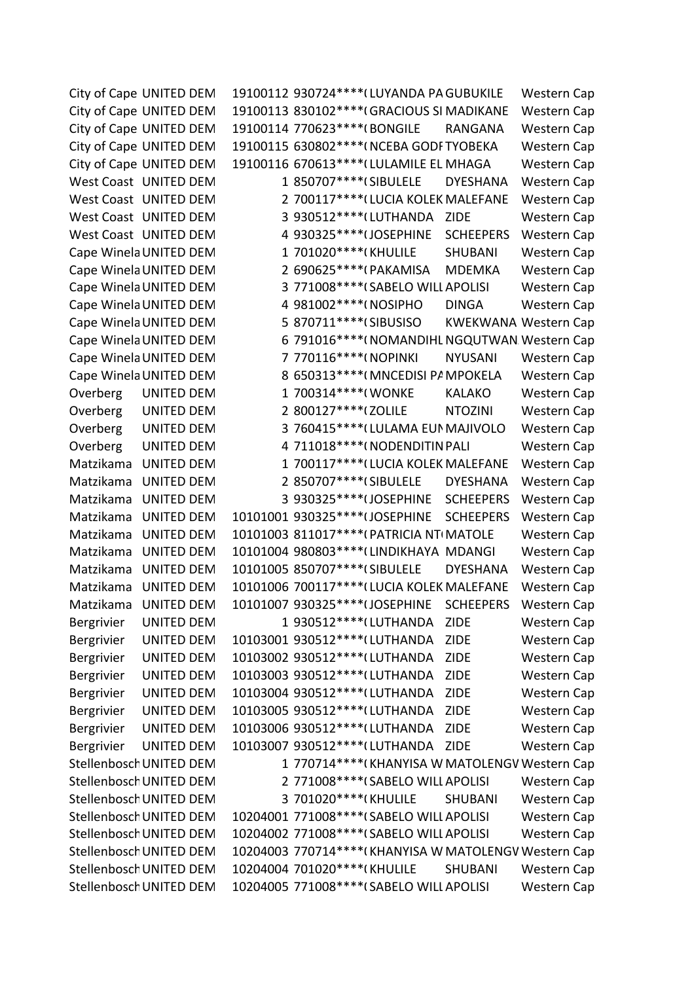City of Cape UNITED DEM 19100112 930724\*\*\*\* (LUYANDA PA GUBUKILE Western Cap City of Cape UNITED DEM 19100113 830102\*\*\*\*(GRACIOUS SI MADIKANE Western Cap City of Cape UNITED DEM 19100114 770623\*\*\*\*(BONGILE RANGANA Western Cap City of Cape UNITED DEM 19100115 630802\*\*\*\*(NCEBA GODF TYOBEKA Western Cap City of Cape UNITED DEM 19100116 670613\*\*\*\* (LULAMILE EL MHAGA Western Cap West Coast UNITED DEM 1 850707\*\*\*\*(SIBULELE DYESHANA Western Cap West Coast UNITED DEM 2 700117\*\*\*\* (LUCIA KOLEK MALEFANE Western Cap West Coast UNITED DEM 3 930512\*\*\*\*(LUTHANDA ZIDE Western Cap West Coast UNITED DEM 4 930325\*\*\*\*(JOSEPHINE SCHEEPERS Western Cap Cape Winela UNITED DEM 1 701020\*\*\*\*(KHULILE SHUBANI Western Cap Cape Winela UNITED DEM 2 690625\*\*\*\*(PAKAMISA MDEMKA Western Cap Cape Winela UNITED DEM 3 771008\*\*\*\*(SABELO WILL APOLISI Western Cap Cape Winela UNITED DEM 4 981002\*\*\*\*(NOSIPHO DINGA Western Cap Cape Winela UNITED DEM 5 870711\*\*\*\*(SIBUSISO KWEKWANA Western Cap Cape Winela UNITED DEM 6 791016\*\*\*\*(NOMANDIHL NGQUTWAN Western Cap Cape Winela UNITED DEM 7 770116\*\*\*\*(NOPINKI NYUSANI Western Cap Cape Winela UNITED DEM 8 650313\*\*\*\*(MNCEDISI PAMPOKELA Western Cap Overberg UNITED DEM 1 700314\*\*\*\*(WONKE KALAKO Western Cap Overberg UNITED DEM 2 800127\*\*\*\*(ZOLILE NTOZINI Western Cap Overberg UNITED DEM 3 760415\*\*\*\*(LULAMA EUNIMAJIVOLO Western Cap Overberg UNITED DEM 4 711018\*\*\*\*(NODENDITIN PALI Western Cap Matzikama UNITED DEM 1 700117\*\*\*\* (LUCIA KOLEK MALEFANE Western Cap Matzikama UNITED DEM 2 850707\*\*\*\*(SIBULELE DYESHANA Western Cap Matzikama UNITED DEM 3 930325\*\*\*\*(JOSEPHINE SCHEEPERS Western Cap Matzikama UNITED DEM 10101001 930325\*\*\*\*(JOSEPHINE SCHEEPERS Western Cap Matzikama UNITED DEM 10101003 811017\*\*\*\*(PATRICIA NTIMATOLE Western Cap Matzikama UNITED DEM 10101004 980803\*\*\*\* (LINDIKHAYA MDANGI Western Cap Matzikama UNITED DEM 10101005 850707\*\*\*\*(SIBULELE DYESHANA Western Cap Matzikama UNITED DEM 10101006 700117\*\*\*\* (LUCIA KOLEK MALEFANE Western Cap Matzikama UNITED DEM 10101007 930325\*\*\*\*(JOSEPHINE SCHEEPERS Western Cap Bergrivier UNITED DEM 1 930512\*\*\*\* (LUTHANDA ZIDE Western Cap Bergrivier UNITED DEM 10103001 930512\*\*\*\* (LUTHANDA ZIDE Western Cap Bergrivier UNITED DEM 10103002 930512\*\*\*\* (LUTHANDA ZIDE Western Cap Bergrivier UNITED DEM 10103003 930512\*\*\*\* (LUTHANDA ZIDE Western Cap Bergrivier UNITED DEM 10103004 930512\*\*\*\* (LUTHANDA ZIDE Western Cap Bergrivier UNITED DEM 10103005 930512\*\*\*\* (LUTHANDA ZIDE Western Cap Bergrivier UNITED DEM 10103006 930512\*\*\*\* (LUTHANDA ZIDE Western Cap Bergrivier UNITED DEM 10103007 930512\*\*\*\* (LUTHANDA ZIDE Western Cap Stellenbosch UNITED DEM 1 770714\*\*\*\*(KHANYISA W MATOLENGV Western Cap Stellenbosch UNITED DEM 2 771008\*\*\*\*(SABELO WILL APOLISI Western Cap Stellenbosch UNITED DEM 3 701020\*\*\*\*(KHULILE SHUBANI Western Cap Stellenbosch UNITED DEM 10204001 771008\*\*\*\*(SABELO WILL APOLISI Western Cap Stellenbosch UNITED DEM 10204002 771008\*\*\*\*(SABELO WILL APOLISI Western Cap Stellenbosch UNITED DEM 10204003 770714\*\*\*\*(KHANYISA W MATOLENGV Western Cap Stellenbosch UNITED DEM 10204004 701020\*\*\*\*(KHULILE SHUBANI Western Cap Stellenbosch UNITED DEM 10204005 771008\*\*\*\*(SABELO WILL APOLISI Western Cap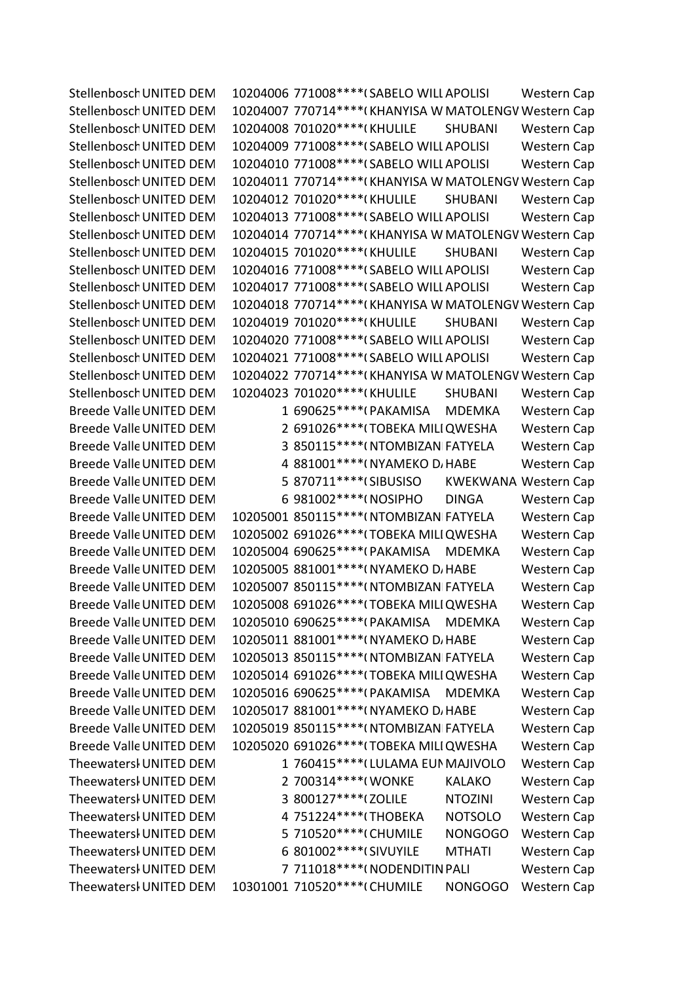Stellenbosch UNITED DEM 10204006 771008\*\*\*\* (SABELO WILL APOLISI Western Cap Stellenbosch UNITED DEM 10204007 770714\*\*\*\*(KHANYISA W MATOLENGV Western Cap Stellenbosch UNITED DEM 10204008 701020\*\*\*\*(KHULILE SHUBANI Western Cap Stellenbosch UNITED DEM 10204009 771008\*\*\*\* (SABELO WILL APOLISI Western Cap Stellenbosch UNITED DEM 10204010 771008\*\*\*\* (SABELO WILL APOLISI Western Cap Stellenbosch UNITED DEM 10204011 770714\*\*\*\*(KHANYISA W MATOLENGV Western Cap Stellenbosch UNITED DEM 10204012 701020\*\*\*\*(KHULILE SHUBANI Western Cap Stellenbosch UNITED DEM 10204013 771008\*\*\*\* (SABELO WILL APOLISI Western Cap Stellenbosch UNITED DEM 10204014 770714\*\*\*\*(KHANYISA W MATOLENGV Western Cap Stellenbosch UNITED DEM 10204015 701020\*\*\*\*(KHULILE SHUBANI Western Cap Stellenbosch UNITED DEM 10204016 771008\*\*\*\* (SABELO WILL APOLISI Western Cap Stellenbosch UNITED DEM 10204017 771008\*\*\*\*(SABELO WILL APOLISI Western Cap Stellenbosch UNITED DEM 10204018 770714\*\*\*\*(KHANYISA W MATOLENGV Western Cap Stellenbosch UNITED DEM 10204019 701020\*\*\*\*(KHULILE SHUBANI Western Cap Stellenbosch UNITED DEM 10204020 771008\*\*\*\* (SABELO WILL APOLISI Western Cap Stellenbosch UNITED DEM 10204021 771008\*\*\*\* (SABELO WILL APOLISI Western Cap Stellenbosch UNITED DEM 10204022 770714\*\*\*\*(KHANYISA W MATOLENGV Western Cap Stellenbosch UNITED DEM 10204023 701020\*\*\*\*(KHULILE SHUBANI Western Cap Breede Valle UNITED DEM 1 690625\*\*\*\*(PAKAMISA MDEMKA Western Cap Breede Valle UNITED DEM 2 691026\*\*\*\*(TOBEKA MILI QWESHA Western Cap Breede Valle UNITED DEM 3 850115\*\*\*\*(NTOMBIZAN FATYELA Western Cap Breede Valle UNITED DEM 4 881001\*\*\*\*( NYAMEKO D, HABE Western Cap Breede Valle UNITED DEM 5 870711\*\*\*\*(SIBUSISO KWEKWANA Western Cap Breede Valle UNITED DEM 6 981002\*\*\*\*(NOSIPHO DINGA Western Cap Breede Valle UNITED DEM 10205001 850115\*\*\*\*(NTOMBIZAN FATYELA Western Cap Breede Valle UNITED DEM 10205002 691026\*\*\*\*(TOBEKA MILIQWESHA Western Cap Breede Valle UNITED DEM 10205004 690625\*\*\*\*(PAKAMISA MDEMKA Western Cap Breede Valle UNITED DEM 10205005 881001\*\*\*\*( NYAMEKO D, HABE Western Cap Breede Valle UNITED DEM 10205007 850115\*\*\*\*(NTOMBIZAN FATYELA Western Cap Breede Valle UNITED DEM 10205008 691026\*\*\*\*(TOBEKA MILI QWESHA Western Cap Breede Valle UNITED DEM 10205010 690625\*\*\*\*(PAKAMISA MDEMKA Western Cap Breede Valle UNITED DEM 10205011 881001\*\*\*\*(NYAMEKO D/HABE Western Cap Breede Valle UNITED DEM 10205013 850115\*\*\*\*(NTOMBIZAN FATYELA Western Cap Breede Valle UNITED DEM 10205014 691026\*\*\*\*(TOBEKA MILI QWESHA Western Cap Breede Valle UNITED DEM 10205016 690625\*\*\*\*(PAKAMISA MDEMKA Western Cap Breede Valle UNITED DEM 10205017 881001\*\*\*\*( NYAMEKO D, HABE Western Cap Breede Valle UNITED DEM 10205019 850115\*\*\*\*(NTOMBIZAN FATYELA Western Cap Breede Valle UNITED DEM 10205020 691026\*\*\*\*(TOBEKA MILI QWESHA Western Cap Theewatersl UNITED DEM 1 760415\*\*\*\* (LULAMA EUNIMAJIVOLO Western Cap Theewatersl UNITED DEM 2 700314\*\*\*\*(WONKE KALAKO Western Cap Theewatersl UNITED DEM 3 800127\*\*\*\*(ZOLILE NTOZINI Western Cap Theewatersl UNITED DEM 4 751224\*\*\*\* (THOBEKA NOTSOLO Western Cap Theewatersl UNITED DEM 5 710520\*\*\*\*\*(CHUMILE NONGOGO Western Cap Theewatersl UNITED DEM 6 801002\*\*\*\* (SIVUYILE MTHATI Western Cap Theewatersl UNITED DEM 7 711018\*\*\*\*( NODENDITIN PALI Western Cap Theewatersl UNITED DEM 10301001 710520\*\*\*\*(CHUMILE NONGOGO Western Cap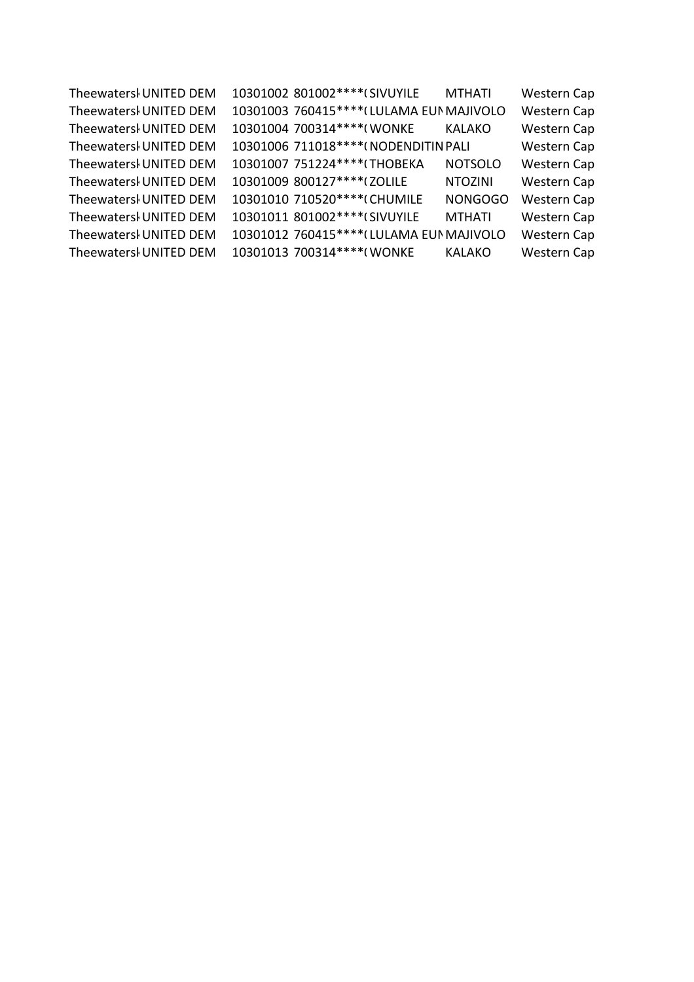| Theewatersl UNITED DEM | 10301002 801002 **** (SIVUYILE |                                           | <b>MTHATI</b>  | <b>Western Cap</b> |
|------------------------|--------------------------------|-------------------------------------------|----------------|--------------------|
| Theewatersl UNITED DEM |                                | 10301003 760415 **** (LULAMA EUN MAJIVOLO |                | Western Cap        |
| Theewatersl UNITED DEM | 10301004 700314 **** (WONKE    |                                           | <b>KALAKO</b>  | Western Cap        |
| Theewatersl UNITED DEM |                                | 10301006 711018 **** (NODENDITIN PALI     |                | Western Cap        |
| Theewatersl UNITED DEM | 10301007 751224 **** (THOBEKA  |                                           | <b>NOTSOLO</b> | Western Cap        |
| Theewatersl UNITED DEM | 10301009 800127****(ZOLILE     |                                           | <b>NTOZINI</b> | Western Cap        |
| Theewatersl UNITED DEM | 10301010 710520 **** (CHUMILE  |                                           | <b>NONGOGO</b> | Western Cap        |
| Theewatersl UNITED DEM | 10301011 801002 **** (SIVUYILE |                                           | <b>MTHATI</b>  | Western Cap        |
| Theewatersl UNITED DEM |                                | 10301012 760415 **** (LULAMA EUN MAJIVOLO |                | Western Cap        |
| Theewatersl UNITED DEM | 10301013 700314 **** (WONKE    |                                           | <b>KALAKO</b>  | <b>Western Cap</b> |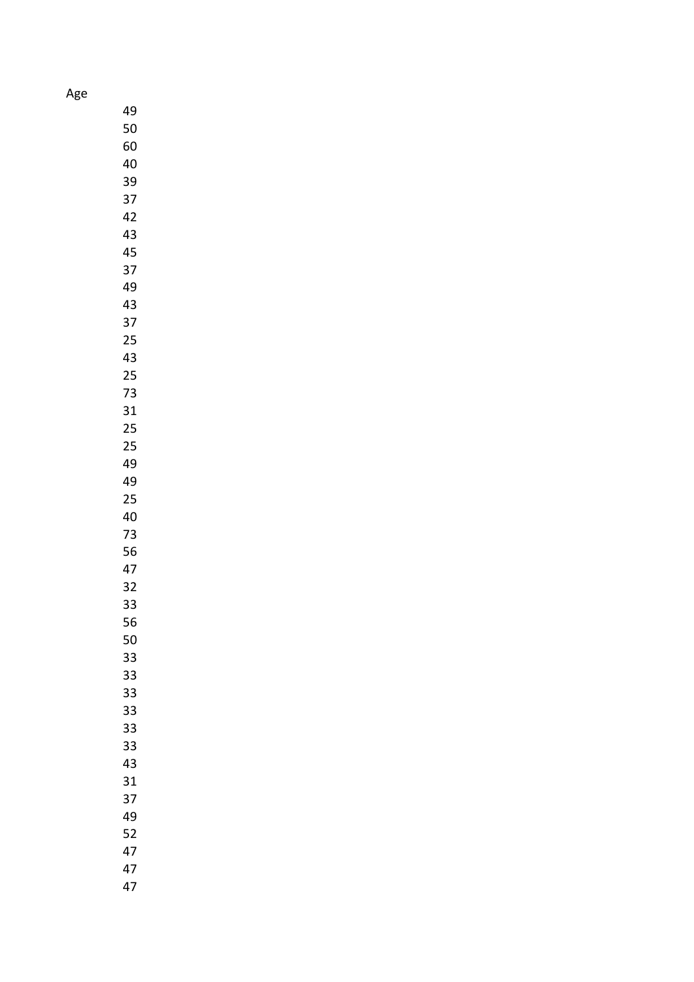Age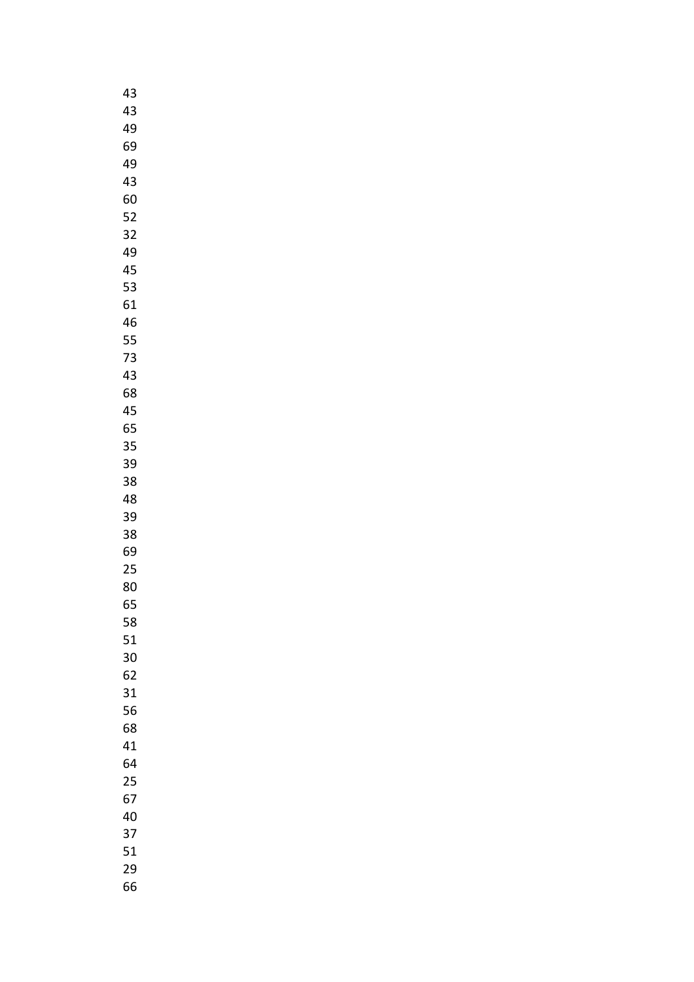| 43 |  |
|----|--|
| 43 |  |
| 49 |  |
| 69 |  |
| 49 |  |
| 43 |  |
| 60 |  |
| 52 |  |
| 32 |  |
| 49 |  |
| 45 |  |
| 53 |  |
| 61 |  |
| 46 |  |
| 55 |  |
| 73 |  |
| 43 |  |
| 68 |  |
| 45 |  |
| 65 |  |
| 35 |  |
| 39 |  |
| 38 |  |
| 48 |  |
| 39 |  |
| 38 |  |
| 69 |  |
| 25 |  |
| 80 |  |
| 65 |  |
| 58 |  |
| 51 |  |
| 30 |  |
| 62 |  |
| 31 |  |
| 56 |  |
| 68 |  |
| 41 |  |
| 64 |  |
| 25 |  |
| 67 |  |
| 40 |  |
| 37 |  |
| 51 |  |
| 29 |  |
| 66 |  |
|    |  |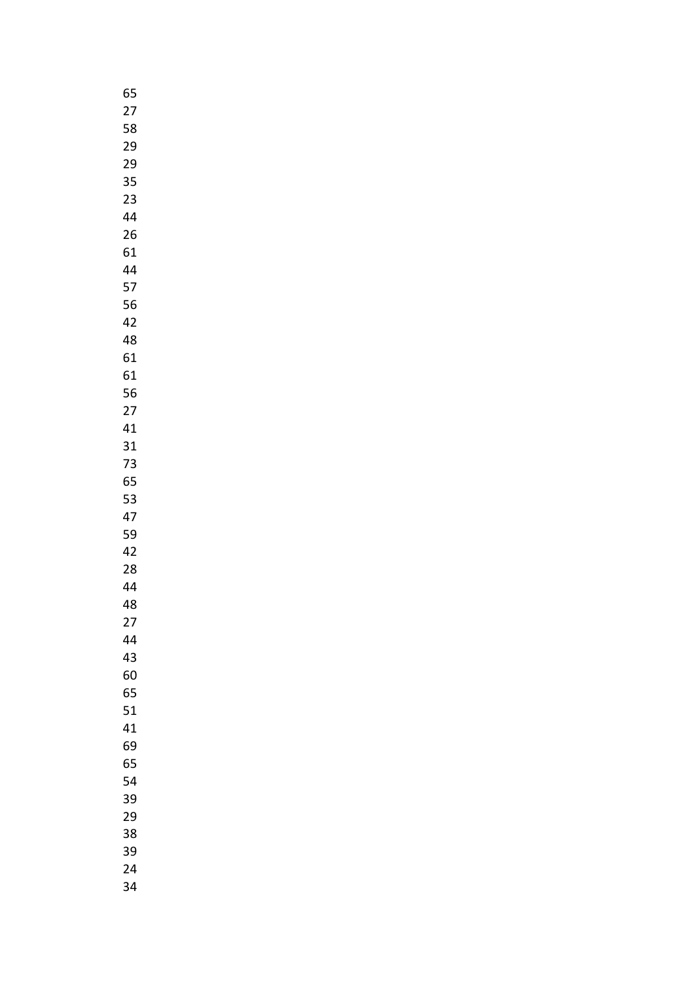| 65 |
|----|
| 27 |
| 58 |
| 29 |
| 29 |
| 35 |
| 23 |
|    |
| 44 |
| 26 |
| 61 |
| 44 |
| 57 |
| 56 |
| 42 |
| 48 |
| 61 |
| 61 |
| 56 |
| 27 |
| 41 |
| 31 |
| 73 |
| 65 |
|    |
| 53 |
| 47 |
| 59 |
| 42 |
| 28 |
| 44 |
| 48 |
| 27 |
| 44 |
| 43 |
| 60 |
| 65 |
| 51 |
| 41 |
| 69 |
| 65 |
| 54 |
| 39 |
| 29 |
| 38 |
| 39 |
|    |
| 24 |
| 34 |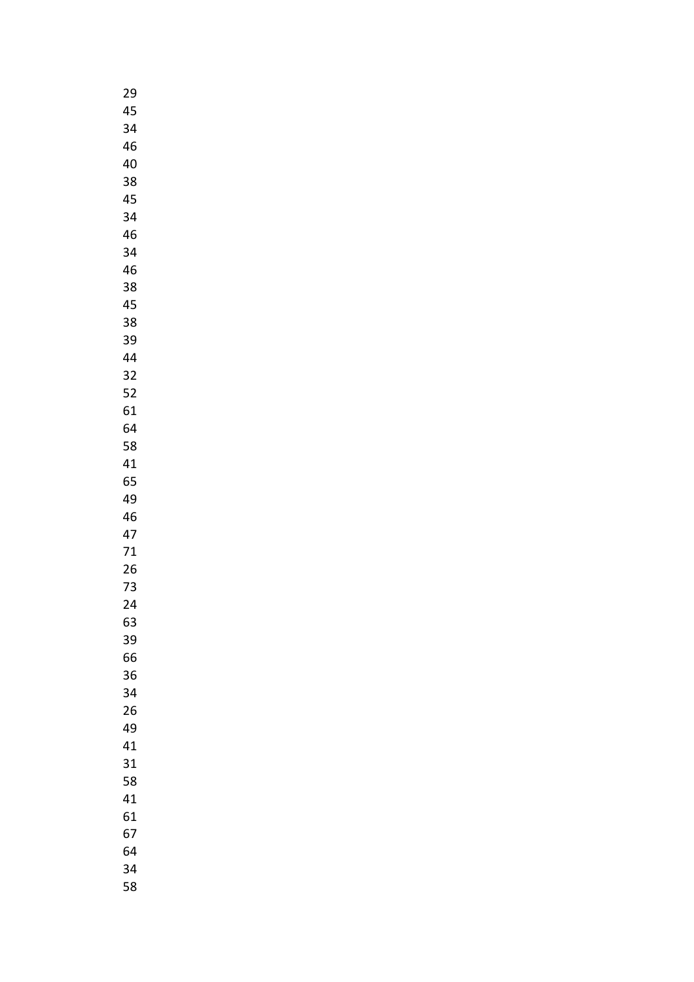| 29 |  |
|----|--|
| 45 |  |
| 34 |  |
| 46 |  |
| 40 |  |
| 38 |  |
| 45 |  |
|    |  |
| 34 |  |
| 46 |  |
| 34 |  |
| 46 |  |
| 38 |  |
| 45 |  |
| 38 |  |
| 39 |  |
| 44 |  |
| 32 |  |
| 52 |  |
| 61 |  |
| 64 |  |
| 58 |  |
| 41 |  |
| 65 |  |
|    |  |
| 49 |  |
| 46 |  |
| 47 |  |
| 71 |  |
| 26 |  |
| 73 |  |
| 24 |  |
| 63 |  |
| 39 |  |
| 66 |  |
| 36 |  |
| 34 |  |
| 26 |  |
| 49 |  |
| 41 |  |
| 31 |  |
| 58 |  |
| 41 |  |
| 61 |  |
| 67 |  |
|    |  |
| 64 |  |
| 34 |  |
| 58 |  |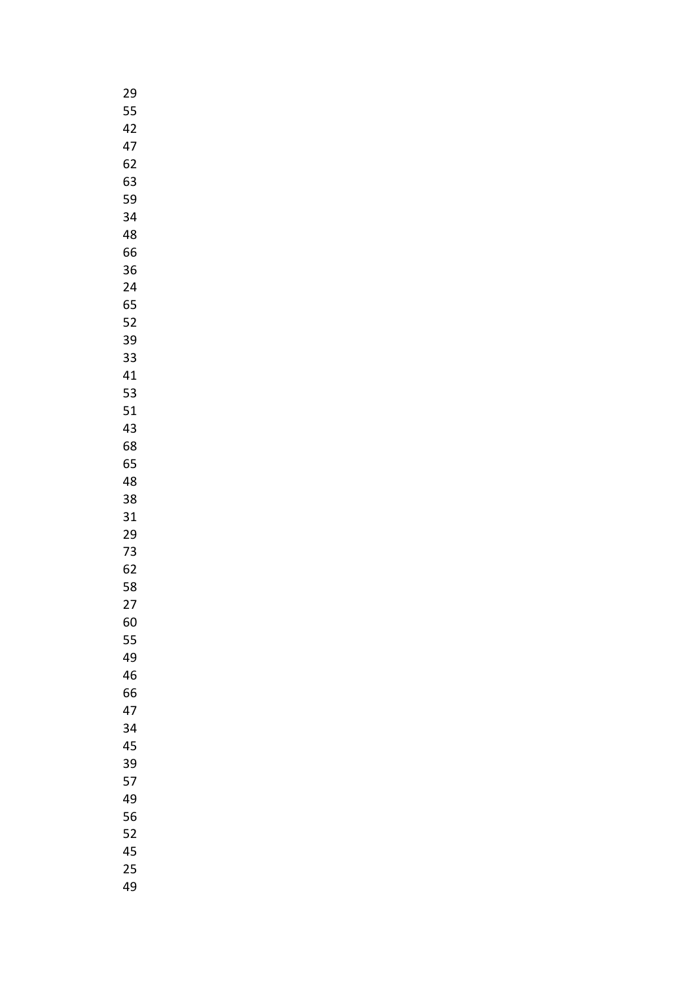| 29 |
|----|
| 55 |
| 42 |
| 47 |
| 62 |
| 63 |
| 59 |
|    |
| 34 |
| 48 |
| 66 |
| 36 |
| 24 |
| 65 |
| 52 |
| 39 |
| 33 |
| 41 |
| 53 |
| 51 |
| 43 |
| 68 |
| 65 |
| 48 |
| 38 |
| 31 |
| 29 |
| 73 |
| 62 |
| 58 |
|    |
| 27 |
| 60 |
| 55 |
| 49 |
| 46 |
| 66 |
| 47 |
| 34 |
| 45 |
| 39 |
| 57 |
| 49 |
| 56 |
| 52 |
| 45 |
| 25 |
| 49 |
|    |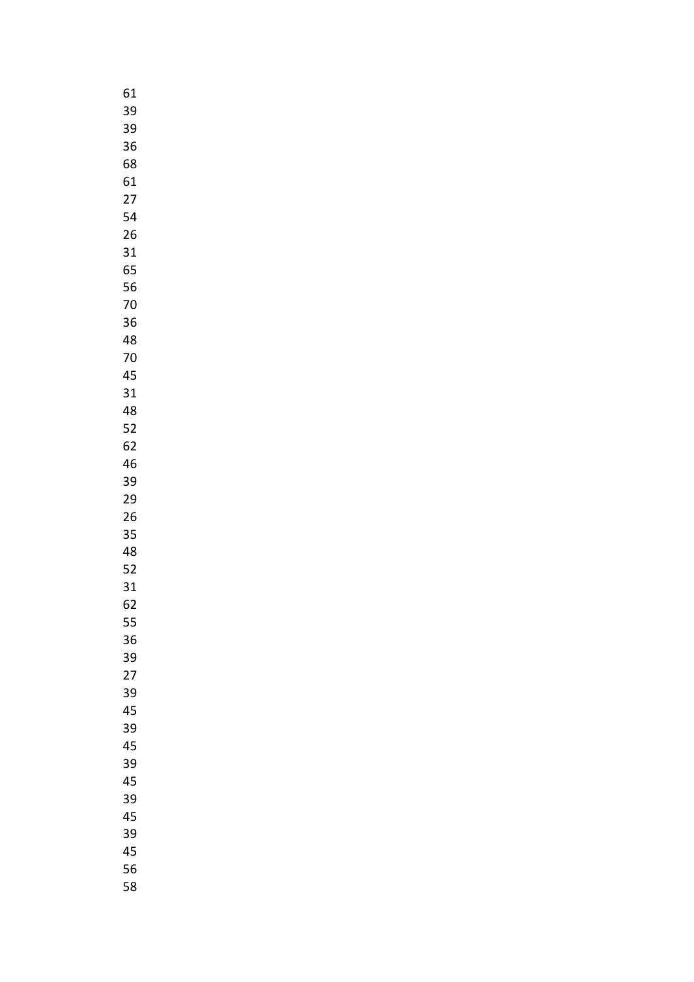| 61              |
|-----------------|
| 39              |
| 39              |
| 36              |
| 68              |
| 61              |
| $\overline{27}$ |
| 54              |
|                 |
| 26              |
| 31              |
| 65              |
| 56              |
| 70              |
| 36              |
| 48              |
| 70              |
| 45              |
| 31              |
| 48              |
| 52              |
| 62              |
| 46              |
| 39              |
| 29              |
|                 |
| 26              |
| 35              |
| 48              |
| 52              |
| 31              |
| 62              |
| 55              |
| 36              |
| 39              |
| 27              |
| 39              |
| 45              |
| 39              |
| 45              |
| 39              |
| 45              |
| 39              |
| 45              |
| 39              |
| 45              |
|                 |
| 56              |
| 58              |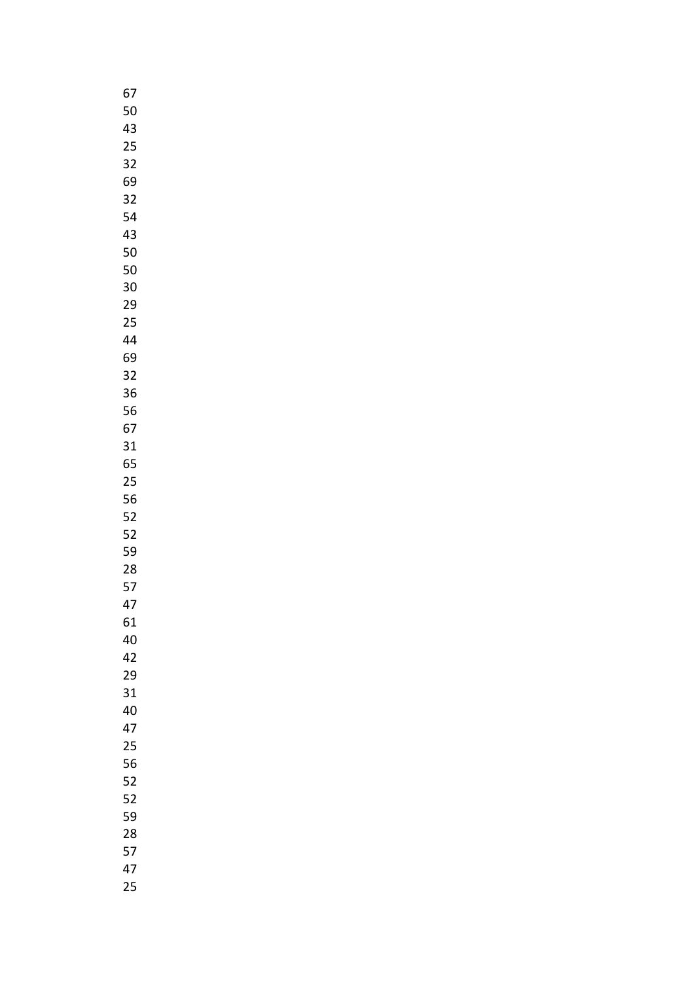| 67 |
|----|
| 50 |
| 43 |
| 25 |
| 32 |
| 69 |
| 32 |
|    |
| 54 |
| 43 |
| 50 |
| 50 |
| 30 |
| 29 |
| 25 |
| 44 |
| 69 |
| 32 |
| 36 |
| 56 |
| 67 |
| 31 |
| 65 |
| 25 |
| 56 |
| 52 |
| 52 |
|    |
| 59 |
| 28 |
| 57 |
| 47 |
| 61 |
| 40 |
| 42 |
| 29 |
| 31 |
| 40 |
| 47 |
| 25 |
| 56 |
| 52 |
| 52 |
| 59 |
| 28 |
| 57 |
| 47 |
| 25 |
|    |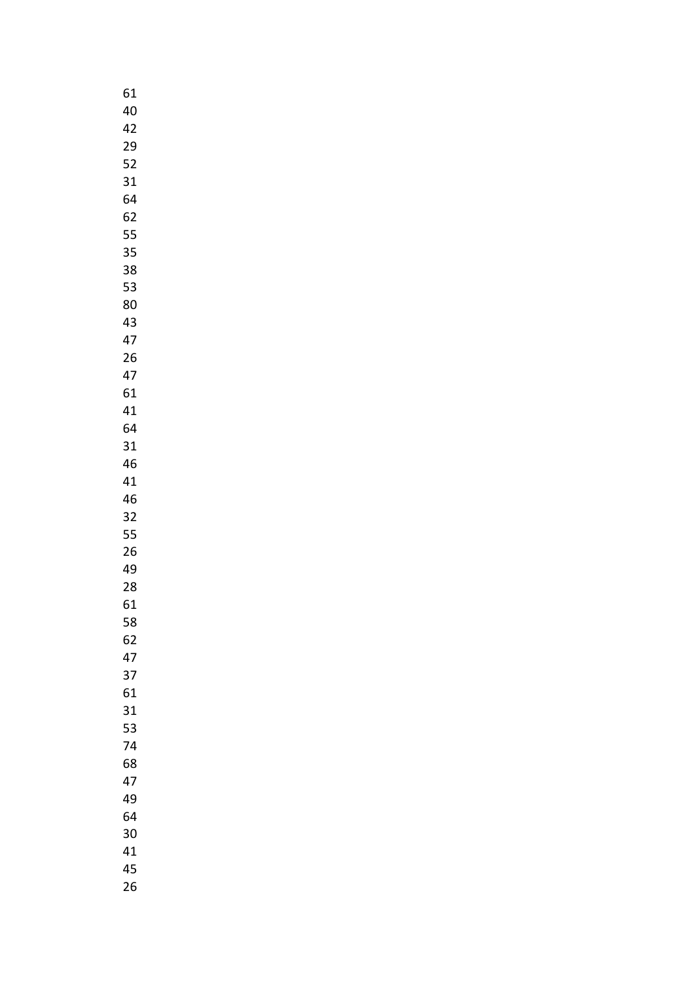| 61 |  |
|----|--|
| 40 |  |
| 42 |  |
| 29 |  |
| 52 |  |
| 31 |  |
| 64 |  |
|    |  |
| 62 |  |
| 55 |  |
| 35 |  |
| 38 |  |
| 53 |  |
| 80 |  |
| 43 |  |
| 47 |  |
| 26 |  |
| 47 |  |
| 61 |  |
| 41 |  |
| 64 |  |
| 31 |  |
| 46 |  |
| 41 |  |
|    |  |
| 46 |  |
| 32 |  |
| 55 |  |
| 26 |  |
| 49 |  |
| 28 |  |
| 61 |  |
| 58 |  |
| 62 |  |
| 47 |  |
| 37 |  |
| 61 |  |
| 31 |  |
| 53 |  |
| 74 |  |
| 68 |  |
| 47 |  |
| 49 |  |
|    |  |
| 64 |  |
| 30 |  |
| 41 |  |
| 45 |  |
| 26 |  |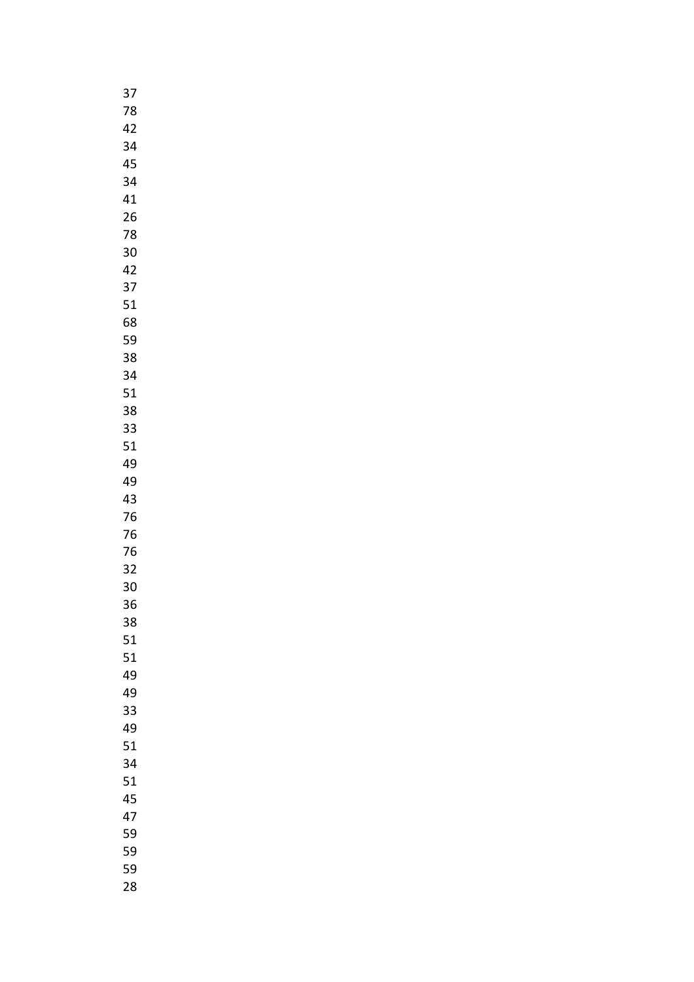| 37 |  |
|----|--|
| 78 |  |
| 42 |  |
| 34 |  |
| 45 |  |
| 34 |  |
| 41 |  |
|    |  |
| 26 |  |
| 78 |  |
| 30 |  |
| 42 |  |
| 37 |  |
| 51 |  |
| 68 |  |
| 59 |  |
| 38 |  |
| 34 |  |
| 51 |  |
| 38 |  |
| 33 |  |
| 51 |  |
| 49 |  |
| 49 |  |
| 43 |  |
| 76 |  |
| 76 |  |
| 76 |  |
| 32 |  |
| 30 |  |
| 36 |  |
|    |  |
| 38 |  |
| 51 |  |
| 51 |  |
| 49 |  |
| 49 |  |
| 33 |  |
| 49 |  |
| 51 |  |
| 34 |  |
| 51 |  |
| 45 |  |
| 47 |  |
| 59 |  |
| 59 |  |
| 59 |  |
| 28 |  |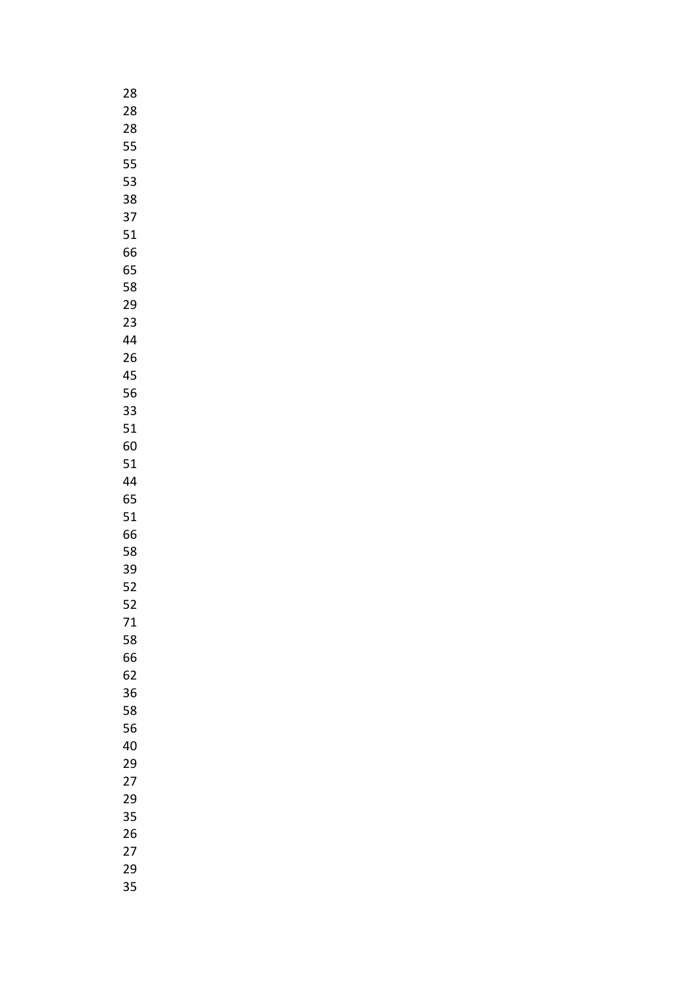| 28 |
|----|
| 28 |
| 28 |
| 55 |
| 55 |
| 53 |
| 38 |
|    |
| 37 |
| 51 |
| 66 |
| 65 |
| 58 |
| 29 |
| 23 |
| 44 |
| 26 |
| 45 |
| 56 |
| 33 |
| 51 |
| 60 |
| 51 |
|    |
| 44 |
| 65 |
| 51 |
| 66 |
| 58 |
| 39 |
| 52 |
| 52 |
| 71 |
| 58 |
| 66 |
| 62 |
| 36 |
| 58 |
| 56 |
| 40 |
| 29 |
| 27 |
| 29 |
| 35 |
| 26 |
|    |
| 27 |
| 29 |
| 35 |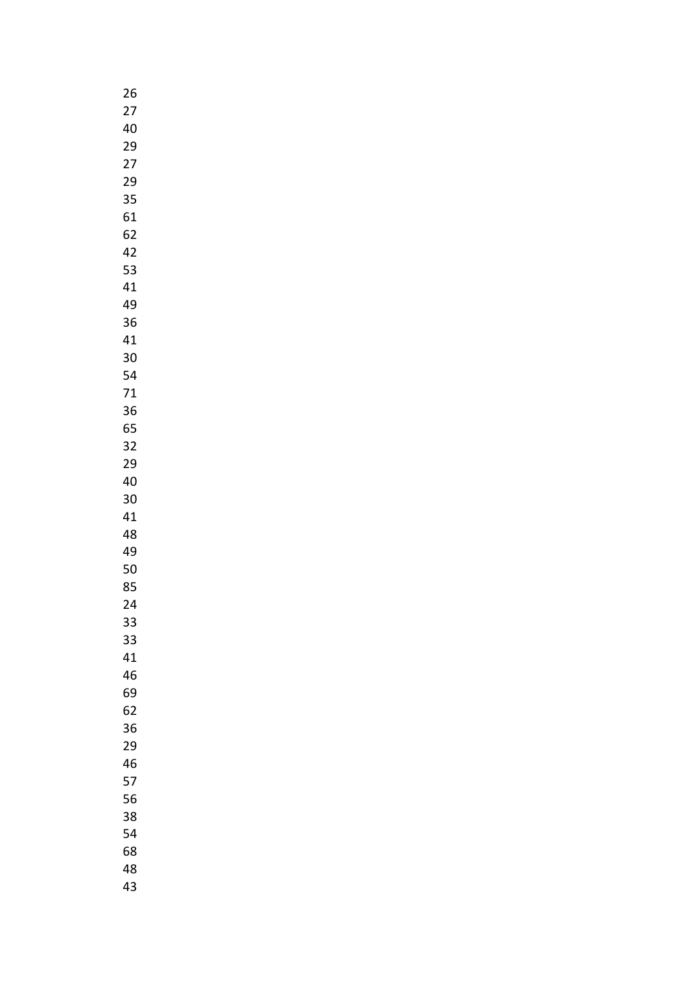| 26 |  |
|----|--|
| 27 |  |
| 40 |  |
| 29 |  |
| 27 |  |
| 29 |  |
| 35 |  |
|    |  |
| 61 |  |
| 62 |  |
| 42 |  |
| 53 |  |
| 41 |  |
| 49 |  |
| 36 |  |
| 41 |  |
| 30 |  |
| 54 |  |
| 71 |  |
| 36 |  |
| 65 |  |
| 32 |  |
| 29 |  |
| 40 |  |
| 30 |  |
| 41 |  |
| 48 |  |
| 49 |  |
| 50 |  |
| 85 |  |
|    |  |
| 24 |  |
| 33 |  |
| 33 |  |
| 41 |  |
| 46 |  |
| 69 |  |
| 62 |  |
| 36 |  |
| 29 |  |
| 46 |  |
| 57 |  |
| 56 |  |
| 38 |  |
| 54 |  |
| 68 |  |
| 48 |  |
| 43 |  |
|    |  |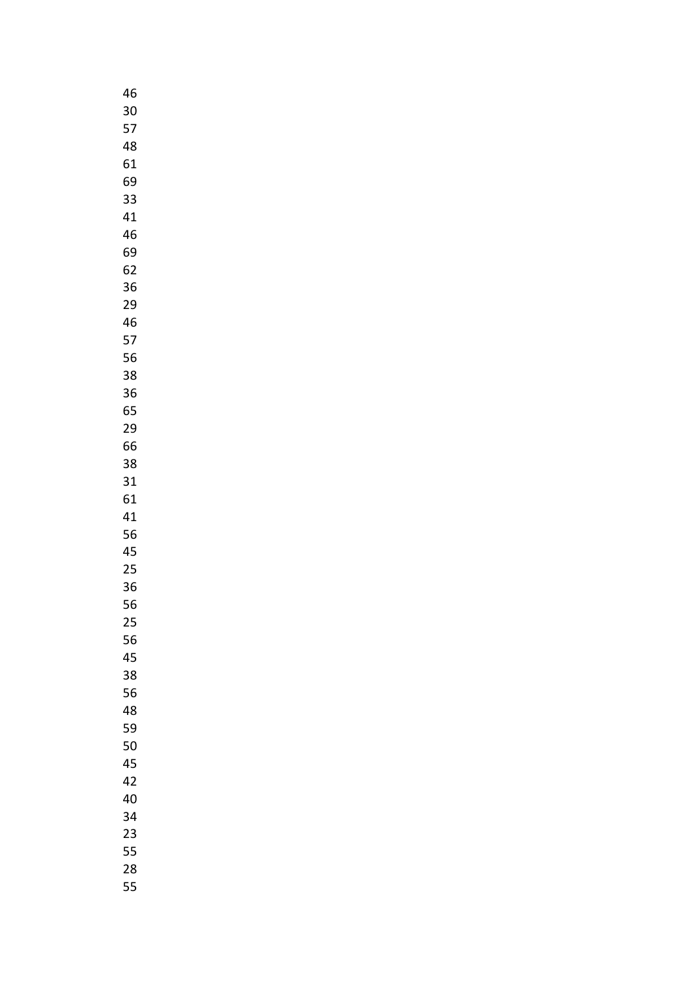| 46 |
|----|
| 30 |
| 57 |
| 48 |
| 61 |
|    |
| 69 |
| 33 |
| 41 |
| 46 |
| 69 |
| 62 |
| 36 |
| 29 |
| 46 |
| 57 |
|    |
| 56 |
| 38 |
| 36 |
| 65 |
| 29 |
| 66 |
| 38 |
| 31 |
| 61 |
| 41 |
| 56 |
| 45 |
|    |
| 25 |
| 36 |
| 56 |
| 25 |
| 56 |
| 45 |
| 38 |
| 56 |
| 48 |
| 59 |
| 50 |
|    |
| 45 |
| 42 |
| 40 |
| 34 |
| 23 |
| 55 |
| 28 |
| 55 |
|    |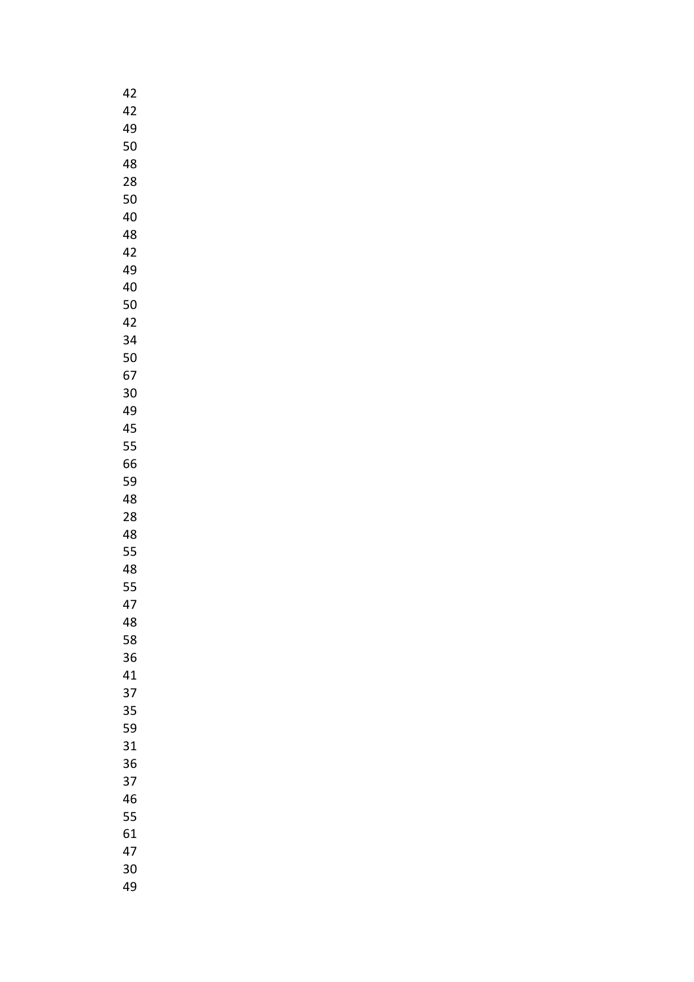| 42 |
|----|
| 42 |
| 49 |
| 50 |
| 48 |
| 28 |
| 50 |
|    |
| 40 |
| 48 |
| 42 |
| 49 |
| 40 |
| 50 |
| 42 |
| 34 |
| 50 |
| 67 |
| 30 |
| 49 |
| 45 |
| 55 |
| 66 |
| 59 |
| 48 |
| 28 |
| 48 |
| 55 |
| 48 |
| 55 |
| 47 |
| 48 |
| 58 |
|    |
| 36 |
| 41 |
| 37 |
| 35 |
| 59 |
| 31 |
| 36 |
| 37 |
| 46 |
| 55 |
| 61 |
| 47 |
| 30 |
| 49 |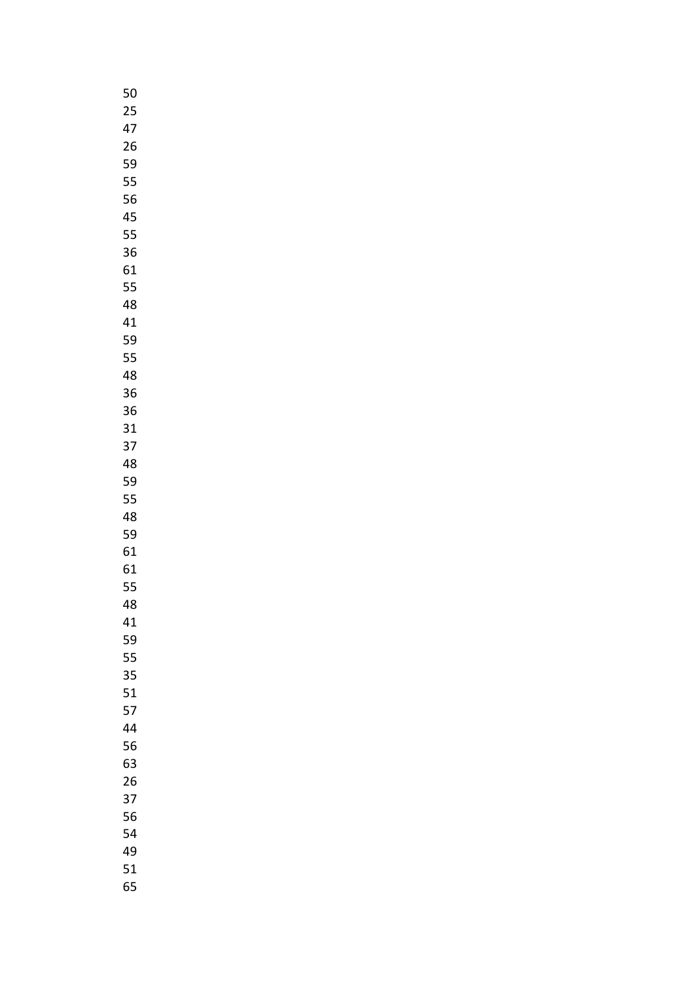| 50 |
|----|
| 25 |
| 47 |
| 26 |
| 59 |
| 55 |
| 56 |
|    |
| 45 |
| 55 |
| 36 |
| 61 |
| 55 |
| 48 |
| 41 |
| 59 |
| 55 |
| 48 |
| 36 |
| 36 |
| 31 |
| 37 |
| 48 |
| 59 |
|    |
| 55 |
| 48 |
| 59 |
| 61 |
| 61 |
| 55 |
| 48 |
| 41 |
| 59 |
| 55 |
| 35 |
| 51 |
| 57 |
| 44 |
| 56 |
| 63 |
| 26 |
| 37 |
| 56 |
|    |
| 54 |
| 49 |
| 51 |
| 65 |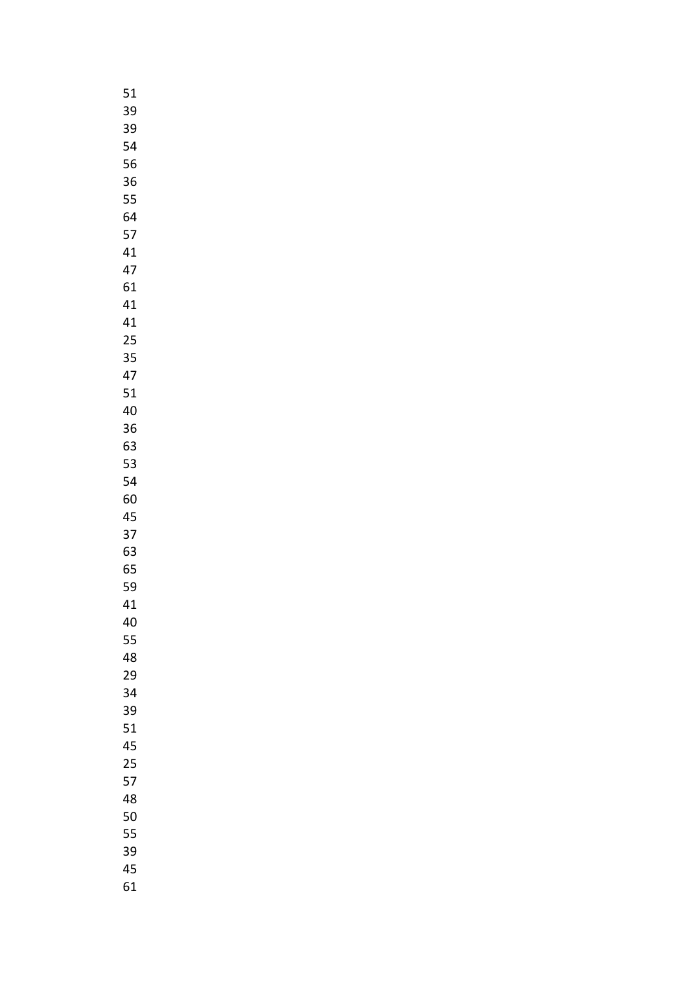| 51 |  |
|----|--|
| 39 |  |
| 39 |  |
| 54 |  |
| 56 |  |
|    |  |
| 36 |  |
| 55 |  |
| 64 |  |
| 57 |  |
| 41 |  |
| 47 |  |
| 61 |  |
| 41 |  |
| 41 |  |
| 25 |  |
| 35 |  |
|    |  |
| 47 |  |
| 51 |  |
| 40 |  |
| 36 |  |
| 63 |  |
| 53 |  |
| 54 |  |
| 60 |  |
| 45 |  |
| 37 |  |
| 63 |  |
|    |  |
| 65 |  |
| 59 |  |
| 41 |  |
| 40 |  |
| 55 |  |
| 48 |  |
| 29 |  |
| 34 |  |
| 39 |  |
| 51 |  |
| 45 |  |
| 25 |  |
| 57 |  |
|    |  |
| 48 |  |
| 50 |  |
| 55 |  |
| 39 |  |
| 45 |  |
| 61 |  |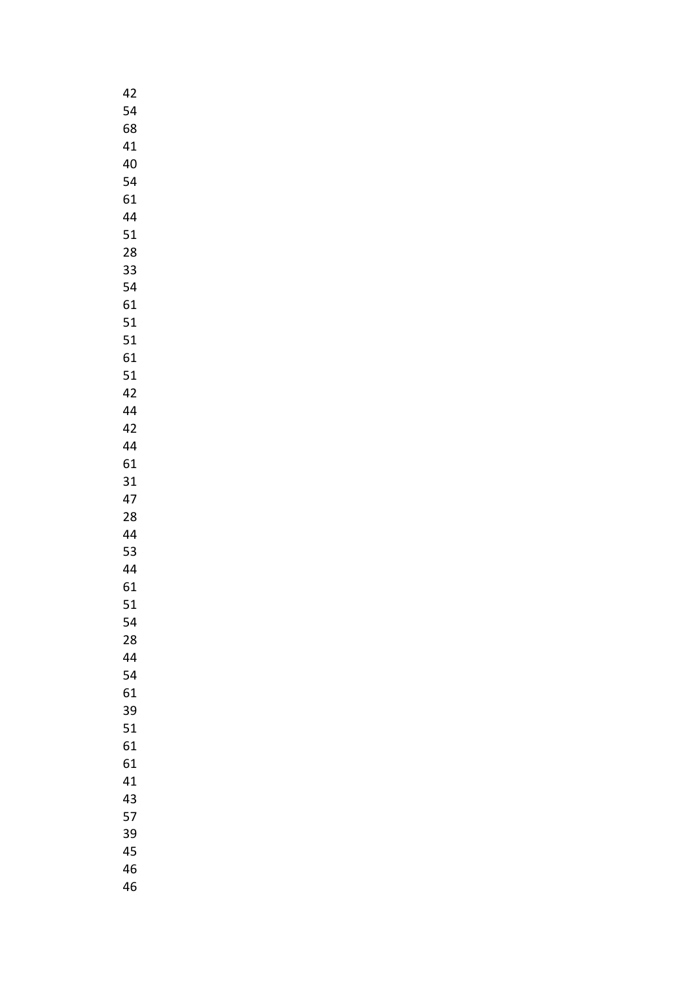| 42 |
|----|
| 54 |
| 68 |
| 41 |
| 40 |
| 54 |
| 61 |
|    |
| 44 |
| 51 |
| 28 |
| 33 |
| 54 |
| 61 |
| 51 |
| 51 |
| 61 |
| 51 |
| 42 |
| 44 |
| 42 |
| 44 |
| 61 |
| 31 |
| 47 |
| 28 |
| 44 |
| 53 |
| 44 |
| 61 |
| 51 |
| 54 |
|    |
| 28 |
| 44 |
| 54 |
| 61 |
| 39 |
| 51 |
| 61 |
| 61 |
| 41 |
| 43 |
| 57 |
| 39 |
| 45 |
| 46 |
| 46 |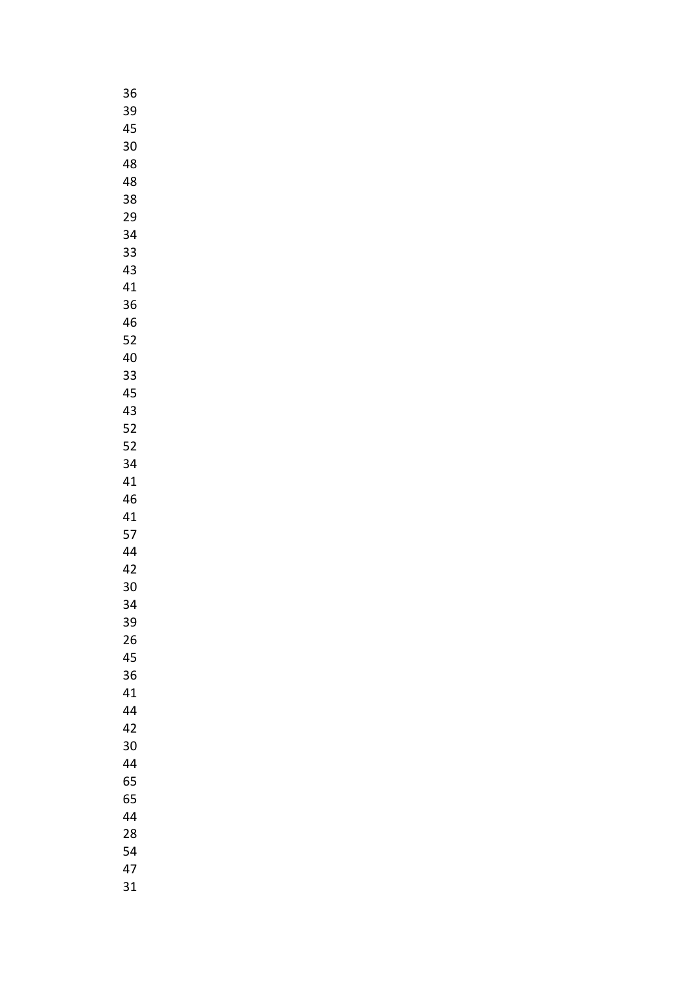| 36      |  |
|---------|--|
| 39      |  |
| 45      |  |
| 30      |  |
| 48      |  |
| 48      |  |
| 38      |  |
| 29      |  |
| 34      |  |
| 33      |  |
|         |  |
| 43      |  |
| 41      |  |
| 36      |  |
| 46      |  |
| 52      |  |
| 40      |  |
| 33      |  |
| 45      |  |
| 43      |  |
| 52      |  |
| 52      |  |
| 34      |  |
| 41      |  |
| 46      |  |
| 41      |  |
| 57      |  |
| 44      |  |
| 42      |  |
| 30      |  |
| 34<br>: |  |
| 39      |  |
|         |  |
| 26      |  |
| 45      |  |
| 36      |  |
| 41      |  |
| 44      |  |
| 42      |  |
| 30      |  |
| 44      |  |
| 65      |  |
| 65      |  |
| 44      |  |
| 28      |  |
| 54      |  |
| 47      |  |
| 31      |  |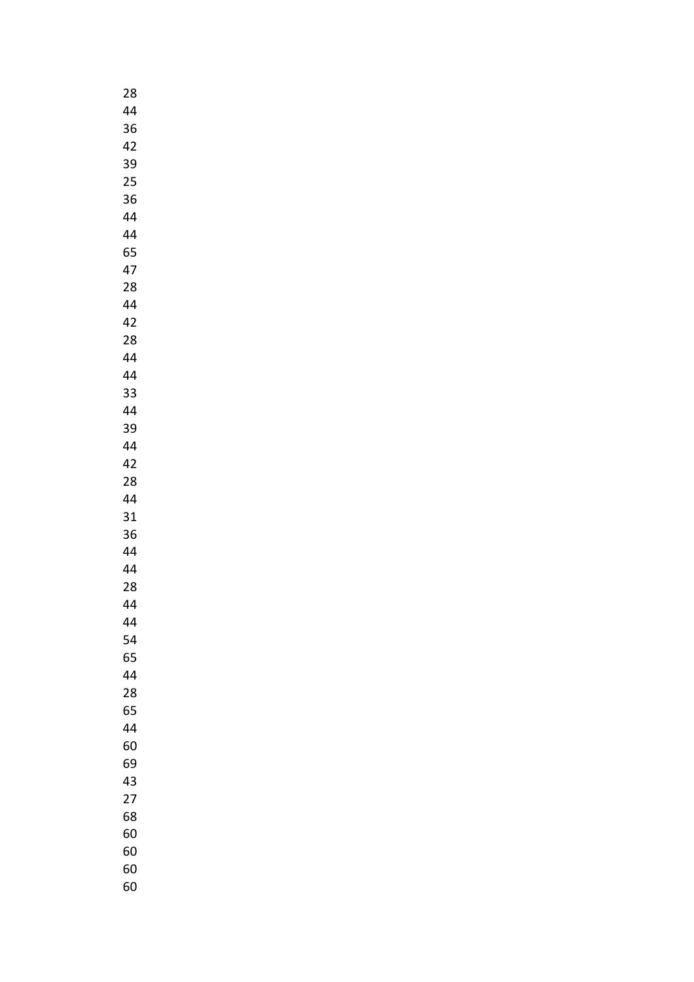| 28 |
|----|
| 44 |
| 36 |
| 42 |
| 39 |
| 25 |
|    |
| 36 |
| 44 |
| 44 |
| 65 |
| 47 |
| 28 |
| 44 |
| 42 |
| 28 |
| 44 |
| 44 |
| 33 |
| 44 |
| 39 |
| 44 |
| 42 |
| 28 |
|    |
| 44 |
| 31 |
| 36 |
| 44 |
| 44 |
| 28 |
| 44 |
| 44 |
| 54 |
| 65 |
| 44 |
| 28 |
| 65 |
| 44 |
| 60 |
| 69 |
| 43 |
| 27 |
| 68 |
| 60 |
| 60 |
| 60 |
|    |
| 60 |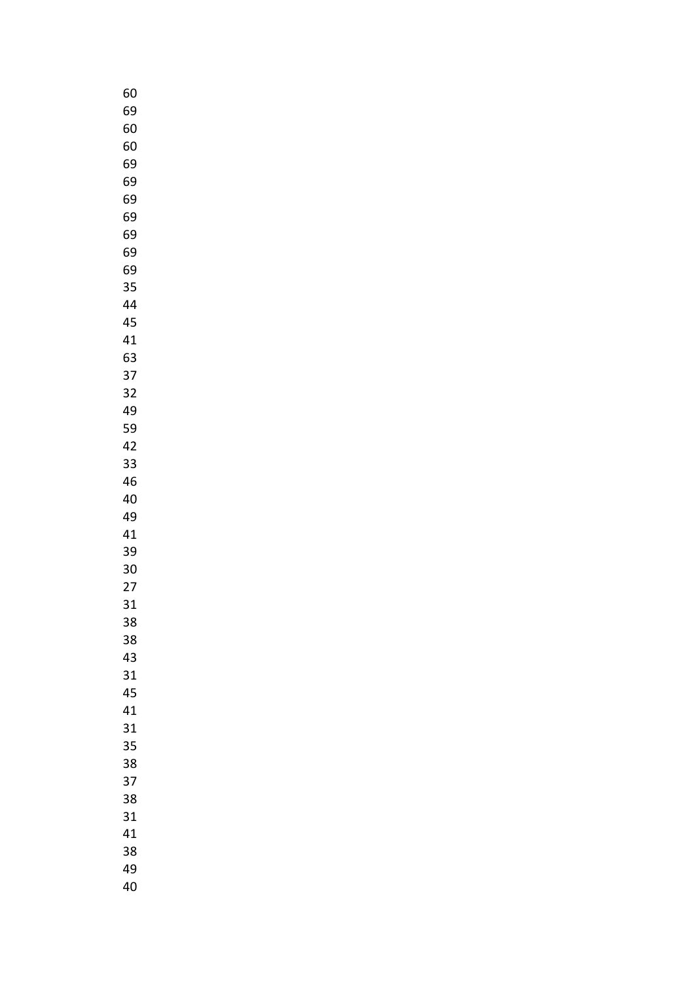| 60 |
|----|
| 69 |
| 60 |
| 60 |
| 69 |
| 69 |
| 69 |
| 69 |
|    |
| 69 |
| 69 |
| 69 |
| 35 |
| 44 |
| 45 |
| 41 |
| 63 |
| 37 |
| 32 |
| 49 |
| 59 |
| 42 |
| 33 |
| 46 |
| 40 |
| 49 |
| 41 |
|    |
| 39 |
| 30 |
| 27 |
| 31 |
| 38 |
| 38 |
| 43 |
| 31 |
| 45 |
| 41 |
| 31 |
| 35 |
| 38 |
| 37 |
| 38 |
| 31 |
| 41 |
| 38 |
|    |
| 49 |
| 40 |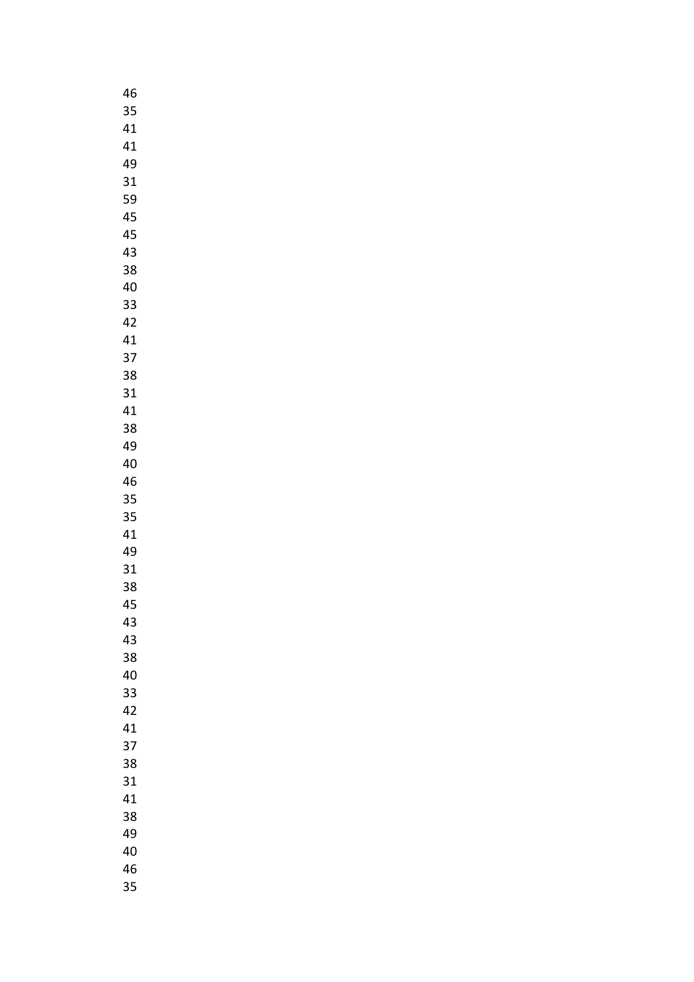| 46 |
|----|
| 35 |
| 41 |
| 41 |
| 49 |
| 31 |
| 59 |
| 45 |
| 45 |
| 43 |
|    |
| 38 |
| 40 |
| 33 |
| 42 |
| 41 |
| 37 |
| 38 |
| 31 |
| 41 |
| 38 |
| 49 |
| 40 |
| 46 |
| 35 |
| 35 |
| 41 |
| 49 |
| 31 |
| 38 |
| 45 |
| 43 |
| 43 |
| 38 |
|    |
| 40 |
| 33 |
| 42 |
| 41 |
| 37 |
| 38 |
| 31 |
| 41 |
| 38 |
| 49 |
| 40 |
| 46 |
| 35 |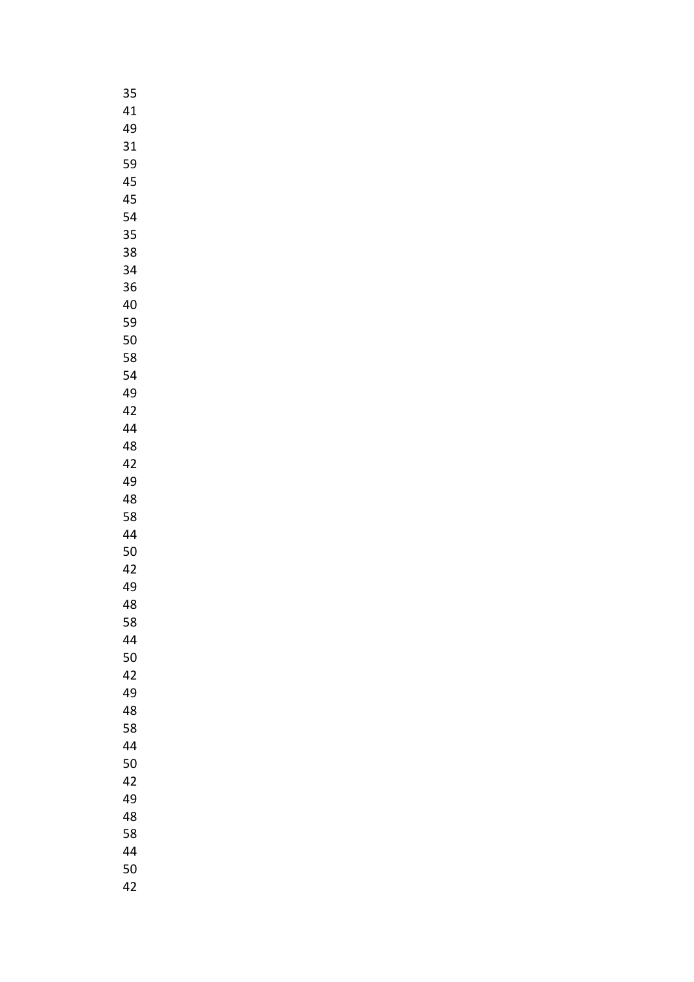| 35 |  |
|----|--|
| 41 |  |
| 49 |  |
| 31 |  |
| 59 |  |
| 45 |  |
|    |  |
| 45 |  |
| 54 |  |
| 35 |  |
| 38 |  |
| 34 |  |
| 36 |  |
| 40 |  |
| 59 |  |
| 50 |  |
| 58 |  |
| 54 |  |
| 49 |  |
| 42 |  |
| 44 |  |
| 48 |  |
| 42 |  |
| 49 |  |
|    |  |
| 48 |  |
| 58 |  |
| 44 |  |
| 50 |  |
| 42 |  |
| 49 |  |
| 48 |  |
| 58 |  |
| 44 |  |
| 50 |  |
| 42 |  |
| 49 |  |
| 48 |  |
| 58 |  |
| 44 |  |
| 50 |  |
| 42 |  |
| 49 |  |
| 48 |  |
| 58 |  |
| 44 |  |
|    |  |
| 50 |  |
| 42 |  |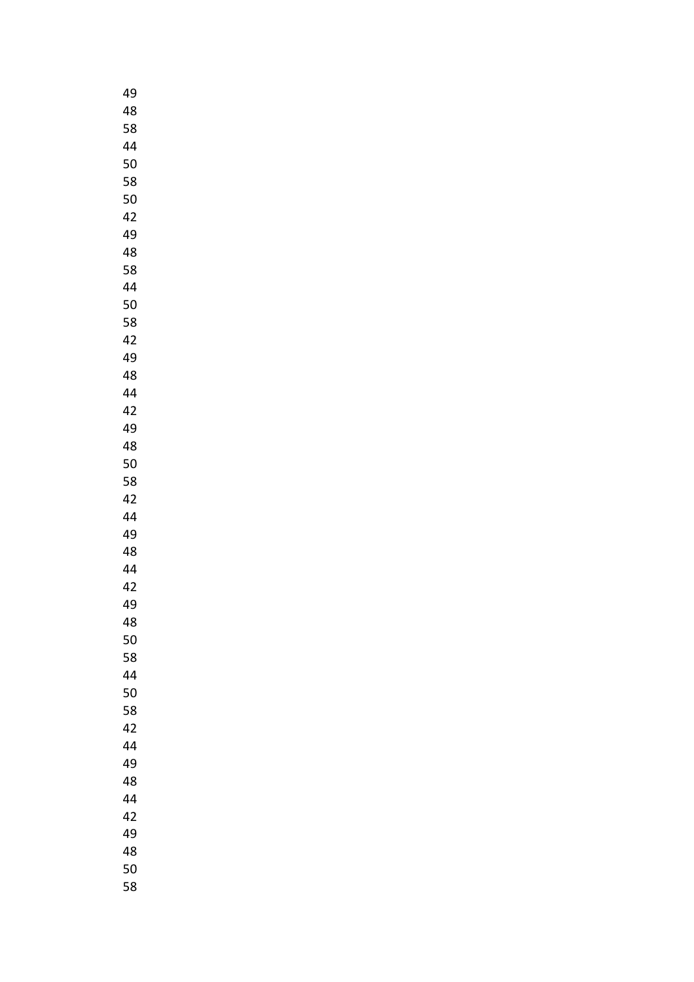| 49 |  |
|----|--|
| 48 |  |
| 58 |  |
| 44 |  |
| 50 |  |
| 58 |  |
| 50 |  |
| 42 |  |
| 49 |  |
| 48 |  |
| 58 |  |
| 44 |  |
| 50 |  |
| 58 |  |
| 42 |  |
| 49 |  |
| 48 |  |
| 44 |  |
| 42 |  |
| 49 |  |
| 48 |  |
| 50 |  |
| 58 |  |
| 42 |  |
| 44 |  |
| 49 |  |
| 48 |  |
| 44 |  |
| 42 |  |
| 49 |  |
| 48 |  |
| 50 |  |
| 58 |  |
| 44 |  |
| 50 |  |
| 58 |  |
| 42 |  |
| 44 |  |
| 49 |  |
| 48 |  |
| 44 |  |
| 42 |  |
| 49 |  |
| 48 |  |
| 50 |  |
| 58 |  |
|    |  |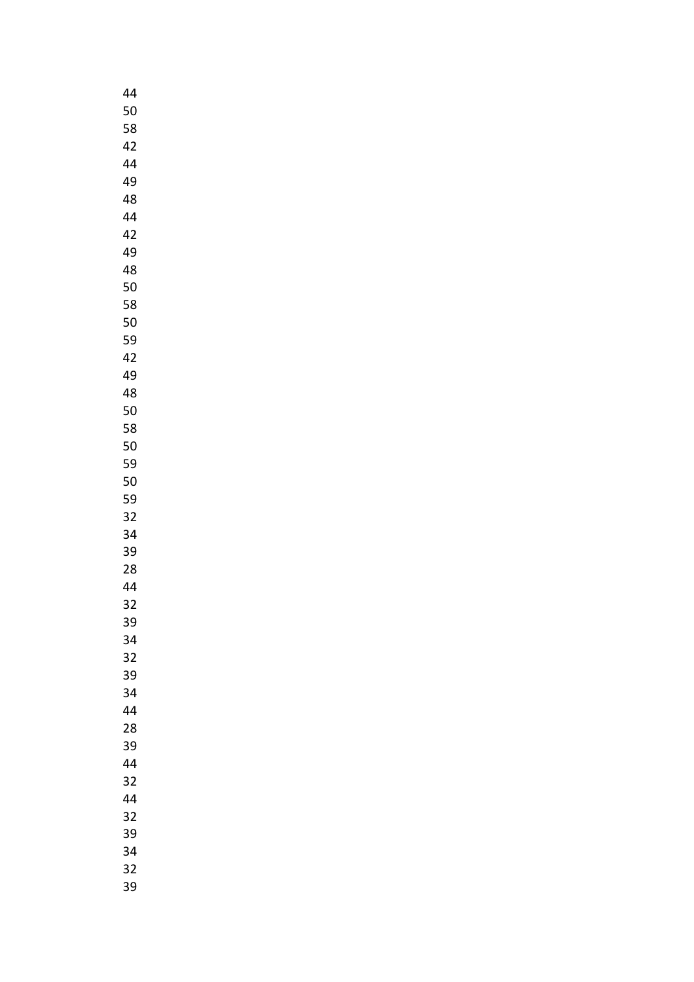| 44 |
|----|
| 50 |
| 58 |
| 42 |
| 44 |
| 49 |
| 48 |
| 44 |
| 42 |
|    |
| 49 |
| 48 |
| 50 |
| 58 |
| 50 |
| 59 |
| 42 |
| 49 |
| 48 |
| 50 |
| 58 |
| 50 |
| 59 |
| 50 |
| 59 |
| 32 |
| 34 |
| 39 |
|    |
| 28 |
| 44 |
| 32 |
| 39 |
| 34 |
| 32 |
| 39 |
| 34 |
| 44 |
| 28 |
| 39 |
| 44 |
| 32 |
| 44 |
| 32 |
| 39 |
| 34 |
| 32 |
|    |
| 39 |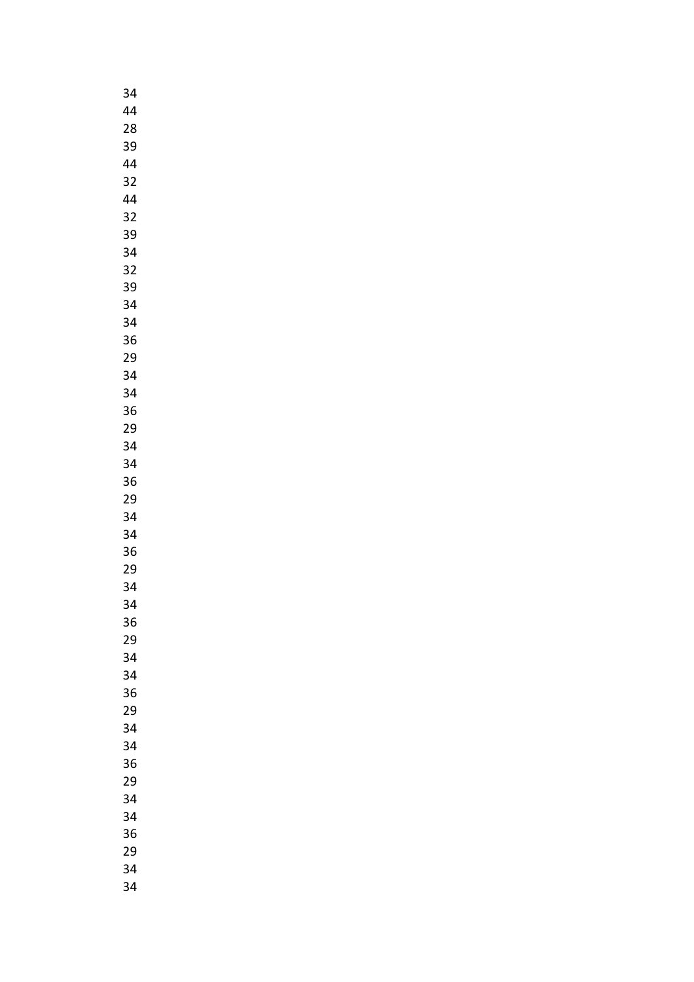| 34      |
|---------|
| 44      |
| 28      |
| 39      |
| 44      |
| 32      |
| 44      |
|         |
| 32      |
| 39      |
| 34      |
| 32      |
| 39      |
| 34      |
| 34      |
| 36      |
| 29      |
| 34      |
| 34      |
| 36      |
| 29      |
| 34      |
| 34      |
| 36      |
| 29      |
| 34      |
| 34      |
| 36      |
| 29      |
| 34      |
|         |
| 34<br>: |
| 36      |
| 29      |
| 34      |
| 34      |
| 36      |
| 29      |
| 34      |
| 34      |
| 36      |
| 29      |
| 34      |
| 34      |
| 36      |
| 29      |
| 34      |
| 34      |
|         |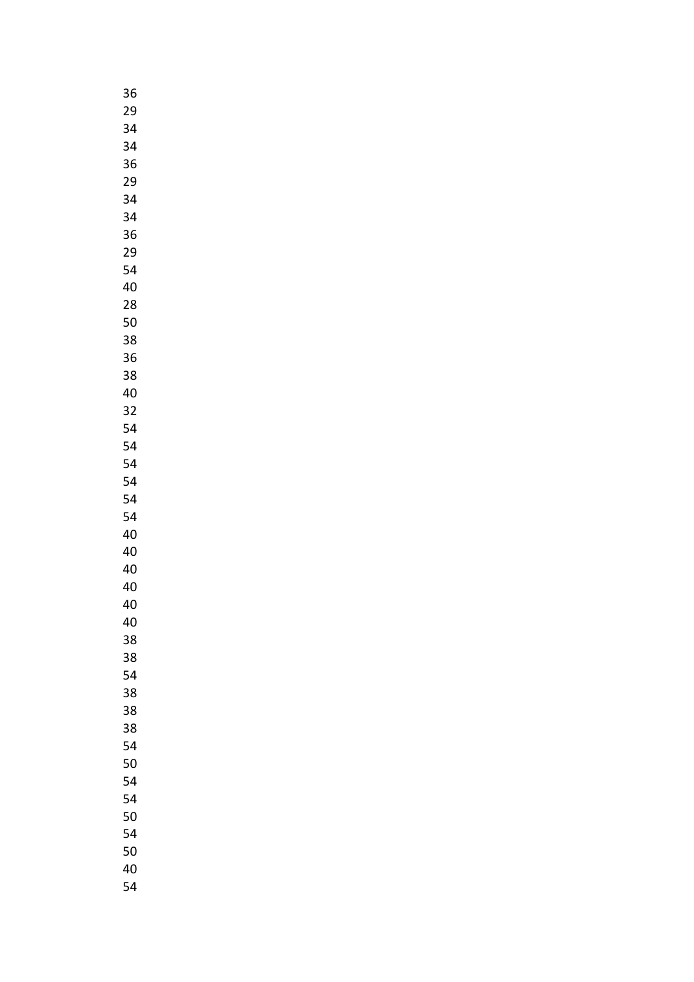| 36 |
|----|
| 29 |
| 34 |
| 34 |
| 36 |
| 29 |
| 34 |
| 34 |
| 36 |
| 29 |
|    |
| 54 |
| 40 |
| 28 |
| 50 |
| 38 |
| 36 |
| 38 |
| 40 |
| 32 |
| 54 |
| 54 |
| 54 |
| 54 |
| 54 |
| 54 |
| 40 |
| 40 |
| 40 |
| 40 |
| 40 |
| 40 |
| 38 |
|    |
| 38 |
| 54 |
| 38 |
| 38 |
| 38 |
| 54 |
| 50 |
| 54 |
| 54 |
| 50 |
| 54 |
| 50 |
| 40 |
| 54 |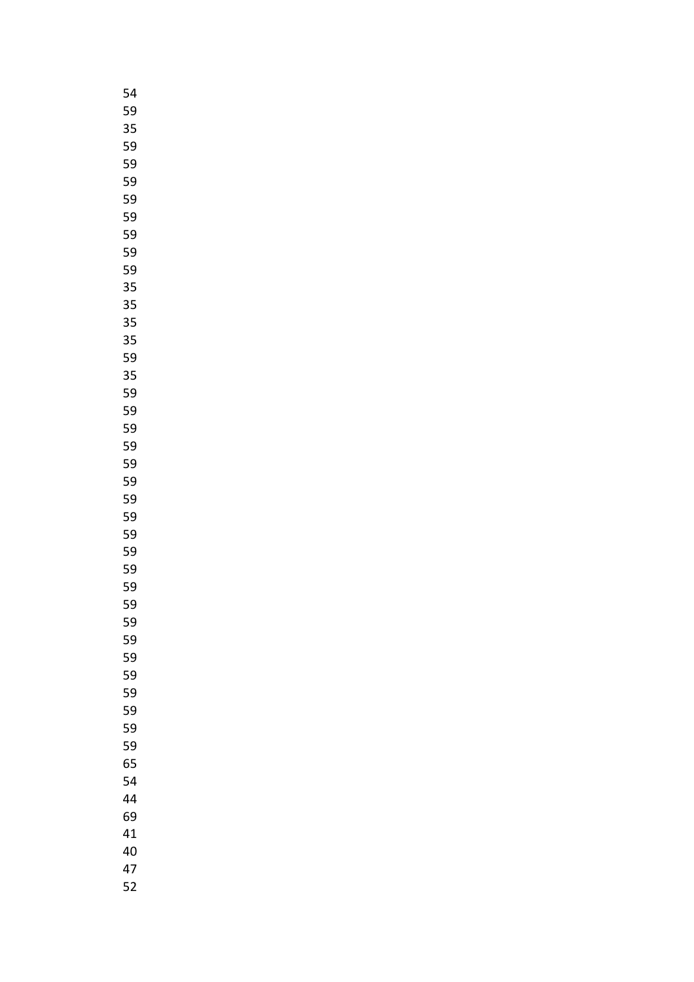| $\frac{1}{2}$<br>ľ |
|--------------------|
| 59                 |
| 35                 |
| 59                 |
| 59                 |
| 59                 |
| 59                 |
| 59                 |
| 59                 |
| 59                 |
| 59                 |
| 35                 |
|                    |
| 35<br>35           |
|                    |
| 35                 |
| 59                 |
| 35                 |
| 59                 |
| 59                 |
| 59                 |
| 59                 |
| 59                 |
| 59                 |
| 59<br>ŗ            |
| 59                 |
| 59                 |
| 59                 |
| 59                 |
| 59                 |
| 59                 |
| 59                 |
| 59                 |
| 59                 |
| 59                 |
| 59                 |
| 59                 |
| 59                 |
| 59                 |
| 65                 |
| 54                 |
| 44                 |
| 69                 |
| 41                 |
| 40                 |
| 47                 |
| 52                 |
|                    |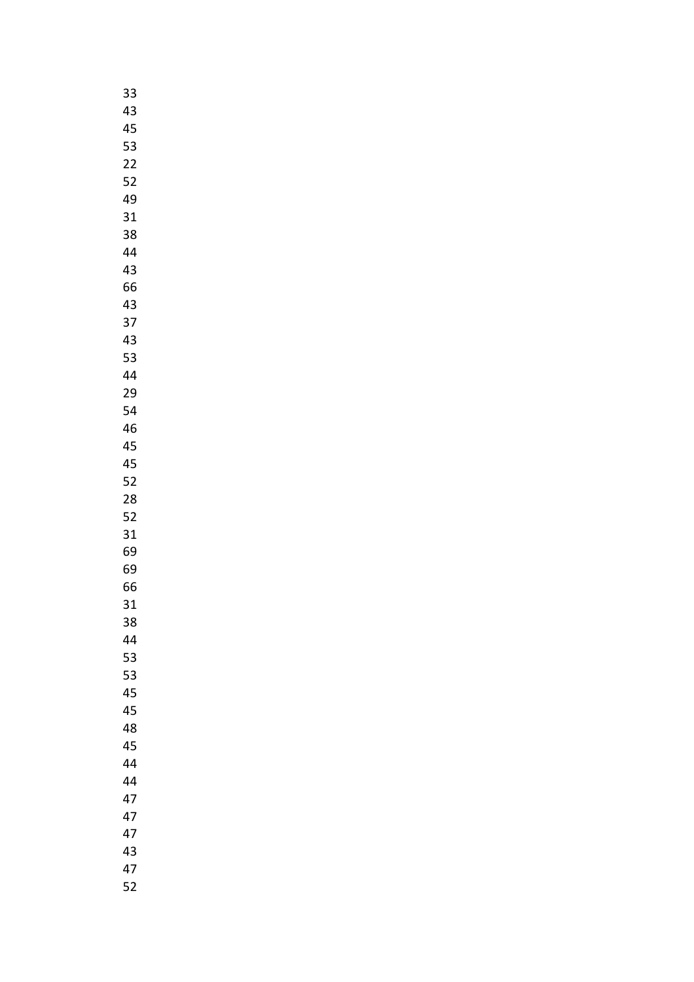| 33 |  |
|----|--|
| 43 |  |
| 45 |  |
| 53 |  |
| 22 |  |
| 52 |  |
| 49 |  |
| 31 |  |
|    |  |
| 38 |  |
| 44 |  |
| 43 |  |
| 66 |  |
| 43 |  |
| 37 |  |
| 43 |  |
| 53 |  |
| 44 |  |
| 29 |  |
| 54 |  |
| 46 |  |
| 45 |  |
| 45 |  |
| 52 |  |
| 28 |  |
| 52 |  |
| 31 |  |
| 69 |  |
| 69 |  |
|    |  |
| 66 |  |
| 31 |  |
| 38 |  |
| 44 |  |
| 53 |  |
| 53 |  |
| 45 |  |
| 45 |  |
| 48 |  |
| 45 |  |
| 44 |  |
| 44 |  |
| 47 |  |
| 47 |  |
| 47 |  |
| 43 |  |
| 47 |  |
| 52 |  |
|    |  |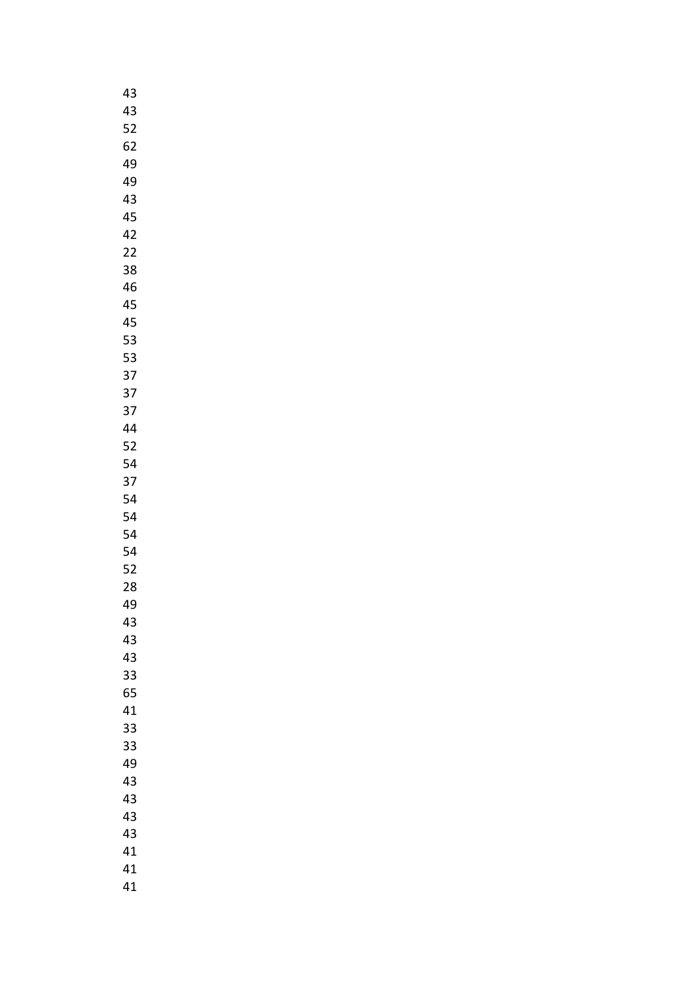| 43 |
|----|
| 43 |
| 52 |
| 62 |
| 49 |
| 49 |
| 43 |
|    |
| 45 |
| 42 |
| 22 |
| 38 |
| 46 |
| 45 |
| 45 |
| 53 |
| 53 |
| 37 |
| 37 |
| 37 |
| 44 |
| 52 |
| 54 |
| 37 |
|    |
| 54 |
| 54 |
| 54 |
| 54 |
| 52 |
| 28 |
| 49 |
| 43 |
| 43 |
| 43 |
| 33 |
| 65 |
| 41 |
| 33 |
| 33 |
| 49 |
|    |
| 43 |
| 43 |
| 43 |
| 43 |
| 41 |
| 41 |
| 41 |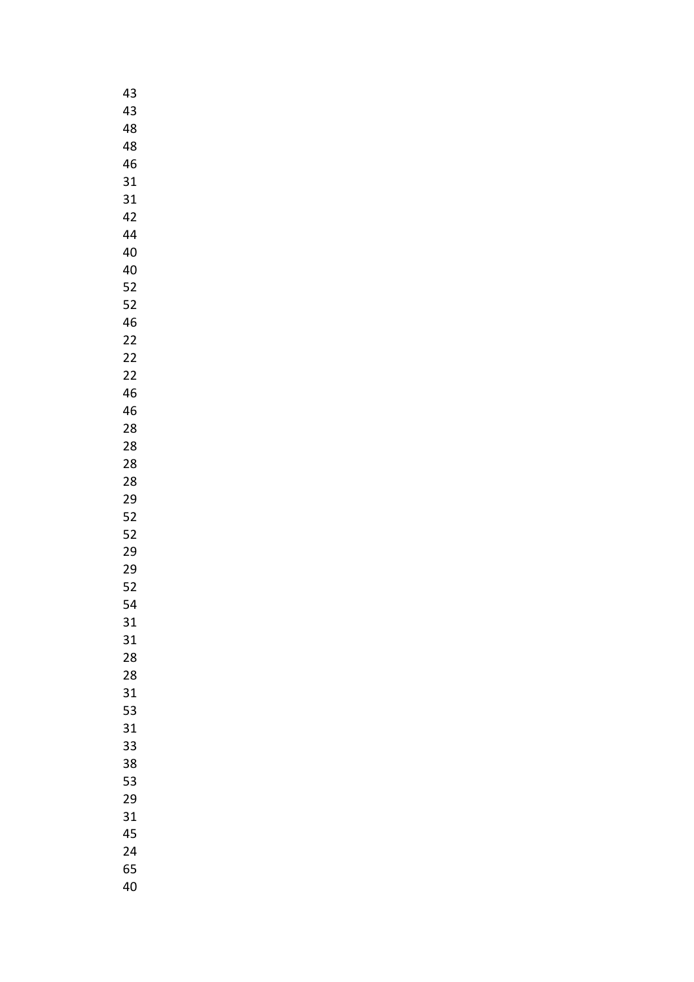| 43 |
|----|
| 43 |
| 48 |
| 48 |
| 46 |
| 31 |
| 31 |
| 42 |
|    |
| 44 |
| 40 |
| 40 |
| 52 |
| 52 |
| 46 |
| 22 |
| 22 |
| 22 |
| 46 |
| 46 |
| 28 |
| 28 |
| 28 |
| 28 |
| 29 |
| 52 |
| 52 |
|    |
| 29 |
| 29 |
| 52 |
| 54 |
| 31 |
| 31 |
| 28 |
| 28 |
| 31 |
| 53 |
| 31 |
| 33 |
| 38 |
| 53 |
| 29 |
| 31 |
| 45 |
| 24 |
| 65 |
|    |
| 40 |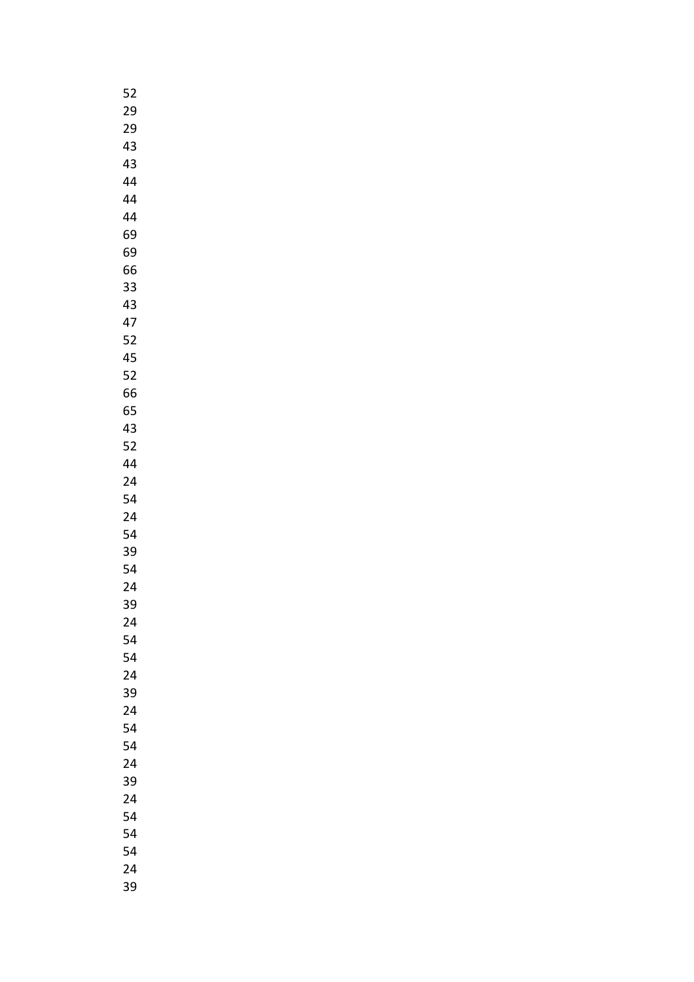| 52 |
|----|
| 29 |
| 29 |
| 43 |
| 43 |
| 44 |
| 44 |
| 44 |
| 69 |
| 69 |
| 66 |
|    |
| 33 |
| 43 |
| 47 |
| 52 |
| 45 |
| 52 |
| 66 |
| 65 |
| 43 |
| 52 |
| 44 |
| 24 |
| 54 |
| 24 |
| 54 |
| 39 |
| 54 |
| 24 |
| 39 |
| 24 |
| 54 |
| 54 |
| 24 |
| 39 |
| 24 |
| 54 |
|    |
| 54 |
| 24 |
| 39 |
| 24 |
| 54 |
| 54 |
| 54 |
| 24 |
| 39 |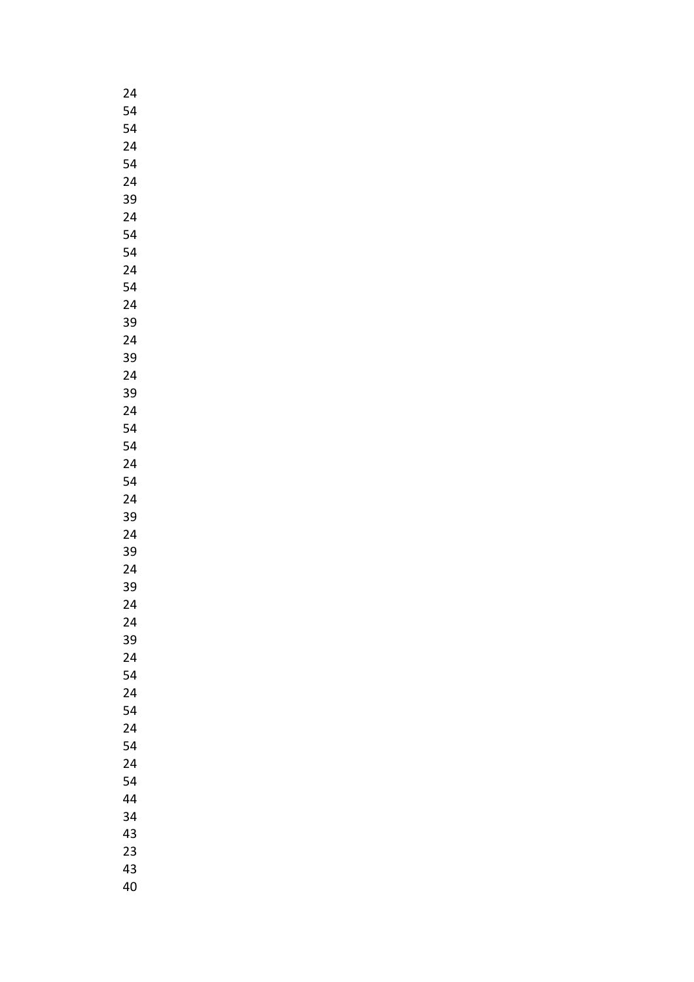| 24       |
|----------|
| 54       |
| 54       |
| 24       |
| 54       |
| 24       |
| 39       |
| 24       |
| 54       |
|          |
| 54       |
| 24       |
| 54       |
| 24       |
| 39       |
| 24       |
| 39       |
| 24       |
| 39       |
| 24       |
| 54       |
| 54       |
| 24       |
| 54       |
| 24       |
| 39       |
| 24       |
| 39       |
| 24       |
| 39       |
|          |
| 24<br>24 |
| 39       |
|          |
| 24       |
| 54       |
| 24       |
| 54       |
| 24       |
| 54       |
| 24       |
| 54       |
| 44       |
| 34       |
| 43       |
| 23       |
| 43       |
| 40       |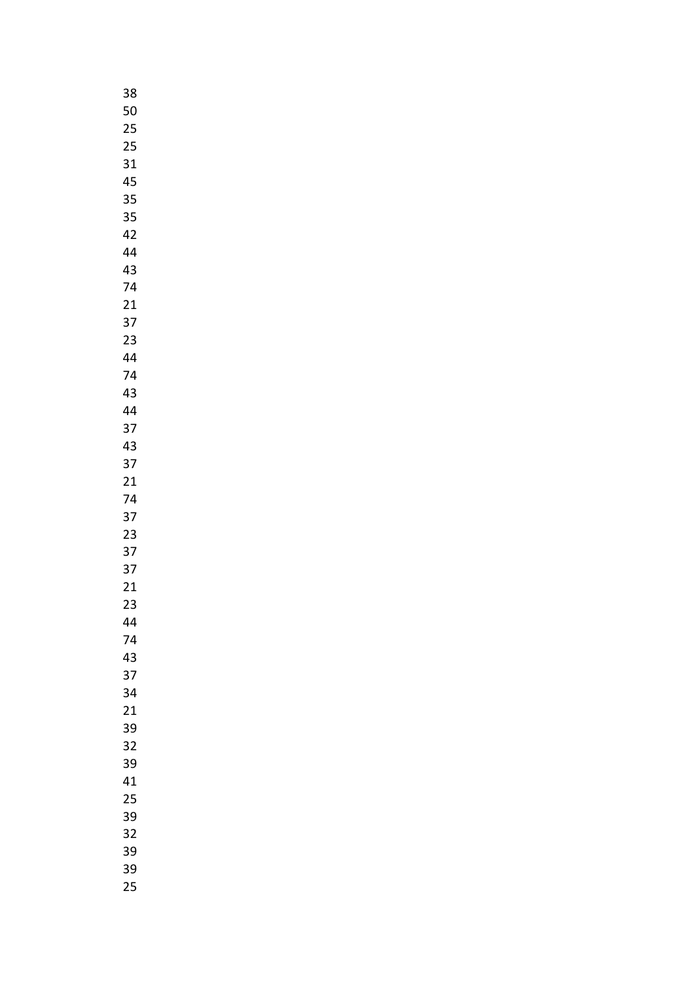| 38 |
|----|
| 50 |
| 25 |
| 25 |
| 31 |
|    |
| 45 |
| 35 |
| 35 |
| 42 |
| 44 |
| 43 |
| 74 |
| 21 |
| 37 |
| 23 |
| 44 |
|    |
| 74 |
| 43 |
| 44 |
| 37 |
| 43 |
| 37 |
| 21 |
| 74 |
| 37 |
| 23 |
| 37 |
| 37 |
|    |
| 21 |
| 23 |
| 44 |
| 74 |
| 43 |
| 37 |
| 34 |
| 21 |
| 39 |
| 32 |
| 39 |
|    |
| 41 |
| 25 |
| 39 |
| 32 |
| 39 |
| 39 |
| 25 |
|    |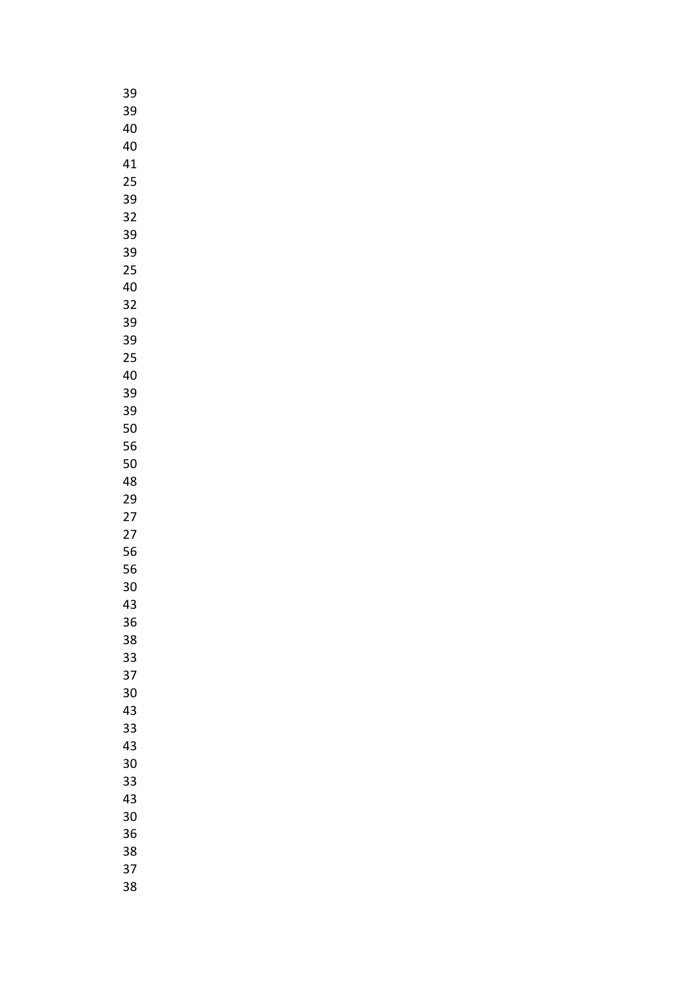| 39 |  |
|----|--|
| 39 |  |
| 40 |  |
| 40 |  |
| 41 |  |
|    |  |
| 25 |  |
| 39 |  |
| 32 |  |
| 39 |  |
| 39 |  |
| 25 |  |
| 40 |  |
| 32 |  |
| 39 |  |
| 39 |  |
| 25 |  |
|    |  |
| 40 |  |
| 39 |  |
| 39 |  |
| 50 |  |
| 56 |  |
| 50 |  |
| 48 |  |
| 29 |  |
| 27 |  |
| 27 |  |
| 56 |  |
|    |  |
| 56 |  |
| 30 |  |
| 43 |  |
| 36 |  |
| 38 |  |
| 33 |  |
| 37 |  |
| 30 |  |
| 43 |  |
| 33 |  |
| 43 |  |
| 30 |  |
|    |  |
| 33 |  |
| 43 |  |
| 30 |  |
| 36 |  |
| 38 |  |
| 37 |  |
| 38 |  |
|    |  |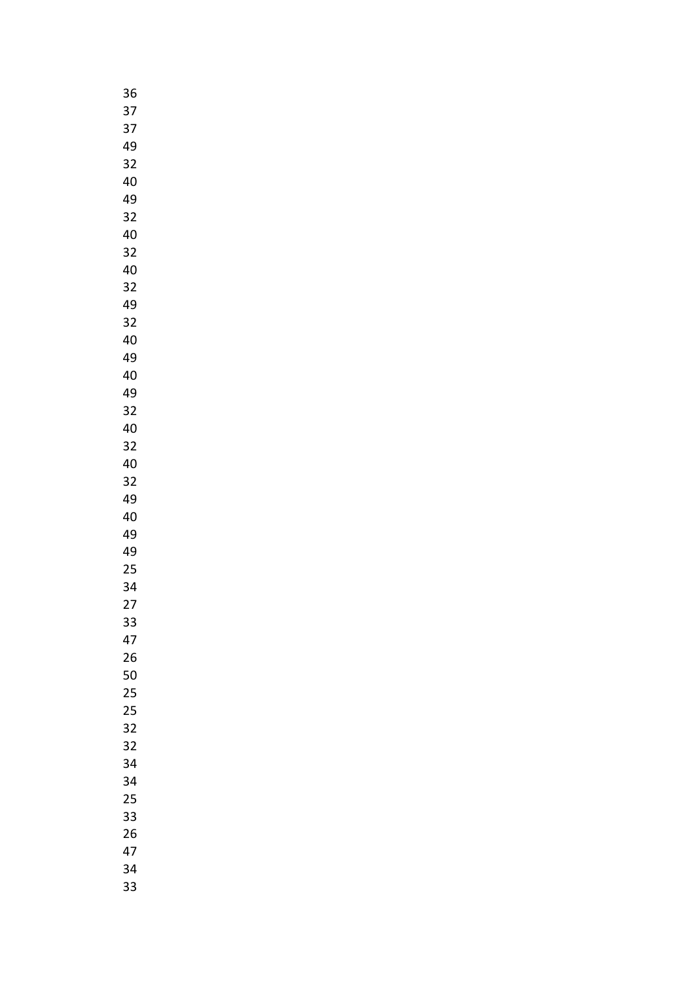| 36 |
|----|
| 37 |
| 37 |
| 49 |
| 32 |
| 40 |
| 49 |
|    |
| 32 |
| 40 |
| 32 |
| 40 |
| 32 |
| 49 |
| 32 |
| 40 |
| 49 |
| 40 |
| 49 |
| 32 |
| 40 |
| 32 |
| 40 |
| 32 |
| 49 |
| 40 |
|    |
| 49 |
| 49 |
| 25 |
| 34 |
| 27 |
| 33 |
| 47 |
| 26 |
| 50 |
| 25 |
| 25 |
| 32 |
| 32 |
| 34 |
| 34 |
| 25 |
| 33 |
| 26 |
| 47 |
| 34 |
| 33 |
|    |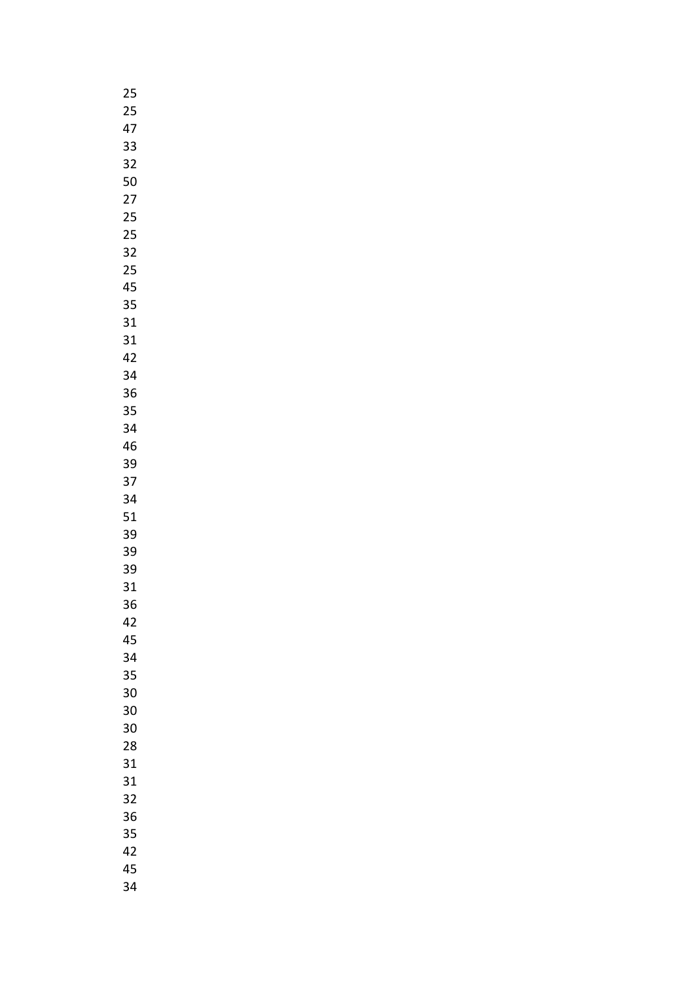| 25 |  |
|----|--|
| 25 |  |
| 47 |  |
| 33 |  |
| 32 |  |
| 50 |  |
| 27 |  |
| 25 |  |
|    |  |
| 25 |  |
| 32 |  |
| 25 |  |
| 45 |  |
| 35 |  |
| 31 |  |
| 31 |  |
| 42 |  |
| 34 |  |
| 36 |  |
| 35 |  |
| 34 |  |
| 46 |  |
| 39 |  |
| 37 |  |
| 34 |  |
| 51 |  |
| 39 |  |
|    |  |
| 39 |  |
| 39 |  |
| 31 |  |
| 36 |  |
| 42 |  |
| 45 |  |
| 34 |  |
| 35 |  |
| 30 |  |
| 30 |  |
| 30 |  |
| 28 |  |
| 31 |  |
| 31 |  |
| 32 |  |
| 36 |  |
| 35 |  |
| 42 |  |
| 45 |  |
| 34 |  |
|    |  |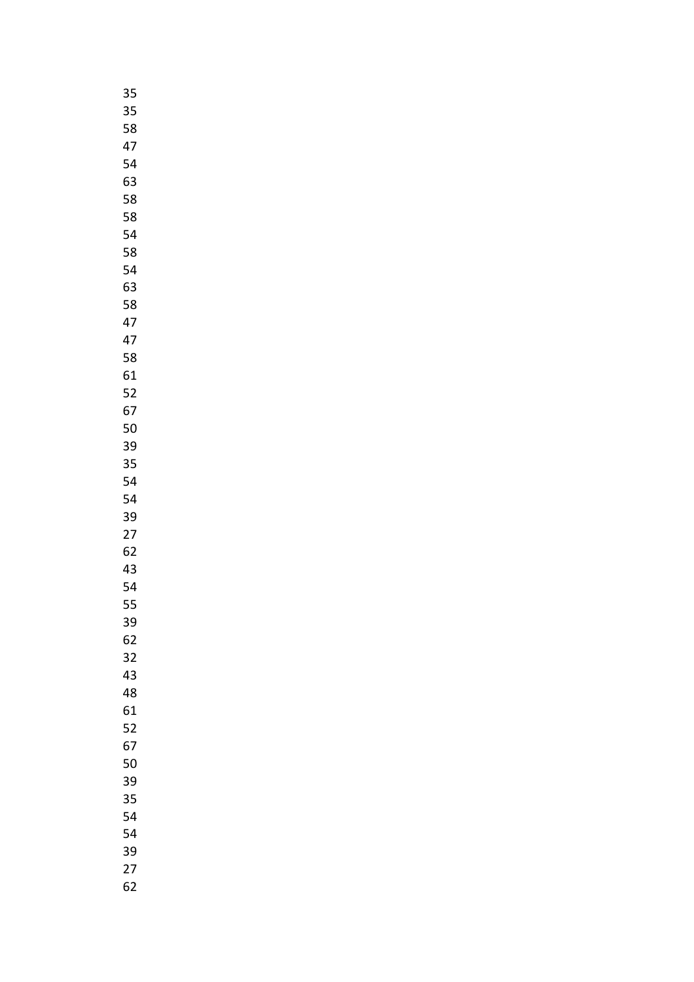| 35 |
|----|
| 35 |
| 58 |
| 47 |
| 54 |
| 63 |
| 58 |
| 58 |
| 54 |
|    |
| 58 |
| 54 |
| 63 |
| 58 |
| 47 |
| 47 |
| 58 |
| 61 |
| 52 |
| 67 |
| 50 |
| 39 |
| 35 |
| 54 |
| 54 |
| 39 |
| 27 |
| 62 |
| 43 |
| 54 |
|    |
| 55 |
| 39 |
| 62 |
| 32 |
| 43 |
| 48 |
| 61 |
| 52 |
| 67 |
| 50 |
| 39 |
| 35 |
| 54 |
| 54 |
| 39 |
| 27 |
|    |
| 62 |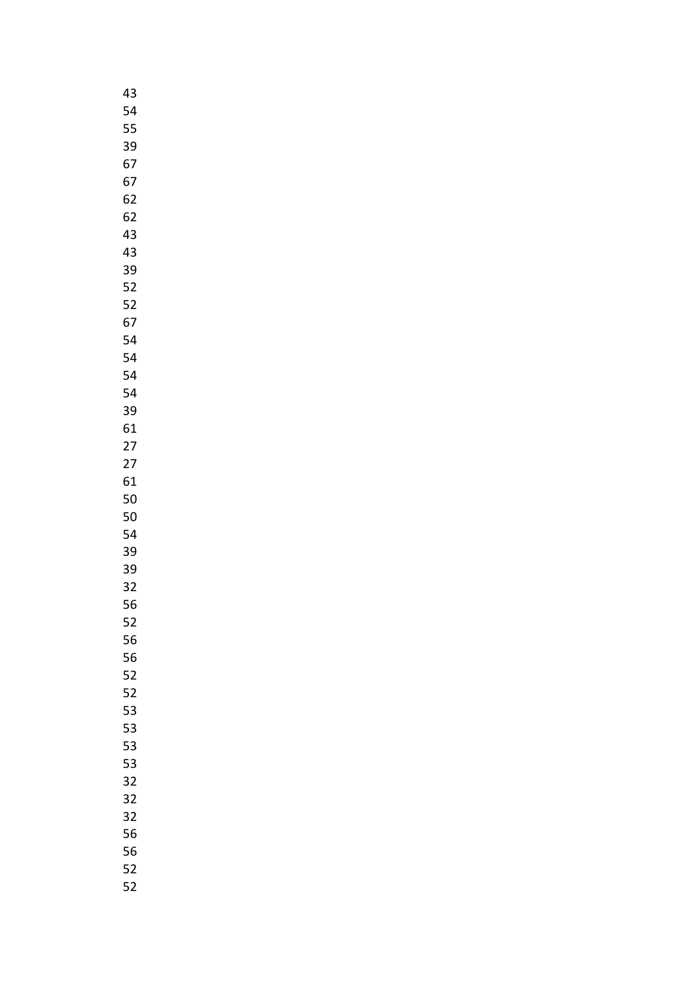| 43 |
|----|
| 54 |
| 55 |
| 39 |
| 67 |
| 67 |
| 62 |
| 62 |
| 43 |
| 43 |
| 39 |
|    |
| 52 |
| 52 |
| 67 |
| 54 |
| 54 |
| 54 |
| 54 |
| 39 |
| 61 |
| 27 |
| 27 |
| 61 |
| 50 |
| 50 |
| 54 |
| 39 |
| 39 |
| 32 |
| 56 |
| 52 |
|    |
|    |
| 56 |
| 56 |
| 52 |
| 52 |
| 53 |
| 53 |
| 53 |
| 53 |
| 32 |
| 32 |
| 32 |
| 56 |
| 56 |
| 52 |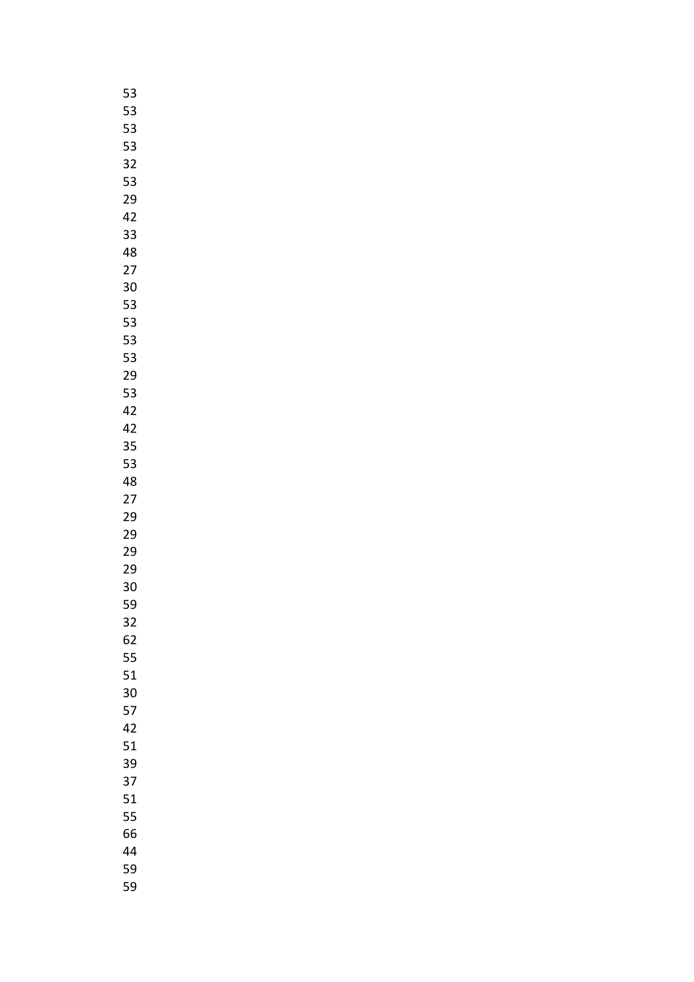| 53 |
|----|
| 53 |
| 53 |
| 53 |
| 32 |
| 53 |
|    |
| 29 |
| 42 |
| 33 |
| 48 |
| 27 |
| 30 |
| 53 |
| 53 |
| 53 |
| 53 |
| 29 |
| 53 |
| 42 |
| 42 |
| 35 |
| 53 |
| 48 |
|    |
| 27 |
| 29 |
| 29 |
| 29 |
| 29 |
| 30 |
| 59 |
| 32 |
| 62 |
| 55 |
| 51 |
| 30 |
| 57 |
| 42 |
| 51 |
| 39 |
| 37 |
| 51 |
| 55 |
| 66 |
|    |
| 44 |
| 59 |
| 59 |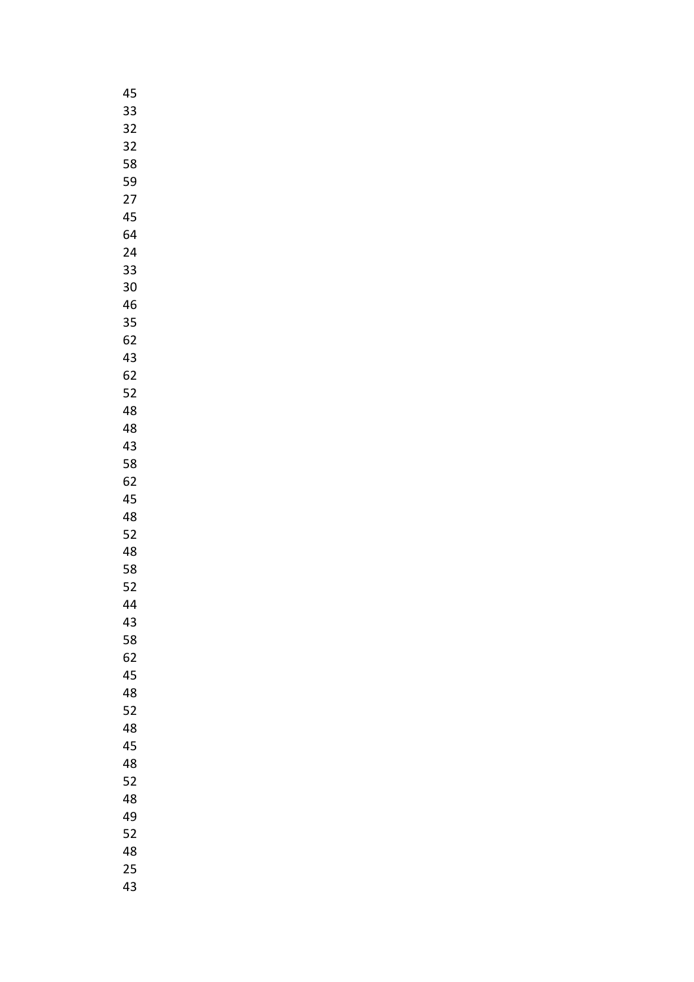| 45 |
|----|
| 33 |
| 32 |
| 32 |
| 58 |
| 59 |
| 27 |
|    |
| 45 |
| 64 |
| 24 |
| 33 |
| 30 |
| 46 |
| 35 |
| 62 |
| 43 |
| 62 |
| 52 |
| 48 |
| 48 |
| 43 |
| 58 |
| 62 |
| 45 |
|    |
| 48 |
| 52 |
| 48 |
| 58 |
| 52 |
| 44 |
| 43 |
| 58 |
| 62 |
| 45 |
| 48 |
| 52 |
| 48 |
| 45 |
| 48 |
| 52 |
| 48 |
| 49 |
| 52 |
| 48 |
| 25 |
| 43 |
|    |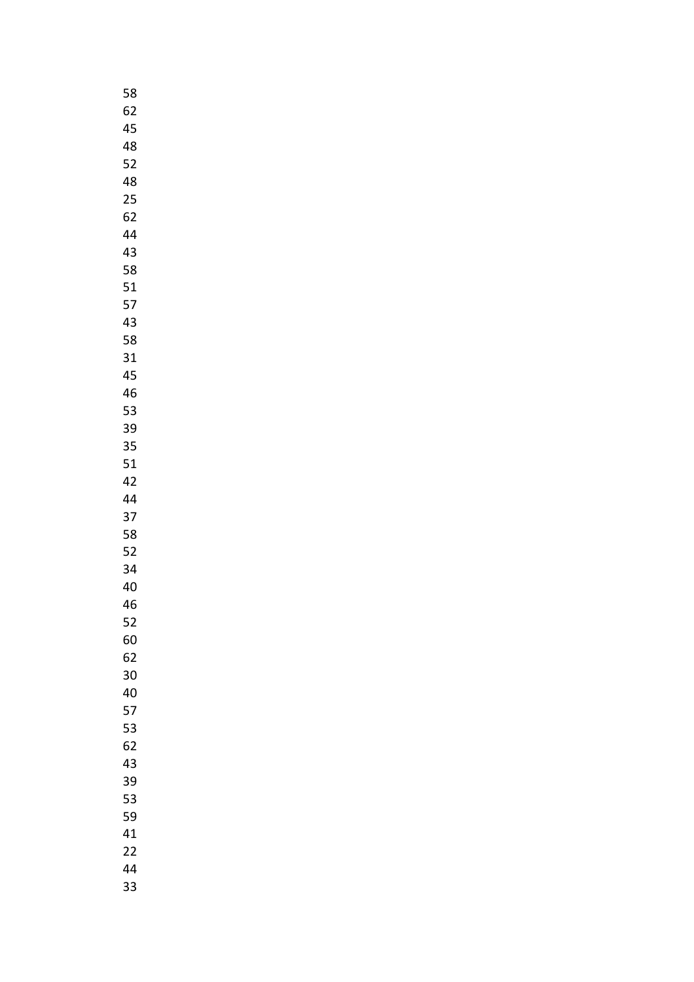| 58 |
|----|
| 62 |
| 45 |
| 48 |
| 52 |
| 48 |
|    |
| 25 |
| 62 |
| 44 |
| 43 |
| 58 |
| 51 |
| 57 |
| 43 |
| 58 |
| 31 |
| 45 |
| 46 |
| 53 |
| 39 |
|    |
| 35 |
| 51 |
| 42 |
| 44 |
| 37 |
| 58 |
| 52 |
| 34 |
| 40 |
| 46 |
| 52 |
| 60 |
| 62 |
| 30 |
|    |
| 40 |
| 57 |
| 53 |
| 62 |
| 43 |
| 39 |
| 53 |
| 59 |
| 41 |
| 22 |
| 44 |
| 33 |
|    |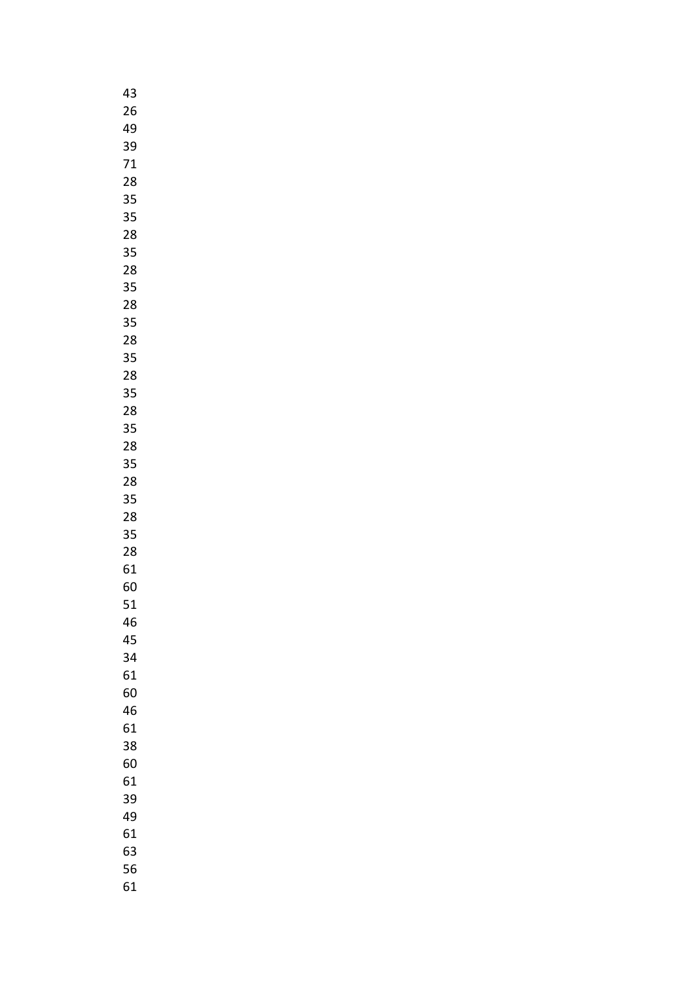| 43 |
|----|
| 26 |
| 49 |
| 39 |
| 71 |
| 28 |
| 35 |
| 35 |
|    |
| 28 |
| 35 |
| 28 |
| 35 |
| 28 |
| 35 |
| 28 |
| 35 |
| 28 |
| 35 |
| 28 |
| 35 |
| 28 |
| 35 |
| 28 |
| 35 |
| 28 |
| 35 |
|    |
| 28 |
| 61 |
| 60 |
| 51 |
| 46 |
| 45 |
| 34 |
| 61 |
| 60 |
| 46 |
| 61 |
| 38 |
| 60 |
| 61 |
| 39 |
| 49 |
| 61 |
| 63 |
| 56 |
| 61 |
|    |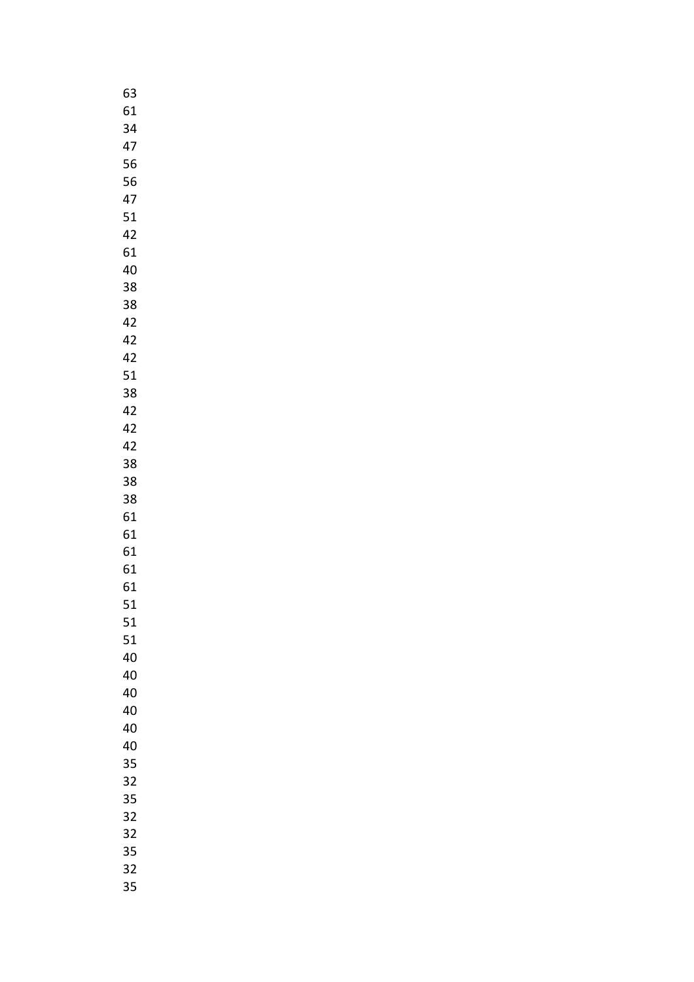| 63 |
|----|
| 61 |
| 34 |
| 47 |
| 56 |
| 56 |
| 47 |
| 51 |
|    |
| 42 |
| 61 |
| 40 |
| 38 |
| 38 |
| 42 |
| 42 |
| 42 |
| 51 |
| 38 |
| 42 |
| 42 |
| 42 |
| 38 |
| 38 |
| 38 |
| 61 |
| 61 |
| 61 |
|    |
| 61 |
| 61 |
| 51 |
| 51 |
| 51 |
| 40 |
| 40 |
| 40 |
| 40 |
| 40 |
| 40 |
| 35 |
| 32 |
| 35 |
| 32 |
| 32 |
| 35 |
| 32 |
| 35 |
|    |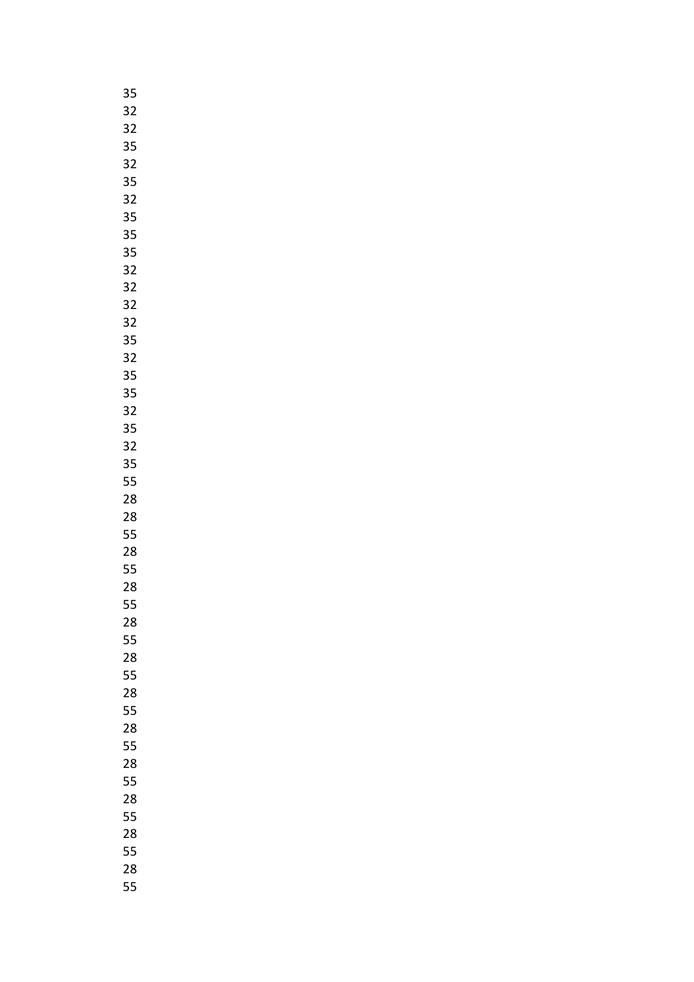| 3!<br>5         |
|-----------------|
| 32              |
| 32              |
| 35              |
| 32              |
| 35              |
| $\overline{32}$ |
| 35              |
| 35              |
| 35              |
| 32              |
| 32              |
| 32              |
| 32              |
| 35              |
|                 |
| 32              |
| 35              |
| 35              |
| 32              |
| 35              |
| 32              |
| 35              |
| 55              |
| 28              |
| 28              |
| 55              |
| 28              |
| 55              |
| 28              |
| 55              |
| 28              |
| 55              |
| 28              |
| 55              |
| 28              |
| 55              |
| 28              |
| 55              |
| 28              |
| 55              |
| 28              |
| 55              |
| 28              |
| 55              |
| 28              |
| 55              |
|                 |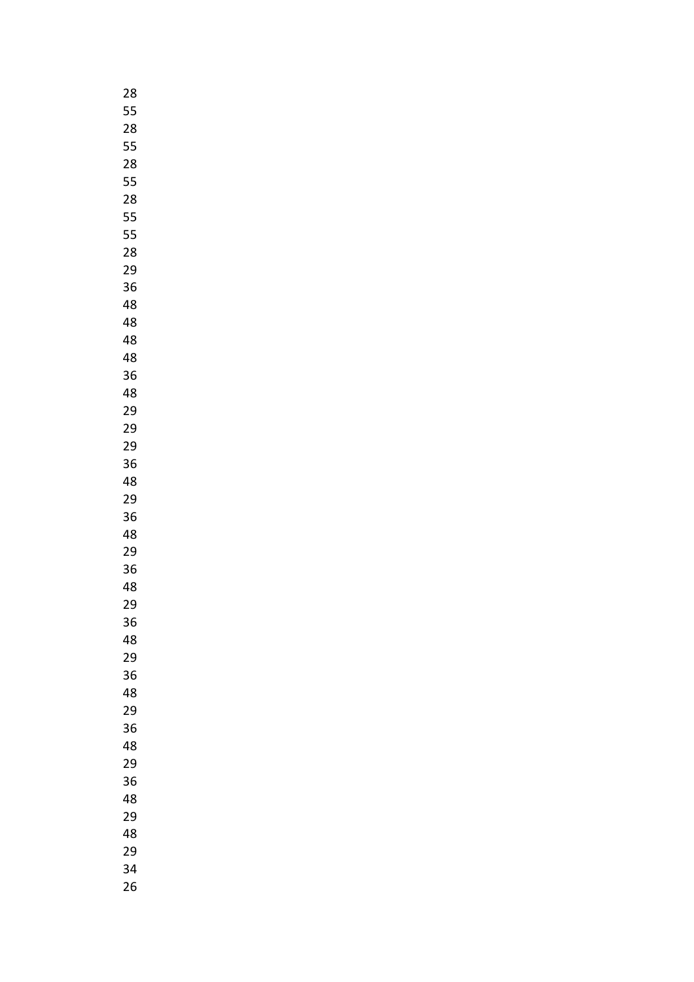| 28 |
|----|
| 55 |
| 28 |
| 55 |
| 28 |
| 55 |
| 28 |
| 55 |
| 55 |
| 28 |
| 29 |
| 36 |
| 48 |
| 48 |
| 48 |
| 48 |
| 36 |
| 48 |
| 29 |
| 29 |
| 29 |
| 36 |
| 48 |
| 29 |
| 36 |
| 48 |
| 29 |
| 36 |
| 48 |
| 29 |
| 36 |
| 48 |
| 29 |
| 36 |
| 48 |
| 29 |
| 36 |
| 48 |
| 29 |
| 36 |
| 48 |
| 29 |
| 48 |
| 29 |
| 34 |
| 26 |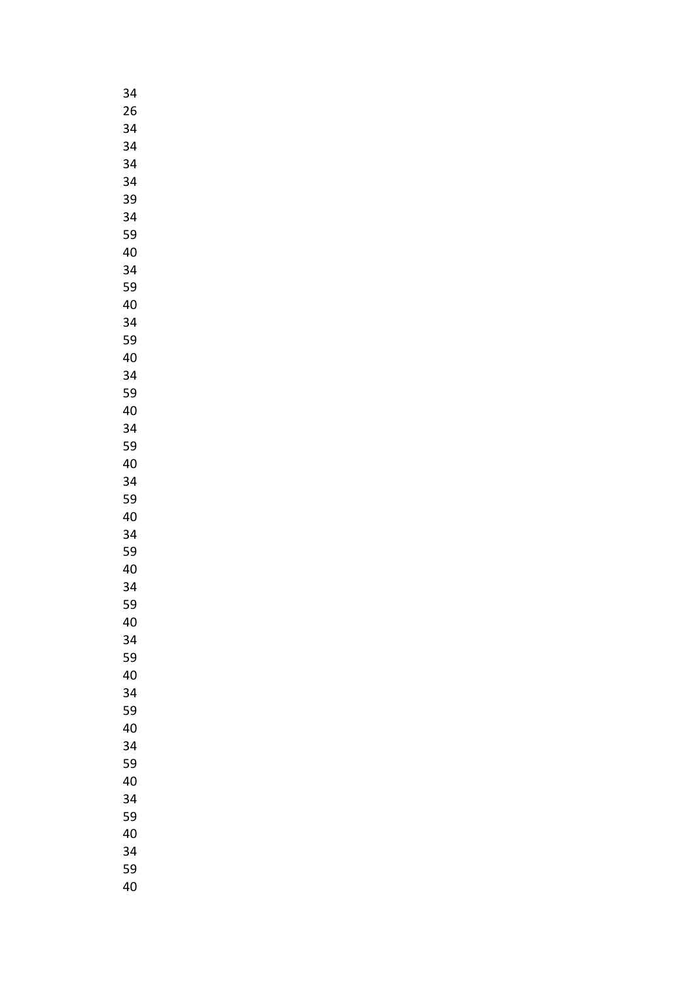| 34 |
|----|
| 26 |
| 34 |
| 34 |
| 34 |
| 34 |
| 39 |
|    |
| 34 |
| 59 |
| 40 |
| 34 |
| 59 |
| 40 |
| 34 |
| 59 |
| 40 |
| 34 |
| 59 |
| 40 |
| 34 |
| 59 |
| 40 |
|    |
| 34 |
| 59 |
| 40 |
| 34 |
| 59 |
| 40 |
| 34 |
| 59 |
| 40 |
| 34 |
| 59 |
| 40 |
| 34 |
| 59 |
| 40 |
| 34 |
| 59 |
|    |
| 40 |
| 34 |
| 59 |
| 40 |
| 34 |
| 59 |
| 40 |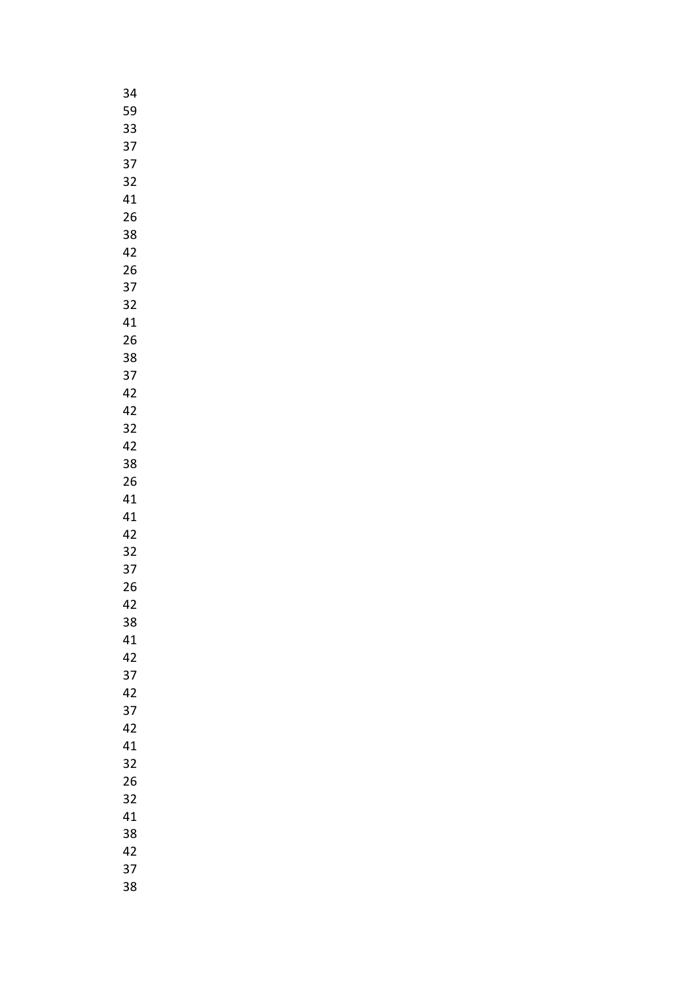| 34 |  |
|----|--|
| 59 |  |
| 33 |  |
| 37 |  |
| 37 |  |
| 32 |  |
| 41 |  |
|    |  |
| 26 |  |
| 38 |  |
| 42 |  |
| 26 |  |
| 37 |  |
| 32 |  |
| 41 |  |
| 26 |  |
| 38 |  |
| 37 |  |
| 42 |  |
| 42 |  |
| 32 |  |
| 42 |  |
|    |  |
| 38 |  |
| 26 |  |
| 41 |  |
| 41 |  |
| 42 |  |
| 32 |  |
| 37 |  |
| 26 |  |
| 42 |  |
| 38 |  |
| 41 |  |
| 42 |  |
| 37 |  |
| 42 |  |
| 37 |  |
| 42 |  |
|    |  |
| 41 |  |
| 32 |  |
| 26 |  |
| 32 |  |
| 41 |  |
| 38 |  |
| 42 |  |
| 37 |  |
| 38 |  |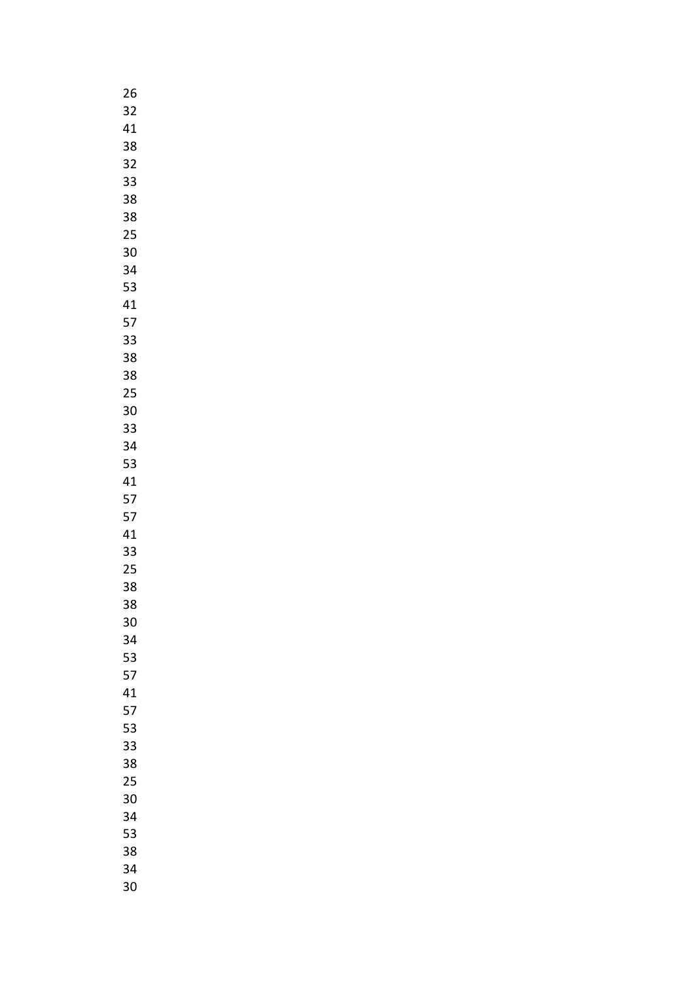| 26      |
|---------|
| 32      |
| 41      |
| 38      |
| 32      |
| 33      |
| 38      |
|         |
| 38      |
| 25      |
| 30      |
| 34      |
| 53      |
| 41      |
| 57      |
| 33      |
| 38      |
| 38      |
| 25      |
| 30      |
|         |
| 33      |
| 34      |
| 53      |
| 41      |
| 57      |
| 57      |
| 41      |
| 33      |
| 25      |
| 38      |
| 38<br>í |
| 30      |
|         |
| 34      |
| 53      |
| 57      |
| 41      |
| 57      |
| 53      |
| 33      |
| 38      |
| 25      |
| 30      |
| 34      |
| 53      |
|         |
| 38      |
| 34      |
| 30      |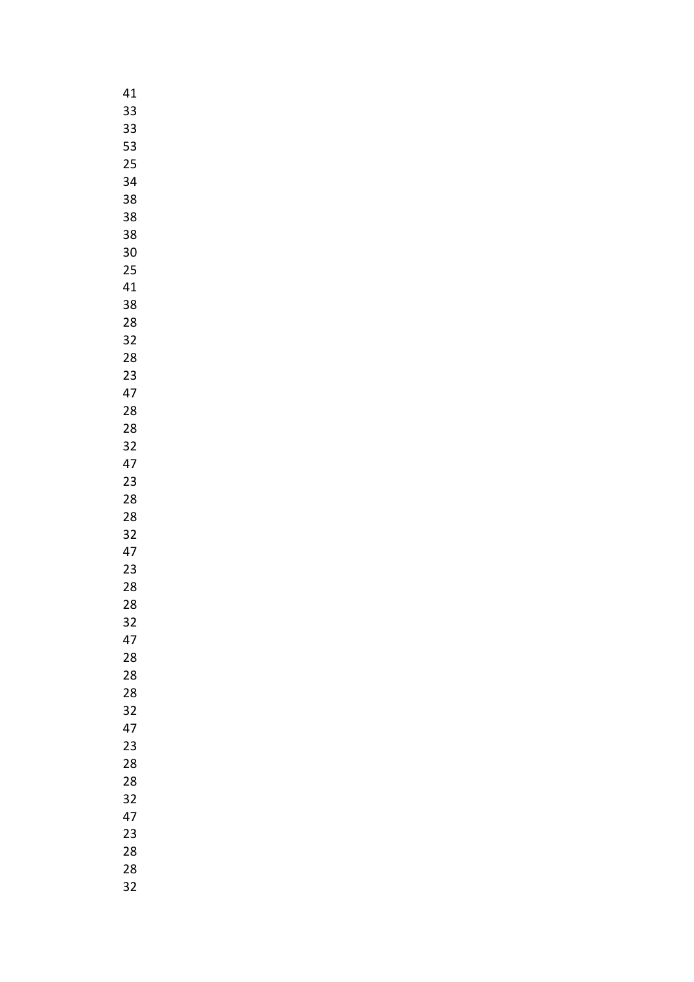| 41 |
|----|
| 33 |
| 33 |
| 53 |
| 25 |
| 34 |
| 38 |
|    |
| 38 |
| 38 |
| 30 |
| 25 |
| 41 |
| 38 |
| 28 |
| 32 |
| 28 |
| 23 |
| 47 |
| 28 |
| 28 |
| 32 |
| 47 |
| 23 |
| 28 |
|    |
| 28 |
| 32 |
| 47 |
| 23 |
| 28 |
| 28 |
| 32 |
| 47 |
| 28 |
| 28 |
| 28 |
| 32 |
| 47 |
| 23 |
| 28 |
| 28 |
| 32 |
| 47 |
| 23 |
| 28 |
| 28 |
|    |
| 32 |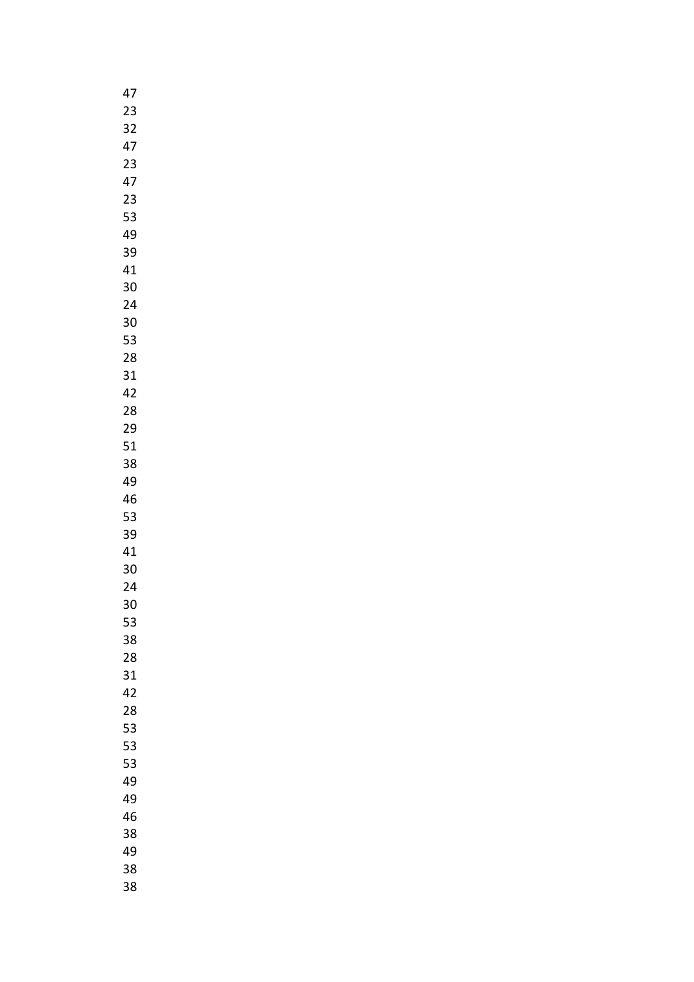| 47 |
|----|
| 23 |
| 32 |
| 47 |
| 23 |
| 47 |
| 23 |
| 53 |
|    |
| 49 |
| 39 |
| 41 |
| 30 |
| 24 |
| 30 |
| 53 |
| 28 |
| 31 |
| 42 |
| 28 |
| 29 |
| 51 |
| 38 |
|    |
| 49 |
| 46 |
| 53 |
| 39 |
| 41 |
| 30 |
| 24 |
| 30 |
| 53 |
| 38 |
| 28 |
| 31 |
| 42 |
| 28 |
| 53 |
| 53 |
| 53 |
| 49 |
|    |
| 49 |
| 46 |
| 38 |
| 49 |
| 38 |
| 38 |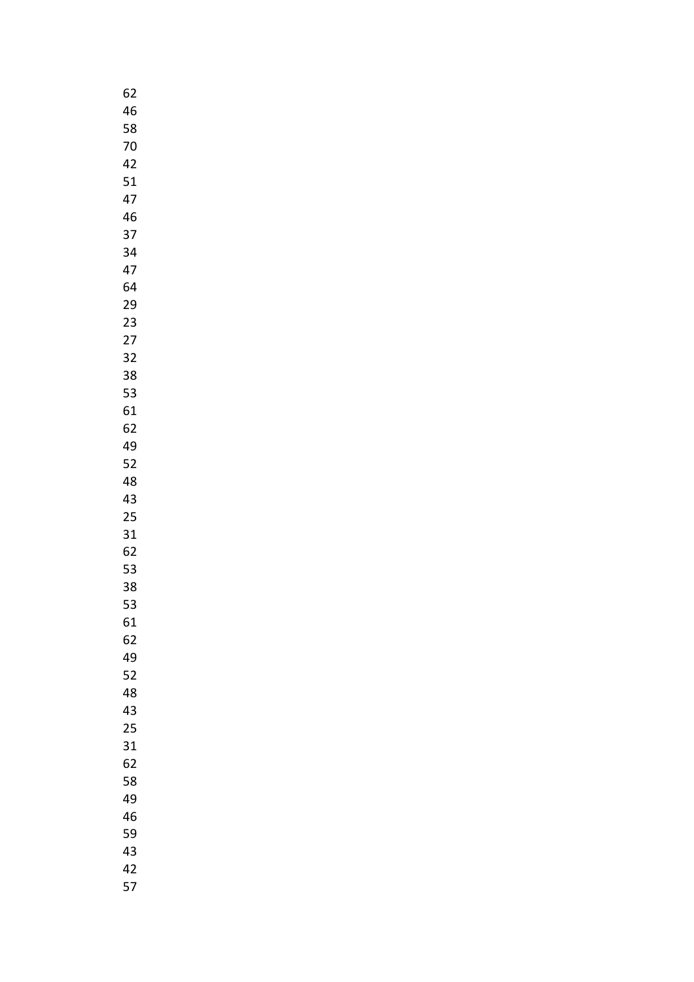| 62 |  |
|----|--|
| 46 |  |
| 58 |  |
| 70 |  |
| 42 |  |
| 51 |  |
|    |  |
| 47 |  |
| 46 |  |
| 37 |  |
| 34 |  |
| 47 |  |
| 64 |  |
| 29 |  |
| 23 |  |
| 27 |  |
| 32 |  |
| 38 |  |
| 53 |  |
|    |  |
| 61 |  |
| 62 |  |
| 49 |  |
| 52 |  |
| 48 |  |
| 43 |  |
| 25 |  |
| 31 |  |
| 62 |  |
| 53 |  |
| 38 |  |
| 53 |  |
|    |  |
| 61 |  |
| 62 |  |
| 49 |  |
| 52 |  |
| 48 |  |
| 43 |  |
| 25 |  |
| 31 |  |
| 62 |  |
| 58 |  |
| 49 |  |
| 46 |  |
| 59 |  |
| 43 |  |
|    |  |
| 42 |  |
| 57 |  |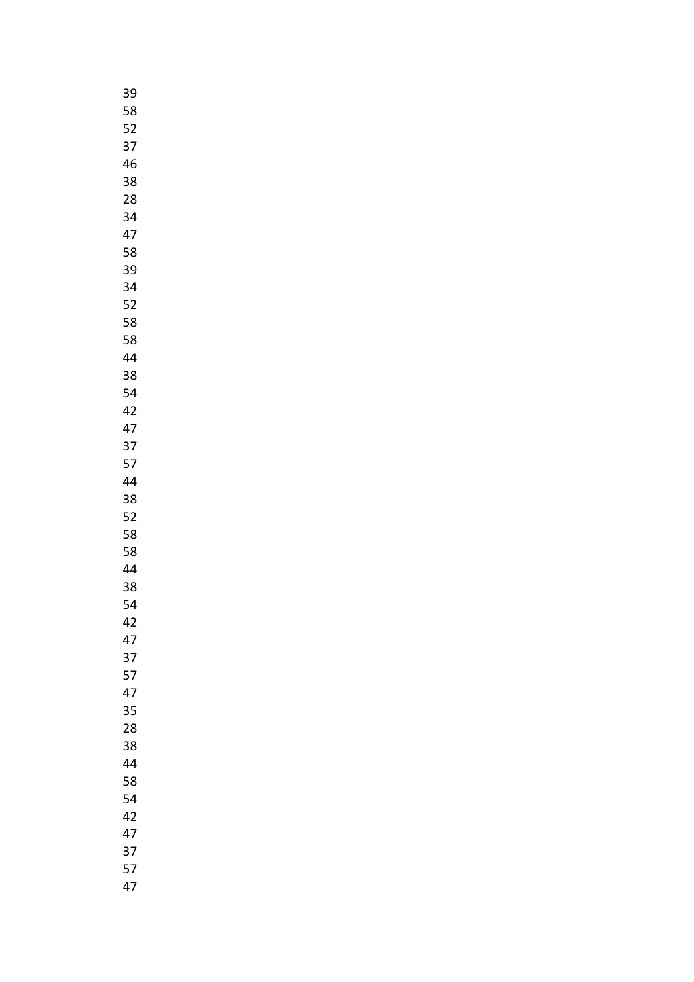| 39 |
|----|
| 58 |
| 52 |
| 37 |
| 46 |
|    |
| 38 |
| 28 |
| 34 |
| 47 |
| 58 |
| 39 |
| 34 |
| 52 |
| 58 |
| 58 |
| 44 |
|    |
| 38 |
| 54 |
| 42 |
| 47 |
| 37 |
| 57 |
| 44 |
| 38 |
| 52 |
| 58 |
| 58 |
| 44 |
|    |
| 38 |
| 54 |
| 42 |
| 47 |
| 37 |
| 57 |
| 47 |
| 35 |
| 28 |
| 38 |
| 44 |
| 58 |
| 54 |
|    |
| 42 |
| 47 |
| 37 |
| 57 |
| 47 |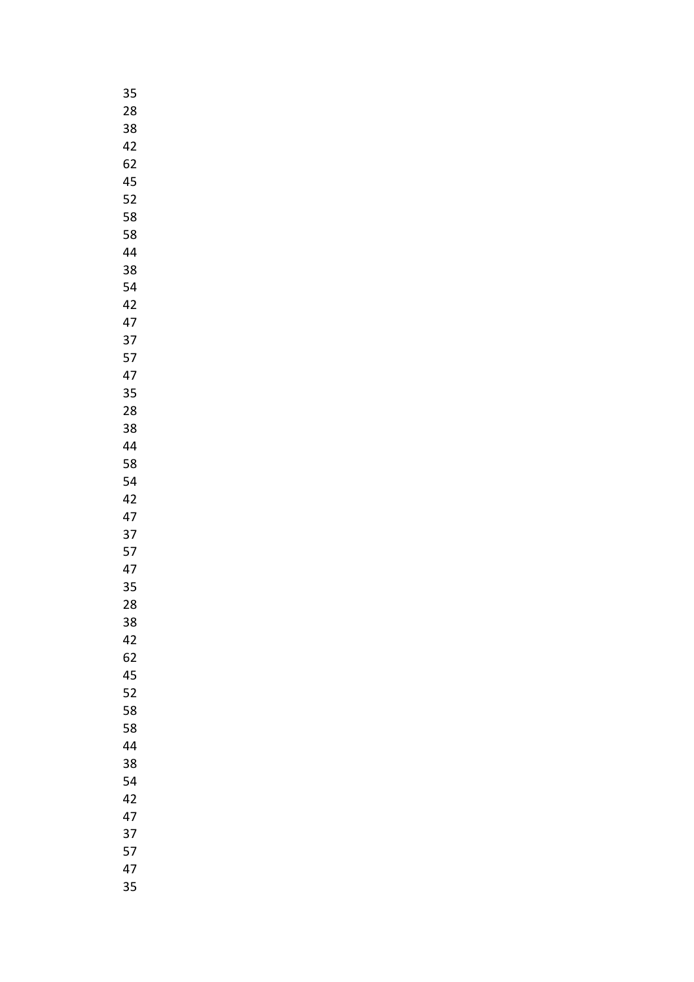| 35 |  |
|----|--|
| 28 |  |
| 38 |  |
| 42 |  |
| 62 |  |
| 45 |  |
|    |  |
| 52 |  |
| 58 |  |
| 58 |  |
| 44 |  |
| 38 |  |
| 54 |  |
| 42 |  |
| 47 |  |
| 37 |  |
| 57 |  |
|    |  |
| 47 |  |
| 35 |  |
| 28 |  |
| 38 |  |
| 44 |  |
| 58 |  |
| 54 |  |
| 42 |  |
| 47 |  |
| 37 |  |
| 57 |  |
|    |  |
| 47 |  |
| 35 |  |
| 28 |  |
| 38 |  |
| 42 |  |
| 62 |  |
| 45 |  |
| 52 |  |
| 58 |  |
| 58 |  |
| 44 |  |
|    |  |
| 38 |  |
| 54 |  |
| 42 |  |
| 47 |  |
| 37 |  |
| 57 |  |
| 47 |  |
| 35 |  |
|    |  |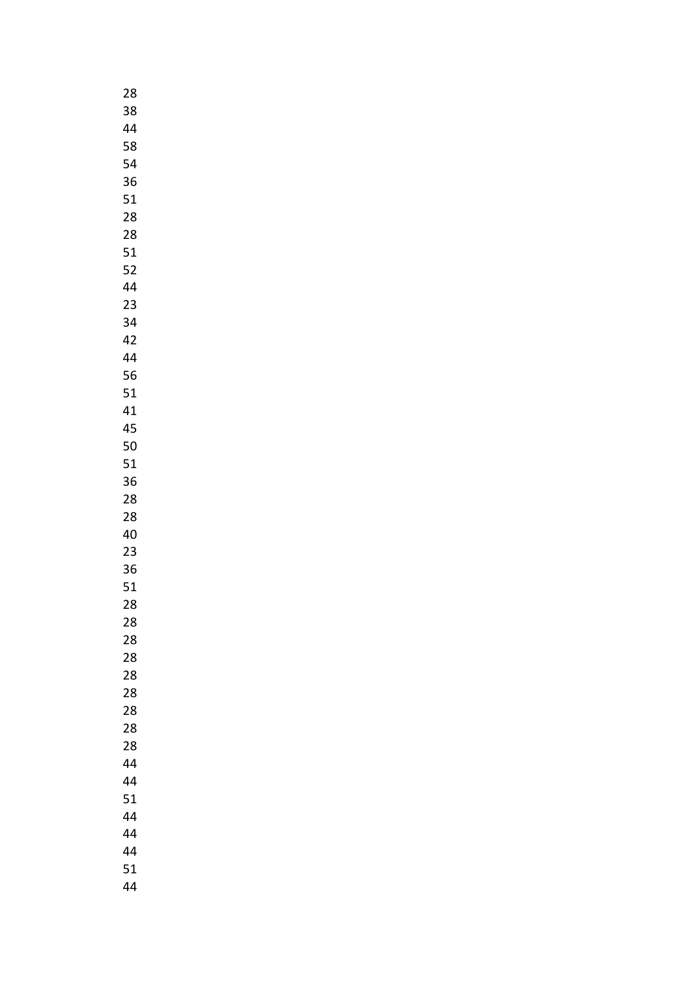| 28 |  |
|----|--|
| 38 |  |
| 44 |  |
| 58 |  |
| 54 |  |
| 36 |  |
| 51 |  |
| 28 |  |
|    |  |
| 28 |  |
| 51 |  |
| 52 |  |
| 44 |  |
| 23 |  |
| 34 |  |
| 42 |  |
| 44 |  |
| 56 |  |
| 51 |  |
| 41 |  |
| 45 |  |
| 50 |  |
| 51 |  |
| 36 |  |
| 28 |  |
| 28 |  |
| 40 |  |
| 23 |  |
| 36 |  |
| 51 |  |
| 28 |  |
| 28 |  |
| 28 |  |
| 28 |  |
| 28 |  |
| 28 |  |
| 28 |  |
| 28 |  |
|    |  |
| 28 |  |
| 44 |  |
| 44 |  |
| 51 |  |
| 44 |  |
| 44 |  |
| 44 |  |
| 51 |  |
| 44 |  |